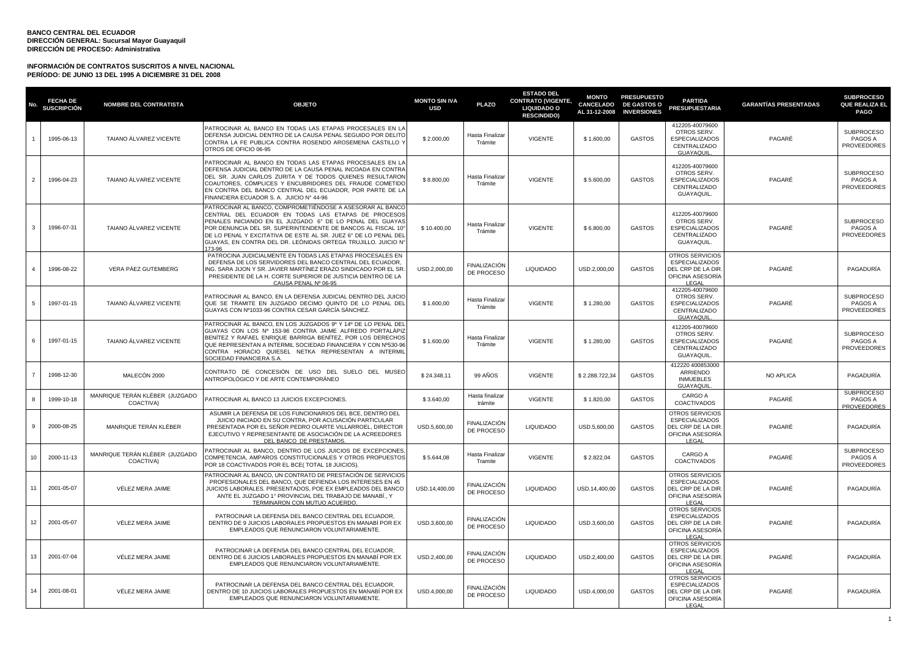| No.            | <b>FECHA DE</b><br><b>SUSCRIPCIÓN</b> | <b>NOMBRE DEL CONTRATISTA</b>               | <b>OBJETO</b>                                                                                                                                                                                                                                                                                                                                                                               | <b>MONTO SIN IVA</b><br><b>USD</b> | <b>PLAZO</b>                      | <b>ESTADO DEL</b><br><b>CONTRATO (VIGENTE,</b><br><b>LIQUIDADO O</b><br><b>RESCINDIDO)</b> | <b>MONTO</b><br>CANCELADO<br>AL 31-12-2008 | <b>PRESUPUESTO</b><br><b>DE GASTOS O</b><br><b>INVERSIONES</b> | <b>PARTIDA</b><br><b>PRESUPUESTARIA</b>                                                           | <b>GARANTÍAS PRESENTADAS</b> | <b>SUBPROCESO</b><br><b>QUE REALIZA EL</b><br><b>PAGO</b> |
|----------------|---------------------------------------|---------------------------------------------|---------------------------------------------------------------------------------------------------------------------------------------------------------------------------------------------------------------------------------------------------------------------------------------------------------------------------------------------------------------------------------------------|------------------------------------|-----------------------------------|--------------------------------------------------------------------------------------------|--------------------------------------------|----------------------------------------------------------------|---------------------------------------------------------------------------------------------------|------------------------------|-----------------------------------------------------------|
|                | 1995-06-13                            | TAIANO ÁLVAREZ VICENTE                      | PATROCINAR AL BANCO EN TODAS LAS ETAPAS PROCESALES EN LA<br>DEFENSA JUDICIAL DENTRO DE LA CAUSA PENAL SEGUIDO POR DELITO<br>CONTRA LA FE PUBLICA CONTRA ROSENDO AROSEMENA CASTILLO Y<br>OTROS DE OFICIO 06-95                                                                                                                                                                               | \$2.000,00                         | Hasta Finalizar<br>Trámite        | <b>VIGENTE</b>                                                                             | \$1.600,00                                 | <b>GASTOS</b>                                                  | 412205-40079600<br>OTROS SERV.<br><b>ESPECIALIZADOS</b><br>CENTRALIZADO<br><b>GUAYAQUIL</b>       | PAGARÉ                       | <b>SUBPROCESO</b><br>PAGOS A<br><b>PROVEEDORES</b>        |
| 2              | 1996-04-23                            | TAIANO ÁLVAREZ VICENTE                      | PATROCINAR AL BANCO EN TODAS LAS ETAPAS PROCESALES EN LA<br>DEFENSA JUDICIAL DENTRO DE LA CAUSA PENAL INCOADA EN CONTRA<br>DEL SR. JUAN CARLOS ZURITA Y DE TODOS QUIENES RESULTARON<br>COAUTORES, CÓMPLICES Y ENCUBRIDORES DEL FRAUDE COMETIDO<br>EN CONTRA DEL BANCO CENTRAL DEL ECUADOR, POR PARTE DE LA<br>FINANCIERA ECUADOR S. A. JUICIO Nº 44-96                                      | \$8,800,00                         | Hasta Finalizar<br>Trámite        | <b>VIGENTE</b>                                                                             | \$5,600.00                                 | <b>GASTOS</b>                                                  | 412205-40079600<br>OTROS SERV.<br><b>ESPECIALIZADOS</b><br>CENTRALIZADO<br>GUAYAQUIL.             | PAGARÉ                       | <b>SUBPROCESO</b><br>PAGOS A<br><b>PROVEEDORES</b>        |
| $\mathbf{3}$   | 1996-07-31                            | TAIANO ÁLVAREZ VICENTE                      | PATROCINAR AL BANCO. COMPROMETIÉNDOSE A ASESORAR AL BANCO<br>CENTRAL DEL ECUADOR EN TODAS LAS ETAPAS DE PROCESOS<br>PENALES INICIANDO EN EL JUZGADO 6° DE LO PENAL DEL GUAYAS<br>POR DENUNCIA DEL SR. SUPERINTENDENTE DE BANCOS AL FISCAL 10°<br>DE LO PENAL Y EXCITATIVA DE ESTE AL SR. JUEZ 6° DE LO PENAL DEL<br>GUAYAS, EN CONTRA DEL DR. LEÓNIDAS ORTEGA TRUJILLO, JUICIO Nº<br>173-96 | \$10,400.00                        | Hasta Finalizar<br>Trámite        | <b>VIGENTE</b>                                                                             | \$6,800.00                                 | <b>GASTOS</b>                                                  | 412205-40079600<br>OTROS SERV.<br><b>ESPECIALIZADOS</b><br>CENTRALIZADO<br><b>GUAYAQUIL</b>       | PAGARÉ                       | <b>SUBPROCESO</b><br>PAGOS A<br><b>PROVEEDORES</b>        |
| $\mathbf{A}$   | 1996-08-22                            | VERA PÁEZ GUTEMBERG                         | PATROCINA JUDICIALMENTE EN TODAS LAS ETAPAS PROCESALES EN<br>DEFENSA DE LOS SERVIDORES DEL BANCO CENTRAL DEL ECUADOR.<br>ING. SARA JIJON Y SR. JAVIER MARTÍNEZ ERAZO SINDICADO POR EL SR<br>PRESIDENTE DE LA H. CORTE SUPERIOR DE JUSTICIA DENTRO DE LA<br>CAUSA PENAL Nº 06-95                                                                                                             | USD.2,000,00                       | <b>FINALIZACIÓN</b><br>DE PROCESO | <b>LIQUIDADO</b>                                                                           | USD.2,000,00                               | <b>GASTOS</b>                                                  | OTROS SERVICIOS<br><b>ESPECIALIZADOS</b><br>DEL CRP DE LA DIR<br>OFICINA ASESORÍA<br>LEGAL        | PAGARÉ                       | PAGADURÍA                                                 |
| -5             | 1997-01-15                            | TAIANO ÁLVAREZ VICENTE                      | PATROCINAR AL BANCO, EN LA DEFENSA JUDICIAL DENTRO DEL JUICIO<br>QUE SE TRAMITE EN JUZGADO DECIMO QUINTO DE LO PENAL DEL<br>GUAYAS CON Nº1033-96 CONTRA CESAR GARCÍA SÁNCHEZ.                                                                                                                                                                                                               | \$1,600.00                         | Hasta Finalizar<br>Trámite        | <b>VIGENTE</b>                                                                             | \$1,280.00                                 | <b>GASTOS</b>                                                  | 412205-40079600<br>OTROS SERV.<br>ESPECIALIZADOS<br>CENTRALIZADO<br><b>GUAYAQUIL</b>              | PAGARÉ                       | <b>SUBPROCESO</b><br><b>PAGOS A</b><br><b>PROVEEDORES</b> |
| -6             | 1997-01-15                            | TAIANO ÁLVAREZ VICENTE                      | PATROCINAR AL BANCO. EN LOS JUZGADOS 9º Y 14º DE LO PENAL DEL<br>GUAYAS CON LOS Nº 153-96 CONTRA JAIME ALFREDO PORTALÁPIZ<br>BENÍTEZ Y RAFAEL ENRIQUE BARRIGA BENÍTEZ. POR LOS DERECHOS<br>QUE REPRESENTAN A INTERMIL SOCIEDAD FINANCIERA Y CON Nº530-96<br>CONTRA HORACIO QUIESEL NETKA REPRESENTAN A INTERMII<br>SOCIEDAD FINANCIERA S.A.                                                 | \$1.600,00                         | Hasta Finalizar<br>Trámite        | <b>VIGENTE</b>                                                                             | \$1.280,00                                 | <b>GASTOS</b>                                                  | 412205-40079600<br>OTROS SERV.<br><b>ESPECIALIZADOS</b><br>CENTRALIZADO<br>GUAYAQUIL.             | PAGARÉ                       | <b>SUBPROCESO</b><br>PAGOS A<br>PROVEEDORES               |
| $\overline{7}$ | 1998-12-30                            | MALECÓN 2000                                | CONTRATO DE CONCESIÓN DE USO DEL SUELO DEL MUSEO<br>ANTROPOLÓGICO Y DE ARTE CONTEMPORÁNEO                                                                                                                                                                                                                                                                                                   | \$24.348,11                        | 99 AÑOS                           | <b>VIGENTE</b>                                                                             | \$2.288.722,34                             | <b>GASTOS</b>                                                  | 412220 400853000<br>ARRIENDO<br><b>INMUEBLES</b><br><b>GUAYAQUIL</b>                              | NO APLICA                    | PAGADURÍA                                                 |
| $\mathbf{R}$   | 1999-10-18                            | MANRIQUE TERÁN KLÉBER (JUZGADO<br>COACTIVA) | ATROCINAR AL BANCO 13 JUICIOS EXCEPCIONES                                                                                                                                                                                                                                                                                                                                                   | \$3.640,00                         | Hasta finalizar<br>trámite        | <b>VIGENTE</b>                                                                             | \$1.820,00                                 | <b>GASTOS</b>                                                  | CARGO A<br>COACTIVADOS                                                                            | PAGARÉ                       | <b>SUBPROCESO</b><br>PAGOS A<br><b>PROVEEDORES</b>        |
| 9              | 2000-08-25                            | MANRIQUE TERÁN KLÉBER                       | ASUMIR LA DEFENSA DE LOS FUNCIONARIOS DEL BCE, DENTRO DEL<br>JUICIO INICIADO EN SU CONTRA, POR ACUSACIÓN PARTICULAR<br>PRESENTADA POR EL SEÑOR PEDRO OLARTE VILLARROEL, DIRECTOR<br>EJECUTIVO Y REPRESENTANTE DE ASOCIACIÓN DE LA ACREEDORES<br>DEL BANCO DE PRESTAMOS                                                                                                                      | USD.5,600,00                       | <b>FINALIZACIÓN</b><br>DE PROCESO | <b>LIQUIDADO</b>                                                                           | USD.5,600,00                               | <b>GASTOS</b>                                                  | OTROS SERVICIOS<br><b>ESPECIALIZADOS</b><br>DEL CRP DE LA DIR<br>OFICINA ASESORÍA<br>LEGAL        | PAGARÉ                       | PAGADURÍA                                                 |
| 10             | 2000-11-13                            | MANRIQUE TERÁN KLÉBER (JUZGADO<br>COACTIVA) | PATROCINAR AL BANCO. DENTRO DE LOS JUICIOS DE EXCEPCIONES<br>COMPETENCIA, AMPAROS CONSTITUCIONALES Y OTROS PROPUESTOS<br>POR 18 COACTIVADOS POR EL BCE(TOTAL 18 JUICIOS)                                                                                                                                                                                                                    | \$5.644,08                         | Hasta Finalizar<br>Tramite        | <b>VIGENTE</b>                                                                             | \$2.822,04                                 | <b>GASTOS</b>                                                  | CARGO A<br><b>COACTIVADOS</b>                                                                     | PAGARÉ                       | <b>SUBPROCESO</b><br>PAGOS A<br><b>PROVEEDORES</b>        |
| 11             | 2001-05-07                            | VĚLEZ MERA JAIME                            | PATROCINAR AL BANCO. UN CONTRATO DE PRESTACIÓN DE SERVICIOS<br>PROFESIONALES DEL BANCO, QUE DEFIENDA LOS INTERESES EN 45<br>JUICIOS LABORALES, PRESENTADOS, POE EX EMPLEADOS DEL BANCO<br>ANTE EL JUZGADO 1º PROVINCIAL DEL TRABAJO DE MANABÍ Y<br>TERMINARON CON MUTUO ACUERDO.                                                                                                            | USD.14,400,00                      | <b>FINALIZACIÓN</b><br>DE PROCESO | <b>LIQUIDADO</b>                                                                           | USD.14,400,00                              | <b>GASTOS</b>                                                  | <b>OTROS SERVICIOS</b><br><b>ESPECIALIZADOS</b><br>DEL CRP DE LA DIR<br>OFICINA ASESORÍA<br>LEGAL | PAGARÉ                       | PAGADURÍA                                                 |
| 12             | 2001-05-07                            | VÉLEZ MERA JAIME                            | PATROCINAR LA DEFENSA DEL BANCO CENTRAL DEL ECUADOR,<br>DENTRO DE 9 JUICIOS LABORALES PROPUESTOS EN MANABÍ POR EX<br>EMPLEADOS QUE RENUNCIARON VOLUNTARIAMENTE.                                                                                                                                                                                                                             | USD.3,600,00                       | <b>FINALIZACIÓN</b><br>DE PROCESO | <b>LIQUIDADO</b>                                                                           | USD.3,600,00                               | <b>GASTOS</b>                                                  | OTROS SERVICIOS<br><b>ESPECIALIZADOS</b><br>DEL CRP DE LA DIR<br>OFICINA ASESORÍA<br>LEGAL        | PAGARÉ                       | PAGADURÍA                                                 |
| 13             | 2001-07-04                            | VÉLEZ MERA JAIME                            | PATROCINAR LA DEFENSA DEL BANCO CENTRAL DEL ECUADOR.<br>DENTRO DE 6 JUICIOS LABORALES PROPUESTOS EN MANABÍ POR EX<br>EMPLEADOS QUE RENUNCIARON VOLUNTARIAMENTE.                                                                                                                                                                                                                             | USD.2,400,00                       | FINALIZACIÓN<br>DE PROCESO        | LIQUIDADO                                                                                  | USD.2,400,00                               | <b>GASTOS</b>                                                  | OTROS SERVICIOS<br><b>ESPECIALIZADOS</b><br>DEL CRP DE LA DIR<br>OFICINA ASESORÍA<br>LEGAL        | PAGARÉ                       | PAGADURÍA                                                 |
| 14             | 2001-08-01                            | VÉLEZ MERA JAIME                            | PATROCINAR LA DEFENSA DEL BANCO CENTRAL DEL ECUADOR.<br>DENTRO DE 10 JUICIOS LABORALES PROPUESTOS EN MANABÍ POR EX<br>EMPLEADOS QUE RENUNCIARON VOLUNTARIAMENTE.                                                                                                                                                                                                                            | USD.4.000.00                       | FINALIZACIÓN<br>DE PROCESO        | <b>LIQUIDADO</b>                                                                           | USD.4,000,00                               | <b>GASTOS</b>                                                  | OTROS SERVICIOS<br><b>ESPECIALIZADOS</b><br>DEL CRP DE LA DIR<br>OFICINA ASESORÍA<br>LEGAL        | PAGARÉ                       | PAGADURÍA                                                 |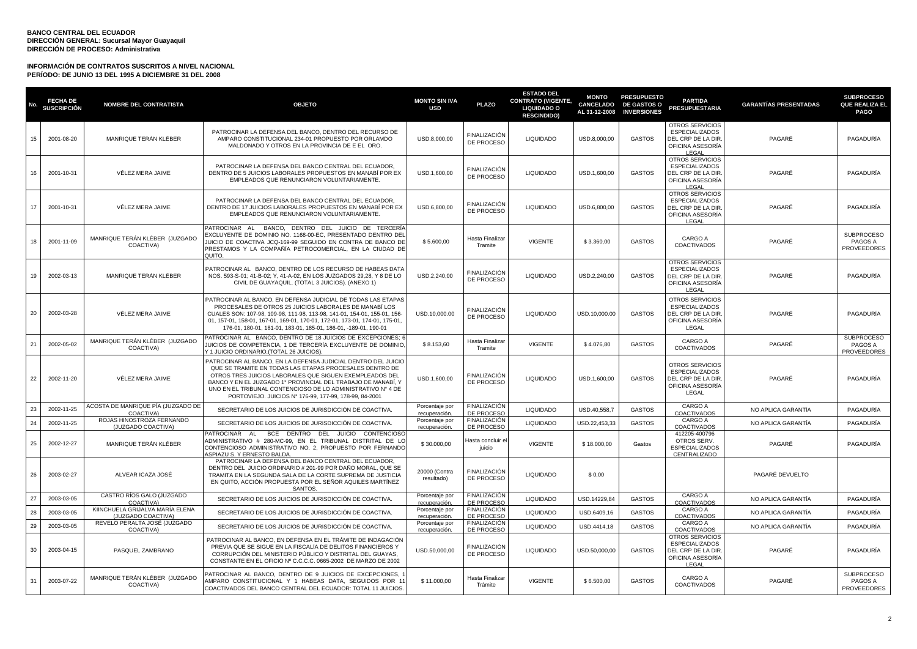|    | <b>FECHA DE</b><br><b>SUSCRIPCIÓN</b> | <b>NOMBRE DEL CONTRATISTA</b>                         | <b>OBJETO</b>                                                                                                                                                                                                                                                                                                                                                                | <b>MONTO SIN IVA</b><br><b>USD</b> | <b>PLAZO</b>                      | <b>ESTADO DEL</b><br><b>CONTRATO (VIGENTE,</b><br><b>LIQUIDADO O</b><br><b>RESCINDIDO)</b> | <b>MONTO</b><br>CANCELADO | <b>PRESUPUESTO</b><br><b>DE GASTOS O</b><br>AL 31-12-2008 INVERSIONES | <b>PARTIDA</b><br><b>PRESUPUESTARIA</b>                                                           | <b>GARANTÍAS PRESENTADAS</b> | <b>SUBPROCESO</b><br>QUE REALIZA EL<br><b>PAGO</b> |
|----|---------------------------------------|-------------------------------------------------------|------------------------------------------------------------------------------------------------------------------------------------------------------------------------------------------------------------------------------------------------------------------------------------------------------------------------------------------------------------------------------|------------------------------------|-----------------------------------|--------------------------------------------------------------------------------------------|---------------------------|-----------------------------------------------------------------------|---------------------------------------------------------------------------------------------------|------------------------------|----------------------------------------------------|
| 15 | 2001-08-20                            | MANRIQUE TERÁN KLÉBER                                 | PATROCINAR LA DEFENSA DEL BANCO, DENTRO DEL RECURSO DE<br>AMPARO CONSTITUCIONAL 234-01 PROPUESTO POR ORLAMDO<br>MALDONADO Y OTROS EN LA PROVINCIA DE E EL ORO.                                                                                                                                                                                                               | USD.8,000,00                       | FINALIZACIÓN<br>DE PROCESO        | LIQUIDADO                                                                                  | USD.8,000,00              | <b>GASTOS</b>                                                         | OTROS SERVICIOS<br><b>ESPECIALIZADOS</b><br>DEL CRP DE LA DIR<br>OFICINA ASESORÍA<br>LEGAL        | PAGARÉ                       | PAGADURÍA                                          |
| 16 | 2001-10-31                            | VÉLEZ MERA JAIME                                      | PATROCINAR LA DEFENSA DEL BANCO CENTRAL DEL ECUADOR,<br>DENTRO DE 5 JUICIOS LABORALES PROPUESTOS EN MANABÍ POR EX<br>EMPLEADOS QUE RENUNCIARON VOLUNTARIAMENTE.                                                                                                                                                                                                              | USD.1,600,00                       | <b>FINALIZACIÓN</b><br>DE PROCESO | <b>LIQUIDADO</b>                                                                           | USD.1,600,00              | <b>GASTOS</b>                                                         | <b>OTROS SERVICIOS</b><br><b>ESPECIALIZADOS</b><br>DEL CRP DE LA DIR<br>OFICINA ASESORÍA<br>LEGAL | PAGARÉ                       | PAGADURÍA                                          |
| 17 | 2001-10-31                            | VÉLEZ MERA JAIME                                      | PATROCINAR LA DEFENSA DEL BANCO CENTRAL DEL ECUADOR.<br>DENTRO DE 17 JUICIOS LABORALES PROPUESTOS EN MANABÍ POR EX<br>EMPLEADOS QUE RENUNCIARON VOLUNTARIAMENTE.                                                                                                                                                                                                             | USD.6,800,00                       | <b>FINALIZACIÓN</b><br>DE PROCESO | <b>LIQUIDADO</b>                                                                           | USD.6,800,00              | <b>GASTOS</b>                                                         | OTROS SERVICIOS<br>ESPECIALIZADOS<br>DEL CRP DE LA DIR<br>OFICINA ASESORÍA<br>LEGAL               | PAGARÉ                       | PAGADURÍA                                          |
| 18 | 2001-11-09                            | MANRIQUE TERÁN KLÉBER (JUZGADO<br>COACTIVA)           | PATROCINAR AL<br>BANCO, DENTRO DEL JUICIO DE TERCERÍA<br>EXCLUYENTE DE DOMINIO NO. 1168-00-EC, PRESENTADO DENTRO DEL<br>JUICIO DE COACTIVA JCQ-169-99 SEGUIDO EN CONTRA DE BANCO DE<br>PRESTAMOS Y LA COMPAÑÍA PETROCOMERCIAL, EN LA CIUDAD DE<br>QUITO.                                                                                                                     | \$5.600,00                         | Hasta Finalizar<br>Tramite        | <b>VIGENTE</b>                                                                             | \$3.360,00                | <b>GASTOS</b>                                                         | CARGO A<br>COACTIVADOS                                                                            | PAGARÉ                       | SUBPROCESO<br>PAGOS A<br><b>PROVEEDORES</b>        |
| 19 | 2002-03-13                            | MANRIQUE TERÁN KLÉBER                                 | PATROCINAR AL BANCO, DENTRO DE LOS RECURSO DE HABEAS DATA<br>NOS. 593-S-01; 41-B-02; Y, 41-A-02, EN LOS JUZGADOS 29,28, Y 8 DE LO<br>CIVIL DE GUAYAQUIL. (TOTAL 3 JUICIOS). (ANEXO 1)                                                                                                                                                                                        | USD.2,240,00                       | <b>FINALIZACIÓN</b><br>DE PROCESO | <b>LIQUIDADO</b>                                                                           | USD.2,240,00              | <b>GASTOS</b>                                                         | OTROS SERVICIOS<br><b>ESPECIALIZADOS</b><br>DEL CRP DE LA DIR<br>OFICINA ASESORÍA<br>LEGAL        | PAGARÉ                       | PAGADURÍA                                          |
| 20 | 2002-03-28                            | VÉLEZ MERA JAIME                                      | PATROCINAR AL BANCO, EN DEFENSA JUDICIAL DE TODAS LAS ETAPAS<br>PROCESALES DE OTROS 25 JUICIOS LABORALES DE MANABÍ LOS<br>CUALES SON: 107-98, 109-98, 111-98, 113-98, 141-01, 154-01, 155-01, 156-<br>01, 157-01, 158-01, 167-01, 169-01, 170-01, 172-01, 173-01, 174-01, 175-01,<br>176-01, 180-01, 181-01, 183-01, 185-01, 186-01, -189-01, 190-01                         | USD.10,000.00                      | FINALIZACIÓN<br>DE PROCESO        | <b>LIQUIDADO</b>                                                                           | USD.10,000.00             | <b>GASTOS</b>                                                         | OTROS SERVICIOS<br>ESPECIALIZADOS<br>DEL CRP DE LA DIF<br>OFICINA ASESORÍA<br>LEGAL               | PAGARÉ                       | PAGADURÍA                                          |
| 21 | 2002-05-02                            | MANRIQUE TERÁN KLÉBER (JUZGADO<br>COACTIVA)           | PATROCINAR AL BANCO, DENTRO DE 18 JUICIOS DE EXCEPCIONES:<br>JUICIOS DE COMPETENCIA. 1 DE TERCERÍA EXCLUYENTE DE DOMINIO<br>Y 1 JUICIO ORDINARIO. (TOTAL 26 JUICIOS).                                                                                                                                                                                                        | \$8.153.60                         | Hasta Finalizar<br>Tramite        | <b>VIGENTE</b>                                                                             | \$4.076.80                | <b>GASTOS</b>                                                         | CARGO A<br>COACTIVADOS                                                                            | PAGARÉ                       | <b>SUBPROCESO</b><br>PAGOS A<br>PROVEEDORES        |
| 22 | 2002-11-20                            | VÉLEZ MERA JAIME                                      | PATROCINAR AL BANCO, EN LA DEFENSA JUDICIAL DENTRO DEL JUICIO<br>QUE SE TRAMITE EN TODAS LAS ETAPAS PROCESALES DENTRO DE<br>OTROS TRES JUICIOS LABORALES QUE SIGUEN EXEMPLEADOS DEL<br>BANCO Y EN EL JUZGADO 1º PROVINCIAL DEL TRABAJO DE MANABÍ. Y<br>UNO EN EL TRIBUNAL CONTENCIOSO DE LO ADMINISTRATIVO Nº 4 DE<br>PORTOVIEJO. JUICIOS Nº 176-99, 177-99, 178-99, 84-2001 | USD.1,600,00                       | FINALIZACIÓN<br>DE PROCESO        | <b>LIQUIDADO</b>                                                                           | USD.1,600,00              | <b>GASTOS</b>                                                         | OTROS SERVICIOS<br>ESPECIALIZADOS<br>DEL CRP DE LA DIR<br>OFICINA ASESORÍA<br>LEGAL               | PAGARÉ                       | PAGADURÍA                                          |
| 23 | 2002-11-25                            | ACOSTA DE MANRIQUE PÍA (JUZGADO DE<br>COACTIVA)       | SECRETARIO DE LOS JUICIOS DE JURISDICCIÓN DE COACTIVA.                                                                                                                                                                                                                                                                                                                       | Porcentaje por<br>recuperación.    | FINALIZACIÓN<br>DE PROCESO        | <b>LIQUIDADO</b>                                                                           | USD.40,558,7              | <b>GASTOS</b>                                                         | CARGO A<br>COACTIVADOS                                                                            | NO APLICA GARANTÍA           | PAGADURÍA                                          |
| 24 | 2002-11-25                            | ROJAS HINOSTROZA FERNANDO<br>(JUZGADO COACTIVA)       | SECRETARIO DE LOS JUICIOS DE JURISDICCIÓN DE COACTIVA.                                                                                                                                                                                                                                                                                                                       | Porcentaje por<br>recuperación.    | <b>FINALIZACIÓN</b><br>DE PROCESO | <b>LIQUIDADO</b>                                                                           | USD.22,453,33             | <b>GASTOS</b>                                                         | CARGO A<br>COACTIVADOS                                                                            | NO APLICA GARANTÍA           | PAGADURÍA                                          |
| 25 | 2002-12-27                            | MANRIQUE TERÁN KLÉBER                                 | PATROCINAR AL<br>BCE DENTRO DEL JUICIO CONTENCIOSO<br>ADMINISTRATIVO # 280-MC-99, EN EL TRIBUNAL DISTRITAL DE LO<br>CONTENCIOSO ADMINISTRATIVO NO. 2, PROPUESTO POR FERNANDO<br>ASPIAZU S. Y ERNESTO BALDA                                                                                                                                                                   | \$30.000,00                        | Hasta concluir el<br>juicio       | <b>VIGENTE</b>                                                                             | \$18.000,00               | Gastos                                                                | 412205-400796<br>OTROS SERV.<br><b>ESPECIALIZADOS</b><br>CENTRALIZADO                             | PAGARÉ                       | PAGADURÍA                                          |
| 26 | 2003-02-27                            | ALVEAR ICAZA JOSÉ                                     | PATROCINAR LA DEFENSA DEL BANCO CENTRAL DEL ECUADOR,<br>DENTRO DEL JUICIO ORDINARIO # 201-99 POR DAÑO MORAL, QUE SE<br>TRAMITA EN LA SEGUNDA SALA DE LA CORTE SUPREMA DE JUSTICIA<br>EN QUITO, ACCIÓN PROPUESTA POR EL SEÑOR AQUILES MARTÍNEZ<br><b>SANTOS</b>                                                                                                               | 20000 (Contra<br>resultado)        | FINALIZACIÓN<br>DE PROCESO        | <b>LIQUIDADO</b>                                                                           | \$0,00                    |                                                                       |                                                                                                   | PAGARÉ DEVUELTO              |                                                    |
| 27 | 2003-03-05                            | CASTRO RÍOS GALO (JUZGADO<br>COACTIVA)                | SECRETARIO DE LOS JUICIOS DE JURISDICCIÓN DE COACTIVA.                                                                                                                                                                                                                                                                                                                       | Porcentaje por<br>recuperación.    | <b>FINALIZACIÓN</b><br>DE PROCESO | <b>LIQUIDADO</b>                                                                           | USD.14229,84              | <b>GASTOS</b>                                                         | CARGO A<br>COACTIVADOS                                                                            | NO APLICA GARANTÍA           | PAGADURÍA                                          |
| 28 | 2003-03-05                            | KIINCHUELA GRIJALVA MARÍA ELENA<br>(JUZGADO COACTIVA) | SECRETARIO DE LOS JUICIOS DE JURISDICCIÓN DE COACTIVA.                                                                                                                                                                                                                                                                                                                       | Porcentaje por<br>recuperación.    | <b>FINALIZACIÓN</b><br>DE PROCESO | <b>LIQUIDADO</b>                                                                           | USD.6409,16               | <b>GASTOS</b>                                                         | CARGO A<br>COACTIVADOS                                                                            | NO APLICA GARANTÍA           | PAGADURÍA                                          |
| 29 | 2003-03-05                            | REVELO PERALTA JOSÉ (JUZGADO<br>COACTIVA)             | SECRETARIO DE LOS JUICIOS DE JURISDICCIÓN DE COACTIVA.                                                                                                                                                                                                                                                                                                                       | Porcentaje por<br>recuperación.    | FINALIZACIÓN<br>DE PROCESO        | <b>LIQUIDADO</b>                                                                           | USD.4414,18               | <b>GASTOS</b>                                                         | CARGO A<br><b>COACTIVADOS</b>                                                                     | NO APLICA GARANTÍA           | PAGADURÍA                                          |
| 30 | 2003-04-15                            | PASQUEL ZAMBRANO                                      | PATROCINAR AL BANCO, EN DEFENSA EN EL TRÁMITE DE INDAGACIÓN<br>PREVIA QUE SE SIGUE EN LA FISCALÍA DE DELITOS FINANCIEROS Y<br>CORRUPCIÓN DEL MINISTERIO PÚBLICO Y DISTRITAL DEL GUAYAS,<br>CONSTANTE EN EL OFICIO Nº C.C.C.C. 0665-2002 DE MARZO DE 2002                                                                                                                     | USD.50,000,00                      | <b>FINALIZACIÓN</b><br>DE PROCESO | <b>LIQUIDADO</b>                                                                           | USD.50,000,00             | <b>GASTOS</b>                                                         | OTROS SERVICIOS<br>ESPECIALIZADOS<br>DEL CRP DE LA DIR<br>OFICINA ASESORÍA<br>LEGAL               | PAGARÉ                       | PAGADURÍA                                          |
| 31 | 2003-07-22                            | MANRIQUE TERÁN KLÉBER (JUZGADO<br>COACTIVA)           | PATROCINAR AL BANCO, DENTRO DE 9 JUICIOS DE EXCEPCIONES,<br>AMPARO CONSTITUCIONAL Y 1 HABEAS DATA, SEGUIDOS POR 11<br>COACTIVADOS DEL BANCO CENTRAL DEL ECUADOR: TOTAL 11 JUICIOS.                                                                                                                                                                                           | \$11.000,00                        | Hasta Finalizar<br>Trámite        | <b>VIGENTE</b>                                                                             | \$6.500,00                | <b>GASTOS</b>                                                         | CARGO A<br>COACTIVADOS                                                                            | PAGARÉ                       | <b>SUBPROCESO</b><br>PAGOS A<br><b>PROVEEDORES</b> |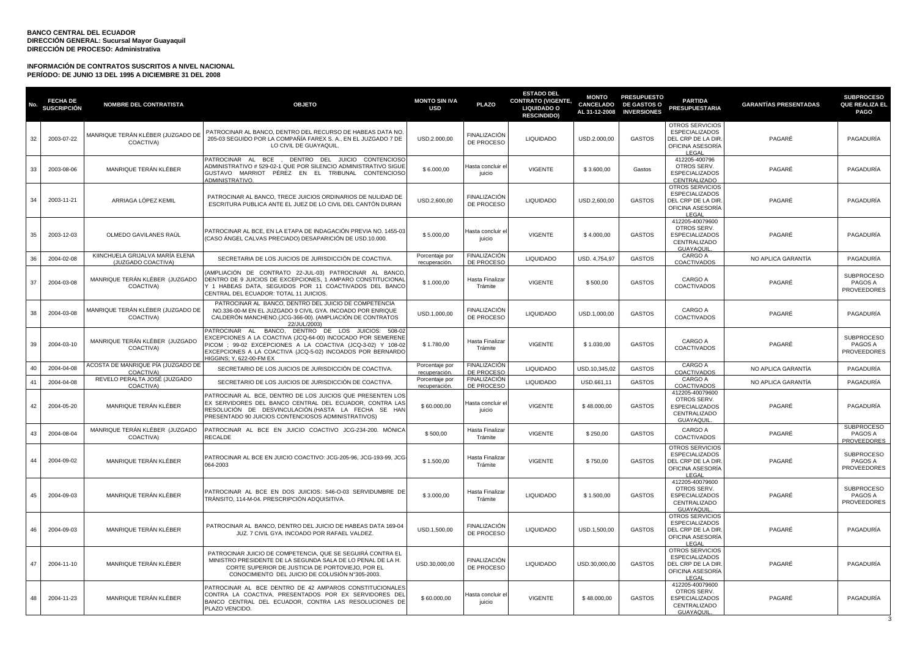| No | <b>FECHA DE</b><br><b>SUSCRIPCIÓN</b> | <b>NOMBRE DEL CONTRATISTA</b>                         | <b>OBJETO</b>                                                                                                                                                                                                                                                             | <b>MONTO SIN IVA</b><br><b>USD</b> | <b>PLAZO</b>                      | <b>ESTADO DEL</b><br><b>CONTRATO (VIGENTE,</b><br>LIQUIDADO O<br><b>RESCINDIDO)</b> | <b>MONTO</b><br><b>CANCELADO</b><br>AL 31-12-2008 | <b>PRESUPUESTO</b><br><b>DE GASTOS O</b><br><b>INVERSIONES</b> | <b>PARTIDA</b><br><b>PRESUPUESTARIA</b>                                                                  | <b>GARANTÍAS PRESENTADAS</b> | <b>SUBPROCESO</b><br>QUE REALIZA EL<br><b>PAGO</b> |
|----|---------------------------------------|-------------------------------------------------------|---------------------------------------------------------------------------------------------------------------------------------------------------------------------------------------------------------------------------------------------------------------------------|------------------------------------|-----------------------------------|-------------------------------------------------------------------------------------|---------------------------------------------------|----------------------------------------------------------------|----------------------------------------------------------------------------------------------------------|------------------------------|----------------------------------------------------|
| 32 | 2003-07-22                            | MANRIQUE TERÁN KLÉBER (JUZGADO DE<br>COACTIVA)        | PATROCINAR AL BANCO, DENTRO DEL RECURSO DE HABEAS DATA NO.<br>205-03 SEGUIDO POR LA COMPAÑÍA FAREX S. A., EN EL JUZGADO 7 DE<br>LO CIVIL DE GUAYAQUIL                                                                                                                     | USD.2.000,00                       | FINALIZACIÓN<br>DE PROCESO        | <b>LIQUIDADO</b>                                                                    | USD.2.000.00                                      | <b>GASTOS</b>                                                  | OTROS SERVICIOS<br><b>ESPECIALIZADOS</b><br>DEL CRP DE LA DIR<br>OFICINA ASESORÍA<br>LEGAL               | PAGARÉ                       | PAGADURÍA                                          |
| 33 | 2003-08-06                            | MANRIQUE TERÁN KLÉBER                                 | PATROCINAR AL BCE, DENTRO DEL JUICIO CONTENCIOSO<br>ADMINISTRATIVO # 529-02-1 QUE POR SILENCIO ADMINISTRATIVO SIGUE<br>GUSTAVO MARRIOT PÉREZ EN EL TRIBUNAL CONTENCIOSO<br><b>IDMINISTRATIVO.</b>                                                                         | \$6.000,00                         | Hasta concluir e<br>juicio        | VIGENTE                                                                             | \$3.600,00                                        | Gastos                                                         | 412205-400796<br>OTROS SERV.<br><b>ESPECIALIZADOS</b><br>CENTRALIZADO                                    | PAGARÉ                       | PAGADURÍA                                          |
| 34 | 2003-11-21                            | ARRIAGA LÓPEZ KEMIL                                   | PATROCINAR AL BANCO, TRECE JUICIOS ORDINARIOS DE NULIDAD DE<br>ESCRITURA PUBLICA ANTE EL JUEZ DE LO CIVIL DEL CANTÓN DURAN                                                                                                                                                | USD.2,600,00                       | FINALIZACIÓN<br>DE PROCESO        | <b>LIQUIDADO</b>                                                                    | USD.2,600,00                                      | <b>GASTOS</b>                                                  | OTROS SERVICIOS<br><b>ESPECIALIZADOS</b><br>DEL CRP DE LA DIR<br>OFICINA ASESORÍA<br>LEGAL               | PAGARÉ                       | PAGADURÍA                                          |
| 35 | 2003-12-03                            | OLMEDO GAVILANES RAÚL                                 | PATROCINAR AL BCE. EN LA ETAPA DE INDAGACIÓN PREVIA NO. 1455-03<br>(CASO ÁNGEL CALVAS PRECIADO) DESAPARICIÓN DE USD.10.000.                                                                                                                                               | \$5.000,00                         | Hasta concluir e<br>iuicio        | <b>VIGENTE</b>                                                                      | \$4.000,00                                        | <b>GASTOS</b>                                                  | 412205-40079600<br>OTROS SERV.<br><b>ESPECIALIZADOS</b><br>CENTRALIZADO<br>GUAYAQUIL                     | PAGARÉ                       | PAGADURÍA                                          |
| 36 | 2004-02-08                            | KIINCHUELA GRIJALVA MARÍA ELENA<br>(JUZGADO COACTIVA) | SECRETARIA DE LOS JUICIOS DE JURISDICCIÓN DE COACTIVA.                                                                                                                                                                                                                    | Porcentaje por<br>recuperación     | FINALIZACIÓN<br>DE PROCESO        | <b>LIQUIDADO</b>                                                                    | USD. 4,754,97                                     | <b>GASTOS</b>                                                  | CARGO A<br>COACTIVADOS                                                                                   | NO APLICA GARANTÍA           | PAGADURÍA                                          |
| 37 | 2004-03-08                            | MANRIQUE TERÁN KLÉBER (JUZGADO<br>COACTIVA)           | AMPLIACIÓN DE CONTRATO 22-JUL-03) PATROCINAR AL BANCO<br>DENTRO DE 9 JUICIOS DE EXCEPCIONES, 1 AMPARO CONSTITUCIONAL<br>(1 HABEAS DATA, SEGUIDOS POR 11 COACTIVADOS DEL BANCO<br>CENTRAL DEL ECUADOR: TOTAL 11 JUICIOS.                                                   | \$1.000,00                         | Hasta Finalizar<br>Trámite        | <b>VIGENTE</b>                                                                      | \$500,00                                          | GASTOS                                                         | CARGO A<br><b>COACTIVADOS</b>                                                                            | PAGARÉ                       | <b>SUBPROCESO</b><br>PAGOS A<br>PROVEEDORES        |
| 38 | 2004-03-08                            | MANRIQUE TERÁN KLÉBER (JUZGADO DE<br>COACTIVA)        | PATROCINAR AL BANCO, DENTRO DEL JUICIO DE COMPETENCIA<br>NO.336-00-M EN EL JUZGADO 9 CIVIL GYA. INCOADO POR ENRIQUE<br>CALDERÓN MANCHENO.(JCG-366-00). (AMPLIACIÓN DE CONTRATOS<br>22/JUL/2003)                                                                           | USD.1.000.00                       | FINALIZACIÓN<br>DE PROCESO        | <b>LIQUIDADO</b>                                                                    | USD.1.000.00                                      | <b>GASTOS</b>                                                  | CARGO A<br><b>COACTIVADOS</b>                                                                            | PAGARÉ                       | PAGADURÍA                                          |
| 39 | 2004-03-10                            | MANRIQUE TERÁN KLÉBER (JUZGADO<br>COACTIVA)           | PATROCINAR AL BANCO, DENTRO DE LOS JUICIOS: 508-02<br>EXCEPCIONES A LA COACTIVA (JCQ-64-00) INCOCADO POR SEMERENE<br>PICOM ; 99-02 EXCEPCIONES A LA COACTIVA (JCQ-3-02) Y 108-02<br>EXCEPCIONES A LA COACTIVA (JCQ-5-02) INCOADOS POR BERNARDO<br>IGGINS: Y. 622-00-FM EX | \$1.780,00                         | Hasta Finalizar<br>Trámite        | <b>VIGENTE</b>                                                                      | \$1.030,00                                        | <b>GASTOS</b>                                                  | CARGO A<br><b>COACTIVADOS</b>                                                                            | PAGARÉ                       | <b>SUBPROCESO</b><br>PAGOS A<br>PROVEEDORES        |
| 40 | 2004-04-08                            | ACOSTA DE MANRIQUE PÍA (JUZGADO DE<br>COACTIVA)       | SECRETARIO DE LOS JUICIOS DE JURISDICCIÓN DE COACTIVA.                                                                                                                                                                                                                    | Porcentaje por<br>recuperación.    | FINALIZACIÓN<br>DE PROCESO        | <b>LIQUIDADO</b>                                                                    | USD.10,345,02                                     | <b>GASTOS</b>                                                  | CARGO A<br>COACTIVADOS                                                                                   | NO APLICA GARANTÍA           | PAGADURÍA                                          |
| 41 | 2004-04-08                            | REVELO PERALTA JOSÉ (JUZGADO<br>COACTIVA)             | SECRETARIO DE LOS JUICIOS DE JURISDICCIÓN DE COACTIVA.                                                                                                                                                                                                                    | Porcentaje por<br>recuperación     | <b>FINALIZACIÓN</b><br>DE PROCESO | <b>LIQUIDADO</b>                                                                    | USD.661,11                                        | <b>GASTOS</b>                                                  | CARGO A<br>COACTIVADOS                                                                                   | NO APLICA GARANTÍA           | PAGADURÍA                                          |
| 42 | 2004-05-20                            | MANRIQUE TERÁN KLÉBER                                 | PATROCINAR AL BCE, DENTRO DE LOS JUICIOS QUE PRESENTEN LOS<br>EX SERVIDORES DEL BANCO CENTRAL DEL ECUADOR, CONTRA LAS<br>RESOLUCIÓN DE DESVINCULACIÓN. (HASTA LA FECHA SE HAN<br>PRESENTADO 90 JUICIOS CONTENCIOSOS ADMINISTRATIVOS)                                      | \$60.000,00                        | Hasta concluir e<br>juicio        | <b>VIGENTE</b>                                                                      | \$48.000,00                                       | GASTOS                                                         | 412205-40079600<br>OTROS SERV.<br><b>ESPECIALIZADOS</b><br>CENTRALIZADO<br><b>GUAYAQUIL</b>              | PAGARÉ                       | PAGADURÍA                                          |
| 43 | 2004-08-04                            | MANRIQUE TERÁN KLÉBER (JUZGADO<br>COACTIVA)           | PATROCINAR AL BCE EN JUICIO COACTIVO JCG-234-200. MÓNICA<br>RECALDE                                                                                                                                                                                                       | \$500,00                           | Hasta Finalizar<br>Trámite        | <b>VIGENTE</b>                                                                      | \$250,00                                          | GASTOS                                                         | CARGO A<br><b>COACTIVADOS</b>                                                                            | PAGARÉ                       | <b>SUBPROCESO</b><br>PAGOS A<br><b>PROVEEDORES</b> |
| 44 | 2004-09-02                            | MANRIQUE TERÁN KLÉBER                                 | PATROCINAR AL BCE EN JUICIO COACTIVO: JCG-205-96, JCG-193-99, JCG-<br>064-2003                                                                                                                                                                                            | \$1.500,00                         | Hasta Finalizar<br>Trámite        | <b>VIGENTE</b>                                                                      | \$750,00                                          | GASTOS                                                         | <b>OTROS SERVICIOS</b><br><b>ESPECIALIZADOS</b><br>DEL CRP DE LA DIR<br>OFICINA ASESORÍA<br><b>LEGAL</b> | PAGARÉ                       | <b>SUBPROCESO</b><br>PAGOS A<br>PROVEEDORES        |
| 45 | 2004-09-03                            | MANRIQUE TERÁN KLÉBER                                 | PATROCINAR AL BCE EN DOS JUICIOS: 546-O-03 SERVIDUMBRE DE<br>TRÁNSITO, 114-M-04, PRESCRIPCIÓN ADQUISITIVA.                                                                                                                                                                | \$3,000.00                         | Hasta Finalizar<br>Trámite        | <b>LIQUIDADO</b>                                                                    | \$1.500.00                                        | <b>GASTOS</b>                                                  | 412205-40079600<br>OTROS SERV.<br><b>ESPECIALIZADOS</b><br>CENTRALIZADO<br>GUAYAQUIL                     | PAGARÉ                       | <b>SUBPROCESO</b><br>PAGOS A<br>PROVEEDORES        |
| 46 | 2004-09-03                            | MANRIQUE TERÁN KLÉBER                                 | PATROCINAR AL BANCO, DENTRO DEL JUICIO DE HABEAS DATA 169-04<br>JUZ. 7 CIVIL GYA. INCOADO POR RAFAEL VALDEZ.                                                                                                                                                              | USD.1,500,00                       | FINALIZACIÓN<br>DE PROCESO        | <b>LIQUIDADO</b>                                                                    | USD.1,500,00                                      | <b>GASTOS</b>                                                  | OTROS SERVICIOS<br><b>ESPECIALIZADOS</b><br>DEL CRP DE LA DIR<br>OFICINA ASESORÍA<br>LEGAL               | PAGARÉ                       | PAGADURÍA                                          |
| 47 | 2004-11-10                            | MANRIQUE TERÁN KLÉBER                                 | PATROCINAR JUICIO DE COMPETENCIA, QUE SE SEGUIRÁ CONTRA EL<br>MINISTRO PRESIDENTE DE LA SEGUNDA SALA DE LO PENAL DE LA H.<br>CORTE SUPERIOR DE JUSTICIA DE PORTOVIEJO. POR EL<br>CONOCIMIENTO DEL JUICIO DE COLUSIÓN Nº305-2003.                                          | USD.30,000,00                      | <b>FINALIZACIÓN</b><br>DE PROCESO | <b>LIQUIDADO</b>                                                                    | USD.30,000,00                                     | <b>GASTOS</b>                                                  | OTROS SERVICIOS<br><b>ESPECIALIZADOS</b><br>DEL CRP DE LA DIR<br>OFICINA ASESORÍA<br>LEGAL               | PAGARÉ                       | PAGADURÍA                                          |
| 48 | 2004-11-23                            | MANRIQUE TERÁN KLÉBER                                 | PATROCINAR AL BCE DENTRO DE 42 AMPAROS CONSTITUCIONALES<br>CONTRA LA COACTIVA. PRESENTADOS POR EX SERVIDORES DEL<br>BANCO CENTRAL DEL ECUADOR, CONTRA LAS RESOLUCIONES DE<br>PLAZO VENCIDO.                                                                               | \$60.000,00                        | Hasta concluir e<br>juicio        | <b>VIGENTE</b>                                                                      | \$48.000,00                                       | <b>GASTOS</b>                                                  | 412205-40079600<br>OTROS SERV.<br><b>ESPECIALIZADOS</b><br>CENTRALIZADO<br>GUAYAQUIL                     | PAGARÉ                       | PAGADURÍA                                          |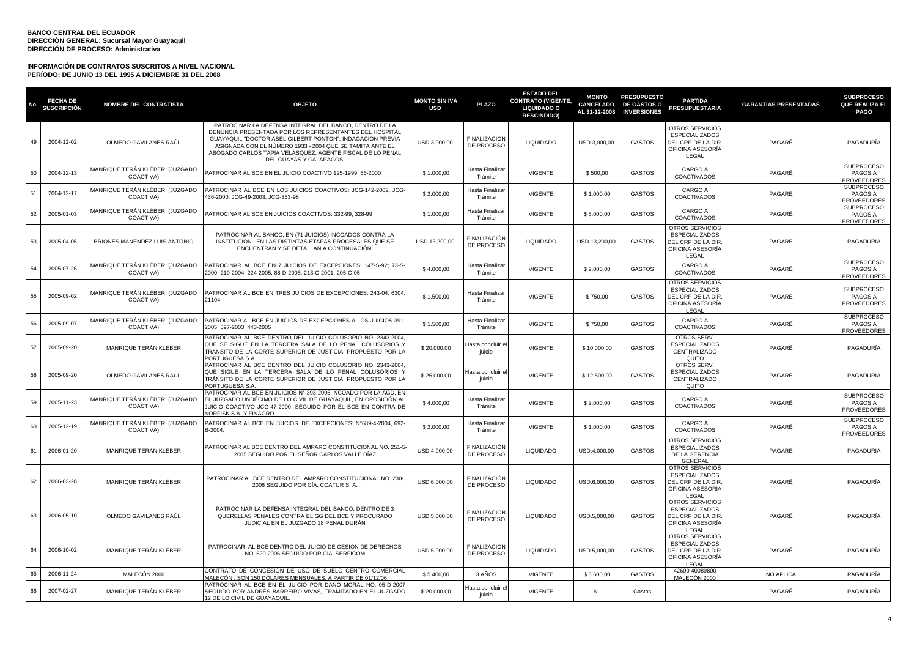| No. | <b>FECHA DE</b><br><b>SUSCRIPCIÓN</b> | <b>NOMBRE DEL CONTRATISTA</b>               | <b>OBJETO</b>                                                                                                                                                                                                                                                                                                                     | <b>MONTO SIN IVA</b><br><b>USD</b> | <b>PLAZO</b>                      | <b>ESTADO DEL</b><br><b>CONTRATO (VIGENTE,</b><br>LIQUIDADO O<br><b>RESCINDIDO)</b> | <b>MONTO</b>  | <b>PRESUPUESTO</b><br>CANCELADO DE GASTOS O<br>AL 31-12-2008 INVERSIONES | <b>PARTIDA</b><br><b>PRESUPUESTARIA</b>                                                           | <b>GARANTÍAS PRESENTADAS</b> | <b>SUBPROCESO</b><br>QUE REALIZA EL<br>PAGO        |
|-----|---------------------------------------|---------------------------------------------|-----------------------------------------------------------------------------------------------------------------------------------------------------------------------------------------------------------------------------------------------------------------------------------------------------------------------------------|------------------------------------|-----------------------------------|-------------------------------------------------------------------------------------|---------------|--------------------------------------------------------------------------|---------------------------------------------------------------------------------------------------|------------------------------|----------------------------------------------------|
| 49  | 2004-12-02                            | OLMEDO GAVILANES RAÚL                       | PATROCINAR LA DEFENSA INTEGRAL DEL BANCO, DENTRO DE LA<br>DENUNCIA PRESENTADA POR LOS REPRESENTANTES DEL HOSPITAL<br>GUAYAQUIL "DOCTOR ABEL GILBERT PONTÓN", INDAGACIÓN PREVIA<br>ASIGNADA CON EL NÚMERO 1933 - 2004 QUE SE TAMITA ANTE EL<br>ABOGADO CARLOS TAPIA VELÁSQUEZ, AGENTE FISCAL DE LO PENAL<br>DEL GUAYAS Y GALÁPAGOS | USD.3,000,00                       | FINALIZACIÓN<br>DE PROCESO        | <b>LIQUIDADO</b>                                                                    | USD.3,000,00  | <b>GASTOS</b>                                                            | OTROS SERVICIOS<br><b>ESPECIALIZADOS</b><br>DEL CRP DE LA DIR<br>OFICINA ASESORÍA<br>LEGAL        | PAGARÉ                       | PAGADURÍA                                          |
| 50  | 2004-12-13                            | MANRIQUE TERÁN KLÉBER (JUZGADO<br>COACTIVA) | ATROCINAR AL BCE EN EL JUICIO COACTIVO 125-1999, 56-2000                                                                                                                                                                                                                                                                          | \$1,000.00                         | Hasta Finalizar<br>Trámite        | <b>VIGENTE</b>                                                                      | \$500.00      | <b>GASTOS</b>                                                            | CARGO A<br><b>COACTIVADOS</b>                                                                     | PAGARÉ                       | <b>SUBPROCESO</b><br>PAGOS A<br><b>PROVEEDORES</b> |
| 51  | 2004-12-17                            | MANRIQUE TERÁN KLÉBER (JUZGADO<br>COACTIVA) | PATROCINAR AL BCE EN LOS JUICIOS COACTIVOS: JCG-142-2002. JCG-<br>436-2000, JCG-49-2003, JCG-353-98                                                                                                                                                                                                                               | \$2.000,00                         | Hasta Finalizar<br>Trámite        | <b>VIGENTE</b>                                                                      | \$1.000,00    | <b>GASTOS</b>                                                            | CARGO A<br>COACTIVADOS                                                                            | PAGARÉ                       | <b>SUBPROCESO</b><br>PAGOS A<br><b>PROVEEDORES</b> |
| 52  | 2005-01-03                            | MANRIQUE TERÁN KLÉBER (JUZGADO<br>COACTIVA) | PATROCINAR AL BCE EN JUICIOS COACTIVOS: 332-99, 328-99                                                                                                                                                                                                                                                                            | \$1,000.00                         | Hasta Finalizar<br>Trámite        | <b>VIGENTE</b>                                                                      | \$5,000.00    | <b>GASTOS</b>                                                            | CARGO A<br><b>COACTIVADOS</b>                                                                     | PAGARÉ                       | <b>SUBPROCESO</b><br>PAGOS A<br>PROVEEDORES        |
| 53  | 2005-04-05                            | BRIONES MANÉNDEZ LUIS ANTONIO               | PATROCINAR AL BANCO, EN (71 JUICIOS) INCOADOS CONTRA LA<br>INSTITUCIÓN, EN LAS DISTINTAS ETAPAS PROCESALES QUE SE<br>ENCUENTRAN Y SE DETALLAN A CONTINUACIÓN.                                                                                                                                                                     | USD.13,200,00                      | FINALIZACIÓN<br>DE PROCESO        | <b>LIQUIDADO</b>                                                                    | USD.13,200,00 | <b>GASTOS</b>                                                            | <b>OTROS SERVICIOS</b><br><b>ESPECIALIZADOS</b><br>DEL CRP DE LA DIR<br>OFICINA ASESORÍA<br>LEGAL | PAGARÉ                       | PAGADURÍA                                          |
| 54  | 2005-07-26                            | MANRIQUE TERÁN KLÉBER (JUZGADO<br>COACTIVA) | PATROCINAR AL BCE EN 7 JUICIOS DE EXCEPCIONES: 147-S-92; 73-S<br>2000; 219-2004; 224-2005; 88-D-2005; 213-C-2001; 205-C-05                                                                                                                                                                                                        | \$4.000,00                         | Hasta Finalizar<br>Trámite        | <b>VIGENTE</b>                                                                      | \$2.000,00    | <b>GASTOS</b>                                                            | CARGO A<br><b>COACTIVADOS</b>                                                                     | PAGARÉ                       | <b>SUBPROCESO</b><br>PAGOS A<br>PROVEEDORES        |
| 55  | 2005-09-02                            | MANRIQUE TERÁN KLÉBER (JUZGADO<br>COACTIVA) | PATROCINAR AL BCE EN TRES JUICIOS DE EXCEPCIONES: 243-04; 6304<br>21104                                                                                                                                                                                                                                                           | \$1,500.00                         | Hasta Finalizar<br>Trámite        | <b>VIGENTE</b>                                                                      | \$750,00      | <b>GASTOS</b>                                                            | OTROS SERVICIOS<br><b>ESPECIALIZADOS</b><br>DEL CRP DE LA DIR<br>OFICINA ASESORÍA<br>LEGAL        | PAGARÉ                       | <b>SUBPROCESO</b><br>PAGOS A<br>PROVEEDORES        |
| 56  | 2005-09-07                            | MANRIQUE TERÁN KLÉBER (JUZGADO<br>COACTIVA) | PATROCINAR AL BCE EN JUICIOS DE EXCEPCIONES A LOS JUICIOS 391<br>2005, 597-2003, 443-2005                                                                                                                                                                                                                                         | \$1.500,00                         | Hasta Finalizar<br>Trámite        | <b>VIGENTE</b>                                                                      | \$750,00      | <b>GASTOS</b>                                                            | CARGO A<br><b>COACTIVADOS</b>                                                                     | PAGARÉ                       | <b>SUBPROCESO</b><br><b>PAGOS A</b><br>PROVEEDORES |
| 57  | 2005-09-20                            | MANRIQUE TERÁN KLÉBER                       | PATROCINAR AL BCE DENTRO DEL JUICIO COLUSORIO NO. 2343-2004<br>QUE SE SIGUE EN LA TERCERA SALA DE LO PENAL COLUSORIOS Y<br>TRANSITO DE LA CORTE SUPERIOR DE JUSTICIA, PROPUESTO POR LA<br>PORTUGUESA S.A.                                                                                                                         | \$20.000,00                        | lasta concluir e<br>juicio        | <b>VIGENTE</b>                                                                      | \$10.000,00   | <b>GASTOS</b>                                                            | OTROS SERV.<br><b>ESPECIALIZADOS</b><br>CENTRALIZADO<br>QUITO                                     | PAGARÉ                       | PAGADURÍA                                          |
| 58  | 2005-09-20                            | OLMEDO GAVILANES RAÚL                       | PATROCINAR AL BCE DENTRO DEL JUICIO COLUSORIO NO. 2343-2004<br>QUE SIGUE EN LA TERCERA SALA DE LO PENAL COLUSORIOS Y<br>TRÁNSITO DE LA CORTE SUPERIOR DE JUSTICIA, PROPUESTO POR LA<br>PORTUGUESA S.A.                                                                                                                            | \$25.000,00                        | lasta concluir e<br>juicio        | <b>VIGENTE</b>                                                                      | \$12.500,00   | <b>GASTOS</b>                                                            | OTROS SERV.<br>ESPECIALIZADOS<br>CENTRALIZADO<br>QUITO                                            | PAGARÉ                       | PAGADURÍA                                          |
| 59  | 2005-11-23                            | MANRIQUE TERÁN KLÉBER (JUZGADO<br>COACTIVA) | PATROCINAR AL BCE EN JUICIOS N° 393-2005 INCOADO POR LA AGD, EN<br>EL JUZGADO UNDÉCIMO DE LO CIVIL DE GUAYAQUIL, EN OPOSICIÓN AL<br>JUICIO COACTIVO JCG-47-2000, SEGUIDO POR EL BCE EN CONTRA DE<br>NORFISK S.A. Y FINAGRO                                                                                                        | \$4.000,00                         | Hasta Finalizar<br>Trámite        | <b>VIGENTE</b>                                                                      | \$2.000,00    | <b>GASTOS</b>                                                            | CARGO A<br><b>COACTIVADOS</b>                                                                     | PAGARÉ                       | <b>SUBPROCESO</b><br><b>PAGOS A</b><br>PROVEEDORES |
| 60  | 2005-12-19                            | MANRIQUE TERÁN KLÉBER (JUZGADO<br>COACTIVA) | PATROCINAR AL BCE EN JUICIOS DE EXCEPCIONES: N°689-4-2004, 692-<br>B-2004.                                                                                                                                                                                                                                                        | \$2.000,00                         | Hasta Finalizar<br>Trámite        | <b>VIGENTE</b>                                                                      | \$1.000,00    | <b>GASTOS</b>                                                            | CARGO A<br>COACTIVADOS                                                                            | PAGARÉ                       | <b>SUBPROCESO</b><br>PAGOS A<br>PROVEEDORES        |
| 61  | 2006-01-20                            | MANRIQUE TERÁN KLÉBER                       | PATROCINAR AL BCE DENTRO DEL AMPARO CONSTITUCIONAL NO. 251-5<br>2005 SEGUIDO POR EL SEÑOR CARLOS VALLE DÍAZ                                                                                                                                                                                                                       | USD.4,000,00                       | FINALIZACIÓN<br>DE PROCESO        | <b>LIQUIDADO</b>                                                                    | USD.4,000,00  | <b>GASTOS</b>                                                            | OTROS SERVICIOS<br><b>ESPECIALIZADOS</b><br>DE LA GERENCIA<br>GENERAL                             | PAGARÉ                       | PAGADURÍA                                          |
| 62  | 2006-03-28                            | MANRIQUE TERÁN KLÉBER                       | PATROCINAR AL BCE DENTRO DEL AMPARO CONSTITUCIONAL NO. 230-<br>2006 SEGUIDO POR CÍA. COATUR S. A.                                                                                                                                                                                                                                 | USD.6,000,00                       | <b>FINALIZACIÓN</b><br>DE PROCESO | <b>LIQUIDADO</b>                                                                    | USD.6,000,00  | <b>GASTOS</b>                                                            | OTROS SERVICIOS<br><b>ESPECIALIZADOS</b><br>DEL CRP DE LA DIR<br>OFICINA ASESORÍA<br>LEGAL        | PAGARÉ                       | PAGADURÍA                                          |
| 63  | 2006-05-10                            | OLMEDO GAVILANES RAÚL                       | PATROCINAR LA DEFENSA INTEGRAL DEL BANCO, DENTRO DE 3<br>QUERELLAS PENALES CONTRA EL GG DEL BCE Y PROCURADO<br>JUDICIAL EN EL JUZGADO 18 PENAL DURÁN                                                                                                                                                                              | USD.5,000,00                       | <b>FINALIZACIÓN</b><br>DE PROCESO | <b>LIQUIDADO</b>                                                                    | USD.5,000,00  | <b>GASTOS</b>                                                            | OTROS SERVICIOS<br><b>ESPECIALIZADOS</b><br>DEL CRP DE LA DIR<br>OFICINA ASESORIA<br>LEGAL        | PAGARÉ                       | PAGADURÍA                                          |
| 64  | 2006-10-02                            | MANRIQUE TERÁN KLÉBER                       | PATROCINAR AL BCE DENTRO DEL JUICIO DE CESIÓN DE DERECHOS<br>NO. 520-2006 SEGUIDO POR CÍA. SERFICOM                                                                                                                                                                                                                               | USD.5.000.00                       | <b>FINALIZACIÓN</b><br>DE PROCESO | <b>LIQUIDADO</b>                                                                    | USD.5.000.00  | <b>GASTOS</b>                                                            | OTROS SERVICIOS<br><b>ESPECIALIZADOS</b><br>DEL CRP DE LA DIR<br>OFICINA ASESORÍA<br>LEGAL        | PAGARÉ                       | PAGADURÍA                                          |
| 65  | 2006-11-24                            | MALECÓN 2000                                | CONTRATO DE CONCESIÓN DE USO DE SUELO CENTRO COMERCIAL<br>MALECÓN , SON 150 DÓLARES MENSUALES, A PARTIR DE 01/12/06                                                                                                                                                                                                               | \$5.400,00                         | 3 AÑOS                            | <b>VIGENTE</b>                                                                      | \$3.600,00    | <b>GASTOS</b>                                                            | 42600-40089800<br>MALECÓN 2000                                                                    | NO APLICA                    | PAGADURÍA                                          |
| 66  | 2007-02-27                            | MANRIQUE TERÁN KLÉBER                       | PATROCINAR AL BCE EN EL JUICIO POR DAÑO MORAL NO. 05-D-2007<br>SEGUIDO POR ANDRÉS BARREIRO VIVAS, TRAMITADO EN EL JUZGADO<br>12 DE LO CIVIL DE GUAYAQUIL                                                                                                                                                                          | \$20.000,00                        | lasta concluir e<br>juicio        | <b>VIGENTE</b>                                                                      | $S -$         | Gastos                                                                   |                                                                                                   | PAGARÉ                       | PAGADURÍA                                          |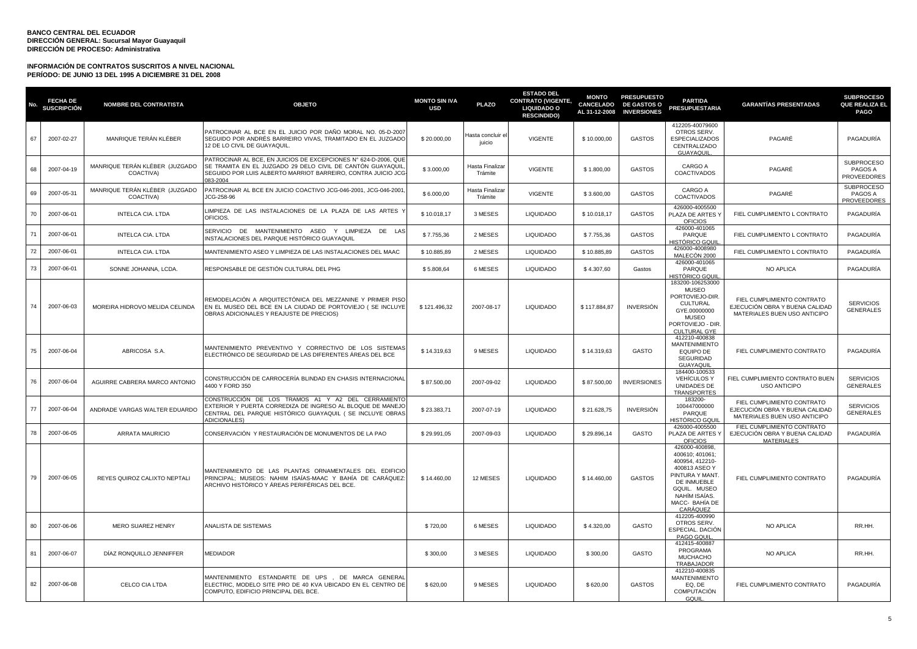| No. | <b>FECHA DE</b><br><b>SUSCRIPCIÓN</b> | <b>NOMBRE DEL CONTRATISTA</b>               | <b>OBJETO</b>                                                                                                                                                                                             | <b>MONTO SIN IVA</b><br><b>USD</b> | <b>PLAZO</b>               | <b>ESTADO DEL</b><br><b>CONTRATO (VIGENTE,</b><br><b>LIQUIDADO O</b><br><b>RESCINDIDO)</b> | <b>MONTO</b> | <b>PRESUPUESTO</b><br>CANCELADO DE GASTOS O<br>AL 31-12-2008 INVERSIONES | <b>PARTIDA</b><br><b>PRESUPUESTARIA</b>                                                                                                                               | <b>GARANTÍAS PRESENTADAS</b>                                                                 | <b>SUBPROCESO</b><br><b>QUE REALIZA EL</b><br><b>PAGO</b> |
|-----|---------------------------------------|---------------------------------------------|-----------------------------------------------------------------------------------------------------------------------------------------------------------------------------------------------------------|------------------------------------|----------------------------|--------------------------------------------------------------------------------------------|--------------|--------------------------------------------------------------------------|-----------------------------------------------------------------------------------------------------------------------------------------------------------------------|----------------------------------------------------------------------------------------------|-----------------------------------------------------------|
| 67  | 2007-02-27                            | MANRIQUE TERÁN KLÉBER                       | PATROCINAR AL BCE EN EL JUICIO POR DAÑO MORAL NO. 05-D-2007<br>SEGUIDO POR ANDRÉS BARREIRO VIVAS, TRAMITADO EN EL JUZGADO<br>12 DE LO CIVIL DE GUAYAQUIL.                                                 | \$20.000,00                        | Hasta concluir e<br>juicio | <b>VIGENTE</b>                                                                             | \$10.000,00  | GASTOS                                                                   | 412205-40079600<br>OTROS SERV.<br><b>ESPECIALIZADOS</b><br>CENTRALIZADO<br>GUAYAQUIL                                                                                  | PAGARÉ                                                                                       | PAGADURÍA                                                 |
| 68  | 2007-04-19                            | MANRIQUE TERÁN KLÉBER (JUZGADO<br>COACTIVA) | PATROCINAR AL BCE, EN JUICIOS DE EXCEPCIONES Nº 624-D-2006, QUE<br>SE TRAMITA EN EL JUZGADO 29 DELO CIVIL DE CANTÓN GUAYAQUIL<br>SEGUIDO POR LUIS ALBERTO MARRIOT BARREIRO, CONTRA JUICIO JCG<br>083-2004 | \$3.000,00                         | Hasta Finalizar<br>Trámite | <b>VIGENTE</b>                                                                             | \$1.800,00   | <b>GASTOS</b>                                                            | CARGO A<br><b>COACTIVADOS</b>                                                                                                                                         | PAGARÉ                                                                                       | <b>SUBPROCESO</b><br>PAGOS A<br>PROVEEDORES               |
| 69  | 2007-05-31                            | MANRIQUE TERÁN KLÉBER (JUZGADO<br>COACTIVA) | PATROCINAR AL BCE EN JUICIO COACTIVO JCG-046-2001, JCG-046-2001<br>JCG-258-96                                                                                                                             | \$6.000,00                         | Hasta Finalizar<br>Trámite | <b>VIGENTE</b>                                                                             | \$3.600,00   | GASTOS                                                                   | CARGO A<br><b>COACTIVADOS</b>                                                                                                                                         | PAGARÉ                                                                                       | <b>SUBPROCESO</b><br>PAGOS A<br><b>PROVEEDORES</b>        |
| 70  | 2007-06-01                            | <b>INTELCA CIA, LTDA</b>                    | LIMPIEZA DE LAS INSTALACIONES DE LA PLAZA DE LAS ARTES '<br>OFICIOS.                                                                                                                                      | \$10,018.17                        | 3 MESES                    | <b>LIQUIDADO</b>                                                                           | \$10.018,17  | <b>GASTOS</b>                                                            | 426000-4005500<br>PLAZA DE ARTES Y<br><b>OFICIOS</b>                                                                                                                  | FIEL CUMPLIMIENTO L CONTRATO                                                                 | PAGADURÍA                                                 |
| 71  | 2007-06-01                            | INTELCA CIA. LTDA                           | SERVICIO DE MANTENIMIENTO ASEO Y LIMPIEZA DE LAS<br>INSTALACIONES DEL PARQUE HISTÓRICO GUAYAQUIL                                                                                                          | \$7.755,36                         | 2 MESES                    | <b>LIQUIDADO</b>                                                                           | \$7.755,36   | <b>GASTOS</b>                                                            | 426000-401065<br>PARQUE<br>HISTÓRICO GQUIL                                                                                                                            | FIEL CUMPLIMIENTO L CONTRATO                                                                 | PAGADURÍA                                                 |
| 72  | 2007-06-01                            | <b>INTELCA CIA, LTDA</b>                    | MANTENIMIENTO ASEO Y LIMPIEZA DE LAS INSTALACIONES DEL MAAC                                                                                                                                               | \$10.885,89                        | 2 MESES                    | <b>LIQUIDADO</b>                                                                           | \$10.885,89  | GASTOS                                                                   | 426000-4008980<br>MALECÓN 2000                                                                                                                                        | FIEL CUMPLIMIENTO L CONTRATO                                                                 | PAGADURÍA                                                 |
| 73  | 2007-06-01                            | SONNE JOHANNA, LCDA.                        | RESPONSABLE DE GESTIÓN CULTURAL DEL PHG                                                                                                                                                                   | \$5.808,64                         | 6 MESES                    | <b>LIQUIDADO</b>                                                                           | \$4.307,60   | Gastos                                                                   | 426000-401065<br>PARQUE<br>HISTÓRICO GQUIL                                                                                                                            | NO APLICA                                                                                    | PAGADURÍA                                                 |
| 74  | 2007-06-03                            | MOREIRA HIDROVO MELIDA CELINDA              | REMODELACIÓN A ARQUITECTÓNICA DEL MEZZANINE Y PRIMER PISC<br>EN EL MUSEO DEL BCE EN LA CIUDAD DE PORTOVIEJO (SE INCLUYE<br>OBRAS ADICIONALES Y REAJUSTE DE PRECIOS)                                       | \$121.496,32                       | 2007-08-17                 | <b>LIQUIDADO</b>                                                                           | \$117.884,87 | <b>INVERSIÓN</b>                                                         | 183200-106253000<br><b>MUSEO</b><br>PORTOVIEJO-DIR.<br><b>CULTURAL</b><br>GYE.00000000<br><b>MUSEO</b><br>PORTOVIEJO - DIR.<br><b>CULTURAL GYE</b>                    | FIEL CUMPLIMIENTO CONTRATO<br>EJECUCIÓN OBRA Y BUENA CALIDAD<br>MATERIALES BUEN USO ANTICIPO | <b>SERVICIOS</b><br><b>GENERALES</b>                      |
| 75  | 2007-06-04                            | ABRICOSA S.A.                               | MANTENIMIENTO PREVENTIVO Y CORRECTIVO DE LOS SISTEMAS<br>ELECTRÓNICO DE SEGURIDAD DE LAS DIFERENTES ÁREAS DEL BCE                                                                                         | \$14.319,63                        | 9 MESES                    | <b>LIQUIDADO</b>                                                                           | \$14.319,63  | GASTO                                                                    | 412210-400838<br><b>MANTENIMIENTO</b><br>EQUIPO DE<br>SEGURIDAD<br>GUAYAQUII                                                                                          | FIEL CUMPLIMIENTO CONTRATO                                                                   | PAGADURÍA                                                 |
| 76  | 2007-06-04                            | AGUIRRE CABRERA MARCO ANTONIO               | CONSTRUCCIÓN DE CARROCERÍA BLINDAD EN CHASIS INTERNACIONAL<br>4400 Y FORD 350                                                                                                                             | \$87.500,00                        | 2007-09-02                 | <b>LIQUIDADO</b>                                                                           | \$87.500,00  | <b>INVERSIONES</b>                                                       | 184400-100533<br><b>VEHÍCULOS Y</b><br>UNIDADES DE<br><b>TRANSPORTES</b>                                                                                              | FIEL CUMPLIMIENTO CONTRATO BUEN<br><b>USO ANTICIPO</b>                                       | <b>SERVICIOS</b><br><b>GENERALES</b>                      |
| 77  | 2007-06-04                            | ANDRADE VARGAS WALTER EDUARDO               | CONSTRUCCIÓN DE LOS TRAMOS A1 Y A2 DEL CERRAMIENTO<br>EXTERIOR Y PUERTA CORREDIZA DE INGRESO AL BLOQUE DE MANEJO<br>CENTRAL DEL PARQUE HISTÓRICO GUAYAQUIL ( SE INCLUYE OBRAS<br><b>ADICIONALES)</b>      | \$23.383,71                        | 2007-07-19                 | <b>LIQUIDADO</b>                                                                           | \$21.628,75  | <b>INVERSIÓN</b>                                                         | 183200-<br>100447000000<br>PARQUE<br>HISTÓRICO GQUI                                                                                                                   | FIEL CUMPLIMIENTO CONTRATO<br>EJECUCIÓN OBRA Y BUENA CALIDAD<br>MATERIALES BUEN USO ANTICIPO | <b>SERVICIOS</b><br><b>GENERALES</b>                      |
| 78  | 2007-06-05                            | ARRATA MAURICIO                             | CONSERVACIÓN Y RESTAURACIÓN DE MONUMENTOS DE LA PAO                                                                                                                                                       | \$29.991,05                        | 2007-09-03                 | <b>LIQUIDADO</b>                                                                           | \$29.896,14  | <b>GASTO</b>                                                             | 426000-4005500<br>PLAZA DE ARTES Y<br><b>OFICIOS</b>                                                                                                                  | FIEL CUMPLIMIENTO CONTRATO<br>EJECUCIÓN OBRA Y BUENA CALIDAD<br><b>MATERIALES</b>            | PAGADURÍA                                                 |
| 79  | 2007-06-05                            | REYES QUIROZ CALIXTO NEPTALI                | MANTENIMIENTO DE LAS PLANTAS ORNAMENTALES DEL EDIFICIO<br>PRINCIPAL; MUSEOS: NAHIM ISAIAS-MAAC Y BAHIA DE CARÁQUEZ:<br>ARCHIVO HISTÓRICO Y ÁREAS PERIFÉRICAS DEL BCE.                                     | \$14.460,00                        | 12 MESES                   | <b>LIQUIDADO</b>                                                                           | \$14.460,00  | <b>GASTOS</b>                                                            | 426000-400898,<br>400610; 401061;<br>400954, 412210-<br>400813 ASEO Y<br>PINTURA Y MANT<br>DE INMUEBLE<br>GQUIL. MUSEO<br>NAHÍM ISAÍAS.<br>MACC- BAHÍA DE<br>CARÁQUEZ | FIEL CUMPLIMIENTO CONTRATO                                                                   | PAGADURÍA                                                 |
| 80  | 2007-06-06                            | MERO SUAREZ HENRY                           | ANALISTA DE SISTEMAS                                                                                                                                                                                      | \$720,00                           | 6 MESES                    | <b>LIQUIDADO</b>                                                                           | \$4.320,00   | GASTO                                                                    | 412205-400990<br>OTROS SERV.<br>ESPECIAL. DACIÓN<br>PAGO GQUIL                                                                                                        | NO APLICA                                                                                    | RR.HH.                                                    |
| 81  | 2007-06-07                            | DÍAZ RONQUILLO JENNIFFER                    | <b>MEDIADOR</b>                                                                                                                                                                                           | \$300,00                           | 3 MESES                    | <b>LIQUIDADO</b>                                                                           | \$300,00     | GASTO                                                                    | 412415-400887<br>PROGRAMA<br><b>MUCHACHO</b><br>TRABAJADOR                                                                                                            | NO APLICA                                                                                    | RR.HH.                                                    |
| 82  | 2007-06-08                            | CELCO CIA LTDA                              | MANTENIMIENTO ESTANDARTE DE UPS , DE MARCA GENERAL<br>ELECTRIC, MODELO SITE PRO DE 40 KVA UBICADO EN EL CENTRO DE<br>COMPUTO, EDIFICIO PRINCIPAL DEL BCE.                                                 | \$620,00                           | 9 MESES                    | <b>LIQUIDADO</b>                                                                           | \$620,00     | <b>GASTOS</b>                                                            | 412210-400835<br><b>MANTENIMIENTO</b><br>EQ, DE<br><b>COMPUTACIÓN</b><br>GQUIL                                                                                        | FIEL CUMPLIMIENTO CONTRATO                                                                   | PAGADURÍA                                                 |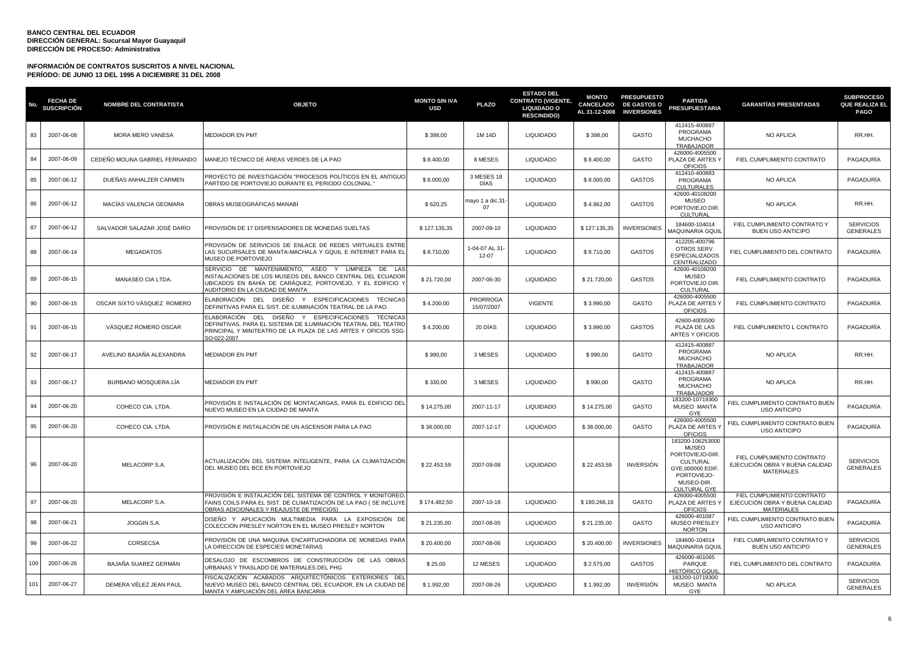| No. | <b>FECHA DE</b><br><b>SUSCRIPCIÓN</b> | <b>NOMBRE DEL CONTRATISTA</b>  | <b>OBJETO</b>                                                                                                                                                                                                      | <b>MONTO SIN IVA</b><br><b>USD</b> | <b>PLAZO</b>                  | <b>ESTADO DEL</b><br><b>CONTRATO (VIGENTE,</b><br><b>LIQUIDADO O</b><br><b>RESCINDIDO)</b> | <b>MONTO</b><br><b>CANCELADO</b><br>AL 31-12-2008 | <b>PRESUPUESTO</b><br><b>DE GASTOS O</b><br><b>INVERSIONES</b> | <b>PARTIDA</b><br><b>PRESUPUESTARIA</b>                                                                                          | <b>GARANTÍAS PRESENTADAS</b>                                                      | <b>SUBPROCESO</b><br><b>QUE REALIZA EL</b><br><b>PAGO</b> |
|-----|---------------------------------------|--------------------------------|--------------------------------------------------------------------------------------------------------------------------------------------------------------------------------------------------------------------|------------------------------------|-------------------------------|--------------------------------------------------------------------------------------------|---------------------------------------------------|----------------------------------------------------------------|----------------------------------------------------------------------------------------------------------------------------------|-----------------------------------------------------------------------------------|-----------------------------------------------------------|
| 83  | 2007-06-08                            | MORA MERO VANESA               | MEDIADOR EN PMT                                                                                                                                                                                                    | \$398,00                           | 1M 14D                        | <b>LIQUIDADO</b>                                                                           | \$398,00                                          | GASTO                                                          | 412415-400887<br>PROGRAMA<br>MUCHACHO<br>TRABAJADOR                                                                              | <b>NO APLICA</b>                                                                  | RR.HH.                                                    |
| 84  | 2007-06-09                            | CEDEÑO MOLINA GABRIEL FERNANDO | MANEJO TÉCNICO DE ÁREAS VERDES DE LA PAO                                                                                                                                                                           | \$8.400,00                         | 8 MESES                       | LIQUIDADO                                                                                  | \$8.400,00                                        | GASTO                                                          | 426000-4005500<br>PLAZA DE ARTES<br><b>OFICIOS</b>                                                                               | FIEL CUMPLIMIENTO CONTRATO                                                        | PAGADURÍA                                                 |
| 85  | 2007-06-12                            | DUEÑAS ANHALZER CARMEN         | PROYECTO DE INVESTIGACIÓN "PROCESOS POLÍTICOS EN EL ANTIGUO<br>PARTIDO DE PORTOVIEJO DURANTE EL PERIODO COLONIAL."                                                                                                 | \$8.000,00                         | 3 MESES 18<br>DÍAS            | LIQUIDADO                                                                                  | \$8.000,00                                        | <b>GASTOS</b>                                                  | 412410-400883<br>PROGRAMA<br><b>CULTURALES</b>                                                                                   | NO APLICA                                                                         | PAGADURÍA                                                 |
| 86  | 2007-06-12                            | MACÍAS VALENCIA GEOMARA        | OBRAS MUSEOGRÁFICAS MANABÍ                                                                                                                                                                                         | \$620,25                           | mayo 1 a dic.31<br>07         | <b>LIQUIDADO</b>                                                                           | \$4.962,00                                        | <b>GASTOS</b>                                                  | 42600-40108200<br><b>MUSEO</b><br>PORTOVIEJO DIR.<br>CULTURAL                                                                    | NO APLICA                                                                         | RR.HH.                                                    |
| 87  | 2007-06-12                            | SALVADOR SALAZAR JOSÉ DARÍO    | PROVISIÓN DE 17 DISPENSADORES DE MONEDAS SUELTAS                                                                                                                                                                   | \$127.135,35                       | 2007-09-10                    | LIQUIDADO                                                                                  | \$127.135,35                                      | <b>INVERSIONES</b>                                             | 184600-104014<br>MAQUINARIA GQUII                                                                                                | FIEL CUMPLIMIENTO CONTRATO Y<br><b>BUEN USO ANTICIPO</b>                          | <b>SERVICIOS</b><br><b>GENERALES</b>                      |
| 88  | 2007-06-14                            | <b>MEGADATOS</b>               | PROVISIÓN DE SERVICIOS DE ENLACE DE REDES VIRTUALES ENTRE<br>LAS SUCURSALES DE MANTA-MACHALA Y GQUIL E INTERNET PARA EL<br>MUSEO DE PORTOVIEJO                                                                     | \$8.710,00                         | 1-04-07 AL 31-<br>$12 - 07$   | LIQUIDADO                                                                                  | \$8.710,00                                        | <b>GASTOS</b>                                                  | 412205-400796<br>OTROS SERV.<br><b>ESPECIALIZADOS</b><br>CENTRALIZADO                                                            | FIEL CUMPLIMIENTO DEL CONTRATO                                                    | PAGADURÍA                                                 |
| 89  | 2007-06-15                            | MANASEO CIA LTDA.              | SERVICIO DE MANTENIMIENTO. ASEO Y LIMPIEZA<br>DE LAS<br>INSTALACIONES DE LOS MUSEOS DEL BANCO CENTRAL DEL ECUADOR<br>UBICADOS EN BAHÍA DE CARÁQUEZ, PORTOVIEJO, Y EL EDIFICIO Y<br>NUDITORIO EN LA CIUDAD DE MANTA | \$21,720.00                        | 2007-06-30                    | <b>LIQUIDADO</b>                                                                           | \$21,720.00                                       | <b>GASTOS</b>                                                  | 42600-40108200<br><b>MUSEO</b><br>PORTOVIEJO DIR.<br>CULTURAL                                                                    | FIEL CUMPLIMIENTO CONTRATO                                                        | PAGADURÍA                                                 |
| 90  | 2007-06-15                            | OSCAR SIXTO VÁSQUEZ ROMERO     | ELABORACIÓN DEL DISEÑO Y ESPECIFICACIONES TÉCNICAS<br>DEFINITIVAS PARA EL SIST. DE ILUMINACIÓN TEATRAL DE LA PAO.                                                                                                  | \$4.200,00                         | <b>PRORROGA</b><br>15/07/2007 | <b>VIGENTE</b>                                                                             | \$3.990,00                                        | GASTO                                                          | 426000-4005500<br>PLAZA DE ARTES Y<br><b>OFICIOS</b>                                                                             | FIEL CUMPLIMIENTO CONTRATO                                                        | PAGADURÍA                                                 |
| 91  | 2007-06-15                            | VÁSQUEZ ROMERO OSCAR           | ELABORACIÓN DEL DISEÑO Y ESPECIFICACIONES TÉCNICAS<br>DEFINITIVAS, PARA EL SISTEMA DE ILUMINACIÓN TEATRAL DEL TEATRO<br>PRINCIPAL Y MINITEATRO DE LA PLAZA DE LAS ARTES Y OFICIOS SSG-<br>SO-022-2007              | \$4.200,00                         | 20 DÍAS                       | <b>LIQUIDADO</b>                                                                           | \$3.990,00                                        | <b>GASTOS</b>                                                  | 42600-4005500<br>PLAZA DE LAS<br>ARTES Y OFICIOS                                                                                 | FIEL CUMPLIMIENTO L CONTRATO                                                      | PAGADURÍA                                                 |
| 92  | 2007-06-17                            | AVELINO BAJAÑA ALEXANDRA       | <b>MEDIADOR EN PMT</b>                                                                                                                                                                                             | \$990,00                           | 3 MESES                       | <b>LIQUIDADO</b>                                                                           | \$990,00                                          | GASTO                                                          | 412415-400887<br>PROGRAMA<br><b>MUCHACHO</b><br>TRABAJADOR                                                                       | <b>NO APLICA</b>                                                                  | RR.HH.                                                    |
| 93  | 2007-06-17                            | BURBANO MOSQUERA LÍA           | MEDIADOR EN PMT                                                                                                                                                                                                    | \$330,00                           | 3 MESES                       | <b>LIQUIDADO</b>                                                                           | \$990,00                                          | GASTO                                                          | 412415-400887<br>PROGRAMA<br><b>MUCHACHO</b><br>TRABAJADOR                                                                       | <b>NO APLICA</b>                                                                  | RR.HH.                                                    |
| 94  | 2007-06-20                            | COHECO CIA. LTDA.              | PROVISIÓN E INSTALACIÓN DE MONTACARGAS, PARA EL EDIFICIO DEL<br>NUEVO MUSEO EN LA CIUDAD DE MANTA                                                                                                                  | \$14.275,00                        | 2007-11-17                    | <b>LIQUIDADO</b>                                                                           | \$14.275,00                                       | GASTO                                                          | 183200-10719300<br>MUSEO MANTA<br>GYE                                                                                            | FIEL CUMPLIMIENTO CONTRATO BUEN<br><b>USO ANTICIPO</b>                            | PAGADURÍA                                                 |
| 95  | 2007-06-20                            | COHECO CIA. LTDA.              | PROVISIÓN E INSTALACIÓN DE UN ASCENSOR PARA LA PAO                                                                                                                                                                 | \$38.000,00                        | 2007-12-17                    | <b>LIQUIDADO</b>                                                                           | \$38.000,00                                       | <b>GASTO</b>                                                   | 426000-4005500<br>PLAZA DE ARTES<br>OFICIOS                                                                                      | FIEL CUMPLIMIENTO CONTRATO BUEN<br><b>USO ANTICIPO</b>                            | PAGADURÍA                                                 |
| 96  | 2007-06-20                            | MELACORP S.A.                  | ACTUALIZACIÓN DEL SISTEMA INTELIGENTE. PARA LA CLIMATIZACIÓN<br>DEL MUSEO DEL BCE EN PORTOVIEJO                                                                                                                    | \$22.453,59                        | 2007-09-08                    | <b>LIQUIDADO</b>                                                                           | \$22.453,59                                       | <b>INVERSIÓN</b>                                               | 183200-106253000<br><b>MUSEO</b><br>PORTOVIEJO-DIR.<br>CULTURAL<br>GYE.000000 EDIF.<br>PORTOVIEJO-<br>MUSEO-DIR.<br>CULTURAL GYE | FIEL CUMPLIMIENTO CONTRATO<br>EJECUCIÓN OBRA Y BUENA CALIDAD<br><b>MATERIALES</b> | <b>SERVICIOS</b><br><b>GENERALES</b>                      |
| 97  | 2007-06-20                            | MELACORP S.A.                  | PROVISIÓN E INSTALACIÓN DEL SISTEMA DE CONTROL Y MONITOREO<br>FAINS COILS PARA EL SIST. DE CLIMATIZACIÓN DE LA PAO ( SE INCLUYE<br>OBRAS ADICIONALES Y REAJUSTE DE PRECIOS)                                        | \$174.482,50                       | 2007-10-18                    | <b>LIQUIDADO</b>                                                                           | \$180.266,16                                      | GASTO                                                          | 426000-4005500<br>PLAZA DE ARTES Y<br><b>OFICIOS</b>                                                                             | FIEL CUMPLIMIENTO CONTRATO<br>EJECUCIÓN OBRA Y BUENA CALIDAD<br><b>MATERIALES</b> | PAGADURÍA                                                 |
| 98  | 2007-06-21                            | JOGGIN S.A.                    | DISEÑO Y APLICACIÓN MULTIMEDIA PARA LA EXPOSICIÓN DE<br>COLECCIÓN PRESLEY NORTON EN EL MUSEO PRESLEY NORTON                                                                                                        | \$21.235,00                        | 2007-08-05                    | <b>LIQUIDADO</b>                                                                           | \$21.235,00                                       | GASTO                                                          | 426000-401087<br>MUSEO PRESLEY<br><b>NORTON</b>                                                                                  | FIEL CUMPLIMIENTO CONTRATO BUEN<br><b>USO ANTICIPO</b>                            | PAGADURÍA                                                 |
| 99  | 2007-06-22                            | CORSECSA                       | PROVISIÓN DE UNA MAQUINA ENCARTUCHADORA DE MONEDAS PARA<br>A DIRECCIÓN DE ESPECIES MONETARIAS                                                                                                                      | \$20.400,00                        | 2007-08-06                    | <b>LIQUIDADO</b>                                                                           | \$20.400,00                                       | <b>INVERSIONES</b>                                             | 184600-104014<br>MAQUINARIA GQUIL                                                                                                | FIEL CUMPLIMIENTO CONTRATO Y<br><b>BUEN USO ANTICIPO</b>                          | <b>SERVICIOS</b><br><b>GENERALES</b>                      |
| 100 | 2007-06-26                            | BAJAÑA SUAREZ GERMÁN           | DESALOJO DE ESCOMBROS DE CONSTRUCCIÓN DE LAS OBRAS<br>URBANAS Y TRASLADO DE MATERIALES DEL PHG                                                                                                                     | \$25,00                            | 12 MESES                      | <b>LIQUIDADO</b>                                                                           | \$2.575,00                                        | GASTOS                                                         | 426000-401065<br>PARQUE<br>HISTÓRICO GQUI                                                                                        | FIEL CUMPLIMIENTO DEL CONTRATO                                                    | PAGADURÍA                                                 |
| 101 | 2007-06-27                            | DEMERA VÉLEZ JEAN PAUL         | FISCALIZACIÓN ACABADOS ARQUITECTÓNICOS EXTERIORES DEL<br>NUEVO MUSEO DEL BANCO CENTRAL DEL ECUADOR, EN LA CIUDAD DE<br>MANTA Y AMPLIACIÓN DEL ÁREA BANCARIA                                                        | \$1.992,00                         | 2007-08-26                    | <b>LIQUIDADO</b>                                                                           | \$1.992,00                                        | <b>INVERSIÓN</b>                                               | 183200-10719300<br><b>MUSEO MANTA</b><br>GYE                                                                                     | <b>NO APLICA</b>                                                                  | <b>SERVICIOS</b><br><b>GENERALES</b>                      |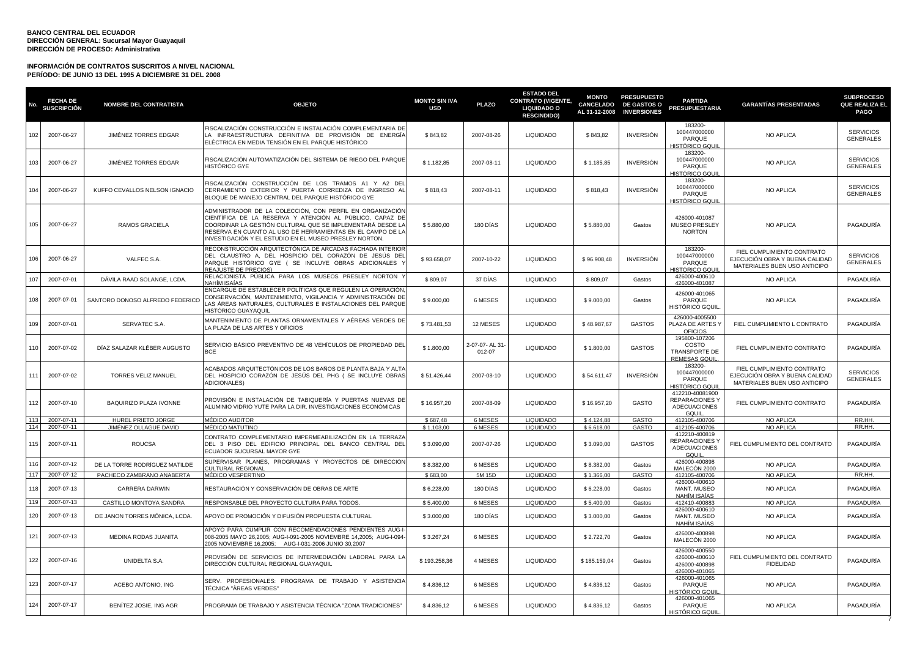| No.        | <b>FECHA DE</b><br><b>SUSCRIPCIÓN</b> | <b>NOMBRE DEL CONTRATISTA</b>          | <b>OBJETO</b>                                                                                                                                                                                                                                                                                              | <b>MONTO SIN IVA</b><br><b>USD</b> | <b>PLAZO</b>             | <b>ESTADO DEL</b><br><b>CONTRATO (VIGENTE,</b><br><b>LIQUIDADO O</b><br><b>RESCINDIDO)</b> | <b>MONTO</b><br>CANCELADO<br>AL 31-12-2008 | <b>PRESUPUESTO</b><br><b>DE GASTOS O</b><br><b>INVERSIONES</b> | <b>PARTIDA</b><br><b>PRESUPUESTARIA</b>                                                 | <b>GARANTÍAS PRESENTADAS</b>                                                                 | <b>SUBPROCESO</b><br>QUE REALIZA EL<br><b>PAGO</b> |
|------------|---------------------------------------|----------------------------------------|------------------------------------------------------------------------------------------------------------------------------------------------------------------------------------------------------------------------------------------------------------------------------------------------------------|------------------------------------|--------------------------|--------------------------------------------------------------------------------------------|--------------------------------------------|----------------------------------------------------------------|-----------------------------------------------------------------------------------------|----------------------------------------------------------------------------------------------|----------------------------------------------------|
| 102        | 2007-06-27                            | JIMÉNEZ TORRES EDGAR                   | FISCALIZACIÓN CONSTRUCCIÓN E INSTALACIÓN COMPLEMENTARIA DE<br>LA INFRAESTRUCTURA DEFINITIVA DE PROVISIÓN DE ENERGÍA<br>ELÉCTRICA EN MEDIA TENSIÓN EN EL PARQUE HISTÓRICO                                                                                                                                   | \$843,82                           | 2007-08-26               | <b>LIQUIDADO</b>                                                                           | \$843,82                                   | <b>INVERSIÓN</b>                                               | 183200-<br>100447000000<br>PARQUE<br>HISTÓRICO GQUII                                    | NO APLICA                                                                                    | <b>SERVICIOS</b><br><b>GENERALES</b>               |
| 103        | 2007-06-27                            | JIMÉNEZ TORRES EDGAR                   | ISCALIZACIÓN AUTOMATIZACIÓN DEL SISTEMA DE RIEGO DEL PARQUE<br>HISTÓRICO GYE                                                                                                                                                                                                                               | \$1.182,85                         | 2007-08-11               | <b>LIQUIDADO</b>                                                                           | \$1.185,85                                 | <b>INVERSIÓN</b>                                               | 183200-<br>100447000000<br>PARQUE<br><u>HISTÓRICO GQUIL</u>                             | NO APLICA                                                                                    | <b>SERVICIOS</b><br><b>GENERALES</b>               |
| 104        | 2007-06-27                            | KUFFO CEVALLOS NELSON IGNACIO          | FISCALIZACIÓN CONSTRUCCIÓN DE LOS TRAMOS A1 Y A2 DEI<br>CERRAMIENTO EXTERIOR Y PUERTA CORREDIZA DE INGRESO AL<br>BLOQUE DE MANEJO CENTRAL DEL PARQUE HISTÓRICO GYE                                                                                                                                         | \$818,43                           | 2007-08-11               | <b>LIQUIDADO</b>                                                                           | \$818,43                                   | <b>INVERSIÓN</b>                                               | 183200-<br>100447000000<br>PARQUE<br>HISTÓRICO GQUII                                    | NO APLICA                                                                                    | <b>SERVICIOS</b><br><b>GENERALES</b>               |
| 105        | 2007-06-27                            | RAMOS GRACIELA                         | ADMINISTRADOR DE LA COLECCIÓN, CON PERFIL EN ORGANIZACIÓN<br>CIENTÍFICA DE LA RESERVA Y ATENCIÓN AL PÚBLICO. CAPAZ DE<br>COORDINAR LA GESTIÓN CULTURAL QUE SE IMPLEMENTARÁ DESDE LA<br>RESERVA EN CUANTO AL USO DE HERRAMIENTAS EN EL CAMPO DE LA<br>NVESTIGACIÓN Y EL ESTUDIO EN EL MUSEO PRESLEY NORTON. | \$5.880,00                         | 180 DÍAS                 | <b>LIQUIDADO</b>                                                                           | \$5.880,00                                 | Gastos                                                         | 426000-401087<br>MUSEO PRESLEY<br><b>NORTON</b>                                         | NO APLICA                                                                                    | PAGADURÍA                                          |
| 106        | 2007-06-27                            | VALFEC S.A.                            | RECONSTRUCCIÓN ARQUITECTÓNICA DE ARCADAS FACHADA INTERIOF<br>DEL CLAUSTRO A, DEL HOSPICIO DEL CORAZÓN DE JESÚS DEL<br>PARQUE HISTÓRICO GYE ( SE INCLUYE OBRAS ADICIONALES<br>REAJUSTE DE PRECIOS)                                                                                                          | \$93.658,07                        | 2007-10-22               | <b>LIQUIDADO</b>                                                                           | \$96.908,48                                | <b>INVERSIÓN</b>                                               | 183200-<br>100447000000<br>PARQUE<br>HISTÓRICO GQUII                                    | FIEL CUMPLIMIENTO CONTRATO<br>EJECUCIÓN OBRA Y BUENA CALIDAD<br>MATERIALES BUEN USO ANTICIPO | <b>SERVICIOS</b><br><b>GENERALES</b>               |
| 107        | 2007-07-01                            | DÁVILA RAAD SOLANGE, LCDA.             | RELACIONISTA PÚBLICA PARA LOS MUSEOS PRESLEY NORTON<br>NAHÍM ISAÍAS                                                                                                                                                                                                                                        | \$809,07                           | 37 DÍAS                  | <b>LIQUIDADO</b>                                                                           | \$809,07                                   | Gastos                                                         | 426000-400610<br>426000-401087                                                          | NO APLICA                                                                                    | PAGADURÍA                                          |
| 108        | 2007-07-01                            | SANTORO DONOSO ALFREDO FEDERICO        | ENCARGUE DE ESTABLECER POLÍTICAS QUE REGULEN LA OPERACIÓN<br>CONSERVACIÓN, MANTENIMIENTO, VIGILANCIA Y ADMINISTRACIÓN DE<br>AS AREAS NATURALES, CULTURALES E INSTALACIONES DEL PARQUE<br>HISTÓRICO GUAYAQUII                                                                                               | \$9.000,00                         | 6 MESES                  | <b>LIQUIDADO</b>                                                                           | \$9.000,00                                 | Gastos                                                         | 426000-401065<br>PARQUE<br>HISTÓRICO GQUIL                                              | NO APLICA                                                                                    | PAGADURÍA                                          |
| 109        | 2007-07-01                            | SERVATEC S.A.                          | MANTENIMIENTO DE PLANTAS ORNAMENTALES Y AÉREAS VERDES DE<br>A PLAZA DE LAS ARTES Y OFICIOS                                                                                                                                                                                                                 | \$73.481,53                        | 12 MESES                 | <b>LIQUIDADO</b>                                                                           | \$48.987,67                                | <b>GASTOS</b>                                                  | 426000-4005500<br>PLAZA DE ARTES Y<br><b>OFICIOS</b>                                    | FIEL CUMPLIMIENTO L CONTRATO                                                                 | PAGADURÍA                                          |
| 110        | 2007-07-02                            | DÍAZ SALAZAR KLÉBER AUGUSTO            | SERVICIO BÁSICO PREVENTIVO DE 48 VEHÍCULOS DE PROPIEDAD DEL<br><b>RCE</b>                                                                                                                                                                                                                                  | \$1.800,00                         | 2-07-07- AL 31<br>012-07 | <b>LIQUIDADO</b>                                                                           | \$1.800,00                                 | <b>GASTOS</b>                                                  | 195800-107206<br>COSTO<br>TRANSPORTE DE<br><b>REMESAS GQUIL</b>                         | FIEL CUMPLIMIENTO CONTRATO                                                                   | PAGADURÍA                                          |
| 111        | 2007-07-02                            | TORRES VELIZ MANUEL                    | ACABADOS ARQUITECTÓNICOS DE LOS BAÑOS DE PLANTA BAJA Y ALT/<br>DEL HOSPICIO CORAZÓN DE JESÚS DEL PHG ( SE INCLUYE OBRAS<br><b>ADICIONALES)</b>                                                                                                                                                             | \$51.426,44                        | 2007-08-10               | <b>LIQUIDADO</b>                                                                           | \$54.611,47                                | <b>INVERSIÓN</b>                                               | 183200-<br>100447000000<br>PARQUE<br>HISTÓRICO GQUII                                    | FIEL CUMPLIMIENTO CONTRATO<br>EJECUCIÓN OBRA Y BUENA CALIDAD<br>MATERIALES BUEN USO ANTICIPO | <b>SERVICIOS</b><br><b>GENERALES</b>               |
| 112        | 2007-07-10                            | <b>BAQUIRIZO PLAZA IVONNE</b>          | PROVISIÓN E INSTALACIÓN DE TABIQUERÍA Y PUERTAS NUEVAS DE<br>ALUMINIO VIDRIO YUTE PARA LA DIR. INVESTIGACIONES ECONÓMICAS                                                                                                                                                                                  | \$16.957,20                        | 2007-08-09               | <b>LIQUIDADO</b>                                                                           | \$16.957,20                                | GASTO                                                          | 412210-40081900<br><b>REPARACIONES Y</b><br><b>ADECUACIONES</b><br>GQUIL                | FIEL CUMPLIMIENTO CONTRATO                                                                   | PAGADURÍA                                          |
| 113<br>114 | 2007-07-11<br>2007-07-11              | HUREL PRIETO JORGE                     | <b>MÉDICO AUDITOR</b>                                                                                                                                                                                                                                                                                      | \$687.48                           | 6 MESES                  | <b>LIQUIDADO</b>                                                                           | \$4,124.88                                 | GASTO                                                          | 412105-400706                                                                           | <b>NO APLICA</b>                                                                             | RR.HH.<br>RR.HH.                                   |
| 115        | 2007-07-11                            | JIMÉNEZ OLLAGUE DAVID<br><b>ROUCSA</b> | MÉDICO MATUTINO<br>CONTRATO COMPLEMENTARIO IMPERMEABILIZACIÓN EN LA TERRAZA<br>DEL 3 PISO DEL EDIFICIO PRINCIPAL DEL BANCO CENTRAL DEL<br>ECUADOR SUCURSAL MAYOR GYE                                                                                                                                       | \$1.103,00<br>\$3.090,00           | 6 MESES<br>2007-07-26    | <b>LIQUIDADO</b><br><b>LIQUIDADO</b>                                                       | \$6.618,00<br>\$3.090,00                   | GASTO<br><b>GASTOS</b>                                         | 412105-400706<br>412210-400819<br><b>REPARACIONES Y</b><br><b>ADECUACIONES</b><br>GQUIL | <b>NO APLICA</b><br>FIEL CUMPLIMIENTO DEL CONTRATO                                           | PAGADURÍA                                          |
| 116        | 2007-07-12                            | DE LA TORRE RODRÍGUEZ MATILDE          | SUPERVISAR PLANES, PROGRAMAS Y PROYECTOS DE DIRECCIÓN<br>CULTURAL REGIONAL                                                                                                                                                                                                                                 | \$8,382.00                         | 6 MESES                  | <b>LIQUIDADO</b>                                                                           | \$8.382,00                                 | Gastos                                                         | 426000-400898<br>MALECÓN 2000                                                           | NO APLICA                                                                                    | PAGADURÍA                                          |
| 117        | 2007-07-12                            | PACHECO ZAMBRANO ANABERTA              | MÉDICO VESPERTINO                                                                                                                                                                                                                                                                                          | \$683.00                           | 5M 15D                   | <b>LIQUIDADO</b>                                                                           | \$1,366.00                                 | GASTO                                                          | 412105-400706                                                                           | <b>NO APLICA</b>                                                                             | RR.HH.                                             |
| 118        | 2007-07-13                            | <b>CARRERA DARWIN</b>                  | RESTAURACIÓN Y CONSERVACIÓN DE OBRAS DE ARTE                                                                                                                                                                                                                                                               | \$6.228,00                         | 180 DÍAS                 | <b>LIQUIDADO</b>                                                                           | \$6.228,00                                 | Gastos                                                         | 426000-400610<br>MANT. MUSEO<br>NAHÍM ISAÍAS                                            | NO APLICA                                                                                    | PAGADURÍA                                          |
| 119        | 2007-07-13                            | CASTILLO MONTOYA SANDRA                | RESPONSABLE DEL PROYECTO CULTURA PARA TODOS                                                                                                                                                                                                                                                                | \$5,400.00                         | 6 MESES                  | <b>LIQUIDADO</b>                                                                           | \$5,400.00                                 | Gastos                                                         | 412410-400883<br>426000-400610                                                          | <b>NO APLICA</b>                                                                             | PAGADURÍA                                          |
| 120        | 2007-07-13                            | DE JANON TORRES MÓNICA, LCDA.          | APOYO DE PROMOCIÓN Y DIFUSIÓN PROPUESTA CULTURAL                                                                                                                                                                                                                                                           | \$3.000,00                         | 180 DIAS                 | <b>LIQUIDADO</b>                                                                           | \$3.000,00                                 | Gastos                                                         | <b>MANT. MUSEO</b><br>NAHÍM ISAÍAS                                                      | <b>NO APLICA</b>                                                                             | PAGADURÍA                                          |
| 121        | 2007-07-13                            | MEDINA RODAS JUANITA                   | APOYO PARA CUMPLIR CON RECOMENDACIONES PENDIENTES AUG-I<br>008-2005 MAYO 26,2005; AUG-I-091-2005 NOVIEMBRE 14,2005; AUG-I-094<br>2005 NOVIEMBRE 16.2005: AUG-I-031-2006 JUNIO 30.2007                                                                                                                      | \$3.267,24                         | 6 MESES                  | <b>LIQUIDADO</b>                                                                           | \$2.722,70                                 | Gastos                                                         | 426000-400898<br>MALECÓN 2000                                                           | NO APLICA                                                                                    | PAGADURÍA                                          |
| 122        | 2007-07-16                            | UNIDELTA S.A.                          | PROVISIÓN DE SERVICIOS DE INTERMEDIACIÓN LABORAL PARA L<br>DIRECCIÓN CULTURAL REGIONAL GUAYAQUIL                                                                                                                                                                                                           | \$193.258,36                       | 4 MESES                  | <b>LIQUIDADO</b>                                                                           | \$185.159,04                               | Gastos                                                         | 426000-400550<br>426000-400610<br>426000-400898<br>426000-401065                        | FIEL CUMPLIMIENTO DEL CONTRATO<br><b>FIDELIDAD</b>                                           | PAGADURÍA                                          |
| 123        | 2007-07-17                            | ACEBO ANTONIO, ING                     | SERV. PROFESIONALES: PROGRAMA DE TRABAJO Y ASISTENCIA<br>TÉCNICA "ÀREAS VERDES"                                                                                                                                                                                                                            | \$4.836,12                         | 6 MESES                  | LIQUIDADO                                                                                  | \$4.836,12                                 | Gastos                                                         | 426000-401065<br>PARQUE<br><del>I</del> ISTÓRICO GQUIL                                  | NO APLICA                                                                                    | PAGADURÍA                                          |
| 124        | 2007-07-17                            | BENITEZ JOSIE, ING AGR                 | PROGRAMA DE TRABAJO Y ASISTENCIA TÉCNICA "ZONA TRADICIONES"                                                                                                                                                                                                                                                | \$4.836,12                         | 6 MESES                  | <b>LIQUIDADO</b>                                                                           | \$4.836,12                                 | Gastos                                                         | 426000-401065<br>PARQUE<br>HISTÓRICO GQUIL                                              | <b>NO APLICA</b>                                                                             | PAGADURÍA                                          |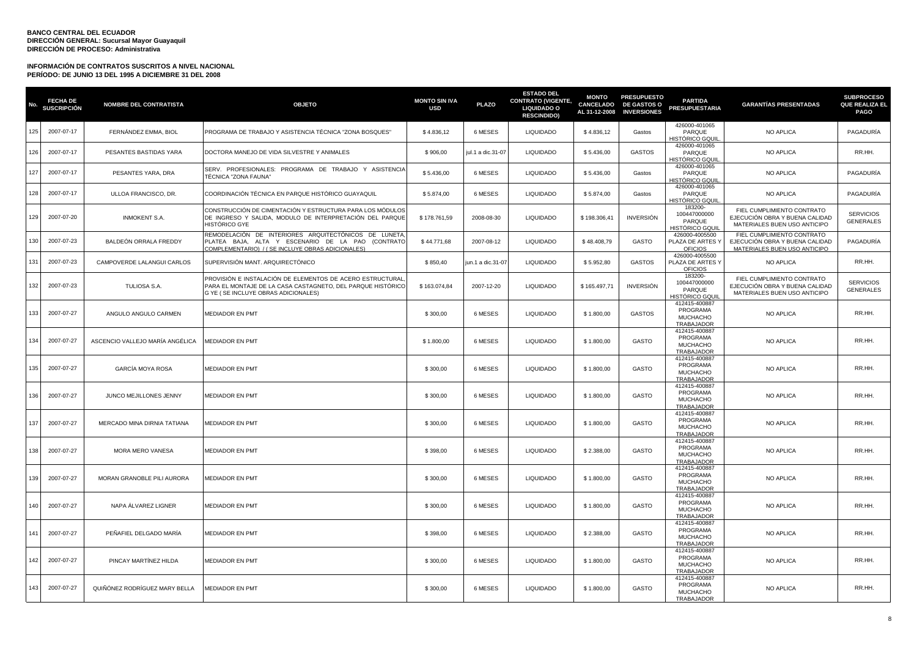| No  | <b>FECHA DE</b><br><b>SUSCRIPCIÓN</b> | <b>NOMBRE DEL CONTRATISTA</b>   | <b>OBJETO</b>                                                                                                                                                    | <b>MONTO SIN IVA</b><br><b>USD</b> | <b>PLAZO</b>      | <b>ESTADO DEL</b><br><b>CONTRATO (VIGENTE,</b><br><b>LIQUIDADO O</b><br><b>RESCINDIDO)</b> | <b>MONTO</b><br>AL 31-12-2008 | <b>PRESUPUESTO</b><br>CANCELADO DE GASTOS O<br><b>INVERSIONES</b> | <b>PARTIDA</b><br><b>PRESUPUESTARIA</b>                           | <b>GARANTÍAS PRESENTADAS</b>                                                                 | <b>SUBPROCESO</b><br>QUE REALIZA EL<br><b>PAGO</b> |
|-----|---------------------------------------|---------------------------------|------------------------------------------------------------------------------------------------------------------------------------------------------------------|------------------------------------|-------------------|--------------------------------------------------------------------------------------------|-------------------------------|-------------------------------------------------------------------|-------------------------------------------------------------------|----------------------------------------------------------------------------------------------|----------------------------------------------------|
| 125 | 2007-07-17                            | FERNÁNDEZ EMMA, BIOL            | PROGRAMA DE TRABAJO Y ASISTENCIA TÉCNICA "ZONA BOSQUES"                                                                                                          | \$4.836,12                         | 6 MESES           | <b>LIQUIDADO</b>                                                                           | \$4.836,12                    | Gastos                                                            | 426000-401065<br>PARQUE<br><del>I</del> ISTÓRICO GQUII            | NO APLICA                                                                                    | PAGADURÍA                                          |
| 126 | 2007-07-17                            | PESANTES BASTIDAS YARA          | DOCTORA MANEJO DE VIDA SILVESTRE Y ANIMALES                                                                                                                      | \$906,00                           | jul.1 a dic.31-07 | <b>LIQUIDADO</b>                                                                           | \$5.436,00                    | GASTOS                                                            | 426000-401065<br>PARQUE<br><del>I</del> ISTÓRICO GQUII            | NO APLICA                                                                                    | RR.HH.                                             |
| 127 | 2007-07-17                            | PESANTES YARA, DRA              | SERV. PROFESIONALES: PROGRAMA DE TRABAJO Y ASISTENCIA<br>TÉCNICA "ZONA FAUNA"                                                                                    | \$5.436,00                         | 6 MESES           | <b>LIQUIDADO</b>                                                                           | \$5.436,00                    | Gastos                                                            | 426000-401065<br>PARQUE<br>HISTÓRICO GQUII                        | NO APLICA                                                                                    | PAGADURÍA                                          |
| 128 | 2007-07-17                            | ULLOA FRANCISCO, DR.            | COORDINACIÓN TÉCNICA EN PARQUE HISTÓRICO GUAYAQUIL                                                                                                               | \$5.874,00                         | 6 MESES           | <b>LIQUIDADO</b>                                                                           | \$5.874,00                    | Gastos                                                            | 426000-401065<br>PARQUE<br><del>I</del> ISTÓRICO GQUII            | NO APLICA                                                                                    | PAGADURÍA                                          |
| 129 | 2007-07-20                            | <b>INMOKENT S.A.</b>            | CONSTRUCCIÓN DE CIMENTACIÓN Y ESTRUCTURA PARA LOS MÓDULOS<br>DE INGRESO Y SALIDA, MODULO DE INTERPRETACIÓN DEL PARQUE<br>HISTÓRICO GYE                           | \$178.761,59                       | 2008-08-30        | <b>LIQUIDADO</b>                                                                           | \$198.306,41                  | <b>INVERSIÓN</b>                                                  | 183200-<br>100447000000<br>PARQUE<br>HISTÓRICO GQU                | FIEL CUMPLIMIENTO CONTRATO<br>EJECUCIÓN OBRA Y BUENA CALIDAD<br>MATERIALES BUEN USO ANTICIPO | <b>SERVICIOS</b><br><b>GENERALES</b>               |
| 130 | 2007-07-23                            | BALDEÓN ORRALA FREDDY           | REMODELACIÓN DE INTERIORES ARQUITECTÓNICOS DE LUNETA<br>PLATEA BAJA, ALTA Y ESCENARIO DE LA PAO (CONTRATO<br>COMPLEMENTARIO) / (SE INCLUYE OBRAS ADICIONALES)    | \$44.771,68                        | 2007-08-12        | <b>LIQUIDADO</b>                                                                           | \$48.408,79                   | <b>GASTO</b>                                                      | 426000-4005500<br>PLAZA DE ARTES Y<br><b>OFICIOS</b>              | FIEL CUMPLIMIENTO CONTRATO<br>EJECUCIÓN OBRA Y BUENA CALIDAD<br>MATERIALES BUEN USO ANTICIPO | PAGADURÍA                                          |
| 131 | 2007-07-23                            | CAMPOVERDE LALANGUI CARLOS      | SUPERVISIÓN MANT. ARQUIRECTÓNICO                                                                                                                                 | \$850,40                           | jun.1 a dic.31-07 | <b>LIQUIDADO</b>                                                                           | \$5.952,80                    | <b>GASTOS</b>                                                     | 426000-4005500<br>PLAZA DE ARTES Y<br>OFICIOS                     | NO APLICA                                                                                    | RR.HH.                                             |
| 132 | 2007-07-23                            | TULIOSA S.A.                    | PROVISIÓN E INSTALACIÓN DE ELEMENTOS DE ACERO ESTRUCTURAL<br>PARA EL MONTAJE DE LA CASA CASTAGNETO, DEL PARQUE HISTÓRICO<br>G YE ( SE INCLUYE OBRAS ADICIONALES) | \$163.074,84                       | 2007-12-20        | <b>LIQUIDADO</b>                                                                           | \$165.497,71                  | <b>INVERSIÓN</b>                                                  | 183200-<br>100447000000<br>PARQUE<br>HISTÓRICO GQU                | FIEL CUMPLIMIENTO CONTRATO<br>EJECUCIÓN OBRA Y BUENA CALIDAD<br>MATERIALES BUEN USO ANTICIPO | <b>SERVICIOS</b><br><b>GENERALES</b>               |
| 133 | 2007-07-27                            | ANGULO ANGULO CARMEN            | <b>MEDIADOR EN PMT</b>                                                                                                                                           | \$300,00                           | 6 MESES           | <b>LIQUIDADO</b>                                                                           | \$1.800,00                    | <b>GASTOS</b>                                                     | 412415-400887<br>PROGRAMA<br><b>MUCHACHO</b><br>TRABAJADOR        | NO APLICA                                                                                    | RR.HH.                                             |
| 134 | 2007-07-27                            | ASCENCIO VALLEJO MARÍA ANGÉLICA | <b>MEDIADOR EN PMT</b>                                                                                                                                           | \$1,800.00                         | 6 MESES           | <b>LIQUIDADO</b>                                                                           | \$1.800,00                    | GASTO                                                             | 412415-400887<br>PROGRAMA<br><b>MUCHACHO</b><br>TRABAJADOR        | NO APLICA                                                                                    | RR.HH.                                             |
| 135 | 2007-07-27                            | <b>GARCÍA MOYA ROSA</b>         | <b>MEDIADOR EN PMT</b>                                                                                                                                           | \$300,00                           | 6 MESES           | <b>LIQUIDADO</b>                                                                           | \$1.800,00                    | <b>GASTO</b>                                                      | 412415-400887<br>PROGRAMA<br><b>MUCHACHO</b><br><b>TRABAJADOR</b> | NO APLICA                                                                                    | RR.HH.                                             |
| 136 | 2007-07-27                            | JUNCO MEJILLONES JENNY          | <b>MEDIADOR EN PMT</b>                                                                                                                                           | \$300,00                           | 6 MESES           | <b>LIQUIDADO</b>                                                                           | \$1.800,00                    | GASTO                                                             | 412415-400887<br>PROGRAMA<br><b>MUCHACHO</b><br><b>TRABAJADOR</b> | <b>NO APLICA</b>                                                                             | RR.HH.                                             |
| 137 | 2007-07-27                            | MERCADO MINA DIRNIA TATIANA     | <b>MEDIADOR EN PMT</b>                                                                                                                                           | \$300,00                           | 6 MESES           | <b>LIQUIDADO</b>                                                                           | \$1.800,00                    | <b>GASTO</b>                                                      | 412415-400887<br>PROGRAMA<br><b>MUCHACHO</b><br>TRABAJADOR        | NO APLICA                                                                                    | RR.HH.                                             |
| 138 | 2007-07-27                            | MORA MERO VANESA                | <b>MEDIADOR EN PMT</b>                                                                                                                                           | \$398,00                           | 6 MESES           | <b>LIQUIDADO</b>                                                                           | \$2.388,00                    | <b>GASTO</b>                                                      | 412415-400887<br>PROGRAMA<br><b>MUCHACHO</b><br><b>TRABAJADOR</b> | NO APLICA                                                                                    | RR.HH.                                             |
| 139 | 2007-07-27                            | MORAN GRANOBLE PILI AURORA      | <b>MEDIADOR EN PMT</b>                                                                                                                                           | \$300,00                           | 6 MESES           | <b>LIQUIDADO</b>                                                                           | \$1.800,00                    | GASTO                                                             | 412415-400887<br>PROGRAMA<br><b>MUCHACHO</b><br>TRABAJADOR        | <b>NO APLICA</b>                                                                             | RR.HH.                                             |
| 140 | 2007-07-27                            | NAPA ÁLVAREZ LIGNER             | <b>MEDIADOR EN PMT</b>                                                                                                                                           | \$300,00                           | 6 MESES           | <b>LIQUIDADO</b>                                                                           | \$1.800,00                    | <b>GASTO</b>                                                      | 412415-400887<br>PROGRAMA<br><b>MUCHACHO</b><br>TRABAJADOR        | NO APLICA                                                                                    | RR.HH.                                             |
| 141 | 2007-07-27                            | PEÑAFIEL DELGADO MARÍA          | <b>MEDIADOR EN PMT</b>                                                                                                                                           | \$398,00                           | 6 MESES           | <b>LIQUIDADO</b>                                                                           | \$2.388,00                    | GASTO                                                             | 412415-400887<br>PROGRAMA<br><b>MUCHACHO</b><br>TRABAJADOR        | <b>NO APLICA</b>                                                                             | RR.HH.                                             |
| 142 | 2007-07-27                            | PINCAY MARTINEZ HILDA           | <b>MEDIADOR EN PMT</b>                                                                                                                                           | \$300,00                           | 6 MESES           | <b>LIQUIDADO</b>                                                                           | \$1.800,00                    | <b>GASTO</b>                                                      | 412415-400887<br>PROGRAMA<br><b>MUCHACHO</b><br>TRABAJADOR        | NO APLICA                                                                                    | RR.HH.                                             |
| 143 | 2007-07-27                            | QUIÑÓNEZ RODRÍGUEZ MARY BELLA   | MEDIADOR EN PMT                                                                                                                                                  | \$300,00                           | 6 MESES           | <b>LIQUIDADO</b>                                                                           | \$1.800,00                    | GASTO                                                             | 412415-400887<br>PROGRAMA<br><b>MUCHACHO</b><br>TRABAJADOR        | NO APLICA                                                                                    | RR.HH.                                             |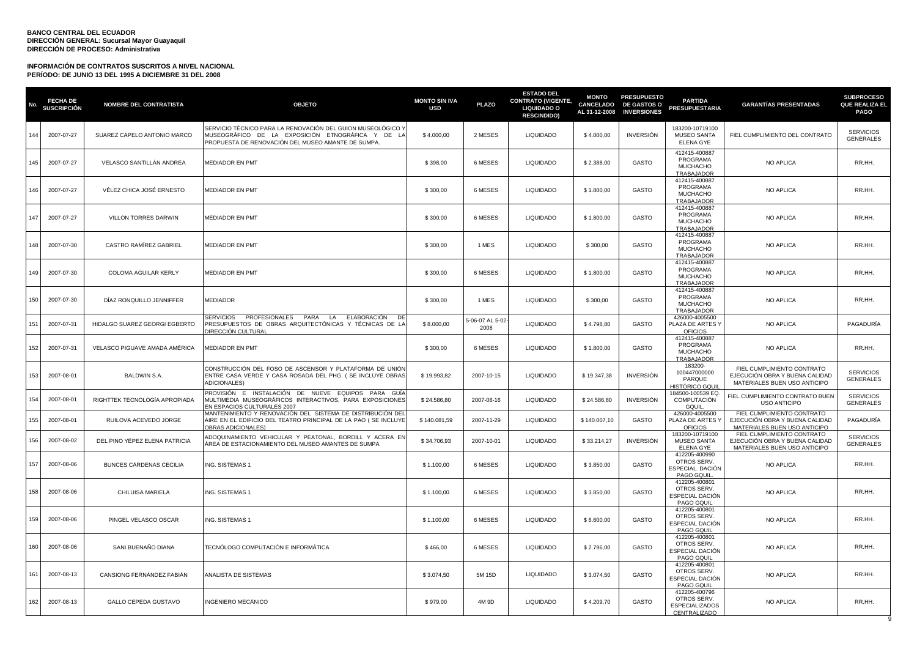| No. | <b>FECHA DE</b><br><b>SUSCRIPCIÓN</b> | <b>NOMBRE DEL CONTRATISTA</b> | <b>OBJETO</b>                                                                                                                                                          | <b>MONTO SIN IVA</b><br><b>USD</b> | <b>PLAZO</b>             | <b>ESTADO DEL</b><br><b>CONTRATO (VIGENTE,</b><br><b>LIQUIDADO O</b><br><b>RESCINDIDO)</b> | <b>MONTO</b><br>CANCELADO<br>AL 31-12-2008 | <b>PRESUPUESTO</b><br><b>DE GASTOS O</b><br><b>INVERSIONES</b> | <b>PARTIDA</b><br><b>PRESUPUESTARIA</b>                               | <b>GARANTÍAS PRESENTADAS</b>                                                                 | <b>SUBPROCESO</b><br><b>QUE REALIZA EL</b><br><b>PAGO</b> |
|-----|---------------------------------------|-------------------------------|------------------------------------------------------------------------------------------------------------------------------------------------------------------------|------------------------------------|--------------------------|--------------------------------------------------------------------------------------------|--------------------------------------------|----------------------------------------------------------------|-----------------------------------------------------------------------|----------------------------------------------------------------------------------------------|-----------------------------------------------------------|
| 144 | 2007-07-27                            | SUAREZ CAPELO ANTONIO MARCO   | SERVICIO TÉCNICO PARA LA RENOVACIÓN DEL GUION MUSEOLÓGICO Y<br>MUSEOGRÁFICO DE LA EXPOSICIÓN ETNOGRÁFICA Y DE LA<br>PROPUESTA DE RENOVACIÓN DEL MUSEO AMANTE DE SUMPA. | \$4.000,00                         | 2 MESES                  | <b>LIQUIDADO</b>                                                                           | \$4.000,00                                 | <b>INVERSIÓN</b>                                               | 183200-10719100<br><b>MUSEO SANTA</b><br><b>ELENA GYE</b>             | FIEL CUMPLIMIENTO DEL CONTRATO                                                               | <b>SERVICIOS</b><br><b>GENERALES</b>                      |
| 145 | 2007-07-27                            | VELASCO SANTILLÁN ANDREA      | <b>MEDIADOR EN PMT</b>                                                                                                                                                 | \$398,00                           | 6 MESES                  | <b>LIQUIDADO</b>                                                                           | \$2.388,00                                 | GASTO                                                          | 412415-400887<br>PROGRAMA<br><b>MUCHACHO</b><br>TRABAJADOR            | NO APLICA                                                                                    | RR.HH.                                                    |
| 146 | 2007-07-27                            | VÉLEZ CHICA JOSÉ ERNESTO      | <b>MEDIADOR EN PMT</b>                                                                                                                                                 | \$300,00                           | 6 MESES                  | <b>LIQUIDADO</b>                                                                           | \$1.800,00                                 | GASTO                                                          | 412415-400887<br>PROGRAMA<br><b>MUCHACHO</b><br><b>TRABAJADOR</b>     | NO APLICA                                                                                    | RR.HH.                                                    |
| 147 | 2007-07-27                            | VILLON TORRES DARWIN          | <b>MEDIADOR EN PMT</b>                                                                                                                                                 | \$300,00                           | 6 MESES                  | <b>LIQUIDADO</b>                                                                           | \$1.800,00                                 | <b>GASTO</b>                                                   | 412415-400887<br>PROGRAMA<br><b>MUCHACHO</b><br>TRABAJADOR            | NO APLICA                                                                                    | RR.HH.                                                    |
| 148 | 2007-07-30                            | CASTRO RAMÍREZ GABRIEL        | MEDIADOR EN PMT                                                                                                                                                        | \$300,00                           | 1 MES                    | <b>LIQUIDADO</b>                                                                           | \$300,00                                   | GASTO                                                          | 412415-400887<br>PROGRAMA<br><b>MUCHACHO</b><br>TRABAJADOR            | NO APLICA                                                                                    | RR.HH.                                                    |
| 149 | 2007-07-30                            | COLOMA AGUILAR KERLY          | <b>MEDIADOR EN PMT</b>                                                                                                                                                 | \$300,00                           | 6 MESES                  | LIQUIDADO                                                                                  | \$1.800,00                                 | GASTO                                                          | 412415-400887<br>PROGRAMA<br><b>MUCHACHO</b><br>TRABAJADOR            | NO APLICA                                                                                    | RR.HH.                                                    |
| 150 | 2007-07-30                            | DÍAZ RONQUILLO JENNIFFER      | <b>MEDIADOR</b>                                                                                                                                                        | \$300,00                           | 1 MES                    | <b>LIQUIDADO</b>                                                                           | \$300,00                                   | GASTO                                                          | 412415-400887<br>PROGRAMA<br><b>MUCHACHO</b><br><b>TRABAJADOR</b>     | NO APLICA                                                                                    | RR.HH.                                                    |
| 151 | 2007-07-31                            | HIDALGO SUAREZ GEORGI EGBERTO | PROFESIONALES<br>PARA<br>ELABORACIÓN<br><b>SERVICIOS</b><br>LA<br>PRESUPUESTOS DE OBRAS ARQUITECTÓNICAS Y TÉCNICAS DE LA<br>DIRECCIÓN CULTURAL                         | \$8.000,00                         | 5-06-07 AL 5-02-<br>2008 | <b>LIQUIDADO</b>                                                                           | \$4.798,80                                 | GASTO                                                          | 426000-4005500<br>PLAZA DE ARTES Y<br><b>OFICIOS</b>                  | NO APLICA                                                                                    | PAGADURÍA                                                 |
| 152 | 2007-07-31                            | VELASCO PIGUAVE AMADA AMÉRICA | <b>MEDIADOR EN PMT</b>                                                                                                                                                 | \$300,00                           | 6 MESES                  | <b>LIQUIDADO</b>                                                                           | \$1.800,00                                 | GASTO                                                          | 412415-400887<br>PROGRAMA<br><b>MUCHACHO</b><br><b>TRABAJADOR</b>     | NO APLICA                                                                                    | RR.HH.                                                    |
| 153 | 2007-08-01                            | <b>BALDWIN S.A.</b>           | CONSTRUCCIÓN DEL FOSO DE ASCENSOR Y PLATAFORMA DE UNIÓN<br>ENTRE CASA VERDE Y CASA ROSADA DEL PHG. ( SE INCLUYE OBRAS<br>ADICIONALES)                                  | \$19.993,82                        | 2007-10-15               | <b>LIQUIDADO</b>                                                                           | \$19.347,38                                | <b>INVERSIÓN</b>                                               | 183200-<br>100447000000<br>PARQUE<br>HISTÓRICO GQUI                   | FIEL CUMPLIMIENTO CONTRATO<br>EJECUCIÓN OBRA Y BUENA CALIDAD<br>MATERIALES BUEN USO ANTICIPO | <b>SERVICIOS</b><br><b>GENERALES</b>                      |
| 154 | 2007-08-01                            | RIGHTTEK TECNOLOGÍA APROPIADA | PROVISIÓN E INSTALACIÓN DE NUEVE EQUIPOS PARA GUÍA<br>MULTIMEDIA MUSEOGRÁFICOS INTERACTIVOS. PARA EXPOSICIONES<br>EN ESPACIOS CULTURALES 2007                          | \$24,586.80                        | 2007-08-16               | LIQUIDADO                                                                                  | \$24.586,80                                | <b>INVERSIÓN</b>                                               | 184500-100539 EQ.<br>COMPUTACIÓN<br>GQUIL                             | FIEL CUMPLIMIENTO CONTRATO BUEN<br><b>USO ANTICIPO</b>                                       | <b>SERVICIOS</b><br><b>GENERALES</b>                      |
| 155 | 2007-08-01                            | RUILOVA ACEVEDO JORGE         | MANTENIMIENTO Y RENOVACIÓN DEL SISTEMA DE DISTRIBUCIÓN DEL<br>AIRE EN EL EDIFICIO DEL TEATRO PRINCIPAL DE LA PAO ( SE INCLUYE<br><b>OBRAS ADICIONALES)</b>             | \$140.081,59                       | 2007-11-29               | <b>LIQUIDADO</b>                                                                           | \$140.007,10                               | GASTO                                                          | 426000-4005500<br>PLAZA DE ARTES Y<br><b>OFICIOS</b>                  | FIEL CUMPLIMIENTO CONTRATO<br>EJECUCIÓN OBRA Y BUENA CALIDAD<br>MATERIALES BUEN USO ANTICIPO | PAGADURÍA                                                 |
| 156 | 2007-08-02                            | DEL PINO YÉPEZ ELENA PATRICIA | ADOQUINAMIENTO VEHICULAR Y PEATONAL. BORDILL Y ACERA EN<br>ÁREA DE ESTACIONAMIENTO DEL MUSEO AMANTES DE SUMPA                                                          | \$34.706,93                        | 2007-10-01               | <b>LIQUIDADO</b>                                                                           | \$33.214,27                                | <b>INVERSIÓN</b>                                               | 183200-10719100<br><b>MUSEO SANTA</b><br><b>ELENA GYE</b>             | FIEL CUMPLIMIENTO CONTRATO<br>EJECUCIÓN OBRA Y BUENA CALIDAD<br>MATERIALES BUEN USO ANTICIPO | <b>SERVICIOS</b><br><b>GENERALES</b>                      |
| 157 | 2007-08-06                            | BUNCES CÁRDENAS CECILIA       | ING. SISTEMAS 1                                                                                                                                                        | \$1.100,00                         | 6 MESES                  | <b>LIQUIDADO</b>                                                                           | \$3.850,00                                 | GASTO                                                          | 412205-400990<br>OTROS SERV.<br>ESPECIAL. DACIÓN<br>PAGO GQUIL        | NO APLICA                                                                                    | RR.HH.                                                    |
| 158 | 2007-08-06                            | CHILUISA MARIELA              | NG. SISTEMAS 1                                                                                                                                                         | \$1.100,00                         | 6 MESES                  | LIQUIDADO                                                                                  | \$3.850,00                                 | GASTO                                                          | 412205-400801<br>OTROS SERV.<br>ESPECIAL DACIÓN<br>PAGO GQUIL         | NO APLICA                                                                                    | RR.HH.                                                    |
| 159 | 2007-08-06                            | PINGEL VELASCO OSCAR          | ING. SISTEMAS 1                                                                                                                                                        | \$1.100,00                         | 6 MESES                  | <b>LIQUIDADO</b>                                                                           | \$6.600,00                                 | GASTO                                                          | 412205-400801<br>OTROS SERV.<br>ESPECIAL DACIÓN<br>PAGO GQUIL         | NO APLICA                                                                                    | RR.HH.                                                    |
| 160 | 2007-08-06                            | SANI BUENAÑO DIANA            | TECNÓLOGO COMPUTACIÓN E INFORMÁTICA                                                                                                                                    | \$466,00                           | 6 MESES                  | <b>LIQUIDADO</b>                                                                           | \$2.796,00                                 | <b>GASTO</b>                                                   | 412205-400801<br>OTROS SERV.<br>ESPECIAL DACIÓN<br>PAGO GQUIL         | <b>NO APLICA</b>                                                                             | RR.HH.                                                    |
| 161 | 2007-08-13                            | CANSIONG FERNÁNDEZ FABIÁN     | ANALISTA DE SISTEMAS                                                                                                                                                   | \$3.074.50                         | 5M 15D                   | <b>LIQUIDADO</b>                                                                           | \$3,074.50                                 | GASTO                                                          | 412205-400801<br>OTROS SERV.<br>ESPECIAL DACIÓN<br>PAGO GQUIL         | NO APLICA                                                                                    | RR.HH.                                                    |
| 162 | 2007-08-13                            | GALLO CEPEDA GUSTAVO          | NGENIERO MECÁNICO                                                                                                                                                      | \$979,00                           | 4M 9D                    | <b>LIQUIDADO</b>                                                                           | \$4.209,70                                 | GASTO                                                          | 412205-400796<br>OTROS SERV.<br><b>ESPECIALIZADOS</b><br>CENTRALIZADO | NO APLICA                                                                                    | RR.HH.                                                    |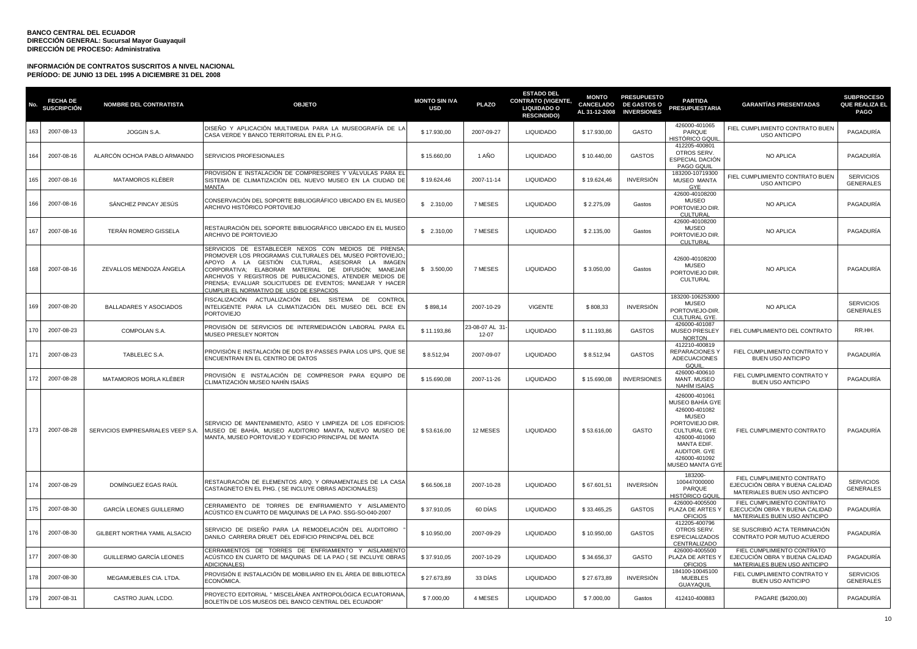| No. | <b>FECHA DE</b><br>SUSCRIPCIÓN | <b>NOMBRE DEL CONTRATISTA</b>     | <b>OBJETO</b>                                                                                                                                                                                                                                                                                                                                                                             | <b>MONTO SIN IVA</b><br><b>USD</b> | <b>PLAZO</b>            | <b>ESTADO DEL</b><br><b>CONTRATO (VIGENTE,</b><br><b>LIQUIDADO O</b><br><b>RESCINDIDO)</b> | <b>MONTO</b><br><b>CANCELADO</b><br>AL 31-12-2008 | <b>PRESUPUESTO</b><br><b>DE GASTOS O</b><br><b>INVERSIONES</b> | <b>PARTIDA</b><br><b>PRESUPUESTARIA</b>                                                                                                                                                         | <b>GARANTÍAS PRESENTADAS</b>                                                                 | <b>SUBPROCESO</b><br><b>QUE REALIZA EL</b><br><b>PAGO</b> |
|-----|--------------------------------|-----------------------------------|-------------------------------------------------------------------------------------------------------------------------------------------------------------------------------------------------------------------------------------------------------------------------------------------------------------------------------------------------------------------------------------------|------------------------------------|-------------------------|--------------------------------------------------------------------------------------------|---------------------------------------------------|----------------------------------------------------------------|-------------------------------------------------------------------------------------------------------------------------------------------------------------------------------------------------|----------------------------------------------------------------------------------------------|-----------------------------------------------------------|
| 163 | 2007-08-13                     | JOGGIN S.A.                       | DISEÑO Y APLICACIÓN MULTIMEDIA PARA LA MUSEOGRAFÍA DE LA<br>CASA VERDE Y BANCO TERRITORIAL EN EL P.H.G.                                                                                                                                                                                                                                                                                   | \$17.930,00                        | 2007-09-27              | <b>LIQUIDADO</b>                                                                           | \$17.930,00                                       | GASTO                                                          | 426000-401065<br>PARQUE<br>HISTÓRICO GQUI                                                                                                                                                       | FIEL CUMPLIMIENTO CONTRATO BUEN<br><b>USO ANTICIPO</b>                                       | PAGADURÍA                                                 |
| 164 | 2007-08-16                     | ALARCÓN OCHOA PABLO ARMANDO       | SERVICIOS PROFESIONALES                                                                                                                                                                                                                                                                                                                                                                   | \$15.660,00                        | 1 AÑO                   | <b>LIQUIDADO</b>                                                                           | \$10.440,00                                       | <b>GASTOS</b>                                                  | 412205-400801<br>OTROS SERV.<br>ESPECIAL DACIÓN<br>PAGO GQUIL                                                                                                                                   | NO APLICA                                                                                    | PAGADURÍA                                                 |
| 165 | 2007-08-16                     | MATAMOROS KLÉBER                  | PROVISIÓN E INSTALACIÓN DE COMPRESORES Y VÁLVULAS PARA EL<br>SISTEMA DE CLIMATIZACIÓN DEL NUEVO MUSEO EN LA CIUDAD DE<br>MANTA                                                                                                                                                                                                                                                            | \$19.624,46                        | 2007-11-14              | <b>LIQUIDADO</b>                                                                           | \$19.624,46                                       | <b>INVERSIÓN</b>                                               | 183200-10719300<br>MUSEO MANTA<br>GYE                                                                                                                                                           | FIEL CUMPLIMIENTO CONTRATO BUEN<br><b>USO ANTICIPO</b>                                       | <b>SERVICIOS</b><br><b>GENERALES</b>                      |
| 166 | 2007-08-16                     | SÁNCHEZ PINCAY JESÚS              | CONSERVACIÓN DEL SOPORTE BIBLIOGRÁFICO UBICADO EN EL MUSEO<br>ARCHIVO HISTÓRICO PORTOVIEJO                                                                                                                                                                                                                                                                                                | \$2.310,00                         | 7 MESES                 | <b>LIQUIDADO</b>                                                                           | \$2.275,09                                        | Gastos                                                         | 42600-40108200<br>MUSEO<br>PORTOVIEJO DIR.<br><b>CULTURAL</b>                                                                                                                                   | NO APLICA                                                                                    | PAGADURÍA                                                 |
| 167 | 2007-08-16                     | TERÁN ROMERO GISSELA              | RESTAURACIÓN DEL SOPORTE BIBLIOGRÁFICO UBICADO EN EL MUSEO<br>ARCHIVO DE PORTOVIEJO                                                                                                                                                                                                                                                                                                       | \$2.310,00                         | 7 MESES                 | <b>LIQUIDADO</b>                                                                           | \$2.135,00                                        | Gastos                                                         | 42600-40108200<br><b>MUSEO</b><br>PORTOVIEJO DIR.<br><b>CULTURAL</b>                                                                                                                            | NO APLICA                                                                                    | PAGADURÍA                                                 |
| 168 | 2007-08-16                     | ZEVALLOS MENDOZA ÁNGELA           | SERVICIOS DE ESTABLECER NEXOS CON MEDIOS DE PRENSA<br>PROMOVER LOS PROGRAMAS CULTURALES DEL MUSEO PORTOVIEJO,<br>APOYO A LA GESTIÓN CULTURAL, ASESORAR LA IMAGEN<br>CORPORATIVA; ELABORAR MATERIAL DE DIFUSIÓN; MANEJAR<br>ARCHIVOS Y REGISTROS DE PUBLICACIONES, ATENDER MEDIOS DE<br>PRENSA; EVALUAR SOLICITUDES DE EVENTOS; MANEJAR Y HACER<br>CUMPLIR EL NORMATIVO DE USO DE ESPACIOS | \$3.500,00                         | 7 MESES                 | <b>LIQUIDADO</b>                                                                           | \$3.050,00                                        | Gastos                                                         | 42600-40108200<br>MUSEO<br>PORTOVIEJO DIR.<br>CULTURAL                                                                                                                                          | NO APLICA                                                                                    | PAGADURÍA                                                 |
| 169 | 2007-08-20                     | <b>BALLADARES Y ASOCIADOS</b>     | FISCALIZACIÓN ACTUALIZACIÓN DEL SISTEMA DE CONTROI<br>INTELIGENTE PARA LA CLIMATIZACIÓN DEL MUSEO DEL BCE EN<br><b>PORTOVIEJO</b>                                                                                                                                                                                                                                                         | \$898,14                           | 2007-10-29              | <b>VIGENTE</b>                                                                             | \$808,33                                          | <b>INVERSIÓN</b>                                               | 183200-106253000<br><b>MUSEO</b><br>PORTOVIEJO-DIR.<br>CULTURAL GYE.                                                                                                                            | NO APLICA                                                                                    | <b>SERVICIOS</b><br><b>GENERALES</b>                      |
| 170 | 2007-08-23                     | COMPOLAN S.A.                     | PROVISIÓN DE SERVICIOS DE INTERMEDIACIÓN LABORAL PARA EL<br>MUSEO PRESLEY NORTON                                                                                                                                                                                                                                                                                                          | \$11.193,86                        | 23-08-07 AL 31<br>12-07 | <b>LIQUIDADO</b>                                                                           | \$11.193,86                                       | <b>GASTOS</b>                                                  | 426000-401087<br><b>MUSEO PRESLEY</b><br><b>NORTON</b>                                                                                                                                          | FIEL CUMPLIMIENTO DEL CONTRATO                                                               | RR.HH.                                                    |
| 171 | 2007-08-23                     | TABLELEC S.A.                     | PROVISIÓN E INSTALACIÓN DE DOS BY-PASSES PARA LOS UPS, QUE SE<br>ENCUENTRAN EN EL CENTRO DE DATOS                                                                                                                                                                                                                                                                                         | \$8.512,94                         | 2007-09-07              | <b>LIQUIDADO</b>                                                                           | \$8.512,94                                        | <b>GASTOS</b>                                                  | 412210-400819<br><b>REPARACIONES Y</b><br><b>ADECUACIONES</b><br>GQUIL                                                                                                                          | FIEL CUMPLIMIENTO CONTRATO Y<br><b>BUEN USO ANTICIPO</b>                                     | PAGADURÍA                                                 |
| 172 | 2007-08-28                     | MATAMOROS MORLA KLÉBER            | PROVISIÓN E INSTALACIÓN DE COMPRESOR PARA EQUIPO DE<br>CLIMATIZACIÓN MUSEO NAHÍN ISAÍAS                                                                                                                                                                                                                                                                                                   | \$15.690,08                        | 2007-11-26              | <b>LIQUIDADO</b>                                                                           | \$15.690,08                                       | <b>INVERSIONES</b>                                             | 426000-400610<br>MANT. MUSEO<br>NAHÍM ISAÍAS                                                                                                                                                    | FIEL CUMPLIMIENTO CONTRATO Y<br><b>BUEN USO ANTICIPO</b>                                     | PAGADURÍA                                                 |
| 173 | 2007-08-28                     | SERVICIOS EMPRESARIALES VEEP S.A. | SERVICIO DE MANTENIMIENTO. ASEO Y LIMPIEZA DE LOS EDIFICIOS:<br><b>I</b> MUSEO DE BAHÍA. MUSEO AUDITORIO MANTA. NUEVO MUSEO DE<br>MANTA, MUSEO PORTOVIEJO Y EDIFICIO PRINCIPAL DE MANTA                                                                                                                                                                                                   | \$53,616.00                        | 12 MESES                | <b>LIQUIDADO</b>                                                                           | \$53,616.00                                       | GASTO                                                          | 426000-401061<br>MUSEO BAHÍA GYE<br>426000-401082<br><b>MUSEO</b><br>PORTOVIEJO DIR.<br><b>CULTURAL GYE</b><br>426000-401060<br>MANTA EDIF.<br>AUDITOR. GYE<br>426000-401092<br>MUSEO MANTA GYE | FIEL CUMPLIMIENTO CONTRATO                                                                   | PAGADURÍA                                                 |
| 174 | 2007-08-29                     | DOMINGUEZ EGAS RAUL               | RESTAURACIÓN DE ELEMENTOS ARQ. Y ORNAMENTALES DE LA CASA<br>CASTAGNETO EN EL PHG. (SE INCLUYE OBRAS ADICIONALES)                                                                                                                                                                                                                                                                          | \$66.506,18                        | 2007-10-28              | <b>LIQUIDADO</b>                                                                           | \$67.601,51                                       | <b>INVERSIÓN</b>                                               | 183200-<br>100447000000<br>PARQUE<br><u>HISTÓRICO GQU</u>                                                                                                                                       | FIEL CUMPLIMIENTO CONTRATO<br>EJECUCIÓN OBRA Y BUENA CALIDAD<br>MATERIALES BUEN USO ANTICIPO | <b>SERVICIOS</b><br><b>GENERALES</b>                      |
| 175 | 2007-08-30                     | GARCÍA LEONES GUILLERMO           | CERRAMIENTO DE TORRES DE ENFRIAMIENTO Y AISLAMIENTO<br>ACÚSTICO EN CUARTO DE MAQUINAS DE LA PAO. SSG-SO-040-2007                                                                                                                                                                                                                                                                          | \$37.910,05                        | 60 DÍAS                 | <b>LIQUIDADO</b>                                                                           | \$33.465,25                                       | <b>GASTOS</b>                                                  | 426000-4005500<br>PLAZA DE ARTES Y<br><b>OFICIOS</b>                                                                                                                                            | FIEL CUMPLIMIENTO CONTRATO<br>EJECUCIÓN OBRA Y BUENA CALIDAD<br>MATERIALES BUEN USO ANTICIPO | PAGADURÍA                                                 |
| 176 | 2007-08-30                     | GILBERT NORTHIA YAMIL ALSACIO     | SERVICIO DE DISEÑO PARA LA REMODELACIÓN DEL AUDITORIO<br>DANILO CARRERA DRUET DEL EDIFICIO PRINCIPAL DEL BCE                                                                                                                                                                                                                                                                              | \$10.950,00                        | 2007-09-29              | <b>LIQUIDADO</b>                                                                           | \$10.950,00                                       | <b>GASTOS</b>                                                  | 412205-400796<br>OTROS SERV.<br><b>ESPECIALIZADOS</b><br>CENTRALIZADO                                                                                                                           | SE SUSCRIBIÓ ACTA TERMINACIÓN<br>CONTRATO POR MUTUO ACUERDO                                  | PAGADURÍA                                                 |
| 177 | 2007-08-30                     | GUILLERMO GARCÍA LEONES           | CERRAMIENTOS DE TORRES DE ENFRIAMIENTO Y AISLAMIENTO<br>ACÚSTICO EN CUARTO DE MAQUINAS DE LA PAO ( SE INCLUYE OBRAS<br><b>ADICIONALES)</b>                                                                                                                                                                                                                                                | \$37.910,05                        | 2007-10-29              | <b>LIQUIDADO</b>                                                                           | \$34.656,37                                       | GASTO                                                          | 426000-4005500<br>PLAZA DE ARTES Y<br>OFICIOS                                                                                                                                                   | FIEL CUMPLIMIENTO CONTRATO<br>EJECUCIÓN OBRA Y BUENA CALIDAD<br>MATERIALES BUEN USO ANTICIPO | PAGADURÍA                                                 |
| 178 | 2007-08-30                     | MEGAMUEBLES CIA. LTDA.            | PROVISIÓN E INSTALACIÓN DE MOBILIARIO EN EL ÁREA DE BIBLIOTECA<br>ECONÓMICA.                                                                                                                                                                                                                                                                                                              | \$27.673,89                        | 33 DIAS                 | <b>LIQUIDADO</b>                                                                           | \$27.673,89                                       | <b>INVERSIÓN</b>                                               | 184100-10045100<br><b>MUEBLES</b><br><b>GUAYAQUI</b>                                                                                                                                            | FIEL CUMPLIMIENTO CONTRATO Y<br><b>BUEN USO ANTICIPO</b>                                     | SERVICIOS<br><b>GENERALES</b>                             |
| 179 | 2007-08-31                     | CASTRO JUAN, LCDO.                | PROYECTO EDITORIAL " MISCELÁNEA ANTROPOLÓGICA ECUATORIANA,<br>BOLETÍN DE LOS MUSEOS DEL BANCO CENTRAL DEL ECUADOR"                                                                                                                                                                                                                                                                        | \$7,000.00                         | 4 MESES                 | <b>LIQUIDADO</b>                                                                           | \$7.000,00                                        | Gastos                                                         | 412410-400883                                                                                                                                                                                   | PAGARE (\$4200,00)                                                                           | PAGADURÍA                                                 |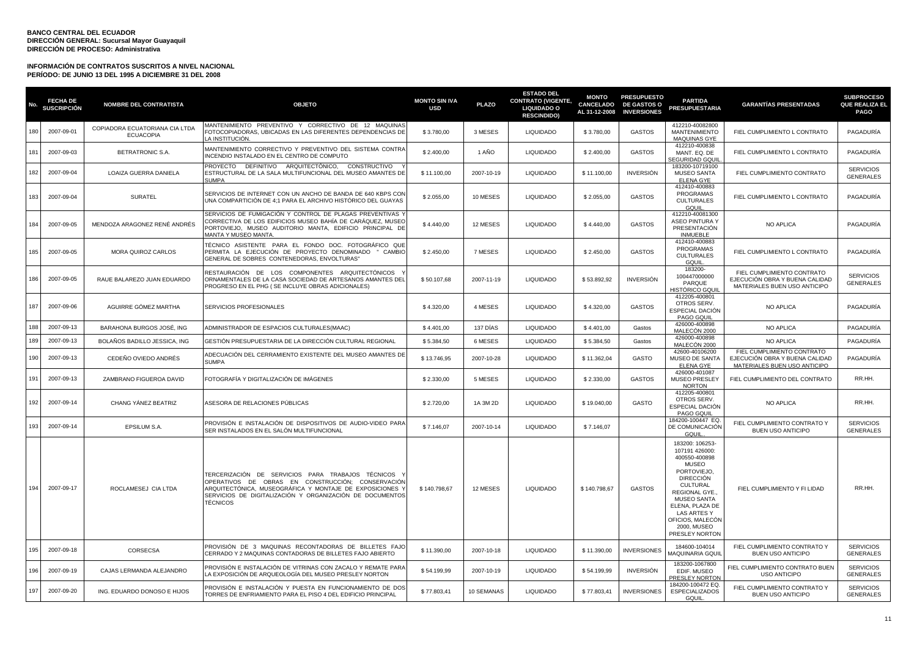| No. | <b>FECHA DE</b><br><b>SUSCRIPCIÓN</b> | <b>NOMBRE DEL CONTRATISTA</b>                      | <b>OBJETO</b>                                                                                                                                                                                                                                     | <b>MONTO SIN IVA</b><br><b>USD</b> | <b>PLAZO</b> | <b>ESTADO DEL</b><br><b>CONTRATO (VIGENTE,</b><br><b>LIQUIDADO O</b><br><b>RESCINDIDO)</b> | <b>MONTO</b><br><b>CANCELADO</b><br>AL 31-12-2008 | <b>PRESUPUESTO</b><br><b>DE GASTOS O</b><br><b>INVERSIONES</b> | <b>PARTIDA</b><br><b>PRESUPUESTARIA</b>                                                                                                                                                                                                                | <b>GARANTÍAS PRESENTADAS</b>                                                                 | <b>SUBPROCESO</b><br><b>QUE REALIZA EL</b><br><b>PAGO</b> |
|-----|---------------------------------------|----------------------------------------------------|---------------------------------------------------------------------------------------------------------------------------------------------------------------------------------------------------------------------------------------------------|------------------------------------|--------------|--------------------------------------------------------------------------------------------|---------------------------------------------------|----------------------------------------------------------------|--------------------------------------------------------------------------------------------------------------------------------------------------------------------------------------------------------------------------------------------------------|----------------------------------------------------------------------------------------------|-----------------------------------------------------------|
| 180 | 2007-09-01                            | COPIADORA ECUATORIANA CIA LTDA<br><b>ECUACOPIA</b> | MANTENIMIENTO PREVENTIVO Y CORRECTIVO DE 12 MAQUINAS<br>FOTOCOPIADORAS, UBICADAS EN LAS DIFERENTES DEPENDENCIAS DE<br>A INSTITUCIÓN.                                                                                                              | \$3.780,00                         | 3 MESES      | <b>LIQUIDADO</b>                                                                           | \$3.780,00                                        | <b>GASTOS</b>                                                  | 412210-40082800<br><b>MANTENIMIENTO</b><br><b>MAQUINAS GYE</b>                                                                                                                                                                                         | FIEL CUMPLIMIENTO L CONTRATO                                                                 | PAGADURÍA                                                 |
| 181 | 2007-09-03                            | BETRATRONIC S.A.                                   | MANTENIMIENTO CORRECTIVO Y PREVENTIVO DEL SISTEMA CONTRA<br>INCENDIO INSTALADO EN EL CENTRO DE COMPUTO                                                                                                                                            | \$2.400,00                         | 1 AÑO        | <b>LIQUIDADO</b>                                                                           | \$2.400,00                                        | <b>GASTOS</b>                                                  | 412210-400838<br>MANT. EQ. DE<br><b>SEGURIDAD GQUI</b>                                                                                                                                                                                                 | FIEL CUMPLIMIENTO L CONTRATO                                                                 | PAGADURÍA                                                 |
| 182 | 2007-09-04                            | LOAIZA GUERRA DANIELA                              | PROYECTO DEFINITIVO ARQUITECTÓNICO, CONSTRUCTIVO<br>ESTRUCTURAL DE LA SALA MULTIFUNCIONAL DEL MUSEO AMANTES DE<br><b>SUMPA</b>                                                                                                                    | \$11.100,00                        | 2007-10-19   | <b>LIQUIDADO</b>                                                                           | \$11.100,00                                       | <b>INVERSIÓN</b>                                               | 183200-10719100<br><b>MUSEO SANTA</b><br><b>ELENA GYE</b>                                                                                                                                                                                              | FIEL CUMPLIMIENTO CONTRATO                                                                   | <b>SERVICIOS</b><br><b>GENERALES</b>                      |
| 183 | 2007-09-04                            | <b>SURATEL</b>                                     | SERVICIOS DE INTERNET CON UN ANCHO DE BANDA DE 640 KBPS CON<br>UNA COMPARTICIÓN DE 4;1 PARA EL ARCHIVO HISTÓRICO DEL GUAYAS                                                                                                                       | \$2.055.00                         | 10 MESES     | <b>LIQUIDADO</b>                                                                           | \$2.055.00                                        | <b>GASTOS</b>                                                  | 412410-400883<br><b>PROGRAMAS</b><br><b>CULTURALES</b><br>GQUIL                                                                                                                                                                                        | FIEL CUMPLIMIENTO L CONTRATO                                                                 | PAGADURÍA                                                 |
| 184 | 2007-09-05                            | MENDOZA ARAGONEZ RENÉ ANDRÉS                       | SERVICIOS DE FUMIGACIÓN Y CONTROL DE PLAGAS PREVENTIVAS '<br>CORRECTIVA DE LOS EDIFICIOS MUSEO BAHÍA DE CARÁQUEZ. MUSEO<br>PORTOVIEJO, MUSEO AUDITORIO MANTA, EDIFICIO PRINCIPAL DE<br>MANTA Y MUSEO MANTA                                        | \$4.440,00                         | 12 MESES     | <b>LIQUIDADO</b>                                                                           | \$4.440,00                                        | <b>GASTOS</b>                                                  | 412210-40081300<br><b>ASEO PINTURA Y</b><br>PRESENTACIÓN<br><b>INMUEBLE</b>                                                                                                                                                                            | <b>NO APLICA</b>                                                                             | PAGADURÍA                                                 |
| 185 | 2007-09-05                            | MORA QUIROZ CARLOS                                 | TÉCNICO ASISTENTE PARA EL FONDO DOC. FOTOGRÁFICO QUE<br>PERMITA LA EJECUCIÓN DE PROYECTO DENOMINADO " CAMBIO<br>GENERAL DE SOBRES CONTENEDORAS, ENVOLTURAS"                                                                                       | \$2.450,00                         | 7 MESES      | <b>LIQUIDADO</b>                                                                           | \$2.450,00                                        | <b>GASTOS</b>                                                  | 412410-400883<br><b>PROGRAMAS</b><br><b>CULTURALES</b><br>GQUIL                                                                                                                                                                                        | FIEL CUMPLIMIENTO L CONTRATO                                                                 | PAGADURÍA                                                 |
| 186 | 2007-09-05                            | RAUE BALAREZO JUAN EDUARDO                         | RESTAURACIÓN DE LOS COMPONENTES ARQUITECTÓNICOS<br>ORNAMENTALES DE LA CASA SOCIEDAD DE ARTESANOS AMANTES DEL<br>PROGRESO EN EL PHG (SE INCLUYE OBRAS ADICIONALES)                                                                                 | \$50.107,68                        | 2007-11-19   | <b>LIQUIDADO</b>                                                                           | \$53.892,92                                       | <b>INVERSIÓN</b>                                               | 183200-<br>100447000000<br>PARQUE<br>HISTÓRICO GQU                                                                                                                                                                                                     | FIEL CUMPLIMIENTO CONTRATO<br>EJECUCIÓN OBRA Y BUENA CALIDAD<br>MATERIALES BUEN USO ANTICIPO | <b>SERVICIOS</b><br><b>GENERALES</b>                      |
| 187 | 2007-09-06                            | AGUIRRE GÓMEZ MARTHA                               | SERVICIOS PROFESIONALES                                                                                                                                                                                                                           | \$4.320,00                         | 4 MESES      | <b>LIQUIDADO</b>                                                                           | \$4.320,00                                        | <b>GASTOS</b>                                                  | 412205-400801<br>OTROS SERV.<br>ESPECIAL DACIÓN<br>PAGO GQUIL                                                                                                                                                                                          | NO APLICA                                                                                    | PAGADURÍA                                                 |
| 188 | 2007-09-13                            | BARAHONA BURGOS JOSÉ. ING                          | ADMINISTRADOR DE ESPACIOS CULTURALES(MAAC)                                                                                                                                                                                                        | \$4.401,00                         | 137 DÍAS     | <b>LIQUIDADO</b>                                                                           | \$4.401,00                                        | Gastos                                                         | 426000-400898<br>MALECÓN 2000                                                                                                                                                                                                                          | <b>NO APLICA</b>                                                                             | PAGADURÍA                                                 |
| 189 | 2007-09-13                            | BOLAÑOS BADILLO JESSICA, ING                       | GESTIÓN PRESUPUESTARIA DE LA DIRECCIÓN CULTURAL REGIONAL                                                                                                                                                                                          | \$5.384,50                         | 6 MESES      | <b>LIQUIDADO</b>                                                                           | \$5.384,50                                        | Gastos                                                         | 426000-400898<br>MALECÓN 2000                                                                                                                                                                                                                          | <b>NO APLICA</b>                                                                             | PAGADURÍA                                                 |
| 190 | 2007-09-13                            | CEDEÑO OVIEDO ANDRÉS                               | ADECUACIÓN DEL CERRAMIENTO EXISTENTE DEL MUSEO AMANTES DE<br><b>SUMPA</b>                                                                                                                                                                         | \$13.746,95                        | 2007-10-28   | <b>LIQUIDADO</b>                                                                           | \$11.362,04                                       | GASTO                                                          | 42600-40106200<br>MUSEO DE SANTA<br><b>ELENA GYE</b>                                                                                                                                                                                                   | FIEL CUMPLIMIENTO CONTRATO<br>EJECUCIÓN OBRA Y BUENA CALIDAD<br>MATERIALES BUEN USO ANTICIPO | PAGADURÍA                                                 |
| 191 | 2007-09-13                            | ZAMBRANO FIGUEROA DAVID                            | FOTOGRAFÍA Y DIGITALIZACIÓN DE IMÁGENES                                                                                                                                                                                                           | \$2.330,00                         | 5 MESES      | <b>LIQUIDADO</b>                                                                           | \$2.330,00                                        | <b>GASTOS</b>                                                  | 426000-401087<br><b>MUSEO PRESLEY</b><br><b>NORTON</b>                                                                                                                                                                                                 | FIEL CUMPLIMIENTO DEL CONTRATO                                                               | RR.HH.                                                    |
| 192 | 2007-09-14                            | CHANG YÁNEZ BEATRIZ                                | ASESORA DE RELACIONES PÚBLICAS                                                                                                                                                                                                                    | \$2.720,00                         | 1A 3M 2D     | <b>LIQUIDADO</b>                                                                           | \$19.040,00                                       | GASTO                                                          | 412205-400801<br>OTROS SERV.<br>ESPECIAL DACIÓN<br>PAGO GQUIL                                                                                                                                                                                          | NO APLICA                                                                                    | RR.HH.                                                    |
| 193 | 2007-09-14                            | EPSILUM S.A.                                       | PROVISIÓN E INSTALACIÓN DE DISPOSITIVOS DE AUDIO-VIDEO PARA<br>SER INSTALADOS EN EL SALÓN MULTIFUNCIONAL                                                                                                                                          | \$7.146,07                         | 2007-10-14   | <b>LIQUIDADO</b>                                                                           | \$7.146,07                                        |                                                                | 184200-100447 EQ.<br>DE COMUNICACIÓN<br>GQUIL                                                                                                                                                                                                          | FIEL CUMPLIMIENTO CONTRATO Y<br><b>BUEN USO ANTICIPO</b>                                     | <b>SERVICIOS</b><br><b>GENERALES</b>                      |
| 194 | 2007-09-17                            | ROCLAMESEJ CIA LTDA                                | TERCERIZACIÓN DE SERVICIOS PARA TRABAJOS TÉCNICOS<br>OPERATIVOS DE OBRAS EN CONSTRUCCIÓN; CONSERVACIÓN<br>ARQUITECTÓNICA, MUSEOGRÁFICA Y MONTAJE DE EXPOSICIONES '<br>SERVICIOS DE DIGITALIZACIÓN Y ORGANIZACIÓN DE DOCUMENTOS<br><b>TÉCNICOS</b> | \$140.798,67                       | 12 MESES     | <b>LIQUIDADO</b>                                                                           | \$140.798,67                                      | <b>GASTOS</b>                                                  | 183200: 106253-<br>107191 426000:<br>400550-400898<br><b>MUSEO</b><br>PORTOVIEJO,<br><b>DIRECCIÓN</b><br><b>CULTURAL</b><br>REGIONAL GYE.<br><b>MUSEO SANTA</b><br>ELENA, PLAZA DE<br>LAS ARTES Y<br>OFICIOS, MALECÓN<br>2000, MUSEO<br>PRESLEY NORTON | FIEL CUMPLIMIENTO Y FI LIDAD                                                                 | RR.HH.                                                    |
| 195 | 2007-09-18                            | CORSECSA                                           | PROVISIÓN DE 3 MAQUINAS RECONTADORAS DE BILLETES FAJC<br>CERRADO Y 2 MAQUINAS CONTADORAS DE BILLETES FAJO ABIERTO                                                                                                                                 | \$11.390,00                        | 2007-10-18   | <b>LIQUIDADO</b>                                                                           | \$11.390,00                                       | <b>INVERSIONES</b>                                             | 184600-104014<br>MAQUINARIA GQUII                                                                                                                                                                                                                      | FIEL CUMPLIMIENTO CONTRATO Y<br><b>BUEN USO ANTICIPO</b>                                     | <b>SERVICIOS</b><br><b>GENERALES</b>                      |
| 196 | 2007-09-19                            | CAJAS LERMANDA ALEJANDRO                           | PROVISIÓN E INSTALACIÓN DE VITRINAS CON ZACALO Y REMATE PARA<br>LA EXPOSICIÓN DE ARQUEOLOGÍA DEL MUSEO PRESLEY NORTON                                                                                                                             | \$54.199,99                        | 2007-10-19   | <b>LIQUIDADO</b>                                                                           | \$54.199,99                                       | <b>INVERSIÓN</b>                                               | 183200-1067800<br>EDIF, MUSEO<br><b>PRESLEY NORTON</b>                                                                                                                                                                                                 | FIEL CUMPLIMIENTO CONTRATO BUEN<br><b>USO ANTICIPO</b>                                       | <b>SERVICIOS</b><br><b>GENERALES</b>                      |
| 197 | 2007-09-20                            | ING. EDUARDO DONOSO E HIJOS                        | PROVISIÓN E INSTALACIÓN Y PUESTA EN FUNCIONAMIENTO DE DOS<br>TORRES DE ENFRIAMIENTO PARA EL PISO 4 DEL EDIFICIO PRINCIPAL                                                                                                                         | \$77.803,41                        | 10 SEMANAS   | <b>LIQUIDADO</b>                                                                           | \$77.803,41                                       | <b>INVERSIONES</b>                                             | 184200-100472 EQ.<br><b>ESPECIALIZADOS</b><br>GQUIL                                                                                                                                                                                                    | FIEL CUMPLIMIENTO CONTRATO Y<br><b>BUEN USO ANTICIPO</b>                                     | <b>SERVICIOS</b><br><b>GENERALES</b>                      |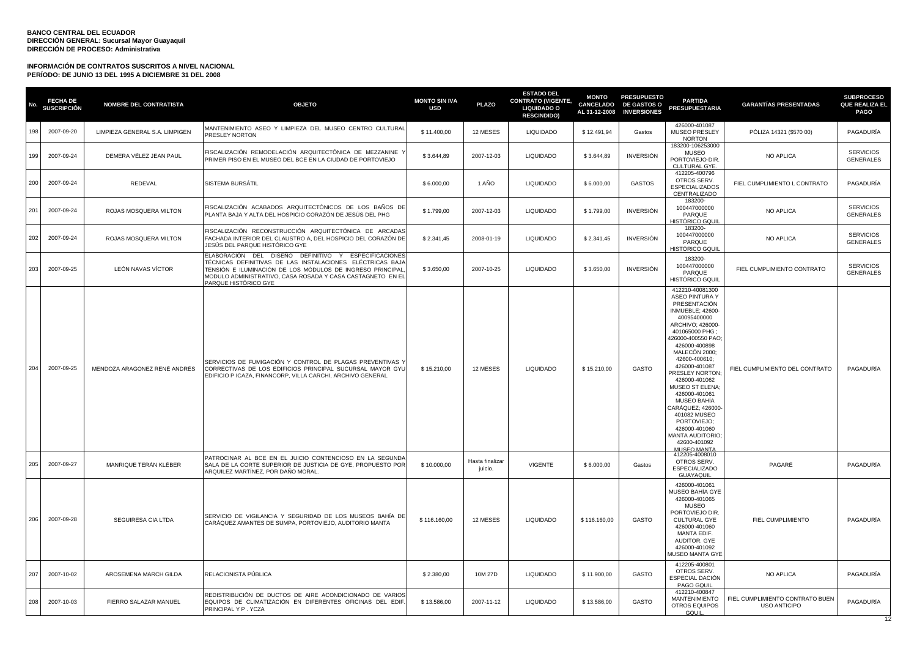| No. | <b>FECHA DE</b><br><b>SUSCRIPCIÓN</b> | <b>NOMBRE DEL CONTRATISTA</b>  | <b>OBJETO</b>                                                                                                                                                                                                                                                        | <b>MONTO SIN IVA</b><br><b>USD</b> | <b>PLAZO</b>               | <b>ESTADO DEL</b><br><b>CONTRATO (VIGENTE,</b><br><b>LIQUIDADO O</b><br><b>RESCINDIDO)</b> | <b>MONTO</b> | <b>PRESUPUESTO</b><br>CANCELADO DE GASTOS O<br>AL 31-12-2008 INVERSIONES | <b>PARTIDA</b><br><b>PRESUPUESTARIA</b>                                                                                                                                                                                                                                                                                                                                                                                                                        | <b>GARANTÍAS PRESENTADAS</b>                           | <b>SUBPROCESO</b><br><b>QUE REALIZA EL</b><br><b>PAGO</b> |
|-----|---------------------------------------|--------------------------------|----------------------------------------------------------------------------------------------------------------------------------------------------------------------------------------------------------------------------------------------------------------------|------------------------------------|----------------------------|--------------------------------------------------------------------------------------------|--------------|--------------------------------------------------------------------------|----------------------------------------------------------------------------------------------------------------------------------------------------------------------------------------------------------------------------------------------------------------------------------------------------------------------------------------------------------------------------------------------------------------------------------------------------------------|--------------------------------------------------------|-----------------------------------------------------------|
| 198 | 2007-09-20                            | LIMPIEZA GENERAL S.A. LIMPIGEN | MANTENIMIENTO ASEO Y LIMPIEZA DEL MUSEO CENTRO CULTURAL<br>PRESLEY NORTON                                                                                                                                                                                            | \$11.400,00                        | 12 MESES                   | LIQUIDADO                                                                                  | \$12.491,94  | Gastos                                                                   | 426000-401087<br>MUSEO PRESLEY<br><b>NORTON</b>                                                                                                                                                                                                                                                                                                                                                                                                                | PÓLIZA 14321 (\$570 00)                                | PAGADURÍA                                                 |
| 199 | 2007-09-24                            | DEMERA VÉLEZ JEAN PAUL         | FISCALIZACIÓN REMODELACIÓN ARQUITECTÓNICA DE MEZZANINE<br>PRIMER PISO EN EL MUSEO DEL BCE EN LA CIUDAD DE PORTOVIEJO                                                                                                                                                 | \$3.644,89                         | 2007-12-03                 | <b>LIQUIDADO</b>                                                                           | \$3.644,89   | <b>INVERSIÓN</b>                                                         | 183200-106253000<br><b>MUSEO</b><br>PORTOVIEJO-DIR.<br>CULTURAL GYE.                                                                                                                                                                                                                                                                                                                                                                                           | NO APLICA                                              | <b>SERVICIOS</b><br><b>GENERALES</b>                      |
| 200 | 2007-09-24                            | REDEVAL                        | SISTEMA BURSÁTIL                                                                                                                                                                                                                                                     | \$6.000,00                         | 1 AÑO                      | <b>LIQUIDADO</b>                                                                           | \$6.000,00   | <b>GASTOS</b>                                                            | 412205-400796<br>OTROS SERV.<br><b>ESPECIALIZADOS</b><br>CENTRALIZADO                                                                                                                                                                                                                                                                                                                                                                                          | FIEL CUMPLIMIENTO L CONTRATO                           | PAGADURÍA                                                 |
| 201 | 2007-09-24                            | ROJAS MOSQUERA MILTON          | FISCALIZACIÓN ACABADOS ARQUITECTÓNICOS DE LOS BAÑOS DE<br>PLANTA BAJA Y ALTA DEL HOSPICIO CORAZÓN DE JESÚS DEL PHG                                                                                                                                                   | \$1.799,00                         | 2007-12-03                 | LIQUIDADO                                                                                  | \$1.799,00   | <b>INVERSIÓN</b>                                                         | 183200-<br>100447000000<br>PARQUE<br><b>HISTÓRICO GQUIL</b>                                                                                                                                                                                                                                                                                                                                                                                                    | NO APLICA                                              | <b>SERVICIOS</b><br><b>GENERALES</b>                      |
| 202 | 2007-09-24                            | ROJAS MOSQUERA MILTON          | FISCALIZACIÓN RECONSTRUCCIÓN ARQUITECTÓNICA DE ARCADAS<br>FACHADA INTERIOR DEL CLAUSTRO A, DEL HOSPICIO DEL CORAZÓN DE<br>JESÚS DEL PARQUE HISTÓRICO GYE                                                                                                             | \$2.341,45                         | 2008-01-19                 | <b>LIQUIDADO</b>                                                                           | \$2.341,45   | <b>INVERSIÓN</b>                                                         | 183200-<br>100447000000<br>PARQUE<br><b>HISTÓRICO GQUIL</b>                                                                                                                                                                                                                                                                                                                                                                                                    | NO APLICA                                              | <b>SERVICIOS</b><br><b>GENERALES</b>                      |
| 203 | 2007-09-25                            | LEÓN NAVAS VÍCTOR              | ELABORACIÓN DEL DISEÑO DEFINITIVO Y ESPECIFICACIONES<br>TÉCNICAS DEFINITIVAS DE LAS INSTALACIONES ELÉCTRICAS BAJA<br>TENSIÓN E ILUMINACIÓN DE LOS MÓDULOS DE INGRESO PRINCIPAL<br>MODULO ADMINISTRATIVO, CASA ROSADA Y CASA CASTAGNETO EN EL<br>PARQUE HISTÓRICO GYE | \$3.650,00                         | 2007-10-25                 | <b>LIQUIDADO</b>                                                                           | \$3.650,00   | <b>INVERSIÓN</b>                                                         | 183200-<br>100447000000<br>PARQUE<br><b>HISTÓRICO GQUIL</b>                                                                                                                                                                                                                                                                                                                                                                                                    | FIEL CUMPLIMIENTO CONTRATO                             | <b>SERVICIOS</b><br><b>GENERALES</b>                      |
| 204 | 2007-09-25                            | MENDOZA ARAGONEZ RENÉ ANDRÉS   | SERVICIOS DE FUMIGACIÓN Y CONTROL DE PLAGAS PREVENTIVAS '<br>CORRECTIVAS DE LOS EDIFICIOS PRINCIPAL SUCURSAL MAYOR GYU<br>EDIFICIO P ICAZA, FINANCORP, VILLA CARCHI, ARCHIVO GENERAL                                                                                 | \$15.210,00                        | 12 MESES                   | <b>LIQUIDADO</b>                                                                           | \$15.210,00  | GASTO                                                                    | 412210-40081300<br><b>ASEO PINTURA Y</b><br>PRESENTACIÓN<br><b>INMUEBLE: 42600-</b><br>40095400000<br>ARCHIVO; 426000-<br>401065000 PHG:<br>426000-400550 PAO;<br>426000-400898<br><b>MALECÓN 2000;</b><br>42600-400610;<br>426000-401087<br><b>PRESLEY NORTON:</b><br>426000-401062<br>MUSEO ST ELENA;<br>426000-401061<br>MUSEO BAHÍA<br>CARÁQUEZ; 426000<br>401082 MUSEO<br>PORTOVIEJO:<br>426000-401060<br>MANTA AUDITORIO:<br>42600-401092<br>MUSEO MANTA | FIEL CUMPLIMIENTO DEL CONTRATO                         | PAGADURÍA                                                 |
| 205 | 2007-09-27                            | MANRIQUE TERÁN KLÉBER          | PATROCINAR AL BCE EN EL JUICIO CONTENCIOSO EN LA SEGUNDA<br>SALA DE LA CORTE SUPERIOR DE JUSTICIA DE GYE, PROPUESTO POR<br>ARQUILEZ MARTÍNEZ, POR DAÑO MORAL.                                                                                                        | \$10.000,00                        | Hasta finalizar<br>juicio. | VIGENTE                                                                                    | \$6.000,00   | Gastos                                                                   | 412205-4008010<br>OTROS SERV.<br><b>ESPECIALIZADO</b><br>GUAYAQUIL                                                                                                                                                                                                                                                                                                                                                                                             | PAGARÉ                                                 | PAGADURÍA                                                 |
| 206 | 2007-09-28                            | SEGUIRESA CIA LTDA             | SERVICIO DE VIGILANCIA Y SEGURIDAD DE LOS MUSEOS BAHÍA DE<br>CARÁQUEZ AMANTES DE SUMPA, PORTOVIEJO, AUDITORIO MANTA                                                                                                                                                  | \$116.160,00                       | 12 MESES                   | <b>LIQUIDADO</b>                                                                           | \$116.160,00 | GASTO                                                                    | 426000-401061<br>MUSEO BAHÍA GYE<br>426000-401065<br><b>MUSEO</b><br>PORTOVIEJO DIR<br><b>CULTURAL GYE</b><br>426000-401060<br>MANTA EDIF.<br>AUDITOR. GYE<br>426000-401092<br><b>MUSEO MANTA GYE</b>                                                                                                                                                                                                                                                          | FIEL CUMPLIMIENTO                                      | PAGADURÍA                                                 |
| 207 | 2007-10-02                            | AROSEMENA MARCH GILDA          | RELACIONISTA PÚBLICA                                                                                                                                                                                                                                                 | \$2,380.00                         | 10M 27D                    | <b>LIQUIDADO</b>                                                                           | \$11,900.00  | GASTO                                                                    | 412205-400801<br>OTROS SERV.<br>ESPECIAL DACIÓN<br>PAGO GQUIL                                                                                                                                                                                                                                                                                                                                                                                                  | <b>NO APLICA</b>                                       | PAGADURÍA                                                 |
| 208 | 2007-10-03                            | FIERRO SALAZAR MANUEL          | REDISTRIBUCIÓN DE DUCTOS DE AIRE ACONDICIONADO DE VARIOS<br>EQUIPOS DE CLIMATIZACIÓN EN DIFERENTES OFICINAS DEL EDIF<br>PRINCIPAL Y P. YCZA                                                                                                                          | \$13.586,00                        | 2007-11-12                 | <b>LIQUIDADO</b>                                                                           | \$13.586,00  | GASTO                                                                    | 412210-400847<br><b>MANTENIMIENTO</b><br>OTROS EQUIPOS<br>GQUIL                                                                                                                                                                                                                                                                                                                                                                                                | FIEL CUMPLIMIENTO CONTRATO BUEN<br><b>USO ANTICIPO</b> | PAGADURÍA                                                 |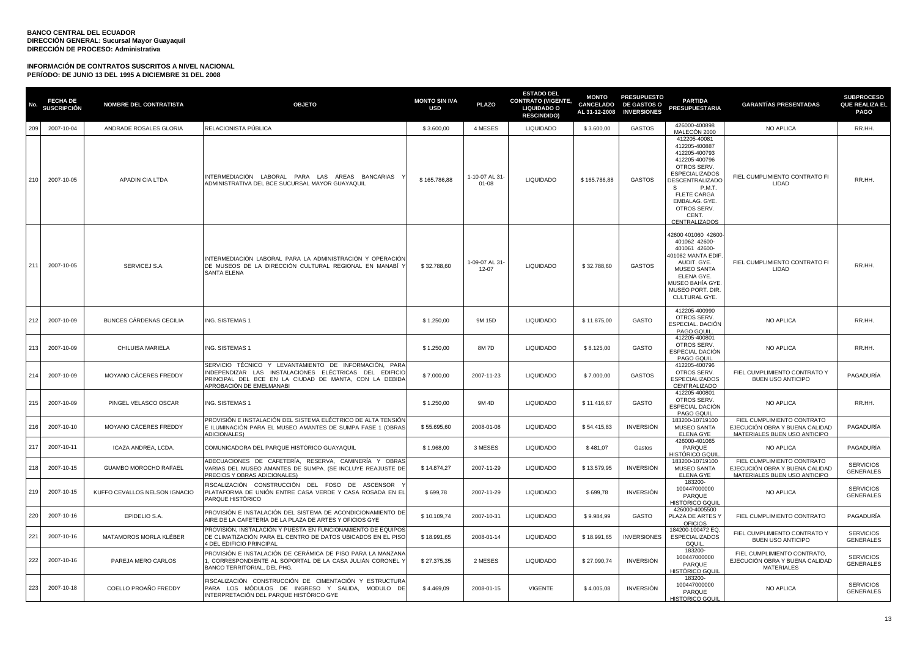| No. | <b>FECHA DE</b><br><b>SUSCRIPCIÓN</b> | <b>NOMBRE DEL CONTRATISTA</b> | <b>OBJETO</b>                                                                                                                                                                                         | <b>MONTO SIN IVA</b><br>USD | <b>PLAZO</b>                | <b>ESTADO DEL</b><br><b>CONTRATO (VIGENTE,</b><br><b>LIQUIDADO O</b><br><b>RESCINDIDO)</b> | <b>MONTO</b><br><b>CANCELADO</b> | <b>PRESUPUESTO</b><br><b>DE GASTOS O</b><br>AL 31-12-2008 INVERSIONES | <b>PARTIDA</b><br><b>PRESUPUESTARIA</b>                                                                                                                                                                                            | <b>GARANTÍAS PRESENTADAS</b>                                                                 | <b>SUBPROCESO</b><br>QUE REALIZA EL<br>PAGO |
|-----|---------------------------------------|-------------------------------|-------------------------------------------------------------------------------------------------------------------------------------------------------------------------------------------------------|-----------------------------|-----------------------------|--------------------------------------------------------------------------------------------|----------------------------------|-----------------------------------------------------------------------|------------------------------------------------------------------------------------------------------------------------------------------------------------------------------------------------------------------------------------|----------------------------------------------------------------------------------------------|---------------------------------------------|
| 209 | 2007-10-04                            | ANDRADE ROSALES GLORIA        | RELACIONISTA PÚBLICA                                                                                                                                                                                  | \$3.600,00                  | 4 MESES                     | <b>LIQUIDADO</b>                                                                           | \$3.600,00                       | <b>GASTOS</b>                                                         | 426000-400898<br>MALECÓN 2000                                                                                                                                                                                                      | NO APLICA                                                                                    | RR.HH.                                      |
| 210 | 2007-10-05                            | APADIN CIA LTDA               | INTERMEDIACIÓN LABORAL PARA LAS ÁREAS BANCARIAS<br>ADMINISTRATIVA DEL BCE SUCURSAL MAYOR GUAYAQUIL                                                                                                    | \$165.786,88                | 1-10-07 AL 31-<br>01-08     | <b>LIQUIDADO</b>                                                                           | \$165.786,88                     | <b>GASTOS</b>                                                         | 412205-40081<br>412205-400887<br>412205-400793<br>412205-400796<br>OTROS SERV.<br><b>ESPECIALIZADOS</b><br>DESCENTRALIZADO<br>- S<br>P.M.T.<br><b>FLETE CARGA</b><br>EMBALAG. GYE.<br>OTROS SERV.<br>CENT.<br><b>CENTRALIZADOS</b> | FIEL CUMPLIMIENTO CONTRATO FI<br>LIDAD                                                       | RR.HH.                                      |
| 211 | 2007-10-05                            | SERVICEJ S.A.                 | INTERMEDIACIÓN LABORAL PARA LA ADMINISTRACIÓN Y OPERACIÓN<br>DE MUSEOS DE LA DIRECCIÓN CULTURAL REGIONAL EN MANABÍ Y<br><b>SANTA ELENA</b>                                                            | \$32.788,60                 | 1-09-07 AL 31-<br>$12 - 07$ | <b>LIQUIDADO</b>                                                                           | \$32.788,60                      | <b>GASTOS</b>                                                         | 42600 401060 42600<br>401062 42600-<br>401061 42600-<br>401082 MANTA EDIF<br>AUDIT, GYE.<br><b>MUSEO SANTA</b><br>ELENA GYE.<br>MUSEO BAHÍA GYE<br>MUSEO PORT. DIR.<br>CULTURAL GYE.                                               | FIEL CUMPLIMIENTO CONTRATO FI<br>LIDAD                                                       | RR.HH.                                      |
| 212 | 2007-10-09                            | BUNCES CÁRDENAS CECILIA       | ING. SISTEMAS 1                                                                                                                                                                                       | \$1.250.00                  | 9M 15D                      | <b>LIQUIDADO</b>                                                                           | \$11,875.00                      | GASTO                                                                 | 412205-400990<br>OTROS SERV.<br>ESPECIAL. DACIÓN<br>PAGO GQUIL                                                                                                                                                                     | NO APLICA                                                                                    | RR.HH.                                      |
| 213 | 2007-10-09                            | CHILUISA MARIELA              | ING. SISTEMAS 1                                                                                                                                                                                       | \$1.250,00                  | 8M 7D                       | <b>LIQUIDADO</b>                                                                           | \$8.125,00                       | GASTO                                                                 | 412205-400801<br>OTROS SERV.<br>ESPECIAL DACIÓN<br>PAGO GQUIL                                                                                                                                                                      | NO APLICA                                                                                    | RR.HH.                                      |
| 214 | 2007-10-09                            | <b>MOYANO CACERES FREDDY</b>  | SERVICIO TÉCNICO Y LEVANTAMIENTO DE INFORMACIÓN, PARA<br>INDEPENDIZAR LAS INSTALACIONES ELÉCTRICAS DEL EDIFICIO<br>PRINCIPAL DEL BCE EN LA CIUDAD DE MANTA, CON LA DEBIDA<br>APROBACIÓN DE EMELMANABI | \$7,000.00                  | 2007-11-23                  | <b>LIQUIDADO</b>                                                                           | \$7.000,00                       | <b>GASTOS</b>                                                         | 412205-400796<br>OTROS SERV.<br><b>ESPECIALIZADOS</b><br>CENTRALIZADO                                                                                                                                                              | FIEL CUMPLIMIENTO CONTRATO Y<br><b>BUEN USO ANTICIPO</b>                                     | PAGADURÍA                                   |
| 215 | 2007-10-09                            | PINGEL VELASCO OSCAR          | ING. SISTEMAS 1                                                                                                                                                                                       | \$1,250.00                  | 9M 4D                       | <b>LIQUIDADO</b>                                                                           | \$11.416.67                      | GASTO                                                                 | 412205-400801<br>OTROS SERV.<br>ESPECIAL DACIÓN<br>PAGO GQUIL                                                                                                                                                                      | NO APLICA                                                                                    | RR.HH.                                      |
| 216 | 2007-10-10                            | MOYANO CÁCERES FREDDY         | PROVISIÓN E INSTALACIÓN DEL SISTEMA ELÉCTRICO DE ALTA TENSIÓN<br>E ILUMINACIÓN PARA EL MUSEO AMANTES DE SUMPA FASE 1 (OBRAS<br><b>ADICIONALES)</b>                                                    | \$55,695.60                 | 2008-01-08                  | <b>LIQUIDADO</b>                                                                           | \$54,415.83                      | <b>INVERSIÓN</b>                                                      | 183200-10719100<br><b>MUSEO SANTA</b><br><b>ELENA GYE</b>                                                                                                                                                                          | FIEL CUMPLIMIENTO CONTRATO<br>EJECUCIÓN OBRA Y BUENA CALIDAD<br>MATERIALES BUEN USO ANTICIPO | PAGADURÍA                                   |
| 217 | 2007-10-11                            | ICAZA ANDREA, LCDA.           | COMUNICADORA DEL PARQUE HISTÓRICO GUAYAQUIL                                                                                                                                                           | \$1.968,00                  | 3 MESES                     | <b>LIQUIDADO</b>                                                                           | \$481,07                         | Gastos                                                                | 426000-401065<br>PARQUE<br>HISTÓRICO GQUII                                                                                                                                                                                         | NO APLICA                                                                                    | PAGADURÍA                                   |
| 218 | 2007-10-15                            | GUAMBO MOROCHO RAFAEL         | ADECUACIONES DE CAFETERÍA, RESERVA, CAMINERÍA Y OBRAS<br>VARIAS DEL MUSEO AMANTES DE SUMPA. (SE INCLUYE REAJUSTE DE<br>PRECIOS Y OBRAS ADICIONALES)                                                   | \$14.874,27                 | 2007-11-29                  | <b>LIQUIDADO</b>                                                                           | \$13.579,95                      | <b>INVERSIÓN</b>                                                      | 183200-10719100<br><b>MUSEO SANTA</b><br><b>ELENA GYE</b>                                                                                                                                                                          | FIEL CUMPLIMIENTO CONTRATO<br>EJECUCIÓN OBRA Y BUENA CALIDAD<br>MATERIALES BUEN USO ANTICIPO | <b>SERVICIOS</b><br><b>GENERALES</b>        |
| 219 | 2007-10-15                            | KUFFO CEVALLOS NELSON IGNACIO | FISCALIZACIÓN CONSTRUCCIÓN DEL FOSO DE ASCENSOR<br>PLATAFORMA DE UNIÓN ENTRE CASA VERDE Y CASA ROSADA EN EL<br>PARQUE HISTÓRICO                                                                       | \$699,78                    | 2007-11-29                  | <b>LIQUIDADO</b>                                                                           | \$699,78                         | <b>INVERSIÓN</b>                                                      | 183200-<br>100447000000<br>PARQUE<br>HISTÓRICO GQUI                                                                                                                                                                                | <b>NO APLICA</b>                                                                             | <b>SERVICIOS</b><br><b>GENERALES</b>        |
| 220 | 2007-10-16                            | EPIDELIO S.A.                 | PROVISIÓN E INSTALACIÓN DEL SISTEMA DE ACONDICIONAMIENTO DE<br>AIRE DE LA CAFETERÍA DE LA PLAZA DE ARTES Y OFICIOS GYE                                                                                | \$10.109,74                 | 2007-10-31                  | <b>LIQUIDADO</b>                                                                           | \$9.984,99                       | GASTO                                                                 | 426000-4005500<br>PLAZA DE ARTES Y<br><b>OFICIOS</b>                                                                                                                                                                               | FIEL CUMPLIMIENTO CONTRATO                                                                   | PAGADURÍA                                   |
| 221 | 2007-10-16                            | MATAMOROS MORLA KLÉBER        | PROVISIÓN, INSTALACIÓN Y PUESTA EN FUNCIONAMIENTO DE EQUIPOS<br>DE CLIMATIZACIÓN PARA EL CENTRO DE DATOS UBICADOS EN EL PISO<br>4 DEL EDIFICIO PRINCIPAL                                              | \$18.991,65                 | 2008-01-14                  | <b>LIQUIDADO</b>                                                                           | \$18.991,65                      | <b>INVERSIONES</b>                                                    | 184200-100472 EQ.<br><b>ESPECIALIZADOS</b><br>GQUIL                                                                                                                                                                                | FIEL CUMPLIMIENTO CONTRATO Y<br><b>BUEN USO ANTICIPO</b>                                     | <b>SERVICIOS</b><br><b>GENERALES</b>        |
| 222 | 2007-10-16                            | PAREJA MERO CARLOS            | PROVISIÓN E INSTALACIÓN DE CERÁMICA DE PISO PARA LA MANZANA<br>1, CORRESPONDIENTE AL SOPORTAL DE LA CASA JULIÁN CORONEL Y<br>BANCO TERRITORIAL, DEL PHG.                                              | \$27.375,35                 | 2 MESES                     | <b>LIQUIDADO</b>                                                                           | \$27.090,74                      | INVERSIÓN                                                             | 183200-<br>100447000000<br>PARQUE<br>HISTÓRICO GQUII                                                                                                                                                                               | FIEL CUMPLIMIENTO CONTRATO,<br>EJECUCIÓN OBRA Y BUENA CALIDAD<br><b>MATERIALES</b>           | <b>SERVICIOS</b><br><b>GENERALES</b>        |
| 223 | 2007-10-18                            | COELLO PROAÑO FREDDY          | FISCALIZACIÓN CONSTRUCCIÓN DE CIMENTACIÓN Y ESTRUCTURA<br>PARA LOS MÓDULOS DE INGRESO Y SALIDA, MODULO DE<br>INTERPRETACIÓN DEL PARQUE HISTÓRICO GYE                                                  | \$4.469,09                  | 2008-01-15                  | <b>VIGENTE</b>                                                                             | \$4.005,08                       | INVERSIÓN                                                             | 183200-<br>100447000000<br>PARQUE<br><b>HISTÓRICO GQUIL</b>                                                                                                                                                                        | NO APLICA                                                                                    | <b>SERVICIOS</b><br><b>GENERALES</b>        |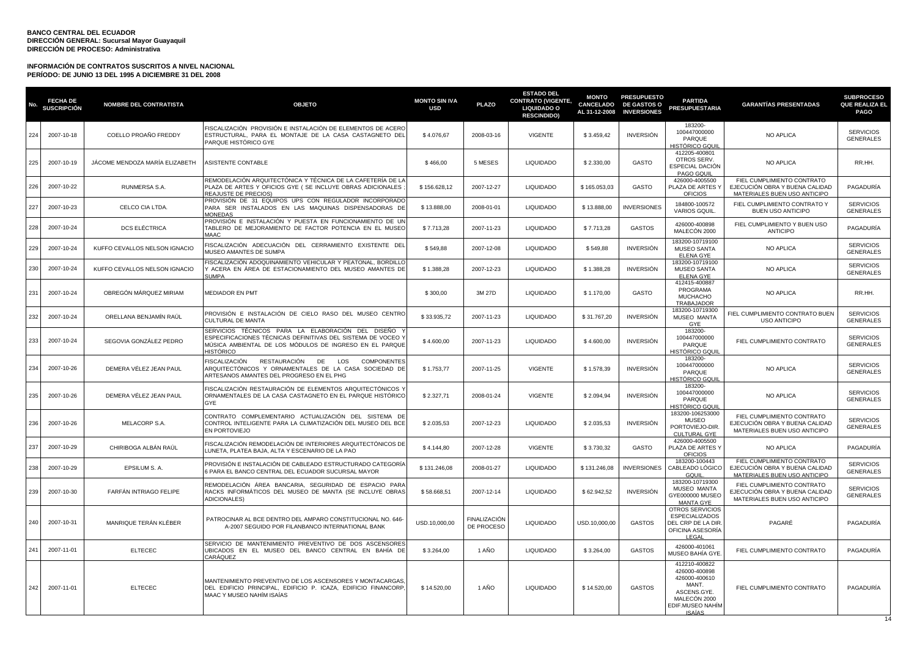| No  | <b>FECHA DE</b><br>SUSCRIPCIÓN | <b>NOMBRE DEL CONTRATISTA</b>  | <b>OBJETO</b>                                                                                                                                                                             | <b>MONTO SIN IVA</b><br><b>USD</b> | <b>PLAZO</b>                      | <b>ESTADO DEL</b><br><b>CONTRATO (VIGENTE,</b><br><b>LIQUIDADO O</b><br><b>RESCINDIDO)</b> | <b>MONTO</b><br><b>CANCELADO</b><br>AL 31-12-2008 | <b>PRESUPUESTO</b><br><b>DE GASTOS O</b><br><b>INVERSIONES</b> | <b>PARTIDA</b><br><b>PRESUPUESTARIA</b>                                                                                     | <b>GARANTÍAS PRESENTADAS</b>                                                                 | <b>SUBPROCESO</b><br>QUE REALIZA EL<br><b>PAGO</b> |
|-----|--------------------------------|--------------------------------|-------------------------------------------------------------------------------------------------------------------------------------------------------------------------------------------|------------------------------------|-----------------------------------|--------------------------------------------------------------------------------------------|---------------------------------------------------|----------------------------------------------------------------|-----------------------------------------------------------------------------------------------------------------------------|----------------------------------------------------------------------------------------------|----------------------------------------------------|
| 224 | 2007-10-18                     | COELLO PROAÑO FREDDY           | FISCALIZACIÓN PROVISIÓN E INSTALACIÓN DE ELEMENTOS DE ACERO<br>ESTRUCTURAL, PARA EL MONTAJE DE LA CASA CASTAGNETO DEL<br>PARQUE HISTÓRICO GYE                                             | \$4.076,67                         | 2008-03-16                        | <b>VIGENTE</b>                                                                             | \$3.459,42                                        | <b>INVERSIÓN</b>                                               | 183200-<br>100447000000<br>PARQUE<br>HISTÓRICO GOUL                                                                         | NO APLICA                                                                                    | <b>SERVICIOS</b><br><b>GENERALES</b>               |
| 225 | 2007-10-19                     | JÁCOME MENDOZA MARÍA ELIZABETH | ASISTENTE CONTABLE                                                                                                                                                                        | \$466,00                           | 5 MESES                           | <b>LIQUIDADO</b>                                                                           | \$2.330,00                                        | GASTO                                                          | 412205-400801<br>OTROS SERV.<br>ESPECIAL DACIÓN<br><b>PAGO GQUIL</b>                                                        | NO APLICA                                                                                    | RR.HH.                                             |
| 226 | 2007-10-22                     | RUNMERSA S.A.                  | REMODELACIÓN ARQUITECTÓNICA Y TÉCNICA DE LA CAFETERÍA DE LA<br>PLAZA DE ARTES Y OFICIOS GYE ( SE INCLUYE OBRAS ADICIONALES<br>REAJUSTE DE PRECIOS)                                        | \$156.628,12                       | 2007-12-27                        | <b>LIQUIDADO</b>                                                                           | \$165.053,03                                      | GASTO                                                          | 426000-4005500<br>PLAZA DE ARTES Y<br><b>OFICIOS</b>                                                                        | FIEL CUMPLIMIENTO CONTRATO<br>EJECUCIÓN OBRA Y BUENA CALIDAD<br>MATERIALES BUEN USO ANTICIPO | PAGADURÍA                                          |
| 227 | 2007-10-23                     | CELCO CIA LTDA.                | PROVISIÓN DE 31 EQUIPOS UPS CON REGULADOR INCORPORADO<br>PARA SER INSTALADOS EN LAS MAQUINAS DISPENSADORAS DE<br><b>MONEDAS</b>                                                           | \$13.888,00                        | 2008-01-01                        | <b>LIQUIDADO</b>                                                                           | \$13.888,00                                       | <b>INVERSIONES</b>                                             | 184800-100572<br><b>VARIOS GQUIL</b>                                                                                        | FIEL CUMPLIMIENTO CONTRATO Y<br><b>BUEN USO ANTICIPO</b>                                     | <b>SERVICIOS</b><br><b>GENERALES</b>               |
| 228 | 2007-10-24                     | <b>DCS ELÉCTRICA</b>           | PROVISIÓN E INSTALACIÓN Y PUESTA EN FUNCIONAMIENTO DE UN<br>TABLERO DE MEJORAMIENTO DE FACTOR POTENCIA EN EL MUSEO<br>0000                                                                | \$7.713,28                         | 2007-11-23                        | <b>LIQUIDADO</b>                                                                           | \$7.713,28                                        | <b>GASTOS</b>                                                  | 426000-400898<br>MALECÓN 2000                                                                                               | FIEL CUMPLIMIENTO Y BUEN USO<br><b>ANTICIPO</b>                                              | PAGADURÍA                                          |
| 229 | 2007-10-24                     | KUFFO CEVALLOS NELSON IGNACIO  | FISCALIZACIÓN ADECUACIÓN DEL CERRAMIENTO EXISTENTE DEL<br>MUSEO AMANTES DE SUMPA<br>FISCALIZACIÓN ADOQUINAMIENTO VEHICULAR Y PEATONAL, BORDILLO                                           | \$549,88                           | 2007-12-08                        | LIQUIDADO                                                                                  | \$549,88                                          | <b>INVERSIÓN</b>                                               | 183200-10719100<br><b>MUSEO SANTA</b><br><b>ELENA GYE</b>                                                                   | NO APLICA                                                                                    | <b>SERVICIOS</b><br><b>GENERALES</b>               |
| 230 | 2007-10-24                     | KUFFO CEVALLOS NELSON IGNACIO  | ACERA EN ÁREA DE ESTACIONAMIENTO DEL MUSEO AMANTES DE<br><b>SLIMPA</b>                                                                                                                    | \$1.388,28                         | 2007-12-23                        | <b>LIQUIDADO</b>                                                                           | \$1.388,28                                        | <b>INVERSIÓN</b>                                               | 183200-10719100<br>MUSEO SANTA<br><b>ELENA GYE</b><br>412415-400887                                                         | <b>NO APLICA</b>                                                                             | <b>SERVICIOS</b><br><b>GENERALES</b>               |
| 231 | 2007-10-24                     | OBREGÓN MÁRQUEZ MIRIAM         | MEDIADOR EN PMT                                                                                                                                                                           | \$300,00                           | 3M 27D                            | <b>LIQUIDADO</b>                                                                           | \$1.170,00                                        | <b>GASTO</b>                                                   | PROGRAMA<br><b>MUCHACHO</b><br>TRABAJADOR                                                                                   | NO APLICA                                                                                    | RR.HH.                                             |
| 232 | 2007-10-24                     | ORELLANA BENJAMÍN RAÚL         | PROVISIÓN E INSTALACIÓN DE CIELO RASO DEL MUSEO CENTRO<br>CULTURAL DE MANTA                                                                                                               | \$33,935.72                        | 2007-11-23                        | <b>LIQUIDADO</b>                                                                           | \$31,767.20                                       | <b>INVERSIÓN</b>                                               | 183200-10719300<br><b>MUSEO MANTA</b><br>GYE                                                                                | FIEL CUMPLIMIENTO CONTRATO BUEN<br><b>USO ANTICIPO</b>                                       | <b>SERVICIOS</b><br><b>GENERALES</b>               |
| 233 | 2007-10-24                     | SEGOVIA GONZÁLEZ PEDRO         | SERVICIOS TÉCNICOS PARA LA ELABORACIÓN DEL DISEÑO<br>ESPECIFICACIONES TÉCNICAS DEFINITIVAS DEL SISTEMA DE VOCEO Y<br>MÚSICA AMBIENTAL DE LOS MÓDULOS DE INGRESO EN EL PARQUE<br>HISTÓRICO | \$4.600,00                         | 2007-11-23                        | LIQUIDADO                                                                                  | \$4.600,00                                        | <b>INVERSIÓN</b>                                               | 183200-<br>100447000000<br>PARQUE<br><u>HISTÓRICO GQUII</u>                                                                 | FIEL CUMPLIMIENTO CONTRATO                                                                   | <b>SERVICIOS</b><br><b>GENERALES</b>               |
| 234 | 2007-10-26                     | DEMERA VÉLEZ JEAN PAUL         | <b>ISCALIZACIÓN</b><br>RESTAURACIÓN<br>DE<br>LOS<br><b>COMPONENTES</b><br>ARQUITECTÓNICOS Y ORNAMENTALES DE LA CASA SOCIEDAD DE<br>ARTESANOS AMANTES DEL PROGRESO EN EL PHG               | \$1.753,77                         | 2007-11-25                        | <b>VIGENTE</b>                                                                             | \$1.578,39                                        | <b>INVERSIÓN</b>                                               | 183200-<br>100447000000<br>PARQUE<br>HISTÓRICO GQUI                                                                         | NO APLICA                                                                                    | <b>SERVICIOS</b><br><b>GENERALES</b>               |
| 235 | 2007-10-26                     | DEMERA VÉLEZ JEAN PAUL         | FISCALIZACIÓN RESTAURACIÓN DE ELEMENTOS ARQUITECTÓNICOS Y<br>ORNAMENTALES DE LA CASA CASTAGNETO EN EL PARQUE HISTÒRICO<br><b>GYE</b>                                                      | \$2.327,71                         | 2008-01-24                        | VIGENTE                                                                                    | \$2.094,94                                        | <b>INVERSIÓN</b>                                               | 183200-<br>100447000000<br>PARQUE<br><b>HISTÓRICO GQUIL</b>                                                                 | NO APLICA                                                                                    | <b>SERVICIOS</b><br><b>GENERALES</b>               |
| 236 | 2007-10-26                     | MELACORP S.A.                  | CONTRATO COMPLEMENTARIO ACTUALIZACIÓN DEL SISTEMA DE<br>CONTROL INTELIGENTE PARA LA CLIMATIZACIÓN DEL MUSEO DEL BCE<br>EN PORTOVIEJO                                                      | \$2.035.53                         | 2007-12-23                        | LIQUIDADO                                                                                  | \$2.035,53                                        | <b>INVERSIÓN</b>                                               | 183200-106253000<br><b>MUSEO</b><br>PORTOVIEJO-DIR.<br><b>CULTURAL GYE</b>                                                  | FIEL CUMPLIMIENTO CONTRATO<br>EJECUCIÓN OBRA Y BUENA CALIDAD<br>MATERIALES BUEN USO ANTICIPO | <b>SERVICIOS</b><br><b>GENERALES</b>               |
| 237 | 2007-10-29                     | CHIRIBOGA ALBÁN RAÚL           | FISCALIZACIÓN REMODELACIÓN DE INTERIORES ARQUITECTÓNICOS DE<br>LUNETA, PLATEA BAJA, ALTA Y ESCENARIO DE LA PAO                                                                            | \$4,144.80                         | 2007-12-28                        | <b>VIGENTE</b>                                                                             | \$3.730,32                                        | GASTO                                                          | 426000-4005500<br>PLAZA DE ARTES Y<br><b>OFICIOS</b>                                                                        | NO APLICA                                                                                    | PAGADURÍA                                          |
| 238 | 2007-10-29                     | EPSILUM S. A.                  | PROVISIÓN E INSTALACIÓN DE CABLEADO ESTRUCTURADO CATEGORÍA<br>6 PARA EL BANCO CENTRAL DEL ECUADOR SUCURSAL MAYOR                                                                          | \$131.246,08                       | 2008-01-27                        | <b>LIQUIDADO</b>                                                                           | \$131.246,08                                      | <b>INVERSIONES</b>                                             | 183200-100443<br>CABLEADO LÓGICC<br>GQUIL                                                                                   | FIEL CUMPLIMIENTO CONTRATO<br>EJECUCIÓN OBRA Y BUENA CALIDAD<br>MATERIALES BUEN USO ANTICIPO | <b>SERVICIOS</b><br><b>GENERALES</b>               |
| 239 | 2007-10-30                     | FARFÁN INTRIAGO FELIPE         | REMODELACIÓN ÁREA BANCARIA, SEGURIDAD DE ESPACIO PARA<br>RACKS INFORMÁTICOS DEL MUSEO DE MANTA (SE INCLUYE OBRAS<br><b>ADICIONALES)</b>                                                   | \$58.668,51                        | 2007-12-14                        | <b>LIQUIDADO</b>                                                                           | \$62.942,52                                       | <b>INVERSIÓN</b>                                               | 183200-10719300<br><b>MUSEO MANTA</b><br>GYE000000 MUSEC<br><b>MANTA GYE</b>                                                | FIEL CUMPLIMIENTO CONTRATO<br>EJECUCIÓN OBRA Y BUENA CALIDAD<br>MATERIALES BUEN USO ANTICIPO | <b>SERVICIOS</b><br><b>GENERALES</b>               |
| 240 | 2007-10-31                     | MANRIQUE TERÁN KLÉBER          | PATROCINAR AL BCE DENTRO DEL AMPARO CONSTITUCIONAL NO. 646-<br>A-2007 SEGUIDO POR FILANBANCO INTERNATIONAL BANK                                                                           | USD.10,000,00                      | <b>FINALIZACIÓN</b><br>DE PROCESO | <b>LIQUIDADO</b>                                                                           | USD.10,000,00                                     | <b>GASTOS</b>                                                  | <b>OTROS SERVICIOS</b><br><b>ESPECIALIZADOS</b><br>DEL CRP DE LA DIR<br>OFICINA ASESORÍA<br>LEGAL                           | PAGARÉ                                                                                       | PAGADURÍA                                          |
| 241 | 2007-11-01                     | <b>ELTECEC</b>                 | SERVICIO DE MANTENIMIENTO PREVENTIVO DE DOS ASCENSORES<br>JBICADOS EN EL MUSEO DEL BANCO CENTRAL EN BAHÍA DE<br>CARÁQUEZ                                                                  | \$3.264,00                         | 1 AÑO                             | LIQUIDADO                                                                                  | \$3.264,00                                        | <b>GASTOS</b>                                                  | 426000-401061<br>MUSEO BAHÍA GYE                                                                                            | FIEL CUMPLIMIENTO CONTRATO                                                                   | PAGADURÍA                                          |
| 242 | 2007-11-01                     | <b>ELTECEC</b>                 | MANTENIMIENTO PREVENTIVO DE LOS ASCENSORES Y MONTACARGAS<br>DEL EDIFICIO PRINCIPAL. EDIFICIO P. ICAZA. EDIFICIO FINANCORP<br>MAAC Y MUSEO NAHÍM ISAÍAS                                    | \$14,520.00                        | 1 AÑO                             | <b>LIQUIDADO</b>                                                                           | \$14,520.00                                       | <b>GASTOS</b>                                                  | 412210-400822<br>426000-400898<br>426000-400610<br>MANT<br>ASCENS.GYE.<br>MALECÓN 2000<br>EDIF.MUSEO NAHÍM<br><b>ISAÍAS</b> | FIEL CUMPLIMIENTO CONTRATO                                                                   | PAGADURÍA                                          |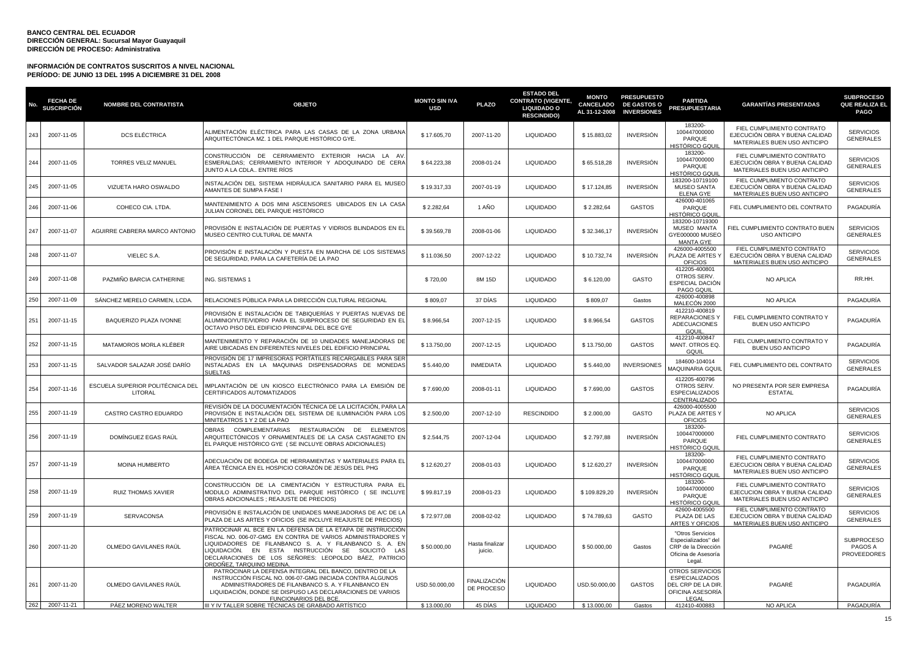| No. | <b>FECHA DE</b><br>SUSCRIPCIÓN | <b>NOMBRE DEL CONTRATISTA</b>               | <b>OBJETO</b>                                                                                                                                                                                                                                                                                                                 | <b>MONTO SIN IVA</b><br><b>USD</b> | <b>PLAZO</b>               | <b>ESTADO DEL</b><br><b>CONTRATO (VIGENTE,</b><br><b>LIQUIDADO O</b><br><b>RESCINDIDO)</b> | <b>MONTO</b><br>CANCELADO<br>AL 31-12-2008 | <b>PRESUPUESTO</b><br><b>DE GASTOS O</b><br><b>INVERSIONES</b> | <b>PARTIDA</b><br><b>PRESUPUESTARIA</b>                                                         | <b>GARANTIAS PRESENTADAS</b>                                                                 | <b>SUBPROCESO</b><br><b>QUE REALIZA EL</b><br><b>PAGO</b> |
|-----|--------------------------------|---------------------------------------------|-------------------------------------------------------------------------------------------------------------------------------------------------------------------------------------------------------------------------------------------------------------------------------------------------------------------------------|------------------------------------|----------------------------|--------------------------------------------------------------------------------------------|--------------------------------------------|----------------------------------------------------------------|-------------------------------------------------------------------------------------------------|----------------------------------------------------------------------------------------------|-----------------------------------------------------------|
| 243 | 2007-11-05                     | <b>DCS ELÉCTRICA</b>                        | ALIMENTACIÓN ELÉCTRICA PARA LAS CASAS DE LA ZONA URBANA<br>ARQUITECTÓNICA MZ. 1 DEL PARQUE HISTÓRICO GYE.                                                                                                                                                                                                                     | \$17.605,70                        | 2007-11-20                 | LIQUIDADO                                                                                  | \$15.883,02                                | <b>INVERSIÓN</b>                                               | 183200-<br>100447000000<br>PARQUE<br>HISTÓRICO GQU                                              | FIEL CUMPLIMIENTO CONTRATO<br>EJECUCIÓN OBRA Y BUENA CALIDAD<br>MATERIALES BUEN USO ANTICIPO | <b>SERVICIOS</b><br><b>GENERALES</b>                      |
| 244 | 2007-11-05                     | <b>TORRES VELIZ MANUEL</b>                  | CONSTRUCCIÓN DE CERRAMIENTO EXTERIOR HACIA LA AV<br>ESMERALDAS; CERRAMIENTO INTERIOR Y ADOQUINADO DE CERA<br>JUNTO A LA CDLA ENTRE RÍOS                                                                                                                                                                                       | \$64.223,38                        | 2008-01-24                 | <b>LIQUIDADO</b>                                                                           | \$65.518,28                                | <b>INVERSIÓN</b>                                               | 183200-<br>100447000000<br>PARQUE<br>HISTÓRICO GQUI                                             | FIEL CUMPLIMIENTO CONTRATO<br>EJECUCIÓN OBRA Y BUENA CALIDAD<br>MATERIALES BUEN USO ANTICIPO | <b>SERVICIOS</b><br><b>GENERALES</b>                      |
| 245 | 2007-11-05                     | VIZUETA HARO OSWALDO                        | INSTALACIÓN DEL SISTEMA HIDRÁULICA SANITARIO PARA EL MUSEC<br>AMANTES DE SUMPA FASE I                                                                                                                                                                                                                                         | \$19.317,33                        | 2007-01-19                 | <b>LIQUIDADO</b>                                                                           | \$17.124,85                                | <b>INVERSIÓN</b>                                               | 183200-10719100<br><b>MUSEO SANTA</b><br><b>ELENA GYE</b>                                       | FIEL CUMPLIMIENTO CONTRATO<br>EJECUCIÓN OBRA Y BUENA CALIDAD<br>MATERIALES BUEN USO ANTICIPO | <b>SERVICIOS</b><br><b>GENERALES</b>                      |
| 246 | 2007-11-06                     | COHECO CIA. LTDA.                           | MANTENIMIENTO A DOS MINI ASCENSORES UBICADOS EN LA CASA<br>JULIAN CORONEL DEL PARQUE HISTÓRICO                                                                                                                                                                                                                                | \$2.282,64                         | 1 AÑO                      | <b>LIQUIDADO</b>                                                                           | \$2.282,64                                 | <b>GASTOS</b>                                                  | 426000-401065<br>PARQUE<br>HISTÓRICO GQUI                                                       | FIEL CUMPLIMIENTO DEL CONTRATO                                                               | PAGADURÍA                                                 |
| 247 | 2007-11-07                     | AGUIRRE CABRERA MARCO ANTONIO               | PROVISIÓN E INSTALACIÓN DE PUERTAS Y VIDRIOS BLINDADOS EN EL<br>MUSEO CENTRO CULTURAL DE MANTA                                                                                                                                                                                                                                | \$39.569,78                        | 2008-01-06                 | <b>LIQUIDADO</b>                                                                           | \$32.346,17                                | <b>INVERSIÓN</b>                                               | 183200-10719300<br>MUSEO MANTA<br>GYE000000 MUSEC<br><b>MANTA GYE</b>                           | FIEL CUMPLIMIENTO CONTRATO BUEN<br><b>USO ANTICIPO</b>                                       | <b>SERVICIOS</b><br><b>GENERALES</b>                      |
| 248 | 2007-11-07                     | VIELEC S.A.                                 | PROVISIÓN E INSTALACIÓN Y PUESTA EN MARCHA DE LOS SISTEMAS<br>DE SEGURIDAD, PARA LA CAFETERÍA DE LA PAO                                                                                                                                                                                                                       | \$11.036,50                        | 2007-12-22                 | <b>LIQUIDADO</b>                                                                           | \$10.732,74                                | <b>INVERSIÓN</b>                                               | 426000-4005500<br>PLAZA DE ARTES Y<br><b>OFICIOS</b>                                            | FIEL CUMPLIMIENTO CONTRATO<br>EJECUCIÓN OBRA Y BUENA CALIDAD<br>MATERIALES BUEN USO ANTICIPO | <b>SERVICIOS</b><br><b>GENERALES</b>                      |
| 249 | 2007-11-08                     | PAZMIÑO BARCIA CATHERINE                    | ING. SISTEMAS 1                                                                                                                                                                                                                                                                                                               | \$720,00                           | 8M 15D                     | <b>LIQUIDADO</b>                                                                           | \$6.120,00                                 | GASTO                                                          | 412205-400801<br>OTROS SERV.<br>ESPECIAL DACIÓN<br>PAGO GQUIL                                   | NO APLICA                                                                                    | RR.HH.                                                    |
| 250 | 2007-11-09                     | SÁNCHEZ MERELO CARMEN, LCDA                 | RELACIONES PÚBLICA PARA LA DIRECCIÓN CULTURAL REGIONAL                                                                                                                                                                                                                                                                        | \$809,07                           | 37 DÍAS                    | <b>LIQUIDADO</b>                                                                           | \$809,07                                   | Gastos                                                         | 426000-400898<br>MALECÓN 2000                                                                   | NO APLICA                                                                                    | PAGADURÍA                                                 |
| 251 | 2007-11-15                     | BAQUERIZO PLAZA IVONNE                      | PROVISIÓN E INSTALACIÓN DE TABIQUERÍAS Y PUERTAS NUEVAS DE<br>ALUMINIO/YUTE/VIDRIO PARA EL SUBPROCESO DE SEGURIDAD EN EL<br>OCTAVO PISO DEL EDIFICIO PRINCIPAL DEL BCE GYE                                                                                                                                                    | \$8.966,54                         | 2007-12-15                 | <b>LIQUIDADO</b>                                                                           | \$8.966,54                                 | <b>GASTOS</b>                                                  | 412210-400819<br><b>REPARACIONESY</b><br><b>ADECUACIONES</b><br>GQUIL                           | FIEL CUMPLIMIENTO CONTRATO Y<br><b>BUEN USO ANTICIPO</b>                                     | PAGADURÍA                                                 |
| 252 | 2007-11-15                     | MATAMOROS MORLA KLÉBER                      | MANTENIMIENTO Y REPARACIÓN DE 10 UNIDADES MANEJADORAS DE<br>AIRE UBICADAS EN DIFERENTES NIVELES DEL EDIFICIO PRINCIPAL                                                                                                                                                                                                        | \$13.750,00                        | 2007-12-15                 | <b>LIQUIDADO</b>                                                                           | \$13.750,00                                | <b>GASTOS</b>                                                  | 412210-400847<br>MANT. OTROS EQ.<br>GQUIL                                                       | FIEL CUMPLIMIENTO CONTRATO Y<br><b>BUEN USO ANTICIPO</b>                                     | PAGADURÍA                                                 |
| 253 | 2007-11-15                     | SALVADOR SALAZAR JOSÉ DARÍO                 | PROVISIÓN DE 17 IMPRESORAS PORTÁTILES RECARGABLES PARA SER<br>INSTALADAS EN LA MAQUINAS DISPENSADORAS DE MONEDAS<br>SLIFI TAS                                                                                                                                                                                                 | \$5.440,00                         | <b>INMEDIATA</b>           | <b>LIQUIDADO</b>                                                                           | \$5.440,00                                 | <b>INVERSIONES</b>                                             | 184600-104014<br>MAQUINARIA GQUI                                                                | FIEL CUMPLIMIENTO DEL CONTRATO                                                               | <b>SERVICIOS</b><br><b>GENERALES</b>                      |
| 254 | 2007-11-16                     | ESCUELA SUPERIOR POLITÉCNICA DEL<br>LITORAL | IMPLANTACIÓN DE UN KIOSCO ELECTRÓNICO PARA LA EMISIÓN DE<br>CERTIFICADOS AUTOMATIZADOS                                                                                                                                                                                                                                        | \$7.690,00                         | 2008-01-11                 | LIQUIDADO                                                                                  | \$7.690,00                                 | <b>GASTOS</b>                                                  | 412205-400796<br>OTROS SERV.<br><b>ESPECIALIZADOS</b><br>CENTRALIZADO                           | NO PRESENTA POR SER EMPRESA<br><b>ESTATAL</b>                                                | PAGADURÍA                                                 |
| 255 | 2007-11-19                     | CASTRO CASTRO EDUARDO                       | REVISIÓN DE LA DOCUMENTACIÓN TÉCNICA DE LA LICITACIÓN, PARA LA<br>PROVISIÓN E INSTALACIÓN DEL SISTEMA DE ILUMINACIÓN PARA LOS<br>MINITEATROS 1 Y 2 DE LA PAO                                                                                                                                                                  | \$2.500,00                         | 2007-12-10                 | <b>RESCINDIDO</b>                                                                          | \$2.000,00                                 | GASTO                                                          | 426000-4005500<br>PLAZA DE ARTES Y<br><b>OFICIOS</b>                                            | NO APLICA                                                                                    | <b>SERVICIOS</b><br><b>GENERALES</b>                      |
| 256 | 2007-11-19                     | DOMÍNGUEZ EGAS RAÚL                         | OBRAS COMPLEMENTARIAS RESTAURACIÓN DE ELEMENTOS<br>ARQUITECTÓNICOS Y ORNAMENTALES DE LA CASA CASTAGNETO EN<br>EL PARQUE HISTÓRICO GYE (SE INCLUYE OBRAS ADICIONALES)                                                                                                                                                          | \$2.544,75                         | 2007-12-04                 | <b>LIQUIDADO</b>                                                                           | \$2.797,88                                 | INVERSIÓN                                                      | 183200-<br>100447000000<br>PARQUE<br>HISTÓRICO GQUII                                            | FIEL CUMPLIMIENTO CONTRATO                                                                   | <b>SERVICIOS</b><br><b>GENERALES</b>                      |
| 257 | 2007-11-19                     | MOINA HUMBERTO                              | ADECUACIÓN DE BODEGA DE HERRAMIENTAS Y MATERIALES PARA EL<br>ÁREA TÉCNICA EN EL HOSPICIO CORAZÓN DE JESÚS DEL PHG                                                                                                                                                                                                             | \$12.620,27                        | 2008-01-03                 | <b>LIQUIDADO</b>                                                                           | \$12.620,27                                | <b>INVERSIÓN</b>                                               | 183200-<br>100447000000<br>PARQUE<br>HISTÓRICO GQUI                                             | FIEL CUMPLIMIENTO CONTRATO<br>EJECUCION OBRA Y BUENA CALIDAD<br>MATERIALES BUEN USO ANTICIPO | <b>SERVICIOS</b><br><b>GENERALES</b>                      |
| 258 | 2007-11-19                     | <b>RUIZ THOMAS XAVIER</b>                   | CONSTRUCCIÓN DE LA CIMENTACIÓN Y ESTRUCTURA PARA EL<br>MODULO ADMINISTRATIVO DEL PARQUE HISTÓRICO (SE INCLUYE<br>OBRAS ADICIONALES ; REAJUSTE DE PRECIOS)                                                                                                                                                                     | \$99.817,19                        | 2008-01-23                 | <b>LIQUIDADO</b>                                                                           | \$109.829,20                               | <b>INVERSIÓN</b>                                               | 183200-<br>100447000000<br>PARQUE<br>HISTÓRICO GQU                                              | FIEL CUMPLIMIENTO CONTRATO<br>EJECUCION OBRA Y BUENA CALIDAD<br>MATERIALES BUEN USO ANTICIPO | <b>SERVICIOS</b><br><b>GENERALES</b>                      |
| 259 | 2007-11-19                     | <b>SERVACONSA</b>                           | PROVISIÓN E INSTALACIÓN DE UNIDADES MANEJADORAS DE A/C DE LA<br>PLAZA DE LAS ARTES Y OFICIOS (SE INCLUYE REAJUSTE DE PRECIOS)                                                                                                                                                                                                 | \$72.977,08                        | 2008-02-02                 | <b>LIQUIDADO</b>                                                                           | \$74.789,63                                | <b>GASTO</b>                                                   | 42600-4005500<br>PLAZA DE LAS<br><b>ARTES Y OFICIOS</b>                                         | FIEL CUMPLIMIENTO CONTRATO<br>EJECUCION OBRA Y BUENA CALIDAD<br>MATERIALES BUEN USO ANTICIPO | <b>SERVICIOS</b><br><b>GENERALES</b>                      |
| 260 | 2007-11-20                     | OLMEDO GAVILANES RAÚL                       | PATROCINAR AL BCE EN LA DEFENSA DE LA ETAPA DE INSTRUCCIÓI<br>FISCAL NO. 006-07-GMG EN CONTRA DE VARIOS ADMINISTRADORES Y<br>LIQUIDADORES DE FILANBANCO S. A. Y FILANBANCO S. A. EN<br>LIQUIDACIÓN. EN ESTA INSTRUCCIÓN SE SOLICITÓ LAS<br>DECLARACIONES DE LOS SEÑORES: LEOPOLDO BÁEZ, PATRICIO<br>DRDOÑEZ. TARQUINO MEDINA. | \$50.000,00                        | Hasta finalizar<br>juicio. | <b>LIQUIDADO</b>                                                                           | \$50.000,00                                | Gastos                                                         | "Otros Servicios<br>Especializados" del<br>CRP de la Dirección<br>Oficina de Asesoría<br>Legal. | PAGARÉ                                                                                       | <b>SUBPROCESO</b><br>PAGOS A<br><b>PROVEEDORES</b>        |
| 261 | 2007-11-20                     | OLMEDO GAVILANES RAÚL                       | PATROCINAR LA DEFENSA INTEGRAL DEL BANCO, DENTRO DE LA<br>INSTRUCCIÓN FISCAL NO. 006-07-GMG INICIADA CONTRA ALGUNOS<br>ADMINISTRADORES DE FILANBANCO S. A. Y FILANBANCO EN<br>LIQUIDACIÓN, DONDE SE DISPUSO LAS DECLARACIONES DE VARIOS<br><b>FUNCIONARIOS DEL BCE</b>                                                        | USD.50.000,00                      | FINALIZACIÓN<br>DE PROCESO | <b>LIQUIDADO</b>                                                                           | USD.50.000,00                              | <b>GASTOS</b>                                                  | OTROS SERVICIOS<br><b>ESPECIALIZADOS</b><br>DEL CRP DE LA DIR<br>OFICINA ASESORÍA<br>LEGAL      | PAGARÉ                                                                                       | PAGADURÍA                                                 |
|     | 262 2007-11-21                 | PÁEZ MORENO WALTER                          | III Y IV TALLER SOBRE TÉCNICAS DE GRABADO ARTÍSTICO                                                                                                                                                                                                                                                                           | \$13.000,00                        | 45 DÍAS                    | <b>LIQUIDADO</b>                                                                           | $\frac{1}{2}$ 13.000,00                    | Gastos                                                         | 412410-400883                                                                                   | NO APLICA                                                                                    | PAGADURÍA                                                 |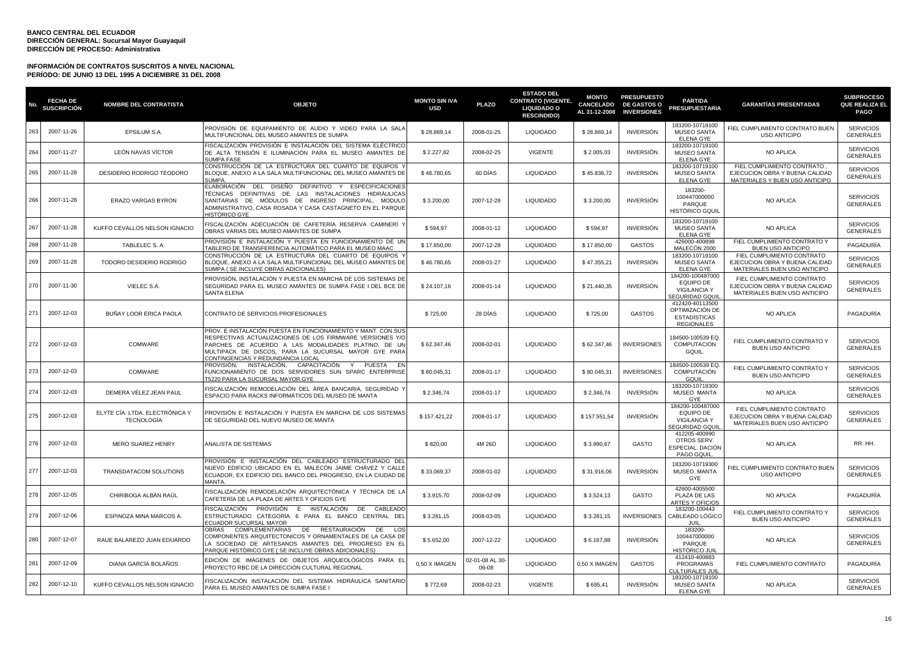| No. | <b>FECHA DE</b><br><b>SUSCRIPCIÓN</b> | <b>NOMBRE DEL CONTRATISTA</b>                       | <b>OBJETO</b>                                                                                                                                                                                                                                                                 | <b>MONTO SIN IVA</b><br><b>USD</b> | <b>PLAZO</b>             | <b>ESTADO DEL</b><br><b>CONTRATO (VIGENTE,</b><br><b>LIQUIDADO O</b><br><b>RESCINDIDO)</b> | <b>MONTO</b><br><b>CANCELADO</b><br>AL 31-12-2008 | <b>PRESUPUESTO</b><br><b>DE GASTOS O</b><br><b>INVERSIONES</b> | <b>PARTIDA</b><br><b>PRESUPUESTARIA</b>                                              | <b>GARANTÍAS PRESENTADAS</b>                                                                    | <b>SUBPROCESO</b><br><b>QUE REALIZA EL</b><br><b>PAGO</b> |
|-----|---------------------------------------|-----------------------------------------------------|-------------------------------------------------------------------------------------------------------------------------------------------------------------------------------------------------------------------------------------------------------------------------------|------------------------------------|--------------------------|--------------------------------------------------------------------------------------------|---------------------------------------------------|----------------------------------------------------------------|--------------------------------------------------------------------------------------|-------------------------------------------------------------------------------------------------|-----------------------------------------------------------|
| 263 | 2007-11-26                            | EPSILUM S.A.                                        | PROVISIÓN DE EQUIPAMIENTO DE AUDIO Y VIDEO PARA LA SALA<br>MULTIFUNCIONAL DEL MUSEO AMANTES DE SUMPA                                                                                                                                                                          | \$28.869,14                        | 2008-01-25               | <b>LIQUIDADO</b>                                                                           | \$28.869,14                                       | <b>INVERSIÓN</b>                                               | 183200-10719100<br><b>MUSEO SANTA</b><br><b>ELENA GYE</b>                            | FIEL CUMPLIMIENTO CONTRATO BUEN<br><b>USO ANTICIPO</b>                                          | <b>SERVICIOS</b><br><b>GENERALES</b>                      |
| 264 | 2007-11-27                            | LEÓN NAVAS VÍCTOR                                   | FISCALIZACIÓN PROVISIÓN E INSTALACIÓN DEL SISTEMA ELÉCTRICO<br>DE ALTA TENSIÓN E ILUMINACIÓN PARA EL MUSEO AMANTES DE<br><b>SUMPA FASE</b>                                                                                                                                    | \$2.227,82                         | 2008-02-25               | <b>VIGENTE</b>                                                                             | \$2.005,03                                        | <b>INVERSIÓN</b>                                               | 183200-10719100<br><b>MUSEO SANTA</b><br><b>ELENA GYE</b>                            | NO APLICA                                                                                       | <b>SERVICIOS</b><br><b>GENERALES</b>                      |
| 265 | 2007-11-28                            | DESIDERIO RODRIGO TEODORO                           | CONSTRUCCIÓN DE LA ESTRUCTURA DEL CUARTO DE EQUIPOS<br>BLOQUE, ANEXO A LA SALA MULTIFUNCIONAL DEL MUSEO AMANTES DE<br>SUMPA.                                                                                                                                                  | \$46.780,65                        | 60 DIAS                  | <b>LIQUIDADO</b>                                                                           | \$45.836,72                                       | INVERSIÓN                                                      | 183200-10719100<br><b>MUSEO SANTA</b><br><b>ELENA GYE</b>                            | FIEL CUMPLIMIENTO CONTRATO,<br>EJECUCION OBRA Y BUENA CALIDAD<br>MATERIALES Y BUEN USO ANTICIPO | <b>SERVICIOS</b><br><b>GENERALES</b>                      |
| 266 | 2007-11-28                            | ERAZO VARGAS BYRON                                  | ELABORACIÓN DEL DISEÑO DEFINITIVO Y ESPECIFICACIONES<br>TÉCNICAS DEFINITIVAS DE LAS INSTALACIONES HIDRÁULICAS<br>SANITARIAS DE MÓDULOS DE INGRESO PRINCIPAL, MODULO<br>ADMINISTRATIVO, CASA ROSADA Y CASA CASTAGNETO EN EL PARQUE<br>HISTÓRICO GYE                            | \$3.200,00                         | 2007-12-28               | <b>LIQUIDADO</b>                                                                           | \$3.200,00                                        | INVERSIÓN                                                      | 183200-<br>100447000000<br>PARQUE<br>HISTÓRICO GQUIL                                 | <b>NO APLICA</b>                                                                                | <b>SERVICIOS</b><br><b>GENERALES</b>                      |
| 267 | 2007-11-28                            | KUFFO CEVALLOS NELSON IGNACIO                       | FISCALIZACIÓN ADECUACIÓN DE CAFETERÍA RESERVA CAMINERÍ Y<br>OBRAS VARIAS DEL MUSEO AMANTES DE SUMPA                                                                                                                                                                           | \$594,97                           | 2008-01-12               | <b>LIQUIDADO</b>                                                                           | \$594,97                                          | <b>INVERSIÓN</b>                                               | 183200-10719100<br><b>MUSEO SANTA</b><br><b>ELENA GYE</b>                            | <b>NO APLICA</b>                                                                                | <b>SERVICIOS</b><br><b>GENERALES</b>                      |
| 268 | 2007-11-28                            | TABLELEC S. A.                                      | PROVISIÓN E INSTALACIÓN Y PUESTA EN FUNCIONAMIENTO DE UN<br>TABLERO DE TRANSFERENCIA AUTOMÁTICO PARA EL MUSEO MAAC                                                                                                                                                            | \$17.850,00                        | 2007-12-28               | <b>LIQUIDADO</b>                                                                           | \$17.850,00                                       | <b>GASTOS</b>                                                  | 426000-400898<br>MALECÓN 2000                                                        | FIEL CUMPLIMIENTO CONTRATO Y<br><b>BUEN USO ANTICIPO</b>                                        | PAGADURÍA                                                 |
| 269 | 2007-11-28                            | TODORO DESIDERIO RODRIGO                            | CONSTRUCCIÓN DE LA ESTRUCTURA DEL CUARTO DE EQUIPOS<br>BLOQUE, ANEXO A LA SALA MULTIFUNCIONAL DEL MUSEO AMANTES DE<br>SUMPA ( SE INCLUYE OBRAS ADICIONALES)                                                                                                                   | \$46.780,65                        | 2008-01-27               | <b>LIQUIDADO</b>                                                                           | \$47.355,21                                       | <b>INVERSIÓN</b>                                               | 183200-10719100<br><b>MUSEO SANTA</b><br><b>ELENA GYE</b>                            | FIEL CUMPLIMIENTO CONTRATO<br>EJECUCION OBRA Y BUENA CALIDAD<br>MATERIALES BUEN USO ANTICIPO    | <b>SERVICIOS</b><br><b>GENERALES</b>                      |
| 270 | 2007-11-30                            | VIELEC S.A.                                         | PROVISIÓN. INSTALACIÓN Y PUESTA EN MARCHA DE LOS SISTEMAS DE<br>SEGURIDAD PARA EL MUSEO AMANTES DE SUMPA FASE I DEL BCE DE<br><b>SANTA ELENA</b>                                                                                                                              | \$24.107,16                        | 2008-01-14               | <b>LIQUIDADO</b>                                                                           | \$21,440.35                                       | <b>INVERSIÓN</b>                                               | 184200-100487000<br>EQUIPO DE<br><b>VIGILANCIA Y</b><br><b>SEGURIDAD GQUI</b>        | FIEL CUMPLIMIENTO CONTRATO<br>EJECUCION OBRA Y BUENA CALIDAD<br>MATERIALES BUEN USO ANTICIPO    | <b>SERVICIOS</b><br><b>GENERALES</b>                      |
| 271 | 2007-12-03                            | BUÑAY LOOR ERICA PAOLA                              | CONTRATO DE SERVICIOS PROFESIONALES                                                                                                                                                                                                                                           | \$725,00                           | 28 DÍAS                  | <b>LIQUIDADO</b>                                                                           | \$725,00                                          | <b>GASTOS</b>                                                  | 412420-40113500<br>OPTIMIZACIÓN DE<br><b>ESTADISTICAS</b><br><b>REGIONALES</b>       | NO APLICA                                                                                       | PAGADURÍA                                                 |
| 272 | 2007-12-03                            | COMWARE                                             | PROV. E INSTALACIÓN PUESTA EN FUNCIONAMIENTO Y MANT. CON SU:<br>RESPECTIVAS ACTUALIZACIONES DE LOS FIRMWARE VERSIONES Y/O<br>PARCHES DE ACUERDO A LAS MODALIDADES PLATINO, DE UN<br>MULTIPACK DE DISCOS, PARA LA SUCURSAL MAYOR GYE PARA<br>CONTINGENCIAS Y REDUNDANCIA LOCAL | \$62.347,46                        | 2008-02-01               | <b>LIQUIDADO</b>                                                                           | \$62.347,46                                       | <b>INVERSIONES</b>                                             | 184500-100539 EQ.<br><b>COMPUTACIÓN</b><br>GQUIL.                                    | FIEL CUMPLIMIENTO CONTRATO Y<br><b>BUEN USO ANTICIPO</b>                                        | <b>SERVICIOS</b><br><b>GENERALES</b>                      |
| 273 | 2007-12-03                            | COMWARE                                             | PROVISIÓN.<br>INSTALACIÓN, CAPACITACIÓN Y PUESTA<br>- EN<br>FUNCIONAMIENTO DE DOS SERVIDORES SUN SPARC ENTERPRISE<br>T5220 PARA LA SUCURSAL MAYOR GYE                                                                                                                         | \$80.045,31                        | 2008-01-17               | <b>LIQUIDADO</b>                                                                           | \$80.045,31                                       | <b>INVERSIONES</b>                                             | 184500-100539 EQ.<br>COMPUTACIÓN<br>GQUIL                                            | FIEL CUMPLIMIENTO CONTRATO Y<br><b>BUEN USO ANTICIPO</b>                                        | <b>SERVICIOS</b><br><b>GENERALES</b>                      |
| 274 | 2007-12-03                            | DEMERA VÉLEZ JEAN PAUL                              | FISCALIZACIÓN REMODELACIÓN DEL ÁREA BANCARIA, SEGURIDAD Y<br>ESPACIO PARA RACKS INFORMÁTICOS DEL MUSEO DE MANTA                                                                                                                                                               | \$2.346,74                         | 2008-01-17               | <b>LIQUIDADO</b>                                                                           | \$2.346,74                                        | <b>INVERSIÓN</b>                                               | 183200-10719300<br>MUSEO MANTA<br>GYF                                                | NO APLICA                                                                                       | <b>SERVICIOS</b><br><b>GENERALES</b>                      |
| 275 | 2007-12-03                            | ELYTE CÍA. LTDA. ELECTRÓNICA Y<br><b>TECNOLOGÍA</b> | PROVISIÓN E INSTALACIÓN Y PUESTA EN MARCHA DE LOS SISTEMAS<br>DE SEGURIDAD DEL NUEVO MUSEO DE MANTA                                                                                                                                                                           | \$157.421,22                       | 2008-01-17               | <b>LIQUIDADO</b>                                                                           | \$157.551,54                                      | <b>INVERSIÓN</b>                                               | 184200-100487000<br><b>EQUIPO DE</b><br><b>VIGILANCIA Y</b><br><b>SEGURIDAD GQUI</b> | FIEL CUMPLIMIENTO CONTRATO<br>EJECUCION OBRA Y BUENA CALIDAD<br>MATERIALES BUEN USO ANTICIPO    | <b>SERVICIOS</b><br><b>GENERALES</b>                      |
| 276 | 2007-12-03                            | <b>MERO SUAREZ HENRY</b>                            | ANALISTA DE SISTEMAS                                                                                                                                                                                                                                                          | \$820,00                           | 4M 26D                   | <b>LIQUIDADO</b>                                                                           | \$3.990,67                                        | GASTO                                                          | 412205-400990<br>OTROS SERV.<br>ESPECIAL. DACIÓN<br>PAGO GQUIL                       | NO APLICA                                                                                       | RR. HH.                                                   |
| 277 | 2007-12-03                            | TRANSDATACOM SOLUTIONS                              | PROVISIÓN E INSTALACIÓN DEL CABLEADO ESTRUCTURADO DEL<br>NUEVO EDIFICIO UBICADO EN EL MALECÓN JAIME CHÁVEZ Y CALLE<br>ECUADOR, EX EDIFICIO DEL BANCO DEL PROGRESO, EN LA CIUDAD DE<br>MANTA.                                                                                  | \$33.069,37                        | 2008-01-02               | LIQUIDADO                                                                                  | \$31.916,06                                       | <b>INVERSIÓN</b>                                               | 183200-10719300<br>MUSEO MANTA<br>GYE                                                | FIEL CUMPLIMIENTO CONTRATO BUEN<br><b>USO ANTICIPO</b>                                          | <b>SERVICIOS</b><br><b>GENERALES</b>                      |
| 278 | 2007-12-05                            | CHIRIBOGA ALBÁN RAÚL                                | FISCALIZACIÓN REMODELACIÓN ARQUITECTÓNICA Y TÉCNICA DE LA<br>CAFETERÍA DE LA PLAZA DE ARTES Y OFICIOS GYE                                                                                                                                                                     | \$3.915,70                         | 2008-02-09               | <b>LIQUIDADO</b>                                                                           | \$3.524,13                                        | GASTO                                                          | 42600-4005500<br>PLAZA DE LAS<br><b>ARTES Y OFICIOS</b>                              | <b>NO APLICA</b>                                                                                | PAGADURÍA                                                 |
| 279 | 2007-12-06                            | ESPINOZA MINA MARCOS A.                             | FISCALIZACIÓN<br>PROVISIÓN E INSTALACIÓN DE<br>CABLEADC<br>ESTRUCTURADO CATEGORÍA 6 PARA EL BANCO CENTRAL DEL<br><b>ECUADOR SUCURSAL MAYOR</b>                                                                                                                                | \$3.281,15                         | 2008-03-05               | <b>LIQUIDADO</b>                                                                           | \$3.281,15                                        | <b>INVERSIONES</b>                                             | 183200-100443<br>CABLEADO LÓGICO<br>JUII.                                            | FIEL CUMPLIMIENTO CONTRATO Y<br><b>BUEN USO ANTICIPO</b>                                        | <b>SERVICIOS</b><br><b>GENERALES</b>                      |
| 280 | 2007-12-07                            | RAUE BALAREZO JUAN EDUARDO                          | COMPLEMENTARIAS<br>DE<br>RESTAURACIÓN<br>OBRAS<br>DE<br>LO <sub>5</sub><br>COMPONENTES ARQUITECTONICOS Y ORNAMENTALES DE LA CASA DE<br>LA SOCIEDAD DE ARTESANOS AMANTES DEL PROGRESO EN EL<br>PARQUE HISTÓRICO GYE (SE INCLUYE OBRAS ADICIONALES)                             | \$5.652,00                         | 2007-12-22               | <b>LIQUIDADO</b>                                                                           | \$6.167,88                                        | <b>INVERSIÓN</b>                                               | 183200-<br>100447000000<br>PARQUE<br>HISTÓRICO JUI                                   | NO APLICA                                                                                       | <b>SERVICIOS</b><br><b>GENERALES</b>                      |
| 281 | 2007-12-09                            | DIANA GARCÍA BOLAÑOS                                | EDICIÓN DE IMÁGENES DE OBJETOS ARQUEOLÓGICOS PARA EL<br>PROYECTO RBC DE LA DIRECCIÓN CULTURAL REGIONAL                                                                                                                                                                        | 0,50 X IMAGEN                      | 02-01-08 AL 30-<br>06-08 | <b>LIQUIDADO</b>                                                                           | 0,50 X IMAGEN                                     | <b>GASTOS</b>                                                  | 412410-400883<br>PROGRAMAS<br>CULTURALES JUII                                        | FIEL CUMPLIMIENTO CONTRATO                                                                      | PAGADURÍA                                                 |
| 282 | 2007-12-10                            | KUFFO CEVALLOS NELSON IGNACIO                       | FISCALIZACIÓN INSTALACIÓN DEL SISTEMA HIDRÁULICA SANITARIO<br>PARA EL MUSEO AMANTES DE SUMPA FASE I                                                                                                                                                                           | \$772,69                           | 2008-02-23               | <b>VIGENTE</b>                                                                             | \$695,41                                          | <b>INVERSIÓN</b>                                               | 183200-10719100<br><b>MUSEO SANTA</b><br><b>ELENA GYE</b>                            | NO APLICA                                                                                       | <b>SERVICIOS</b><br><b>GENERALES</b>                      |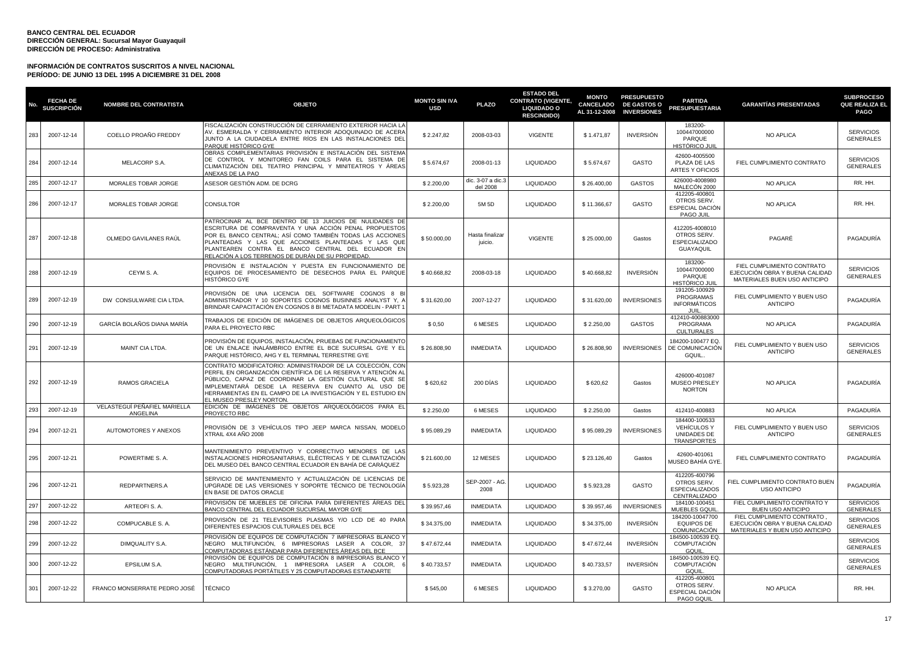| No. | <b>FECHA DE</b><br><b>SUSCRIPCIÓN</b> | <b>NOMBRE DEL CONTRATISTA</b>            | <b>OBJETO</b>                                                                                                                                                                                                                                                                                                                                 | <b>MONTO SIN IVA</b><br><b>USD</b> | <b>PLAZO</b>                  | <b>ESTADO DEL</b><br><b>CONTRATO (VIGENTE,</b><br><b>LIQUIDADO O</b><br><b>RESCINDIDO)</b> | <b>MONTO</b><br><b>CANCELADO</b><br>AL 31-12-2008 | <b>PRESUPUESTO</b><br><b>DE GASTOS O</b><br><b>INVERSIONES</b> | <b>PARTIDA</b><br><b>PRESUPUESTARIA</b>                                        | <b>GARANTÍAS PRESENTADAS</b>                                                                   | <b>SUBPROCESO</b><br><b>QUE REALIZA EL</b><br><b>PAGO</b> |
|-----|---------------------------------------|------------------------------------------|-----------------------------------------------------------------------------------------------------------------------------------------------------------------------------------------------------------------------------------------------------------------------------------------------------------------------------------------------|------------------------------------|-------------------------------|--------------------------------------------------------------------------------------------|---------------------------------------------------|----------------------------------------------------------------|--------------------------------------------------------------------------------|------------------------------------------------------------------------------------------------|-----------------------------------------------------------|
| 283 | 2007-12-14                            | COELLO PROAÑO FREDDY                     | FISCALIZACIÓN CONSTRUCCIÓN DE CERRAMIENTO EXTERIOR HACIA LA<br>AV. ESMERALDA Y CERRAMIENTO INTERIOR ADOQUINADO DE ACERA<br>JUNTO A LA CIUDADELA ENTRE RÍOS EN LAS INSTALACIONES DEL<br>PARQUE HISTÓRICO GYE                                                                                                                                   | \$2.247,82                         | 2008-03-03                    | <b>VIGENTE</b>                                                                             | \$1.471,87                                        | <b>INVERSIÓN</b>                                               | 183200-<br>100447000000<br>PARQUE<br><b>HISTÓRICO JUIL</b>                     | <b>NO APLICA</b>                                                                               | <b>SERVICIOS</b><br><b>GENERALES</b>                      |
| 284 | 2007-12-14                            | MELACORP S.A.                            | OBRAS COMPLEMENTARIAS PROVISIÓN E INSTALACIÓN DEL SISTEMA<br>DE CONTROL Y MONITOREO FAN COILS PARA EL SISTEMA DE<br>CLIMATIZACIÓN DEL TEATRO PRINCIPAL Y MINITEATROS Y ÁREAS<br>ANEXAS DE LA PAO                                                                                                                                              | \$5.674,67                         | 2008-01-13                    | <b>LIQUIDADO</b>                                                                           | \$5.674,67                                        | GASTO                                                          | 42600-4005500<br>PLAZA DE LAS<br><b>ARTES Y OFICIOS</b>                        | FIEL CUMPLIMIENTO CONTRATO                                                                     | <b>SERVICIOS</b><br><b>GENERALES</b>                      |
| 285 | 2007-12-17                            | MORALES TOBAR JORGE                      | ASESOR GESTIÓN ADM. DE DCRG                                                                                                                                                                                                                                                                                                                   | \$2.200,00                         | dic. 3-07 a dic.:<br>del 2008 | <b>LIQUIDADO</b>                                                                           | \$26.400,00                                       | <b>GASTOS</b>                                                  | 426000-4008980<br>MALECÓN 2000                                                 | <b>NO APLICA</b>                                                                               | RR. HH.                                                   |
| 286 | 2007-12-17                            | MORALES TOBAR JORGE                      | CONSULTOR                                                                                                                                                                                                                                                                                                                                     | \$2.200,00                         | 5M 5D                         | <b>LIQUIDADO</b>                                                                           | \$11.366,67                                       | GASTO                                                          | 412205-400801<br>OTROS SERV.<br>ESPECIAL DACIÓN<br>PAGO JUIL                   | NO APLICA                                                                                      | RR. HH.                                                   |
| 287 | 2007-12-18                            | OLMEDO GAVILANES RAÚL                    | PATROCINAR AL BCE DENTRO DE 13 JUICIOS DE NULIDADES DE<br>ESCRITURA DE COMPRAVENTA Y UNA ACCIÓN PENAL PROPUESTOS<br>POR EL BANCO CENTRAL; ASÍ COMO TAMBIÉN TODAS LAS ACCIONES<br>PLANTEADAS Y LAS QUE ACCIONES PLANTEADAS Y LAS QUE<br>PLANTEAREN CONTRA EL BANCO CENTRAL DEL ECUADOR EN<br>RELACIÓN A LOS TERRENOS DE DURÁN DE SU PROPIEDAD. | \$50.000,00                        | Hasta finalizar<br>juicio.    | <b>VIGENTE</b>                                                                             | \$25.000,00                                       | Gastos                                                         | 412205-4008010<br>OTROS SERV.<br><b>ESPECIALIZADO</b><br>GUAYAQUIL             | PAGARÉ                                                                                         | PAGADURÍA                                                 |
| 288 | 2007-12-19                            | CEYM S.A.                                | PROVISIÓN E INSTALACIÓN Y PUESTA EN FUNCIONAMIENTO DE<br>EQUIPOS DE PROCESAMIENTO DE DESECHOS PARA EL PARQUE<br>HISTÓRICO GYE                                                                                                                                                                                                                 | \$40.668,82                        | 2008-03-18                    | LIQUIDADO                                                                                  | \$40.668,82                                       | <b>INVERSIÓN</b>                                               | 183200-<br>100447000000<br>PARQUE<br>HISTÓRICO JU                              | FIEL CUMPLIMIENTO CONTRATO<br>EJECUCION OBRA Y BUENA CALIDAD<br>MATERIALES BUEN USO ANTICIPO   | <b>SERVICIOS</b><br>GENERALES                             |
| 289 | 2007-12-19                            | DW CONSULWARE CIA LTDA.                  | PROVISIÓN DE UNA LICENCIA DEL SOFTWARE COGNOS 8 BI<br>ADMINISTRADOR Y 10 SOPORTES COGNOS BUSINNES ANALYST Y, A<br>BRINDAR CAPACITACIÓN EN COGNOS 8 BI METADATA MODELIN - PART 1                                                                                                                                                               | \$31.620,00                        | 2007-12-27                    | <b>LIQUIDADO</b>                                                                           | \$31.620,00                                       | <b>INVERSIONES</b>                                             | 191205-100929<br>PROGRAMAS<br><b>INFORMÁTICOS</b><br>$\mathbf{H}$ $\mathbf{H}$ | FIEL CUMPLIMIENTO Y BUEN USO<br><b>ANTICIPO</b>                                                | PAGADURÍA                                                 |
| 290 | 2007-12-19                            | GARCÍA BOLAÑOS DIANA MARÍA               | TRABAJOS DE EDICIÓN DE IMÁGENES DE OBJETOS ARQUEOLÓGICOS<br>PARA EL PROYECTO RBC                                                                                                                                                                                                                                                              | \$0,50                             | 6 MESES                       | <b>LIQUIDADO</b>                                                                           | \$2.250,00                                        | <b>GASTOS</b>                                                  | 412410-400883000<br>PROGRAMA<br><b>CULTURALES</b>                              | NO APLICA                                                                                      | PAGADURÍA                                                 |
| 291 | 2007-12-19                            | MAINT CIA LTDA.                          | PROVISIÓN DE EQUIPOS, INSTALACIÓN, PRUEBAS DE FUNCIONAMIENTC<br>DE UN ENLACE INALAMBRICO ENTRE EL BCE SUCURSAL GYE Y EL<br>PARQUE HISTÓRICO, AHG Y EL TERMINAL TERRESTRE GYE                                                                                                                                                                  | \$26.808,90                        | <b>INMEDIATA</b>              | <b>LIQUIDADO</b>                                                                           | \$26.808,90                                       | <b>INVERSIONES</b>                                             | 184200-100477 EQ.<br>DE COMUNICACIÓN<br>GQUIL.                                 | FIEL CUMPLIMIENTO Y BUEN USO<br><b>ANTICIPO</b>                                                | <b>SERVICIOS</b><br><b>GENERALES</b>                      |
| 292 | 2007-12-19                            | RAMOS GRACIELA                           | CONTRATO MODIFICATORIO: ADMINISTRADOR DE LA COLECCIÓN, CON<br>PERFIL EN ORGANIZACIÓN CIENTÍFICA DE LA RESERVA Y ATENCIÓN AL<br>PÚBLICO, CAPAZ DE COORDINAR LA GESTIÓN CULTURAL QUE SE<br>IMPLEMENTARÀ DESDE LA RESERVA EN CUANTO AL USO DE<br>HERRAMIENTAS EN EL CAMPO DE LA INVESTIGACIÓN Y EL ESTUDIO EN<br>EL MUSEO PRESLEY NORTON         | \$620,62                           | 200 DIAS                      | <b>LIQUIDADO</b>                                                                           | \$620,62                                          | Gastos                                                         | 426000-401087<br><b>MUSEO PRESLEY</b><br><b>NORTON</b>                         | <b>NO APLICA</b>                                                                               | PAGADURÍA                                                 |
| 293 | 2007-12-19                            | VELASTEGUİ PEÑAFIEL MARIELLA<br>ANGELINA | EDICIÓN DE IMÁGENES DE OBJETOS ARQUEOLÓGICOS PARA EL<br>PROYECTO RBC                                                                                                                                                                                                                                                                          | \$2.250,00                         | 6 MESES                       | <b>LIQUIDADO</b>                                                                           | \$2.250,00                                        | Gastos                                                         | 412410-400883                                                                  | NO APLICA                                                                                      | PAGADURÍA                                                 |
| 294 | 2007-12-21                            | AUTOMOTORES Y ANEXOS                     | PROVISIÓN DE 3 VEHÍCULOS TIPO JEEP MARCA NISSAN, MODELO<br>XTRAIL 4X4 AÑO 2008                                                                                                                                                                                                                                                                | \$95.089,29                        | <b>INMEDIATA</b>              | LIQUIDADO                                                                                  | \$95.089,29                                       | <b>INVERSIONES</b>                                             | 184400-100533<br><b>VEHÍCULOS Y</b><br>UNIDADES DE<br><b>TRANSPORTES</b>       | FIEL CUMPLIMIENTO Y BUEN USO<br><b>ANTICIPO</b>                                                | <b>SERVICIOS</b><br>GENERALES                             |
| 295 | 2007-12-21                            | POWERTIME S.A.                           | MANTENIMIENTO PREVENTIVO Y CORRECTIVO MENORES DE LAS<br>INSTALACIONES HIDROSANITARIAS, ELÉCTRICAS Y DE CLIMATIZACIÓN<br>DEL MUSEO DEL BANCO CENTRAL ECUADOR EN BAHÍA DE CARÁQUEZ                                                                                                                                                              | \$21.600,00                        | 12 MESES                      | <b>LIQUIDADO</b>                                                                           | \$23.126,40                                       | Gastos                                                         | 42600-401061<br>MUSEO BAHÍA GYE                                                | FIEL CUMPLIMIENTO CONTRATO                                                                     | PAGADURÍA                                                 |
| 296 | 2007-12-21                            | REDPARTNERS.A                            | SERVICIO DE MANTENIMIENTO Y ACTUALIZACIÓN DE LICENCIAS DE<br>UPGRADE DE LAS VERSIONES Y SOPORTE TÉCNICO DE TECNOLOGÍA<br>EN BASE DE DATOS ORACLE                                                                                                                                                                                              | \$5.923,28                         | SEP-2007 - AG<br>2008         | <b>LIQUIDADO</b>                                                                           | \$5.923,28                                        | GASTO                                                          | 412205-400796<br>OTROS SERV.<br><b>ESPECIALIZADOS</b><br>CENTRALIZADO          | FIEL CUMPLIMIENTO CONTRATO BUEN<br><b>USO ANTICIPO</b>                                         | PAGADURÍA                                                 |
| 297 | 2007-12-22                            | ARTEOFI S. A.                            | PROVISIÓN DE MUEBLES DE OFICINA PARA DIFERENTES ÁREAS DEL<br>BANCO CENTRAL DEL ECUADOR SUCURSAL MAYOR GYE                                                                                                                                                                                                                                     | \$39.957,46                        | <b>INMEDIATA</b>              | <b>LIQUIDADO</b>                                                                           | \$39.957,46                                       | <b>INVERSIONES</b>                                             | 184100-100451<br>MUEBLES GQUIL                                                 | FIEL CUMPLIMIENTO CONTRATO Y<br>BUEN USO ANTICIPO                                              | <b>SERVICIOS</b><br><b>GENERALES</b>                      |
| 298 | 2007-12-22                            | COMPUCABLE S. A.                         | PROVISIÓN DE 21 TELEVISORES PLASMAS Y/O LCD DE 40 PARA<br>DIFERENTES ESPACIOS CULTURALES DEL BCE                                                                                                                                                                                                                                              | \$34.375,00                        | <b>INMEDIATA</b>              | <b>LIQUIDADO</b>                                                                           | \$34.375,00                                       | <b>INVERSIÓN</b>                                               | 184200-10047700<br><b>EQUIPOS DE</b><br>COMUNICACIÓN                           | FIEL CUMPLIMIENTO CONTRATO<br>EJECUCIÓN OBRA Y BUENA CALIDAD<br>MATERIALES Y BUEN USO ANTICIPO | <b>SERVICIOS</b><br><b>GENERALES</b>                      |
| 299 | 2007-12-22                            | DIMQUALITY S.A.                          | PROVISIÓN DE EQUIPOS DE COMPUTACIÓN 7 IMPRESORAS BLANCO<br>NEGRO MULTIFUNCIÓN, 6 IMPRESORAS LASER A COLOR, 37<br><u>COMPUTADORAS ESTÁNDAR PARA DIFERENTES ÁREAS DEL BCE</u>                                                                                                                                                                   | \$47.672,44                        | <b>INMEDIATA</b>              | LIQUIDADO                                                                                  | \$47.672,44                                       | <b>INVERSIÓN</b>                                               | 184500-100539 EQ<br>COMPUTACIÓN<br>GQUIL                                       |                                                                                                | <b>SERVICIOS</b><br><b>GENERALES</b>                      |
| 300 | 2007-12-22                            | EPSILUM S.A.                             | PROVISIÓN DE EQUIPOS DE COMPUTACIÓN 8 IMPRESORAS BLANCO<br>NEGRO MULTIFUNCIÓN, 1 IMPRESORA LASER A COLOR,<br>COMPUTADORAS PORTÁTILES Y 25 COMPUTADORAS ESTANDARTE                                                                                                                                                                             | \$40.733,57                        | <b>INMEDIATA</b>              | <b>LIQUIDADO</b>                                                                           | \$40.733,57                                       | <b>INVERSIÓN</b>                                               | 184500-100539 EQ<br>COMPUTACIÓN<br>GQUII                                       |                                                                                                | <b>SERVICIOS</b><br><b>GENERALES</b>                      |
| 301 | 2007-12-22                            | FRANCO MONSERRATE PEDRO JOSÉ             | TÉCNICO                                                                                                                                                                                                                                                                                                                                       | \$545,00                           | 6 MESES                       | <b>LIQUIDADO</b>                                                                           | \$3.270,00                                        | GASTO                                                          | 412205-400801<br>OTROS SERV.<br>ESPECIAL DACIÓN<br>PAGO GQUIL                  | NO APLICA                                                                                      | RR. HH.                                                   |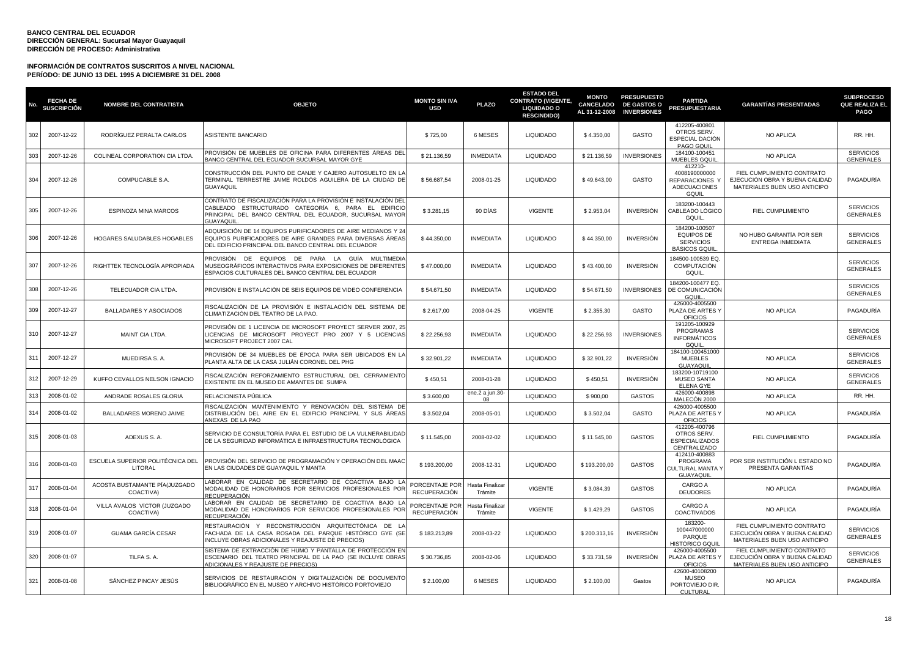| No. | <b>FECHA DE</b><br><b>SUSCRIPCIÓN</b> | <b>NOMBRE DEL CONTRATISTA</b>               | <b>OBJETO</b>                                                                                                                                                                                       | <b>MONTO SIN IVA</b><br>USD           | <b>PLAZO</b>               | <b>ESTADO DEL</b><br><b>CONTRATO (VIGENTE,</b><br><b>LIQUIDADO O</b><br><b>RESCINDIDO)</b> | <b>MONTO</b><br><b>CANCELADO</b><br>AL 31-12-2008 | <b>PRESUPUESTO</b><br><b>DE GASTOS O</b><br><b>INVERSIONES</b> | <b>PARTIDA</b><br>PRESUPUESTARIA                                        | <b>GARANTÍAS PRESENTADAS</b>                                                                 | <b>SUBPROCESO</b><br>QUE REALIZA EL<br><b>PAGO</b> |
|-----|---------------------------------------|---------------------------------------------|-----------------------------------------------------------------------------------------------------------------------------------------------------------------------------------------------------|---------------------------------------|----------------------------|--------------------------------------------------------------------------------------------|---------------------------------------------------|----------------------------------------------------------------|-------------------------------------------------------------------------|----------------------------------------------------------------------------------------------|----------------------------------------------------|
| 302 | 2007-12-22                            | RODRÍGUEZ PERALTA CARLOS                    | ASISTENTE BANCARIO                                                                                                                                                                                  | \$725,00                              | 6 MESES                    | <b>LIQUIDADO</b>                                                                           | \$4.350,00                                        | GASTO                                                          | 412205-400801<br>OTROS SERV.<br>ESPECIAL DACIÓN<br>PAGO GQUIL           | <b>NO APLICA</b>                                                                             | RR. HH.                                            |
| 303 | 2007-12-26                            | COLINEAL CORPORATION CIA LTDA.              | PROVISIÓN DE MUEBLES DE OFICINA PARA DIFERENTES ÁREAS DEL<br>BANCO CENTRAL DEL ECUADOR SUCURSAL MAYOR GYE                                                                                           | \$21.136,59                           | <b>INMEDIATA</b>           | <b>LIQUIDADO</b>                                                                           | \$21.136,59                                       | <b>INVERSIONES</b>                                             | 184100-100451<br>MUEBLES GOUIL                                          | NO APLICA                                                                                    | <b>SERVICIOS</b><br><b>GENERALES</b>               |
| 304 | 2007-12-26                            | COMPUCABLE S.A.                             | CONSTRUCCIÓN DEL PUNTO DE CANJE Y CAJERO AUTOSUELTO EN LA<br>TERMINAL TERRESTRE JAIME ROLDÓS AGUILERA DE LA CIUDAD DE<br><b>GUAYAQUIL</b>                                                           | \$56.687,54                           | 2008-01-25                 | <b>LIQUIDADO</b>                                                                           | \$49,643.00                                       | GASTO                                                          | 412210-<br>4008190000000<br>REPARACIONES<br><b>ADECUACIONES</b><br>GOUI | FIEL CUMPLIMIENTO CONTRATO<br>EJECUCIÓN OBRA Y BUENA CALIDAD<br>MATERIALES BUEN USO ANTICIPO | PAGADURÍA                                          |
| 305 | 2007-12-26                            | <b>ESPINOZA MINA MARCOS</b>                 | CONTRATO DE FISCALIZACIÓN PARA LA PROVISIÓN E INSTALACIÓN DEL<br>CABLEADO ESTRUCTURADO CATEGORÍA 6, PARA EL EDIFICIO<br>PRINCIPAL DEL BANCO CENTRAL DEL ECUADOR, SUCURSAL MAYOR<br><b>GUAYAQUIL</b> | \$3.281,15                            | 90 DÍAS                    | <b>VIGENTE</b>                                                                             | \$2.953,04                                        | <b>INVERSIÓN</b>                                               | 183200-100443<br>CABLEADO LÓGICO<br>GQUIL                               | FIEL CUMPLIMIENTO                                                                            | <b>SERVICIOS</b><br><b>GENERALES</b>               |
| 306 | 2007-12-26                            | HOGARES SALUDABLES HOGABLES                 | ADQUISICIÓN DE 14 EQUIPOS PURIFICADORES DE AIRE MEDIANOS Y 24<br>EQUIPOS PURIFICADORES DE AIRE GRANDES PARA DIVERSAS ÁREAS<br>DEL EDIFICIO PRINCIPAL DEL BANCO CENTRAL DEL ECUADOR                  | \$44.350,00                           | <b>INMEDIATA</b>           | <b>LIQUIDADO</b>                                                                           | \$44.350,00                                       | <b>INVERSIÓN</b>                                               | 184200-100507<br><b>EQUIPOS DE</b><br><b>SERVICIOS</b><br>BÁSICOS GQUI  | NO HUBO GARANTÍA POR SER<br><b>ENTREGA INMEDIATA</b>                                         | <b>SERVICIOS</b><br><b>GENERALES</b>               |
| 307 | 2007-12-26                            | RIGHTTEK TECNOLOGÍA APROPIADA               | PROVISIÓN DE EQUIPOS DE PARA LA GUÍA MULTIMEDIA<br>MUSEOGRÁFICOS INTERACTIVOS PARA EXPOSICIONES DE DIFERENTES<br>ESPACIOS CULTURALES DEL BANCO CENTRAL DEL ECUADOR                                  | \$47.000,00                           | <b>INMEDIATA</b>           | <b>LIQUIDADO</b>                                                                           | \$43.400,00                                       | <b>INVERSIÓN</b>                                               | 184500-100539 EQ.<br>COMPUTACIÓN<br>GQUIL                               |                                                                                              | <b>SERVICIOS</b><br><b>GENERALES</b>               |
| 308 | 2007-12-26                            | TELECUADOR CIA LTDA.                        | PROVISIÓN E INSTALACIÓN DE SEIS EQUIPOS DE VIDEO CONFERENCIA                                                                                                                                        | \$54.671,50                           | <b>INMEDIATA</b>           | <b>LIQUIDADO</b>                                                                           | \$54.671,50                                       | <b>INVERSIONES</b>                                             | 184200-100477 EQ.<br>DE COMUNICACIÓN<br>GQUIL                           |                                                                                              | <b>SERVICIOS</b><br><b>GENERALES</b>               |
| 309 | 2007-12-27                            | <b>BALLADARES Y ASOCIADOS</b>               | FISCALIZACIÓN DE LA PROVISIÓN E INSTALACIÓN DEL SISTEMA DE<br>CLIMATIZACIÓN DEL TEATRO DE LA PAO.                                                                                                   | \$2.617,00                            | 2008-04-25                 | <b>VIGENTE</b>                                                                             | \$2.355,30                                        | GASTO                                                          | 426000-4005500<br>PLAZA DE ARTES'<br><b>OFICIOS</b>                     | NO APLICA                                                                                    | PAGADURÍA                                          |
| 310 | 2007-12-27                            | MAINT CIA LTDA.                             | PROVISIÓN DE 1 LICENCIA DE MICROSOFT PROYECT SERVER 2007, 25<br>LICENCIAS DE MICROSOFT PROYECT PRO 2007 Y 5 LICENCIAS<br>MICROSOFT PROJECT 2007 CAL                                                 | \$22.256,93                           | <b>INMEDIATA</b>           | <b>LIQUIDADO</b>                                                                           | \$22.256,93                                       | <b>INVERSIONES</b>                                             | 191205-100929<br>PROGRAMAS<br><b>INFORMÁTICOS</b><br>GQUII              |                                                                                              | <b>SERVICIOS</b><br><b>GENERALES</b>               |
| 311 | 2007-12-27                            | MUEDIRSA S. A.                              | PROVISIÓN DE 34 MUEBLES DE ÉPOCA PARA SER UBICADOS EN L <i>I</i><br>PLANTA ALTA DE LA CASA JULIÁN CORONEL DEL PHG                                                                                   | \$32.901,22                           | <b>INMEDIATA</b>           | <b>LIQUIDADO</b>                                                                           | \$32.901,22                                       | <b>INVERSIÓN</b>                                               | 184100-100451000<br><b>MUEBLES</b><br>GUAYAQU                           | NO APLICA                                                                                    | <b>SERVICIOS</b><br><b>GENERALES</b>               |
| 312 | 2007-12-29                            | KUFFO CEVALLOS NELSON IGNACIO               | FISCALIZACIÓN REFORZAMIENTO ESTRUCTURAL DEL CERRAMIENTO<br>EXISTENTE EN EL MUSEO DE AMANTES DE SUMPA                                                                                                | \$450,51                              | 2008-01-28                 | <b>LIQUIDADO</b>                                                                           | \$450,51                                          | <b>INVERSIÓN</b>                                               | 183200-10719100<br><b>MUSEO SANTA</b><br><b>ELENA GYE</b>               | NO APLICA                                                                                    | <b>SERVICIOS</b><br><b>GENERALES</b>               |
| 313 | 2008-01-02                            | ANDRADE ROSALES GLORIA                      | RELACIONISTA PÚBLICA                                                                                                                                                                                | \$3.600,00                            | ene.2 a jun.30-            | LIQUIDADO                                                                                  | \$900,00                                          | <b>GASTOS</b>                                                  | 426000-400898<br>MALECÓN 2000                                           | NO APLICA                                                                                    | RR. HH.                                            |
| 314 | 2008-01-02                            | BALLADARES MORENO JAIME                     | FISCALIZACIÓN MANTENIMIENTO Y RENOVACIÓN DEL SISTEMA DE<br>DISTRIBUCIÓN DEL AIRE EN EL EDIFICIO PRINCIPAL Y SUS ÁREAS<br>ANEXAS DE LA PAO                                                           | \$3.502,04                            | 2008-05-01                 | <b>LIQUIDADO</b>                                                                           | \$3.502,04                                        | GASTO                                                          | 426000-4005500<br>PLAZA DE ARTES'<br><b>OFICIOS</b>                     | NO APLICA                                                                                    | PAGADURÍA                                          |
| 315 | 2008-01-03                            | ADEXUS S. A.                                | SERVICIO DE CONSULTORÍA PARA EL ESTUDIO DE LA VULNERABILIDAD<br>DE LA SEGURIDAD INFORMÁTICA E INFRAESTRUCTURA TECNOLÓGICA                                                                           | \$11.545,00                           | 2008-02-02                 | <b>LIQUIDADO</b>                                                                           | \$11.545,00                                       | <b>GASTOS</b>                                                  | 412205-400796<br>OTROS SERV.<br><b>ESPECIALIZADOS</b><br>CENTRALIZADO   | <b>FIEL CUMPLIMIENTO</b>                                                                     | PAGADURÍA                                          |
| 316 | 2008-01-03                            | ESCUELA SUPERIOR POLITÉCNICA DEL<br>LITORAL | PROVISIÓN DEL SERVICIO DE PROGRAMACIÓN Y OPERACIÓN DEL MAAC<br>EN LAS CIUDADES DE GUAYAQUIL Y MANTA                                                                                                 | \$193.200,00                          | 2008-12-31                 | <b>LIQUIDADO</b>                                                                           | \$193.200,00                                      | <b>GASTOS</b>                                                  | 412410-400883<br>PROGRAMA<br>CULTURAL MANTA '<br>GUAYAQUIL              | POR SER INSTITUCIÓN L ESTADO NO<br>PRESENTA GARANTÍAS                                        | PAGADURÍA                                          |
| 317 | 2008-01-04                            | ACOSTA BUSTAMANTE PİA(JUZGADO<br>COACTIVA)  | LABORAR EN CALIDAD DE SECRETARIO DE COACTIVA BAJO LA<br>MODALIDAD DE HONORARIOS POR SERVICIOS PROFESIONALES POR<br>RECUPERACIÓN                                                                     | PORCENTAJE POR<br><b>RECUPERACIÓN</b> | Hasta Finalizar<br>Trámite | <b>VIGENTE</b>                                                                             | \$3.084,39                                        | <b>GASTOS</b>                                                  | CARGO A<br><b>DEUDORES</b>                                              | NO APLICA                                                                                    | PAGADURÍA                                          |
| 318 | 2008-01-04                            | VILLA ÁVALOS VÍCTOR (JUZGADO<br>COACTIVA)   | LABORAR EN CALIDAD DE SECRETARIO DE COACTIVA BAJO L<br>MODALIDAD DE HONORARIOS POR SERVICIOS PROFESIONALES POR<br>RECUPERACIÓN                                                                      | PORCENTAJE POR<br><b>RECUPERACIÓN</b> | Hasta Finalizar<br>Trámite | <b>VIGENTE</b>                                                                             | \$1.429,29                                        | <b>GASTOS</b>                                                  | CARGO A<br><b>COACTIVADOS</b>                                           | NO APLICA                                                                                    | PAGADURÍA                                          |
| 319 | 2008-01-07                            | <b>GUAMA GARCÍA CESAR</b>                   | RESTAURACIÓN Y RECONSTRUCCIÓN ARQUITECTÓNICA DE<br>FACHADA DE LA CASA ROSADA DEL PARQUE HISTÓRICO GYE (SE<br>INCLUYE OBRAS ADICIONALES Y REAJUSTE DE PRECIOS)                                       | \$183.213,89                          | 2008-03-22                 | LIQUIDADO                                                                                  | \$200.313,16                                      | <b>INVERSIÓN</b>                                               | 183200-<br>100447000000<br>PARQUE<br><b>HISTÓRICO GQU</b>               | FIEL CUMPLIMIENTO CONTRATO<br>EJECUCIÓN OBRA Y BUENA CALIDAD<br>MATERIALES BUEN USO ANTICIPO | <b>SERVICIOS</b><br><b>GENERALES</b>               |
| 320 | 2008-01-07                            | TILFA S.A.                                  | SISTEMA DE EXTRACCIÓN DE HUMO Y PANTALLA DE PROTECCIÓN EN<br>ESCENARIO DEL TEATRO PRINCIPAL DE LA PAO (SE INCLUYE OBRAS<br>ADICIONALES Y REAJUSTE DE PRECIOS)                                       | \$30,736.85                           | 2008-02-06                 | <b>LIQUIDADO</b>                                                                           | \$33,731.59                                       | <b>INVERSIÓN</b>                                               | 426000-4005500<br>PLAZA DE ARTES '<br><b>OFICIOS</b>                    | FIEL CUMPLIMIENTO CONTRATO<br>EJECUCIÓN OBRA Y BUENA CALIDAD<br>MATERIALES BUEN USO ANTICIPO | <b>SERVICIOS</b><br><b>GENERALES</b>               |
| 321 | 2008-01-08                            | SÁNCHEZ PINCAY JESÚS                        | SERVICIOS DE RESTAURACIÓN Y DIGITALIZACIÓN DE DOCUMENTO<br>BIBLIOGRÁFICO EN EL MUSEO Y ARCHIVO HISTÓRICO PORTOVIEJO                                                                                 | \$2.100,00                            | 6 MESES                    | <b>LIQUIDADO</b>                                                                           | \$2.100,00                                        | Gastos                                                         | 42600-40108200<br><b>MUSEO</b><br>PORTOVIEJO DIR.<br><b>CULTURAL</b>    | NO APLICA                                                                                    | PAGADURÍA                                          |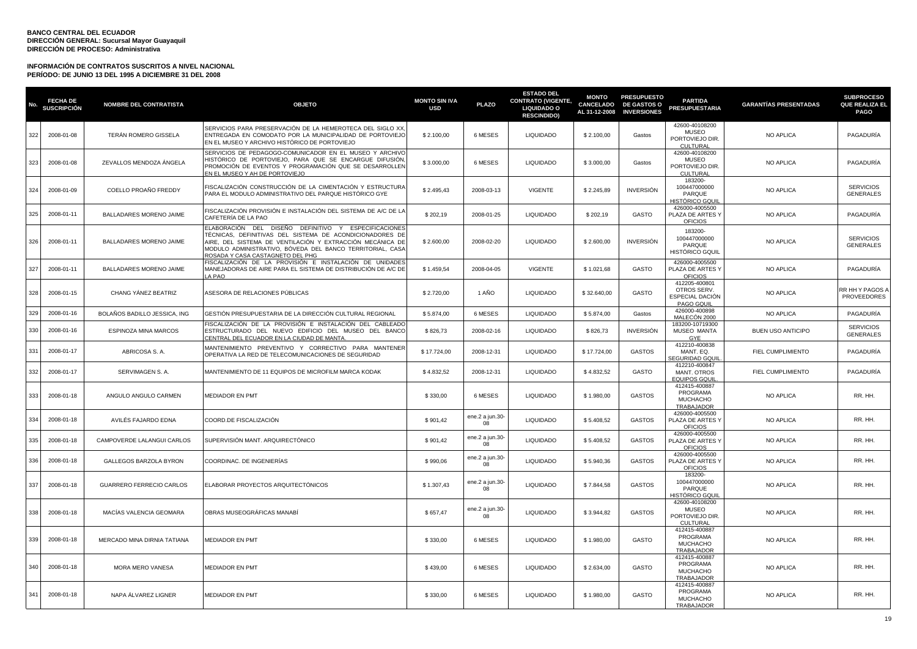| No. | <b>FECHA DE</b><br><b>SUSCRIPCIÓN</b> | <b>NOMBRE DEL CONTRATISTA</b>   | <b>OBJETO</b>                                                                                                                                                                                                                                                                  | <b>MONTO SIN IVA</b><br><b>USD</b> | <b>PLAZO</b>          | <b>ESTADO DEL</b><br><b>CONTRATO (VIGENTE,</b><br><b>LIQUIDADO O</b><br><b>RESCINDIDO)</b> | <b>MONTO</b><br>CANCELADO<br>AL 31-12-2008 | <b>PRESUPUESTO</b><br><b>DE GASTOS O</b><br><b>INVERSIONES</b> | <b>PARTIDA</b><br><b>PRESUPUESTARIA</b>                              | <b>GARANTÍAS PRESENTADAS</b> | <b>SUBPROCESO</b><br><b>QUE REALIZA EL</b><br><b>PAGO</b> |
|-----|---------------------------------------|---------------------------------|--------------------------------------------------------------------------------------------------------------------------------------------------------------------------------------------------------------------------------------------------------------------------------|------------------------------------|-----------------------|--------------------------------------------------------------------------------------------|--------------------------------------------|----------------------------------------------------------------|----------------------------------------------------------------------|------------------------------|-----------------------------------------------------------|
| 322 | 2008-01-08                            | TERÁN ROMERO GISSELA            | SERVICIOS PARA PRESERVACIÓN DE LA HEMEROTECA DEL SIGLO XX<br>ENTREGADA EN COMODATO POR LA MUNICIPALIDAD DE PORTOVIEJO<br>EN EL MUSEO Y ARCHIVO HISTÓRICO DE PORTOVIEJO                                                                                                         | \$2.100,00                         | 6 MESES               | <b>LIQUIDADO</b>                                                                           | \$2.100,00                                 | Gastos                                                         | 42600-40108200<br><b>MUSEO</b><br>PORTOVIEJO DIR.<br>CULTURAL        | <b>NO APLICA</b>             | PAGADURÍA                                                 |
| 323 | 2008-01-08                            | ZEVALLOS MENDOZA ÁNGELA         | SERVICIOS DE PEDAGOGO-COMUNICADOR EN EL MUSEO Y ARCHIVO<br>HISTÓRICO DE PORTOVIEJO, PARA QUE SE ENCARGUE DIFUSIÓN,<br>PROMOCIÓN DE EVENTOS Y PROGRAMACIÓN QUE SE DESARROLLEN<br>EN EL MUSEO Y AH DE PORTOVIEJO                                                                 | \$3.000,00                         | 6 MESES               | <b>LIQUIDADO</b>                                                                           | \$3.000,00                                 | Gastos                                                         | 42600-40108200<br><b>MUSEO</b><br>PORTOVIEJO DIR.<br><b>CULTURAL</b> | NO APLICA                    | PAGADURÍA                                                 |
| 324 | 2008-01-09                            | COELLO PROAÑO FREDDY            | FISCALIZACIÓN CONSTRUCCIÓN DE LA CIMENTACIÓN Y ESTRUCTURA<br>PARA EL MODULO ADMINISTRATIVO DEL PARQUE HISTÓRICO GYE                                                                                                                                                            | \$2.495.43                         | 2008-03-13            | <b>VIGENTE</b>                                                                             | \$2.245.89                                 | <b>INVERSIÓN</b>                                               | 183200-<br>100447000000<br>PARQUE<br>HISTÓRICO GQUI                  | <b>NO APLICA</b>             | <b>SERVICIOS</b><br><b>GENERALES</b>                      |
| 325 | 2008-01-11                            | BALLADARES MORENO JAIME         | FISCALIZACIÓN PROVISIÓN E INSTALACIÓN DEL SISTEMA DE A/C DE LA<br>CAFETERÍA DE LA PAO                                                                                                                                                                                          | \$202,19                           | 2008-01-25            | <b>LIQUIDADO</b>                                                                           | \$202,19                                   | GASTO                                                          | 426000-4005500<br>PLAZA DE ARTES Y<br><b>OFICIOS</b>                 | NO APLICA                    | PAGADURÍA                                                 |
| 326 | 2008-01-11                            | BALLADARES MORENO JAIME         | ELABORACIÓN DEL DISEÑO DEFINITIVO Y ESPECIFICACIONES<br>TÉCNICAS, DEFINITIVAS DEL SISTEMA DE ACONDICIONADORES DE<br>AIRE, DEL SISTEMA DE VENTILACIÓN Y EXTRACCIÓN MECÁNICA DE<br>MODULO ADMINISTRATIVO, BÓVEDA DEL BANCO TERRITORIAL, CASA<br>ROSADA Y CASA CASTAGNETO DEL PHG | \$2.600,00                         | 2008-02-20            | <b>LIQUIDADO</b>                                                                           | \$2.600,00                                 | <b>INVERSIÓN</b>                                               | 183200-<br>100447000000<br>PARQUE<br><b>HISTÓRICO GQUIL</b>          | <b>NO APLICA</b>             | <b>SERVICIOS</b><br><b>GENERALES</b>                      |
| 327 | 2008-01-11                            | BALLADARES MORENO JAIME         | FISCALIZACIÓN DE LA PROVISIÓN E INSTALACIÓN DE UNIDADES<br>MANEJADORAS DE AIRE PARA EL SISTEMA DE DISTRIBUCIÓN DE A/C DE<br>A PAO                                                                                                                                              | \$1.459,54                         | 2008-04-05            | <b>VIGENTE</b>                                                                             | \$1.021,68                                 | GASTO                                                          | 426000-4005500<br>PLAZA DE ARTES Y<br><b>OFICIOS</b>                 | <b>NO APLICA</b>             | PAGADURÍA                                                 |
| 328 | 2008-01-15                            | CHANG YÁNEZ BEATRIZ             | ASESORA DE RELACIONES PÚBLICAS                                                                                                                                                                                                                                                 | \$2.720,00                         | 1 AÑO                 | <b>LIQUIDADO</b>                                                                           | \$32.640,00                                | GASTO                                                          | 412205-400801<br>OTROS SERV.<br>ESPECIAL DACIÓN<br>PAGO GQUIL        | NO APLICA                    | RR HH Y PAGOS /<br><b>PROVEEDORES</b>                     |
| 329 | 2008-01-16                            | BOLAÑOS BADILLO JESSICA, ING    | GESTIÓN PRESUPUESTARIA DE LA DIRECCIÓN CULTURAL REGIONAL                                                                                                                                                                                                                       | \$5.874,00                         | 6 MESES               | <b>LIQUIDADO</b>                                                                           | \$5.874,00                                 | Gastos                                                         | 426000-400898<br>MALECÓN 2000                                        | NO APLICA                    | PAGADURÍA                                                 |
| 330 | 2008-01-16                            | <b>ESPINOZA MINA MARCOS</b>     | FISCALIZACIÓN DE LA PROVISIÓN E INSTALACIÓN DEL CABLEADO<br>ESTRUCTURADO DEL NUEVO EDIFICIO DEL MUSEO DEL BANCO<br>CENTRAL DEL ECUADOR EN LA CIUDAD DE MANTA                                                                                                                   | \$826,73                           | 2008-02-16            | <b>LIQUIDADO</b>                                                                           | \$826,73                                   | <b>INVERSIÓN</b>                                               | 183200-10719300<br><b>MUSEO MANTA</b><br>GYE                         | <b>BUEN USO ANTICIPO</b>     | <b>SERVICIOS</b><br><b>GENERALES</b>                      |
| 331 | 2008-01-17                            | ABRICOSA S. A.                  | MANTENIMIENTO PREVENTIVO Y CORRECTIVO PARA MANTENER<br>OPERATIVA LA RED DE TELECOMUNICACIONES DE SEGURIDAD                                                                                                                                                                     | \$17.724,00                        | 2008-12-31            | <b>LIQUIDADO</b>                                                                           | \$17.724,00                                | <b>GASTOS</b>                                                  | 412210-400838<br>MANT, EQ.<br><b>SEGURIDAD GQUI</b>                  | FIEL CUMPLIMIENTO            | PAGADURÍA                                                 |
| 332 | 2008-01-17                            | SERVIMAGEN S.A.                 | MANTENIMIENTO DE 11 EQUIPOS DE MICROFILM MARCA KODAK                                                                                                                                                                                                                           | \$4.832,52                         | 2008-12-31            | <b>LIQUIDADO</b>                                                                           | \$4.832,52                                 | <b>GASTO</b>                                                   | 412210-400847<br>MANT. OTROS<br><b>EQUIPOS GQUIL</b>                 | FIEL CUMPLIMIENTO            | PAGADURÍA                                                 |
| 333 | 2008-01-18                            | ANGULO ANGULO CARMEN            | <b>MEDIADOR EN PMT</b>                                                                                                                                                                                                                                                         | \$330,00                           | 6 MESES               | <b>LIQUIDADO</b>                                                                           | \$1.980,00                                 | <b>GASTOS</b>                                                  | 412415-400887<br>PROGRAMA<br><b>MUCHACHO</b><br>TRABAJADOR           | NO APLICA                    | RR. HH.                                                   |
| 334 | 2008-01-18                            | AVILÉS FAJARDO EDNA             | COORD.DE FISCALIZACIÓN                                                                                                                                                                                                                                                         | \$901,42                           | ene.2 a jun.30-<br>08 | <b>LIQUIDADO</b>                                                                           | \$5.408,52                                 | <b>GASTOS</b>                                                  | 426000-4005500<br>PLAZA DE ARTES Y<br><b>OFICIOS</b>                 | NO APLICA                    | RR. HH.                                                   |
| 335 | 2008-01-18                            | CAMPOVERDE LALANGUI CARLOS      | SUPERVISIÓN MANT. ARQUIRECTÓNICO                                                                                                                                                                                                                                               | \$901,42                           | ene.2 a jun.30-<br>08 | <b>LIQUIDADO</b>                                                                           | \$5.408,52                                 | <b>GASTOS</b>                                                  | 426000-4005500<br>PLAZA DE ARTES Y<br><b>OFICIOS</b>                 | NO APLICA                    | RR. HH.                                                   |
| 336 | 2008-01-18                            | GALLEGOS BARZOLA BYRON          | COORDINAC. DE INGENIERÍAS                                                                                                                                                                                                                                                      | \$990,06                           | ene.2 a jun.30-<br>08 | <b>LIQUIDADO</b>                                                                           | \$5.940,36                                 | <b>GASTOS</b>                                                  | 426000-4005500<br>PLAZA DE ARTES Y<br><b>OFICIOS</b>                 | <b>NO APLICA</b>             | RR. HH.                                                   |
| 337 | 2008-01-18                            | <b>GUARRERO FERRECIO CARLOS</b> | ELABORAR PROYECTOS ARQUITECTÓNICOS                                                                                                                                                                                                                                             | \$1.307,43                         | ene.2 a jun.30-<br>08 | <b>LIQUIDADO</b>                                                                           | \$7.844,58                                 | <b>GASTOS</b>                                                  | 183200-<br>100447000000<br>PARQUE<br>HISTÓRICO GQUI                  | <b>NO APLICA</b>             | RR. HH.                                                   |
| 338 | 2008-01-18                            | MACÍAS VALENCIA GEOMARA         | OBRAS MUSEOGRÁFICAS MANABÍ                                                                                                                                                                                                                                                     | \$657,47                           | ene.2 a jun.30-<br>08 | <b>LIQUIDADO</b>                                                                           | \$3,944.82                                 | <b>GASTOS</b>                                                  | 42600-40108200<br><b>MUSEO</b><br>PORTOVIEJO DIR.<br><b>CULTURAL</b> | <b>NO APLICA</b>             | RR. HH.                                                   |
| 339 | 2008-01-18                            | MERCADO MINA DIRNIA TATIANA     | <b>MEDIADOR EN PMT</b>                                                                                                                                                                                                                                                         | \$330.00                           | 6 MESES               | <b>LIQUIDADO</b>                                                                           | \$1,980.00                                 | GASTO                                                          | 412415-400887<br>PROGRAMA<br><b>MUCHACHO</b><br><b>TRABAJADOR</b>    | <b>NO APLICA</b>             | RR. HH.                                                   |
| 340 | 2008-01-18                            | MORA MERO VANESA                | MEDIADOR EN PMT                                                                                                                                                                                                                                                                | \$439,00                           | 6 MESES               | <b>LIQUIDADO</b>                                                                           | \$2.634,00                                 | GASTO                                                          | 412415-400887<br>PROGRAMA<br><b>MUCHACHO</b><br><b>TRABAJADOR</b>    | <b>NO APLICA</b>             | RR. HH.                                                   |
| 341 | 2008-01-18                            | NAPA ÁLVAREZ LIGNER             | MEDIADOR EN PMT                                                                                                                                                                                                                                                                | \$330,00                           | 6 MESES               | <b>LIQUIDADO</b>                                                                           | \$1.980,00                                 | GASTO                                                          | 412415-400887<br>PROGRAMA<br><b>MUCHACHO</b><br><b>TRABAJADOR</b>    | <b>NO APLICA</b>             | RR. HH.                                                   |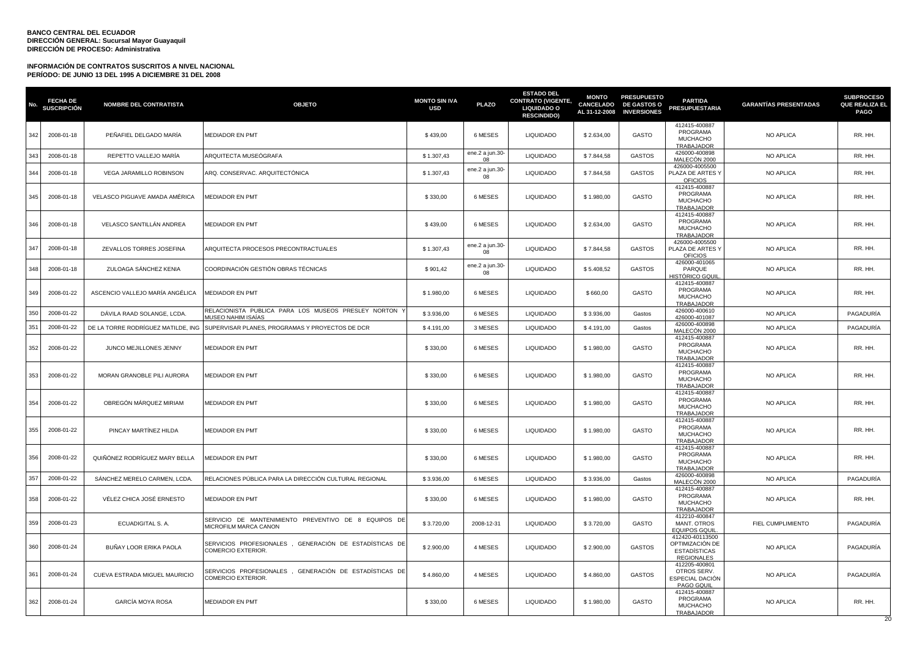| No. | <b>FECHA DE</b><br><b>SUSCRIPCIÓN</b> | <b>NOMBRE DEL CONTRATISTA</b>      | <b>OBJETO</b>                                                                 | <b>MONTO SIN IVA</b><br><b>USD</b> | <b>PLAZO</b>          | <b>ESTADO DEL</b><br><b>CONTRATO (VIGENTE,</b><br><b>LIQUIDADO O</b><br><b>RESCINDIDO)</b> | <b>MONTO</b><br>CANCELADO<br>AL 31-12-2008 | <b>PRESUPUESTO</b><br><b>DE GASTOS O</b><br><b>INVERSIONES</b> | <b>PARTIDA</b><br><b>PRESUPUESTARIA</b>                                        | <b>GARANTÍAS PRESENTADAS</b> | <b>SUBPROCESO</b><br><b>QUE REALIZA EL</b><br><b>PAGO</b> |
|-----|---------------------------------------|------------------------------------|-------------------------------------------------------------------------------|------------------------------------|-----------------------|--------------------------------------------------------------------------------------------|--------------------------------------------|----------------------------------------------------------------|--------------------------------------------------------------------------------|------------------------------|-----------------------------------------------------------|
| 342 | 2008-01-18                            | PEÑAFIEL DELGADO MARÍA             | MEDIADOR EN PMT                                                               | \$439,00                           | 6 MESES               | <b>LIQUIDADO</b>                                                                           | \$2.634,00                                 | GASTO                                                          | 412415-400887<br>PROGRAMA<br><b>MUCHACHO</b><br>TRABAJADOR                     | NO APLICA                    | RR. HH.                                                   |
| 343 | 2008-01-18                            | REPETTO VALLEJO MARÍA              | ARQUITECTA MUSEÓGRAFA                                                         | \$1.307,43                         | ene.2 a jun.30<br>08  | LIQUIDADO                                                                                  | \$7.844,58                                 | <b>GASTOS</b>                                                  | 426000-400898<br>MALECÓN 2000                                                  | NO APLICA                    | RR. HH.                                                   |
| 344 | 2008-01-18                            | VEGA JARAMILLO ROBINSON            | ARQ. CONSERVAC. ARQUITECTÓNICA                                                | \$1.307,43                         | ene.2 a jun.30-<br>08 | <b>LIQUIDADO</b>                                                                           | \$7.844,58                                 | <b>GASTOS</b>                                                  | 426000-4005500<br>PLAZA DE ARTES Y<br><b>OFICIOS</b>                           | NO APLICA                    | RR. HH.                                                   |
| 345 | 2008-01-18                            | VELASCO PIGUAVE AMADA AMÉRICA      | MEDIADOR EN PMT                                                               | \$330,00                           | 6 MESES               | <b>LIQUIDADO</b>                                                                           | \$1.980,00                                 | GASTO                                                          | 412415-400887<br>PROGRAMA<br><b>MUCHACHO</b><br><b>TRABAJADOR</b>              | NO APLICA                    | RR. HH.                                                   |
| 346 | 2008-01-18                            | VELASCO SANTILLÁN ANDREA           | <b>MEDIADOR EN PMT</b>                                                        | \$439,00                           | 6 MESES               | LIQUIDADO                                                                                  | \$2.634,00                                 | GASTO                                                          | 412415-400887<br>PROGRAMA<br><b>MUCHACHO</b><br>TRABAJADOR                     | NO APLICA                    | RR. HH.                                                   |
| 347 | 2008-01-18                            | ZEVALLOS TORRES JOSEFINA           | ARQUITECTA PROCESOS PRECONTRACTUALES                                          | \$1.307,43                         | ene.2 a jun.30-<br>08 | LIQUIDADO                                                                                  | \$7.844,58                                 | <b>GASTOS</b>                                                  | 426000-4005500<br>PLAZA DE ARTES Y<br><b>OFICIOS</b>                           | NO APLICA                    | RR. HH.                                                   |
| 348 | 2008-01-18                            | ZULOAGA SÁNCHEZ KENIA              | COORDINACIÓN GESTIÓN OBRAS TÉCNICAS                                           | \$901,42                           | ene.2 a jun.30-<br>08 | <b>LIQUIDADO</b>                                                                           | \$5.408,52                                 | <b>GASTOS</b>                                                  | 426000-401065<br>PARQUE<br>HISTÓRICO GQUII                                     | NO APLICA                    | RR. HH.                                                   |
| 349 | 2008-01-22                            | ASCENCIO VALLEJO MARÍA ANGÉLICA    | <b>MEDIADOR EN PMT</b>                                                        | \$1.980,00                         | 6 MESES               | LIQUIDADO                                                                                  | \$660,00                                   | GASTO                                                          | 412415-400887<br>PROGRAMA<br><b>MUCHACHO</b><br>TRABAJADOR                     | NO APLICA                    | RR. HH.                                                   |
| 350 | 2008-01-22                            | DÁVILA RAAD SOLANGE, LCDA          | RELACIONISTA PUBLICA PARA LOS MUSEOS PRESLEY NORTON \<br>MUSEO NAHIM ISAÍAS   | \$3.936,00                         | 6 MESES               | <b>LIQUIDADO</b>                                                                           | \$3.936,00                                 | Gastos                                                         | 426000-400610<br>426000-401087                                                 | NO APLICA                    | PAGADURÍA                                                 |
| 351 | 2008-01-22                            | DE LA TORRE RODRÍGUEZ MATILDE, ING | SUPERVISAR PLANES, PROGRAMAS Y PROYECTOS DE DCR                               | \$4.191,00                         | 3 MESES               | <b>LIQUIDADO</b>                                                                           | \$4.191,00                                 | Gastos                                                         | 426000-400898<br>MALECÓN 2000                                                  | NO APLICA                    | PAGADURÍA                                                 |
| 352 | 2008-01-22                            | JUNCO MEJILLONES JENNY             | <b>MEDIADOR EN PMT</b>                                                        | \$330,00                           | 6 MESES               | <b>LIQUIDADO</b>                                                                           | \$1.980,00                                 | <b>GASTO</b>                                                   | 412415-400887<br>PROGRAMA<br><b>MUCHACHO</b><br>TRABAJADOR                     | NO APLICA                    | RR. HH.                                                   |
| 353 | 2008-01-22                            | MORAN GRANOBLE PILI AURORA         | MEDIADOR EN PMT                                                               | \$330,00                           | 6 MESES               | <b>LIQUIDADO</b>                                                                           | \$1.980,00                                 | GASTO                                                          | 412415-400887<br>PROGRAMA<br><b>MUCHACHO</b><br><b>TRABAJADOR</b>              | NO APLICA                    | RR. HH.                                                   |
| 354 | 2008-01-22                            | OBREGÓN MÁRQUEZ MIRIAM             | <b>MEDIADOR EN PMT</b>                                                        | \$330,00                           | 6 MESES               | <b>LIQUIDADO</b>                                                                           | \$1.980,00                                 | GASTO                                                          | 412415-400887<br>PROGRAMA<br><b>MUCHACHO</b><br>TRABAJADOR                     | NO APLICA                    | RR. HH.                                                   |
| 355 | 2008-01-22                            | PINCAY MARTINEZ HILDA              | <b>MEDIADOR EN PMT</b>                                                        | \$330,00                           | 6 MESES               | LIQUIDADO                                                                                  | \$1.980,00                                 | GASTO                                                          | 412415-400887<br>PROGRAMA<br><b>MUCHACHO</b><br>TRABAJADOR                     | NO APLICA                    | RR. HH.                                                   |
| 356 | 2008-01-22                            | QUIÑÓNEZ RODRÍGUEZ MARY BELLA      | MEDIADOR EN PMT                                                               | \$330,00                           | 6 MESES               | <b>LIQUIDADO</b>                                                                           | \$1.980,00                                 | GASTO                                                          | 412415-400887<br>PROGRAMA<br><b>MUCHACHO</b><br><b>TRABAJADOR</b>              | NO APLICA                    | RR. HH.                                                   |
| 357 | 2008-01-22                            | SÁNCHEZ MERELO CARMEN, LCDA.       | RELACIONES PÚBLICA PARA LA DIRECCIÓN CULTURAL REGIONAL                        | \$3,936.00                         | 6 MESES               | LIQUIDADO                                                                                  | \$3.936,00                                 | Gastos                                                         | 426000-400898<br>MALECÓN 2000                                                  | <b>NO APLICA</b>             | PAGADURÍA                                                 |
| 358 | 2008-01-22                            | VÉLEZ CHICA JOSÉ ERNESTO           | MEDIADOR EN PMT                                                               | \$330,00                           | 6 MESES               | <b>LIQUIDADO</b>                                                                           | \$1.980,00                                 | <b>GASTO</b>                                                   | 412415-400887<br>PROGRAMA<br><b>MUCHACHO</b><br>TRABAJADOR                     | NO APLICA                    | RR. HH.                                                   |
| 359 | 2008-01-23                            | ECUADIGITAL S. A.                  | SERVICIO DE MANTENIMIENTO PREVENTIVO DE 8 EQUIPOS DE<br>MICROFILM MARCA CANON | \$3.720,00                         | 2008-12-31            | <b>LIQUIDADO</b>                                                                           | \$3.720,00                                 | GASTO                                                          | 412210-400847<br>MANT. OTROS<br><b>EQUIPOS GQUIL</b>                           | FIEL CUMPLIMIENTO            | PAGADURÍA                                                 |
| 360 | 2008-01-24                            | BUÑAY LOOR ERIKA PAOLA             | SERVICIOS PROFESIONALES , GENERACIÓN DE ESTADÍSTICAS DE<br>COMERCIO EXTERIOR. | \$2.900,00                         | 4 MESES               | <b>LIQUIDADO</b>                                                                           | \$2.900,00                                 | <b>GASTOS</b>                                                  | 412420-40113500<br>OPTIMIZACIÓN DE<br><b>ESTADÍSTICAS</b><br><b>REGIONALES</b> | NO APLICA                    | PAGADURÍA                                                 |
| 361 | 2008-01-24                            | CUEVA ESTRADA MIGUEL MAURICIO      | SERVICIOS PROFESIONALES , GENERACIÓN DE ESTADÍSTICAS DE<br>COMERCIO EXTERIOR. | \$4,860.00                         | 4 MESES               | <b>LIQUIDADO</b>                                                                           | \$4.860,00                                 | <b>GASTOS</b>                                                  | 412205-400801<br>OTROS SERV.<br>ESPECIAL DACIÓN<br>PAGO GQUIL                  | NO APLICA                    | PAGADURÍA                                                 |
| 362 | 2008-01-24                            | <b>GARCÍA MOYA ROSA</b>            | <b>MEDIADOR EN PMT</b>                                                        | \$330,00                           | 6 MESES               | <b>LIQUIDADO</b>                                                                           | \$1.980,00                                 | GASTO                                                          | 412415-400887<br>PROGRAMA<br><b>MUCHACHO</b><br>TRABAJADOR                     | NO APLICA                    | RR. HH.<br>20                                             |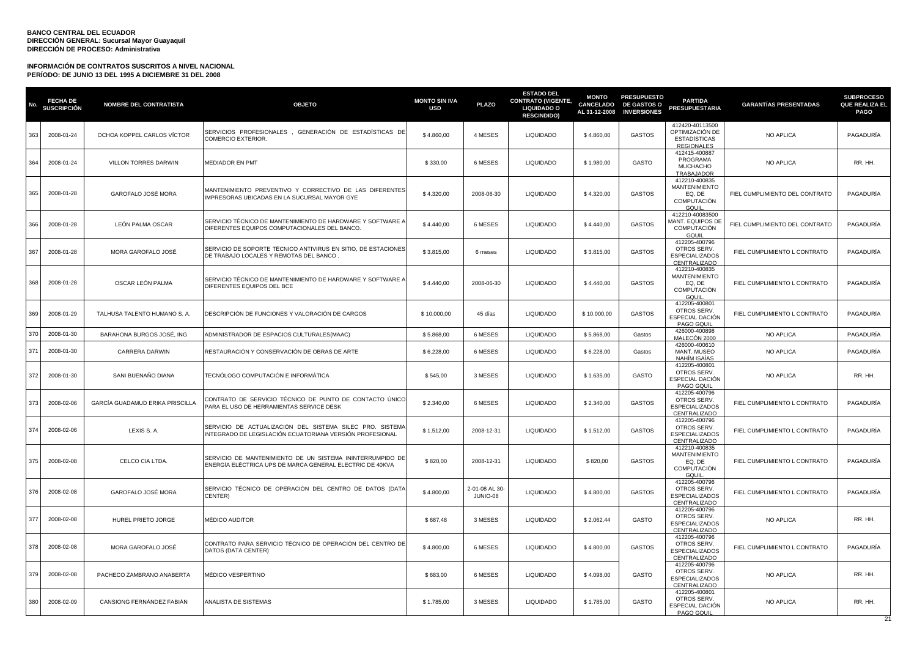| No  | <b>FECHA DE</b><br><b>SUSCRIPCIÓN</b> | <b>NOMBRE DEL CONTRATISTA</b>   | <b>OBJETO</b>                                                                                                         | <b>MONTO SIN IVA</b><br><b>USD</b> | <b>PLAZO</b>               | <b>ESTADO DEL</b><br><b>CONTRATO (VIGENTE,</b><br><b>LIQUIDADO O</b><br><b>RESCINDIDO)</b> | <b>MONTO</b><br><b>CANCELADO</b><br>AL 31-12-2008 | <b>PRESUPUESTO</b><br><b>DE GASTOS O</b><br><b>INVERSIONES</b> | <b>PARTIDA</b><br><b>PRESUPUESTARIA</b>                                               | <b>GARANTÍAS PRESENTADAS</b>   | <b>SUBPROCESO</b><br><b>QUE REALIZA EL</b><br><b>PAGO</b> |
|-----|---------------------------------------|---------------------------------|-----------------------------------------------------------------------------------------------------------------------|------------------------------------|----------------------------|--------------------------------------------------------------------------------------------|---------------------------------------------------|----------------------------------------------------------------|---------------------------------------------------------------------------------------|--------------------------------|-----------------------------------------------------------|
| 363 | 2008-01-24                            | OCHOA KOPPEL CARLOS VÍCTOR      | SERVICIOS PROFESIONALES, GENERACIÓN DE ESTADÍSTICAS DE<br>COMERCIO EXTERIOR.                                          | \$4,860.00                         | 4 MESES                    | <b>LIQUIDADO</b>                                                                           | \$4.860,00                                        | <b>GASTOS</b>                                                  | 412420-40113500<br>OPTIMIZACIÓN DE<br><b>ESTADÍSTICAS</b><br><b>REGIONALES</b>        | NO APLICA                      | PAGADURÍA                                                 |
| 364 | 2008-01-24                            | VILLON TORRES DARWIN            | <b>MEDIADOR EN PMT</b>                                                                                                | \$330,00                           | 6 MESES                    | <b>LIQUIDADO</b>                                                                           | \$1.980,00                                        | GASTO                                                          | 412415-400887<br>PROGRAMA<br><b>MUCHACHO</b><br>TRABAJADOR                            | <b>NO APLICA</b>               | RR. HH.                                                   |
| 365 | 2008-01-28                            | GAROFALO JOSÉ MORA              | MANTENIMIENTO PREVENTIVO Y CORRECTIVO DE LAS DIFERENTES<br>IMPRESORAS UBICADAS EN LA SUCURSAL MAYOR GYE               | \$4.320,00                         | 2008-06-30                 | <b>LIQUIDADO</b>                                                                           | \$4.320,00                                        | GASTOS                                                         | 412210-400835<br><b>MANTENIMIENTO</b><br>EQ, DE<br><b>COMPUTACIÓN</b><br><b>GQUIL</b> | FIEL CUMPLIMIENTO DEL CONTRATO | PAGADURÍA                                                 |
| 366 | 2008-01-28                            | LEÓN PALMA OSCAR                | SERVICIO TÉCNICO DE MANTENIMIENTO DE HARDWARE Y SOFTWARE A<br>DIFERENTES EQUIPOS COMPUTACIONALES DEL BANCO.           | \$4.440,00                         | 6 MESES                    | <b>LIQUIDADO</b>                                                                           | \$4.440,00                                        | <b>GASTOS</b>                                                  | 412210-40083500<br><b>MANT. EQUIPOS DE</b><br><b>COMPUTACIÓN</b><br>GQUIL             | FIEL CUMPLIMIENTO DEL CONTRATO | PAGADURÍA                                                 |
| 367 | 2008-01-28                            | MORA GAROFALO JOSÉ              | SERVICIO DE SOPORTE TÉCNICO ANTIVIRUS EN SITIO, DE ESTACIONES<br>DE TRABAJO LOCALES Y REMOTAS DEL BANCO.              | \$3.815,00                         | 6 meses                    | LIQUIDADO                                                                                  | \$3.815,00                                        | <b>GASTOS</b>                                                  | 412205-400796<br>OTROS SERV.<br>ESPECIALIZADOS<br>CENTRALIZADO                        | FIEL CUMPLIMIENTO L CONTRATO   | PAGADURÍA                                                 |
| 368 | 2008-01-28                            | OSCAR LEÓN PALMA                | SERVICIO TÉCNICO DE MANTENIMIENTO DE HARDWARE Y SOFTWARE A<br>DIFERENTES EQUIPOS DEL BCE                              | \$4.440,00                         | 2008-06-30                 | <b>LIQUIDADO</b>                                                                           | \$4.440,00                                        | <b>GASTOS</b>                                                  | 412210-400835<br><b>MANTENIMIENTO</b><br>EQ, DE<br><b>COMPUTACIÓN</b><br>GQUIL        | FIEL CUMPLIMIENTO L CONTRATO   | PAGADURÍA                                                 |
| 369 | 2008-01-29                            | TALHUSA TALENTO HUMANO S. A.    | DESCRIPCIÓN DE FUNCIONES Y VALORACIÓN DE CARGOS                                                                       | \$10.000,00                        | 45 días                    | <b>LIQUIDADO</b>                                                                           | \$10.000,00                                       | <b>GASTOS</b>                                                  | 412205-400801<br>OTROS SERV.<br>ESPECIAL DACIÓN<br>PAGO GQUIL                         | FIEL CUMPLIMIENTO L CONTRATO   | PAGADURÍA                                                 |
| 370 | 2008-01-30                            | BARAHONA BURGOS JOSÉ, ING       | ADMINISTRADOR DE ESPACIOS CULTURALES(MAAC)                                                                            | \$5.868,00                         | 6 MESES                    | <b>LIQUIDADO</b>                                                                           | \$5.868,00                                        | Gastos                                                         | 426000-400898<br>MALECÓN 2000                                                         | <b>NO APLICA</b>               | PAGADURÍA                                                 |
| 371 | 2008-01-30                            | <b>CARRERA DARWIN</b>           | RESTAURACIÓN Y CONSERVACIÓN DE OBRAS DE ARTE                                                                          | \$6.228,00                         | 6 MESES                    | <b>LIQUIDADO</b>                                                                           | \$6.228,00                                        | Gastos                                                         | 426000-400610<br>MANT. MUSEO<br>NAHÍM ISAÍAS                                          | NO APLICA                      | PAGADURÍA                                                 |
| 372 | 2008-01-30                            | SANI BUENAÑO DIANA              | TECNÓLOGO COMPUTACIÓN E INFORMÁTICA                                                                                   | \$545,00                           | 3 MESES                    | <b>LIQUIDADO</b>                                                                           | \$1.635,00                                        | GASTO                                                          | 412205-400801<br>OTROS SERV.<br>ESPECIAL DACIÓN<br>PAGO GQUIL                         | <b>NO APLICA</b>               | RR. HH.                                                   |
| 373 | 2008-02-06                            | GARCÍA GUADAMUD ERIKA PRISCILLA | CONTRATO DE SERVICIO TÉCNICO DE PUNTO DE CONTACTO ÚNICO<br>PARA EL USO DE HERRAMIENTAS SERVICE DESK                   | \$2.340,00                         | 6 MESES                    | <b>LIQUIDADO</b>                                                                           | \$2.340,00                                        | <b>GASTOS</b>                                                  | 412205-400796<br>OTROS SERV.<br><b>ESPECIALIZADOS</b><br>CENTRALIZADO                 | FIEL CUMPLIMIENTO L CONTRATO   | PAGADURÍA                                                 |
| 374 | 2008-02-06                            | LEXIS S. A.                     | SERVICIO DE ACTUALIZACIÓN DEL SISTEMA SILEC PRO. SISTEMA<br>INTEGRADO DE LEGISLACIÓN ECUATORIANA VERSIÓN PROFESIONAL  | \$1.512,00                         | 2008-12-31                 | LIQUIDADO                                                                                  | \$1.512,00                                        | <b>GASTOS</b>                                                  | 412205-400796<br>OTROS SERV.<br>ESPECIALIZADOS<br>CENTRALIZADO                        | FIEL CUMPLIMIENTO L CONTRATO   | PAGADURÍA                                                 |
| 375 | 2008-02-08                            | CELCO CIA LTDA.                 | SERVICIO DE MANTENIMIENTO DE UN SISTEMA ININTERRUMPIDO DE<br>ENERGÍA ELÉCTRICA UPS DE MARCA GENERAL ELECTRIC DE 40KVA | \$820,00                           | 2008-12-31                 | <b>LIQUIDADO</b>                                                                           | \$820,00                                          | <b>GASTOS</b>                                                  | 412210-400835<br><b>MANTENIMIENTO</b><br>EQ, DE<br><b>COMPUTACIÓN</b><br><b>GQUIL</b> | FIEL CUMPLIMIENTO L CONTRATO   | PAGADURÍA                                                 |
| 376 | 2008-02-08                            | GAROFALO JOSÉ MORA              | SERVICIO TÉCNICO DE OPERACIÓN DEL CENTRO DE DATOS (DATA<br>CENTER)                                                    | \$4.800,00                         | 2-01-08 AL 30-<br>JUNIO-08 | <b>LIQUIDADO</b>                                                                           | \$4.800,00                                        | <b>GASTOS</b>                                                  | 412205-400796<br>OTROS SERV.<br><b>ESPECIALIZADOS</b><br>CENTRALIZADO                 | FIEL CUMPLIMIENTO L CONTRATO   | PAGADURÍA                                                 |
| 377 | 2008-02-08                            | HUREL PRIETO JORGE              | <b>MÉDICO AUDITOR</b>                                                                                                 | \$687,48                           | 3 MESES                    | LIQUIDADO                                                                                  | \$2.062,44                                        | GASTO                                                          | 412205-400796<br>OTROS SERV.<br>ESPECIALIZADOS<br>CENTRALIZADO                        | NO APLICA                      | RR. HH.                                                   |
| 378 | 2008-02-08                            | MORA GAROFALO JOSÉ              | CONTRATO PARA SERVICIO TÉCNICO DE OPERACIÓN DEL CENTRO DE<br>DATOS (DATA CENTER)                                      | \$4.800,00                         | 6 MESES                    | LIQUIDADO                                                                                  | \$4.800,00                                        | <b>GASTOS</b>                                                  | 412205-400796<br>OTROS SERV.<br><b>ESPECIALIZADOS</b><br>CENTRALIZADO                 | FIEL CUMPLIMIENTO L CONTRATO   | PAGADURÍA                                                 |
| 379 | 2008-02-08                            | PACHECO ZAMBRANO ANABERTA       | MÉDICO VESPERTINO                                                                                                     | \$683,00                           | 6 MESES                    | <b>LIQUIDADO</b>                                                                           | \$4.098.00                                        | GASTO                                                          | 412205-400796<br>OTROS SERV.<br><b>ESPECIALIZADOS</b><br>CENTRALIZADO                 | NO APLICA                      | RR. HH.                                                   |
| 380 | 2008-02-09                            | CANSIONG FERNÁNDEZ FABIÁN       | ANALISTA DE SISTEMAS                                                                                                  | \$1.785,00                         | 3 MESES                    | <b>LIQUIDADO</b>                                                                           | \$1.785,00                                        | GASTO                                                          | 412205-400801<br>OTROS SERV.<br>ESPECIAL DACIÓN<br>PAGO GQUIL                         | <b>NO APLICA</b>               | RR. HH.<br>21                                             |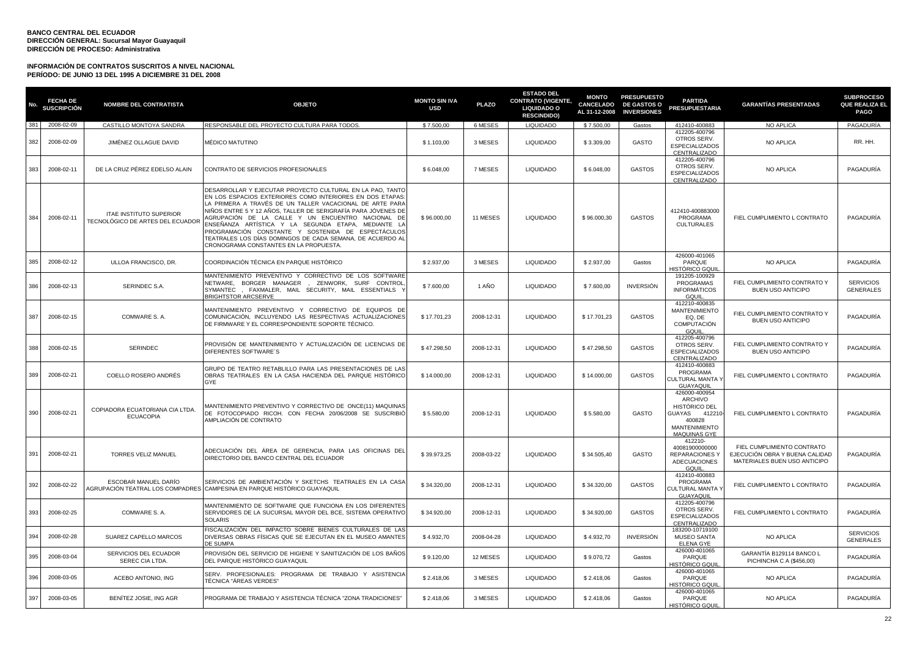| No. | <b>FECHA DE</b><br>SUSCRIPCIÓN | <b>NOMBRE DEL CONTRATISTA</b>                                      | <b>OBJETO</b>                                                                                                                                                                                                                                                                                                                                                                                                                                                                                                                | <b>MONTO SIN IVA</b><br><b>USD</b> | <b>PLAZO</b> | <b>ESTADO DEL</b><br><b>CONTRATO (VIGENTE,</b><br><b>LIQUIDADO O</b><br><b>RESCINDIDO)</b> | <b>MONTO</b><br><b>CANCELADO</b><br>AL 31-12-2008 | <b>PRESUPUESTO</b><br><b>DE GASTOS O</b><br><b>INVERSIONES</b> | <b>PARTIDA</b><br><b>PRESUPUESTARIA</b>                                                                                       | <b>GARANTÍAS PRESENTADAS</b>                                                                 | <b>SUBPROCESO</b><br><b>QUE REALIZA EL</b><br><b>PAGO</b> |
|-----|--------------------------------|--------------------------------------------------------------------|------------------------------------------------------------------------------------------------------------------------------------------------------------------------------------------------------------------------------------------------------------------------------------------------------------------------------------------------------------------------------------------------------------------------------------------------------------------------------------------------------------------------------|------------------------------------|--------------|--------------------------------------------------------------------------------------------|---------------------------------------------------|----------------------------------------------------------------|-------------------------------------------------------------------------------------------------------------------------------|----------------------------------------------------------------------------------------------|-----------------------------------------------------------|
|     | 381 2008-02-09                 | CASTILLO MONTOYA SANDRA                                            | RESPONSABLE DEL PROYECTO CULTURA PARA TODOS.                                                                                                                                                                                                                                                                                                                                                                                                                                                                                 | \$7.500,00                         | 6 MESES      | <b>LIQUIDADO</b>                                                                           | \$7.500,00                                        | Gastos                                                         | 412410-400883                                                                                                                 | NO APLICA                                                                                    | PAGADURÍA                                                 |
| 382 | 2008-02-09                     | JIMÉNEZ OLLAGUE DAVID                                              | MÉDICO MATUTINO                                                                                                                                                                                                                                                                                                                                                                                                                                                                                                              | \$1.103,00                         | 3 MESES      | <b>LIQUIDADO</b>                                                                           | \$3.309,00                                        | GASTO                                                          | 412205-400796<br>OTROS SERV.<br><b>ESPECIALIZADOS</b><br>CENTRALIZADO                                                         | NO APLICA                                                                                    | RR. HH.                                                   |
| 383 | 2008-02-11                     | DE LA CRUZ PÉREZ EDELSO ALAIN                                      | CONTRATO DE SERVICIOS PROFESIONALES                                                                                                                                                                                                                                                                                                                                                                                                                                                                                          | \$6.048,00                         | 7 MESES      | <b>LIQUIDADO</b>                                                                           | \$6.048,00                                        | <b>GASTOS</b>                                                  | 412205-400796<br>OTROS SERV.<br><b>ESPECIALIZADOS</b><br>CENTRALIZADO                                                         | NO APLICA                                                                                    | PAGADURÍA                                                 |
| 384 | 2008-02-11                     | <b>ITAE INSTITUTO SUPERIOR</b><br>TECNOLÓGICO DE ARTES DEL ECUADOR | DESARROLLAR Y EJECUTAR PROYECTO CULTURAL EN LA PAO, TANTO<br>EN LOS ESPACIOS EXTERIORES COMO INTERIORES EN DOS ETAPAS:<br>LA PRIMERA A TRAVÉS DE UN TALLER VACACIONAL DE ARTE PARA<br>NIÑOS ENTRE 5 Y 12 AÑOS, TALLER DE SERIGRAFÍA PARA JÓVENES DE<br>AGRUPACIÓN DE LA CALLE Y UN ENCUENTRO NACIONAL DE<br>ENSEÑANZA ARTÍSTICA Y LA SEGUNDA ETAPA, MEDIANTE LA<br>PROGRAMACIÓN CONSTANTE Y SOSTENIDA DE ESPECTÁCULOS<br>TEATRALES LOS DÍAS DOMINGOS DE CADA SEMANA, DE ACUERDO AL<br>CRONOGRAMA CONSTANTES EN LA PROPUESTA. | \$96.000,00                        | 11 MESES     | <b>LIQUIDADO</b>                                                                           | \$96.000,30                                       | <b>GASTOS</b>                                                  | 412410-400883000<br>PROGRAMA<br><b>CULTURALES</b>                                                                             | FIEL CUMPLIMIENTO L CONTRATO                                                                 | PAGADURÍA                                                 |
| 385 | 2008-02-12                     | ULLOA FRANCISCO, DR.                                               | COORDINACIÓN TÉCNICA EN PARQUE HISTÓRICO                                                                                                                                                                                                                                                                                                                                                                                                                                                                                     | \$2.937,00                         | 3 MESES      | <b>LIQUIDADO</b>                                                                           | \$2.937,00                                        | Gastos                                                         | 426000-401065<br>PARQUE<br><del>I</del> ISTÓRICO GQUII                                                                        | NO APLICA                                                                                    | PAGADURÍA                                                 |
| 386 | 2008-02-13                     | SERINDEC S.A.                                                      | MANTENIMIENTO PREVENTIVO Y CORRECTIVO DE LOS SOFTWARE<br>NETWARE, BORGER MANAGER , ZENWORK, SURF CONTROL<br>SYMANTEC, FAXMALER, MAIL SECURITY, MAIL ESSENTIALS<br><b>BRIGHTSTOR ARCSERVE</b>                                                                                                                                                                                                                                                                                                                                 | \$7.600,00                         | 1 AÑO        | <b>LIQUIDADO</b>                                                                           | \$7.600,00                                        | <b>INVERSIÓN</b>                                               | 191205-100929<br>PROGRAMAS<br><b>INFORMÁTICOS</b><br>GQUIL                                                                    | FIEL CUMPLIMIENTO CONTRATO Y<br><b>BUEN USO ANTICIPO</b>                                     | <b>SERVICIOS</b><br><b>GENERALES</b>                      |
| 387 | 2008-02-15                     | COMWARE S.A.                                                       | MANTENIMIENTO PREVENTIVO Y CORRECTIVO DE EQUIPOS DE<br>COMUNICACIÓN, INCLUYENDO LAS RESPECTIVAS ACTUALIZACIONES<br>DE FIRMWARE Y EL CORRESPONDIENTE SOPORTE TÉCNICO.                                                                                                                                                                                                                                                                                                                                                         | \$17.701,23                        | 2008-12-31   | <b>LIQUIDADO</b>                                                                           | \$17.701,23                                       | <b>GASTOS</b>                                                  | 412210-400835<br><b>MANTENIMIENTO</b><br>EQ. DE<br><b>COMPUTACIÓN</b><br>GQUIL                                                | FIEL CUMPLIMIENTO CONTRATO Y<br>BUEN USO ANTICIPO                                            | PAGADURÍA                                                 |
| 388 | 2008-02-15                     | <b>SERINDEC</b>                                                    | PROVISIÓN DE MANTENIMIENTO Y ACTUALIZACIÓN DE LICENCIAS DE<br>DIFERENTES SOFTWARE'S                                                                                                                                                                                                                                                                                                                                                                                                                                          | \$47.298,50                        | 2008-12-31   | <b>LIQUIDADO</b>                                                                           | \$47.298,50                                       | <b>GASTOS</b>                                                  | 412205-400796<br>OTROS SERV.<br><b>ESPECIALIZADOS</b><br>CENTRALIZADO                                                         | FIEL CUMPLIMIENTO CONTRATO Y<br><b>BUEN USO ANTICIPO</b>                                     | PAGADURÍA                                                 |
| 389 | 2008-02-21                     | COELLO ROSERO ANDRÉS                                               | GRUPO DE TEATRO RETABLILLO PARA LAS PRESENTACIONES DE LAS<br>OBRAS TEATRALES EN LA CASA HACIENDA DEL PARQUE HISTÓRICO<br>GYE                                                                                                                                                                                                                                                                                                                                                                                                 | \$14.000,00                        | 2008-12-31   | <b>LIQUIDADO</b>                                                                           | \$14.000,00                                       | <b>GASTOS</b>                                                  | 412410-400883<br>PROGRAMA<br><b>CULTURAL MANTA \</b><br>GUAYAQUIL                                                             | FIEL CUMPLIMIENTO L CONTRATO                                                                 | PAGADURÍA                                                 |
| 390 | 2008-02-21                     | COPIADORA ECUATORIANA CIA LTDA.<br><b>ECUACOPIA</b>                | MANTENIMIENTO PREVENTIVO Y CORRECTIVO DE ONCE(11) MAQUINAS<br>DE FOTOCOPIADO RICOH. CON FECHA 20/06/2008 SE SUSCRIBIÓ<br>AMPLIACIÓN DE CONTRATO                                                                                                                                                                                                                                                                                                                                                                              | \$5.580,00                         | 2008-12-31   | <b>LIQUIDADO</b>                                                                           | \$5.580,00                                        | GASTO                                                          | 426000-400954<br>ARCHIVO<br><b>HISTÓRICO DEL</b><br>GUAYAS<br>412210<br>400828<br><b>MANTENIMIENTO</b><br><b>MAQUINAS GYE</b> | FIEL CUMPLIMIENTO L CONTRATO                                                                 | PAGADURÍA                                                 |
| 391 | 2008-02-21                     | <b>TORRES VELIZ MANUEL</b>                                         | ADECUACIÓN DEL ÁREA DE GERENCIA, PARA LAS OFICINAS DEL<br>DIRECTORIO DEL BANCO CENTRAL DEL ECUADOR                                                                                                                                                                                                                                                                                                                                                                                                                           | \$39.973,25                        | 2008-03-22   | <b>LIQUIDADO</b>                                                                           | \$34.505,40                                       | GASTO                                                          | 412210-<br>40081900000000<br><b>REPARACIONES Y</b><br><b>ADECUACIONES</b><br><b>GQUIL</b>                                     | FIEL CUMPLIMIENTO CONTRATO<br>EJECUCIÓN OBRA Y BUENA CALIDAD<br>MATERIALES BUEN USO ANTICIPO | PAGADURÍA                                                 |
| 392 | 2008-02-22                     | ESCOBAR MANUEL DARIO                                               | SERVICIOS DE AMBIENTACIÓN Y SKETCHS TEATRALES EN LA CASA<br>AGRUPACIÓN TEATRAL LOS COMPADRES CAMPESINA EN PARQUE HISTORICO GUAYAQUIL                                                                                                                                                                                                                                                                                                                                                                                         | \$34.320,00                        | 2008-12-31   | <b>LIQUIDADO</b>                                                                           | \$34.320,00                                       | <b>GASTOS</b>                                                  | 412410-400883<br>PROGRAMA<br><b>CULTURAL MANTA '</b><br><b>GUAYAQUIL</b>                                                      | FIEL CUMPLIMIENTO L CONTRATO                                                                 | PAGADURÍA                                                 |
| 393 | 2008-02-25                     | COMWARE S.A.                                                       | MANTENIMIENTO DE SOFTWARE QUE FUNCIONA EN LOS DIFERENTES<br>SERVIDORES DE LA SUCURSAL MAYOR DEL BCE, SISTEMA OPERATIVO<br>SOLARIS                                                                                                                                                                                                                                                                                                                                                                                            | \$34.920,00                        | 2008-12-31   | <b>LIQUIDADO</b>                                                                           | \$34.920,00                                       | <b>GASTOS</b>                                                  | 412205-400796<br>OTROS SERV.<br><b>ESPECIALIZADOS</b><br>CENTRALIZADO                                                         | FIEL CUMPLIMIENTO L CONTRATO                                                                 | PAGADURÍA                                                 |
| 394 | 2008-02-28                     | SUAREZ CAPELLO MARCOS                                              | FISCALIZACIÓN DEL IMPACTO SOBRE BIENES CULTURALES DE LAS<br>DIVERSAS OBRAS FÍSICAS QUE SE EJECUTAN EN EL MUSEO AMANTES<br>DE SUMPA                                                                                                                                                                                                                                                                                                                                                                                           | \$4.932,70                         | 2008-04-28   | <b>LIQUIDADO</b>                                                                           | \$4.932,70                                        | <b>INVERSIÓN</b>                                               | 183200-10719100<br><b>MUSEO SANTA</b><br><b>ELENA GYE</b>                                                                     | NO APLICA                                                                                    | <b>SERVICIOS</b><br><b>GENERALES</b>                      |
| 395 | 2008-03-04                     | SERVICIOS DEL ECUADOR<br>SEREC CIA LTDA.                           | PROVISIÓN DEL SERVICIO DE HIGIENE Y SANITIZACIÓN DE LOS BAÑOS<br>DEL PARQUE HISTÓRICO GUAYAQUIL                                                                                                                                                                                                                                                                                                                                                                                                                              | \$9.120,00                         | 12 MESES     | <b>LIQUIDADO</b>                                                                           | \$9.070,72                                        | Gastos                                                         | 426000-401065<br>PARQUE<br>HISTÓRICO GQUII                                                                                    | GARANTÍA B129114 BANCO L<br>PICHINCHA C A (\$456,00)                                         | PAGADURÍA                                                 |
| 396 | 2008-03-05                     | ACEBO ANTONIO, ING                                                 | SERV. PROFESIONALES: PROGRAMA DE TRABAJO Y ASISTENCI/<br>TÉCNICA "ÁREAS VERDES"                                                                                                                                                                                                                                                                                                                                                                                                                                              | \$2.418,06                         | 3 MESES      | <b>LIQUIDADO</b>                                                                           | \$2.418,06                                        | Gastos                                                         | 426000-401065<br>PARQUE<br><del>I</del> ISTÓRICO GQUII                                                                        | NO APLICA                                                                                    | PAGADURÍA                                                 |
| 397 | 2008-03-05                     | BENÍTEZ JOSIE, ING AGR                                             | PROGRAMA DE TRABAJO Y ASISTENCIA TÉCNICA "ZONA TRADICIONES"                                                                                                                                                                                                                                                                                                                                                                                                                                                                  | \$2,418.06                         | 3 MESES      | <b>LIQUIDADO</b>                                                                           | \$2.418,06                                        | Gastos                                                         | 426000-401065<br>PARQUE<br>HISTÓRICO GQUIL                                                                                    | NO APLICA                                                                                    | PAGADURÍA                                                 |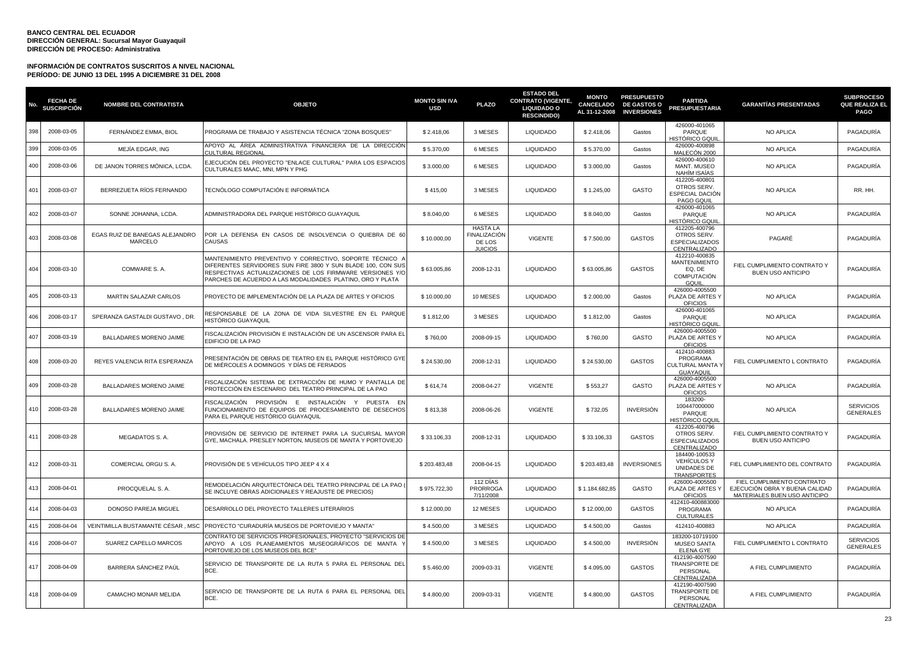| No  | <b>FECHA DE</b><br><b>SUSCRIPCIÓN</b> | <b>NOMBRE DEL CONTRATISTA</b>             | <b>OBJETO</b>                                                                                                                                                                                                                                      | <b>MONTO SIN IVA</b><br><b>USD</b> | <b>PLAZO</b>                                                | <b>ESTADO DEL</b><br><b>CONTRATO (VIGENTE,</b><br><b>LIQUIDADO O</b><br><b>RESCINDIDO)</b> | <b>MONTO</b><br><b>CANCELADO</b><br>AL 31-12-2008 | <b>PRESUPUESTO</b><br><b>DE GASTOS O</b><br><b>INVERSIONES</b> | <b>PARTIDA</b><br><b>PRESUPUESTARIA</b>                                  | <b>GARANTIAS PRESENTADAS</b>                                                                 | <b>SUBPROCESO</b><br><b>QUE REALIZA EL</b><br><b>PAGO</b> |
|-----|---------------------------------------|-------------------------------------------|----------------------------------------------------------------------------------------------------------------------------------------------------------------------------------------------------------------------------------------------------|------------------------------------|-------------------------------------------------------------|--------------------------------------------------------------------------------------------|---------------------------------------------------|----------------------------------------------------------------|--------------------------------------------------------------------------|----------------------------------------------------------------------------------------------|-----------------------------------------------------------|
| 398 | 2008-03-05                            | FERNÁNDEZ EMMA, BIOL                      | PROGRAMA DE TRABAJO Y ASISTENCIA TÉCNICA "ZONA BOSQUES"                                                                                                                                                                                            | \$2.418,06                         | 3 MESES                                                     | <b>LIQUIDADO</b>                                                                           | \$2.418,06                                        | Gastos                                                         | 426000-401065<br>PARQUE<br><del>I</del> ISTÓRICO GQUIL                   | NO APLICA                                                                                    | PAGADURÍA                                                 |
| 399 | 2008-03-05                            | MEJÍA EDGAR, ING                          | APOYO AL ÁREA ADMINISTRATIVA FINANCIERA DE LA DIRECCIÓN<br>CULTURAL REGIONAL                                                                                                                                                                       | \$5.370,00                         | 6 MESES                                                     | <b>LIQUIDADO</b>                                                                           | \$5.370,00                                        | Gastos                                                         | 426000-400898<br>MALECÓN 2000                                            | NO APLICA                                                                                    | PAGADURÍA                                                 |
| 400 | 2008-03-06                            | DE JANON TORRES MÓNICA, LCDA.             | EJECUCIÓN DEL PROYECTO "ENLACE CULTURAL" PARA LOS ESPACIOS<br>CULTURALES MAAC, MNI, MPN Y PHG                                                                                                                                                      | \$3,000.00                         | 6 MESES                                                     | <b>LIQUIDADO</b>                                                                           | \$3.000,00                                        | Gastos                                                         | 426000-400610<br>MANT. MUSEO<br>NAHÍM ISAÍAS                             | NO APLICA                                                                                    | PAGADURÍA                                                 |
| 401 | 2008-03-07                            | BERREZUETA RÍOS FERNANDO                  | TECNÓLOGO COMPUTACIÓN E INFORMÁTICA                                                                                                                                                                                                                | \$415.00                           | 3 MESES                                                     | <b>LIQUIDADO</b>                                                                           | \$1.245.00                                        | GASTO                                                          | 412205-400801<br>OTROS SERV.<br><b>ESPECIAL DACIÓN</b><br>PAGO GQUIL     | <b>NO APLICA</b>                                                                             | RR. HH.                                                   |
| 402 | 2008-03-07                            | SONNE JOHANNA, LCDA.                      | ADMINISTRADORA DEL PARQUE HISTÓRICO GUAYAQUIL                                                                                                                                                                                                      | \$8.040,00                         | 6 MESES                                                     | <b>LIQUIDADO</b>                                                                           | \$8.040,00                                        | Gastos                                                         | 426000-401065<br>PARQUE<br><del>I</del> ISTÓRICO GQUI                    | NO APLICA                                                                                    | PAGADURÍA                                                 |
| 403 | 2008-03-08                            | EGAS RUIZ DE BANEGAS ALEJANDRO<br>MARCELO | POR LA DEFENSA EN CASOS DE INSOLVENCIA O QUIEBRA DE 60<br>CAUSAS                                                                                                                                                                                   | \$10.000,00                        | <b>HASTA LA</b><br>FINALIZACIÓN<br>DE LOS<br><b>JUICIOS</b> | <b>VIGENTE</b>                                                                             | \$7.500,00                                        | <b>GASTOS</b>                                                  | 412205-400796<br>OTROS SERV.<br>ESPECIALIZADOS<br>CENTRALIZADO           | PAGARÉ                                                                                       | PAGADURÍA                                                 |
| 404 | 2008-03-10                            | COMWARE S.A.                              | MANTENIMIENTO PREVENTIVO Y CORRECTIVO, SOPORTE TÉCNICO .<br>DIFERENTES SERVIDORES SUN FIRE 3800 Y SUN BLADE 100, CON SUS<br>RESPECTIVAS ACTUALIZACIONES DE LOS FIRMWARE VERSIONES Y/O<br>PARCHES DE ACUERDO A LAS MODALIDADES PLATINO, ORO Y PLATA | \$63,005.86                        | 2008-12-31                                                  | <b>LIQUIDADO</b>                                                                           | \$63,005.86                                       | <b>GASTOS</b>                                                  | 412210-400835<br><b>MANTENIMIENTO</b><br>EQ, DE<br>COMPUTACIÓN<br>GQUIL  | FIEL CUMPLIMIENTO CONTRATO Y<br>BUEN USO ANTICIPO                                            | PAGADURÍA                                                 |
| 405 | 2008-03-13                            | <b>MARTIN SALAZAR CARLOS</b>              | PROYECTO DE IMPLEMENTACIÓN DE LA PLAZA DE ARTES Y OFICIOS                                                                                                                                                                                          | \$10,000,00                        | 10 MESES                                                    | <b>LIQUIDADO</b>                                                                           | \$2,000.00                                        | Gastos                                                         | 426000-4005500<br>PLAZA DE ARTES Y<br><b>OFICIOS</b>                     | <b>NO APLICA</b>                                                                             | PAGADURÍA                                                 |
| 406 | 2008-03-17                            | SPERANZA GASTALDI GUSTAVO, DR.            | RESPONSABLE DE LA ZONA DE VIDA SILVESTRE EN EL PARQUE<br>HISTÓRICO GUAYAQUIL                                                                                                                                                                       | \$1.812,00                         | 3 MESES                                                     | <b>LIQUIDADO</b>                                                                           | \$1.812,00                                        | Gastos                                                         | 426000-401065<br>PARQUE<br>IISTÓRICO GQUII                               | NO APLICA                                                                                    | PAGADURÍA                                                 |
| 407 | 2008-03-19                            | BALLADARES MORENO JAIME                   | FISCALIZACIÓN PROVISIÓN E INSTALACIÓN DE UN ASCENSOR PARA EL<br>EDIFICIO DE LA PAO                                                                                                                                                                 | \$760,00                           | 2008-09-15                                                  | <b>LIQUIDADO</b>                                                                           | \$760,00                                          | GASTO                                                          | 426000-4005500<br>PLAZA DE ARTES Y<br><b>OFICIOS</b>                     | <b>NO APLICA</b>                                                                             | PAGADURÍA                                                 |
| 408 | 2008-03-20                            | REYES VALENCIA RITA ESPERANZA             | PRESENTACIÓN DE OBRAS DE TEATRO EN EL PARQUE HISTÓRICO GYE<br>DE MIÉRCOLES A DOMINGOS Y DÍAS DE FERIADOS                                                                                                                                           | \$24,530.00                        | 2008-12-31                                                  | <b>LIQUIDADO</b>                                                                           | \$24.530,00                                       | <b>GASTOS</b>                                                  | 412410-400883<br>PROGRAMA<br>CULTURAL MANTA '<br>GUAYAQUIL               | FIEL CUMPLIMIENTO L CONTRATO                                                                 | PAGADURÍA                                                 |
| 409 | 2008-03-28                            | BALLADARES MORENO JAIME                   | FISCALIZACIÓN SISTEMA DE EXTRACCIÓN DE HUMO Y PANTALLA DE<br>PROTECCIÓN EN ESCENARIO DEL TEATRO PRINCIPAL DE LA PAO                                                                                                                                | \$614.74                           | 2008-04-27                                                  | <b>VIGENTE</b>                                                                             | \$553,27                                          | GASTO                                                          | 426000-4005500<br>PLAZA DE ARTES Y<br><b>OFICIOS</b>                     | NO APLICA                                                                                    | PAGADURÍA                                                 |
| 410 | 2008-03-28                            | BALLADARES MORENO JAIME                   | FISCALIZACIÓN PROVISIÓN E INSTALACIÓN Y PUESTA EN<br>FUNCIONAMIENTO DE EQUIPOS DE PROCESAMIENTO DE DESECHOS<br>PARA EL PARQUE HISTÓRICO GUAYAQUIL                                                                                                  | \$813,38                           | 2008-06-26                                                  | <b>VIGENTE</b>                                                                             | \$732,05                                          | <b>INVERSIÓN</b>                                               | 183200-<br>100447000000<br>PARQUE<br>HISTÓRICO GQUI                      | NO APLICA                                                                                    | <b>SERVICIOS</b><br><b>GENERALES</b>                      |
| 411 | 2008-03-28                            | MEGADATOS S.A.                            | PROVISIÓN DE SERVICIO DE INTERNET PARA LA SUCURSAL MAYOR<br>GYE, MACHALA. PRESLEY NORTON, MUSEOS DE MANTA Y PORTOVIEJO                                                                                                                             | \$33.106,33                        | 2008-12-31                                                  | <b>LIQUIDADO</b>                                                                           | \$33.106,33                                       | <b>GASTOS</b>                                                  | 412205-400796<br>OTROS SERV.<br><b>ESPECIALIZADOS</b><br>CENTRALIZADO    | FIEL CUMPLIMIENTO CONTRATO Y<br><b>BUEN USO ANTICIPO</b>                                     | PAGADURÍA                                                 |
| 412 | 2008-03-31                            | COMERCIAL ORGU S. A.                      | PROVISIÓN DE 5 VEHÍCULOS TIPO JEEP 4 X 4                                                                                                                                                                                                           | \$203.483,48                       | 2008-04-15                                                  | <b>LIQUIDADO</b>                                                                           | \$203.483,48                                      | <b>INVERSIONES</b>                                             | 184400-100533<br><b>VEHÍCULOS Y</b><br>UNIDADES DE<br><b>TRANSPORTES</b> | FIEL CUMPLIMIENTO DEL CONTRATO                                                               | PAGADURÍA                                                 |
| 413 | 2008-04-01                            | PROCQUELAL S. A.                          | REMODELACIÓN ARQUITECTÓNICA DEL TEATRO PRINCIPAL DE LA PAO<br>SE INCLUYE OBRAS ADICIONALES Y REAJUSTE DE PRECIOS)                                                                                                                                  | \$975.722,30                       | 112 DÍAS<br><b>PRORROGA</b><br>7/11/2008                    | <b>LIQUIDADO</b>                                                                           | \$1.184.682,85                                    | GASTO                                                          | 426000-4005500<br>PLAZA DE ARTES Y<br><b>OFICIOS</b>                     | FIEL CUMPLIMIENTO CONTRATO<br>EJECUCIÓN OBRA Y BUENA CALIDAD<br>MATERIALES BUEN USO ANTICIPO | PAGADURÍA                                                 |
| 414 | 2008-04-03                            | DONOSO PAREJA MIGUEL                      | DESARROLLO DEL PROYECTO TALLERES LITERARIOS                                                                                                                                                                                                        | \$12.000,00                        | 12 MESES                                                    | <b>LIQUIDADO</b>                                                                           | \$12.000,00                                       | <b>GASTOS</b>                                                  | 412410-400883000<br>PROGRAMA<br><b>CULTURALES</b>                        | NO APLICA                                                                                    | PAGADURÍA                                                 |
| 415 | 2008-04-04                            | VEINTIMILLA BUSTAMANTE CÉSAR , MSC        | PROYECTO "CURADURÍA MUSEOS DE PORTOVIEJO Y MANTA"                                                                                                                                                                                                  | \$4.500,00                         | 3 MESES                                                     | <b>LIQUIDADO</b>                                                                           | \$4.500,00                                        | Gastos                                                         | 412410-400883                                                            | NO APLICA                                                                                    | PAGADURÍA                                                 |
| 416 | 2008-04-07                            | SUAREZ CAPELLO MARCOS                     | CONTRATO DE SERVICIOS PROFESIONALES, PROYECTO "SERVICIOS DE<br>APOYO A LOS PLANEAMIENTOS MUSEOGRÁFICOS DE MANTA Y<br>PORTOVIEJO DE LOS MUSEOS DEL BCE"                                                                                             | \$4.500,00                         | 3 MESES                                                     | <b>LIQUIDADO</b>                                                                           | \$4.500,00                                        | <b>INVERSIÓN</b>                                               | 183200-10719100<br><b>MUSEO SANTA</b><br><b>ELENA GYE</b>                | FIEL CUMPLIMIENTO L CONTRATO                                                                 | <b>SERVICIOS</b><br><b>GENERALES</b>                      |
| 417 | 2008-04-09                            | BARRERA SÁNCHEZ PAÚL                      | SERVICIO DE TRANSPORTE DE LA RUTA 5 PARA EL PERSONAL DEL<br>BCE.                                                                                                                                                                                   | \$5.460,00                         | 2009-03-31                                                  | <b>VIGENTE</b>                                                                             | \$4.095,00                                        | <b>GASTOS</b>                                                  | 412190-4007590<br><b>TRANSPORTE DE</b><br>PERSONAL<br>CENTRALIZADA       | A FIEL CUMPLIMIENTO                                                                          | PAGADURÍA                                                 |
| 418 | 2008-04-09                            | CAMACHO MONAR MELIDA                      | SERVICIO DE TRANSPORTE DE LA RUTA 6 PARA EL PERSONAL DEL<br>BCE.                                                                                                                                                                                   | \$4.800,00                         | 2009-03-31                                                  | <b>VIGENTE</b>                                                                             | \$4.800,00                                        | <b>GASTOS</b>                                                  | 412190-4007590<br>TRANSPORTE DE<br>PERSONAL<br>CENTRALIZADA              | A FIEL CUMPLIMIENTO                                                                          | PAGADURÍA                                                 |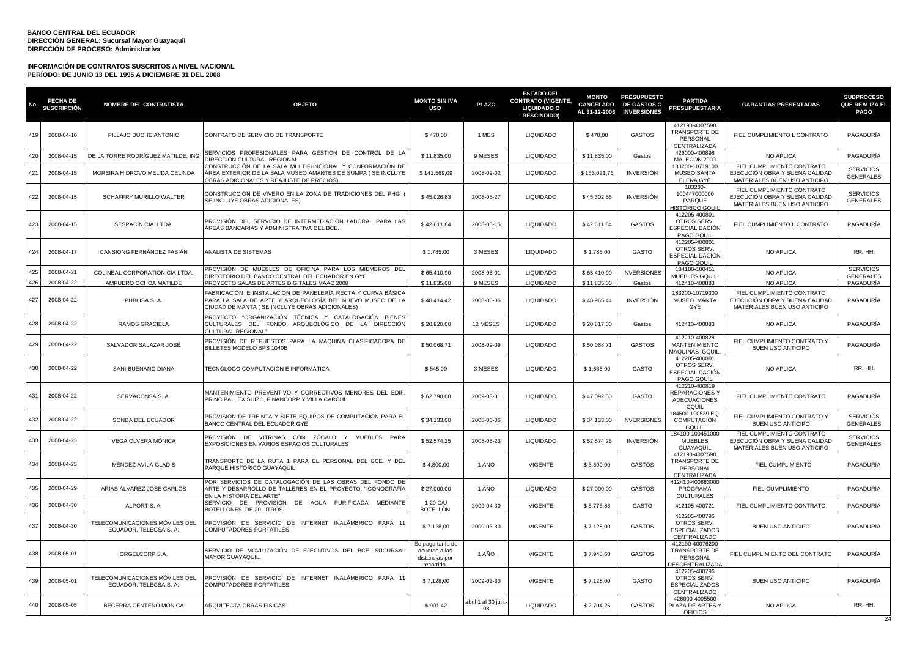| No  | <b>FECHA DE</b><br><b>SUSCRIPCIÓN</b> | <b>NOMBRE DEL CONTRATISTA</b>                            | <b>OBJETO</b>                                                                                                                                                             | <b>MONTO SIN IVA</b><br><b>USD</b>                                 | <b>PLAZO</b>                         | <b>ESTADO DEL</b><br><b>CONTRATO (VIGENTE,</b><br>LIQUIDADO O<br><b>RESCINDIDO)</b> | <b>MONTO</b><br>CANCELADO<br>AL 31-12-2008 | <b>PRESUPUESTO</b><br><b>DE GASTOS O</b><br><b>INVERSIONES</b> | <b>PARTIDA</b><br><b>PRESUPUESTARIA</b>                               | <b>GARANTÍAS PRESENTADAS</b>                                                                 | <b>SUBPROCESO</b><br>QUE REALIZA EL<br><b>PAGO</b> |
|-----|---------------------------------------|----------------------------------------------------------|---------------------------------------------------------------------------------------------------------------------------------------------------------------------------|--------------------------------------------------------------------|--------------------------------------|-------------------------------------------------------------------------------------|--------------------------------------------|----------------------------------------------------------------|-----------------------------------------------------------------------|----------------------------------------------------------------------------------------------|----------------------------------------------------|
| 419 | 2008-04-10                            | PILLAJO DUCHE ANTONIO                                    | CONTRATO DE SERVICIO DE TRANSPORTE                                                                                                                                        | \$470,00                                                           | 1 MES                                | <b>LIQUIDADO</b>                                                                    | \$470,00                                   | <b>GASTOS</b>                                                  | 412190-4007590<br><b>TRANSPORTE DE</b><br>PERSONAL<br>CENTRALIZADA    | FIEL CUMPLIMIENTO L CONTRATO                                                                 | PAGADURÍA                                          |
| 420 | 2008-04-15                            | DE LA TORRE RODRÍGUEZ MATILDE, ING                       | SERVICIOS PROFESIONALES PARA GESTIÓN DE CONTROL DE LA<br>IRECCIÓN CULTURAL REGIONAL                                                                                       | \$11.835,00                                                        | 9 MESES                              | <b>LIQUIDADO</b>                                                                    | \$11.835,00                                | Gastos                                                         | 426000-400898<br>MALECÓN 2000                                         | NO APLICA                                                                                    | PAGADURÍA                                          |
| 421 | 2008-04-15                            | MOREIRA HIDROVO MELIDA CELINDA                           | CONSTRUCCIÓN DE LA SALA MULTIFUNCIONAL Y CONFORMACIÓN DE<br>ÁREA EXTERIOR DE LA SALA MUSEO AMANTES DE SUMPA ( SE INCLUYE<br>OBRAS ADICIONALES Y REAJUSTE DE PRECIOS)      | \$141,569.09                                                       | 2008-09-02                           | <b>LIQUIDADO</b>                                                                    | \$163,021.76                               | <b>INVERSIÓN</b>                                               | 183200-10719100<br><b>MUSEO SANTA</b><br><b>ELENA GYE</b>             | FIEL CUMPLIMIENTO CONTRATO<br>EJECUCIÓN OBRA Y BUENA CALIDAD<br>MATERIALES BUEN USO ANTICIPO | <b>SERVICIOS</b><br><b>GENERALES</b>               |
| 422 | 2008-04-15                            | SCHAFFRY MURILLO WALTER                                  | CONSTRUCCIÓN DE VIVERO EN LA ZONA DE TRADICIONES DEL PHG<br>SE INCLUYE OBRAS ADICIONALES)                                                                                 | \$45.026,83                                                        | 2008-05-27                           | <b>LIQUIDADO</b>                                                                    | \$45.302,56                                | <b>INVERSIÓN</b>                                               | 183200-<br>100447000000<br>PARQUE<br>HISTÓRICO GQUII                  | FIEL CUMPLIMIENTO CONTRATO<br>EJECUCIÓN OBRA Y BUENA CALIDAD<br>MATERIALES BUEN USO ANTICIPO | <b>SERVICIOS</b><br><b>GENERALES</b>               |
| 423 | 2008-04-15                            | SESPACIN CIA. LTDA.                                      | PROVISIÓN DEL SERVICIO DE INTERMEDIACIÓN LABORAL PARA LAS<br>ÁREAS BANCARIAS Y ADMINISTRATIVA DEL BCE.                                                                    | \$42.611,84                                                        | 2008-05-15                           | <b>LIQUIDADO</b>                                                                    | \$42.611,84                                | <b>GASTOS</b>                                                  | 412205-400801<br>OTROS SERV.<br>ESPECIAL DACIÓN<br>PAGO GQUIL         | FIEL CUMPLIMIENTO L CONTRATO                                                                 | PAGADURÍA                                          |
| 424 | 2008-04-17                            | CANSIONG FERNÁNDEZ FABIÁN                                | ANALISTA DE SISTEMAS                                                                                                                                                      | \$1.785,00                                                         | 3 MESES                              | <b>LIQUIDADO</b>                                                                    | \$1.785,00                                 | <b>GASTO</b>                                                   | 412205-400801<br>OTROS SERV.<br>ESPECIAL DACIÓN<br>PAGO GQUIL         | NO APLICA                                                                                    | RR. HH.                                            |
| 425 | 2008-04-21                            | COLINEAL CORPORATION CIA LTDA                            | PROVISIÓN DE MUEBLES DE OFICINA PARA LOS MIEMBROS DEL<br><b>DIRECTORIO DEL BANCO CENTRAL DEL ECUADOR EN GYE</b>                                                           | \$65,410.90                                                        | 2008-05-01                           | <b>LIQUIDADO</b>                                                                    | \$65,410.90                                | <b>INVERSIONES</b>                                             | 184100-100451<br>MUEBLES GQUIL                                        | <b>NO APLICA</b>                                                                             | <b>SERVICIOS</b><br><b>GENERALES</b>               |
| 426 | 2008-04-22                            | AMPUERO OCHOA MATILDE                                    | PROYECTO SALAS DE ARTES DIGITALES MAAC 2008                                                                                                                               | \$11.835,00                                                        | 9 MESES                              | <b>LIQUIDADO</b>                                                                    | \$11.835,00                                | Gastos                                                         | 412410-400883                                                         | <b>NO APLICA</b>                                                                             | PAGADURÍA                                          |
| 427 | 2008-04-22                            | PUBLISA S. A.                                            | FABRICACIÓN E INSTALACIÓN DE PANELERÍA RECTA Y CURVA BÁSICA<br>PARA LA SALA DE ARTE Y ARQUEOLOGÍA DEL NUEVO MUSEO DE LA<br>CIUDAD DE MANTA (SE INCLUYE OBRAS ADICIONALES) | \$48.414,42                                                        | 2008-06-06                           | <b>LIQUIDADO</b>                                                                    | \$48.965,44                                | <b>INVERSIÓN</b>                                               | 183200-10719300<br>MUSEO MANTA<br>GYE                                 | FIEL CUMPLIMIENTO CONTRATO<br>EJECUCIÓN OBRA Y BUENA CALIDAD<br>MATERIALES BUEN USO ANTICIPO | PAGADURÍA                                          |
| 428 | 2008-04-22                            | RAMOS GRACIELA                                           | PROYECTO "ORGANIZACIÓN TÉCNICA Y CATALOGACIÓN BIENES<br>CULTURALES DEL FONDO ARQUEOLÓGICO DE LA DIRECCIÓN<br><b>CULTURAL REGIONAL"</b>                                    | \$20.820,00                                                        | 12 MESES                             | <b>LIQUIDADO</b>                                                                    | \$20.817,00                                | Gastos                                                         | 412410-400883                                                         | NO APLICA                                                                                    | PAGADURÍA                                          |
| 429 | 2008-04-22                            | SALVADOR SALAZAR JOSÉ                                    | PROVISIÓN DE REPUESTOS PARA LA MAQUINA CLASIFICADORA DE<br>BILLETES MODELO BPS 1040B                                                                                      | \$50.068,71                                                        | 2008-09-09                           | <b>LIQUIDADO</b>                                                                    | \$50.068,71                                | <b>GASTOS</b>                                                  | 412210-400828<br><b>MANTENIMIENTO</b><br>MÁQUINAS GQUIL               | FIEL CUMPLIMIENTO CONTRATO Y<br><b>BUEN USO ANTICIPO</b>                                     | PAGADURÍA                                          |
| 430 | 2008-04-22                            | SANI BUENAÑO DIANA                                       | TECNÓLOGO COMPUTACIÓN E INFORMÁTICA                                                                                                                                       | \$545,00                                                           | 3 MESES                              | <b>LIQUIDADO</b>                                                                    | \$1.635,00                                 | GASTO                                                          | 412205-400801<br>OTROS SERV.<br>ESPECIAL DACIÓN<br>PAGO GQUIL         | NO APLICA                                                                                    | RR. HH.                                            |
| 431 | 2008-04-22                            | SERVACONSA S. A.                                         | MANTENIMIENTO PREVENTIVO Y CORRECTIVOS MENORES DEL EDIF<br>PRINCIPAL, EX SUIZO, FINANCORP Y VILLA CARCHI                                                                  | \$62,790.00                                                        | 2009-03-31                           | <b>LIQUIDADO</b>                                                                    | \$47,092.50                                | <b>GASTO</b>                                                   | 412210-400819<br>REPARACIONES Y<br><b>ADECUACIONES</b><br>GOUIL       | FIEL CUMPLIMIENTO CONTRATO                                                                   | PAGADURÍA                                          |
| 432 | 2008-04-22                            | SONDA DEL ECUADOR                                        | PROVISIÓN DE TREINTA Y SIETE EQUIPOS DE COMPUTACIÓN PARA EL<br>BANCO CENTRAL DEL ECUADOR GYE                                                                              | \$34.133,00                                                        | 2008-06-06                           | <b>LIQUIDADO</b>                                                                    | \$34.133,00                                | <b>INVERSIONES</b>                                             | 184500-100539 EQ.<br><b>COMPUTACIÓN</b><br><b>GQUIL</b>               | FIEL CUMPLIMIENTO CONTRATO Y<br><b>BUEN USO ANTICIPO</b>                                     | <b>SERVICIOS</b><br><b>GENERALES</b>               |
| 433 | 2008-04-23                            | VEGA OLVERA MÓNICA                                       | PROVISIÓN DE VITRINAS CON ZÓCALO Y MUEBLES PARA<br>EXPOSICIONES EN VARIOS ESPACIOS CULTURALES                                                                             | \$52,574.25                                                        | 2008-05-23                           | <b>LIQUIDADO</b>                                                                    | \$52,574.25                                | <b>INVERSIÓN</b>                                               | 184100-100451000<br><b>MUEBLES</b><br><b>GUAYAQUIL</b>                | FIEL CUMPLIMIENTO CONTRATO<br>EJECUCIÓN OBRA Y BUENA CALIDAD<br>MATERIALES BUEN USO ANTICIPO | <b>SERVICIOS</b><br><b>GENERALES</b>               |
| 434 | 2008-04-25                            | MÉNDEZ ÁVILA GLADIS                                      | TRANSPORTE DE LA RUTA 1 PARA EL PERSONAL DEL BCE. Y DEL<br>PARQUE HISTÓRICO GUAYAQUIL.                                                                                    | \$4,800.00                                                         | 1 AÑO                                | <b>VIGENTE</b>                                                                      | \$3.600,00                                 | <b>GASTOS</b>                                                  | 412190-4007590<br>TRANSPORTE DE<br>PERSONAL<br>CENTRALIZADA           | - - FIEL CUMPLIMIENTO                                                                        | PAGADURÍA                                          |
| 435 | 2008-04-29                            | ARIAS ÁLVAREZ JOSÉ CARLOS                                | POR SERVICIOS DE CATALOGACIÓN DE LAS OBRAS DEL FONDO DE<br>ARTE Y DESARROLLO DE TALLERES EN EL PROYECTO: "ICONOGRAFÍA<br>EN LA HISTORIA DEL ARTE"                         | \$27,000.00                                                        | 1 AÑO                                | <b>LIQUIDADO</b>                                                                    | \$27,000.00                                | <b>GASTOS</b>                                                  | 412410-400883000<br>PROGRAMA<br><b>CULTURALES</b>                     | FIEL CUMPLIMIENTO                                                                            | PAGADURÍA                                          |
| 436 | 2008-04-30                            | ALPORT S.A.                                              | SERVICIO DE PROVISIÓN DE AGUA PURIFICADA<br><b>MEDIANTE</b><br>BOTELLONES DE 20 LITROS                                                                                    | 1,20 C/U<br>BOTELLÓN                                               | 2009-04-30                           | <b>VIGENTE</b>                                                                      | \$5.776,86                                 | GASTO                                                          | 412105-400721                                                         | FIEL CUMPLIMIENTO CONTRATO                                                                   | PAGADURÍA                                          |
| 437 | 2008-04-30                            | TELECOMUNICACIONES MÓVILES DEL<br>ECUADOR, TELECSA S. A. | PROVISIÓN DE SERVICIO DE INTERNET INALÁMBRICO PARA 11<br><b>COMPUTADORES PORTÁTILES</b>                                                                                   | \$7.128,00                                                         | 2009-03-30                           | <b>VIGENTE</b>                                                                      | \$7.128,00                                 | <b>GASTOS</b>                                                  | 412205-400796<br>OTROS SERV.<br>ESPECIALIZADOS<br>CENTRALIZADO        | <b>BUEN USO ANTICIPO</b>                                                                     | PAGADURÍA                                          |
| 438 | 2008-05-01                            | ORGELCORP S.A.                                           | SERVICIO DE MOVILIZACIÓN DE EJECUTIVOS DEL BCE. SUCURSAL<br><b>MAYOR GUAYAQUIL</b>                                                                                        | Se paga tarifa de<br>acuerdo a las<br>distancias por<br>recorrido. | 1 AÑO                                | <b>VIGENTE</b>                                                                      | \$7.948,60                                 | <b>GASTOS</b>                                                  | 412190-40076200<br>TRANSPORTE DE<br>PERSONAL<br><b>DESCENTRALIZAD</b> | FIEL CUMPLIMIENTO DEL CONTRATO                                                               | PAGADURÍA                                          |
| 439 | 2008-05-01                            | TELECOMUNICACIONES MÓVILES DEL<br>ECUADOR, TELECSA S. A. | PROVISIÓN DE SERVICIO DE INTERNET INALÁMBRICO PARA 11<br>COMPUTADORES PORTÁTILES                                                                                          | \$7.128,00                                                         | 2009-03-30                           | <b>VIGENTE</b>                                                                      | \$7.128,00                                 | GASTO                                                          | 412205-400796<br>OTROS SERV.<br><b>ESPECIALIZADOS</b><br>CENTRALIZADO | <b>BUEN USO ANTICIPO</b>                                                                     | PAGADURÍA                                          |
| 440 | 2008-05-05                            | BECERRA CENTENO MÓNICA                                   | ARQUITECTA OBRAS FÍSICAS                                                                                                                                                  | \$901,42                                                           | abril 1 al 30 jun.<br>0 <sub>8</sub> | <b>LIQUIDADO</b>                                                                    | \$2.704,26                                 | <b>GASTOS</b>                                                  | 426000-4005500<br>PLAZA DE ARTES Y<br><b>OFICIOS</b>                  | <b>NO APLICA</b>                                                                             | RR. HH.                                            |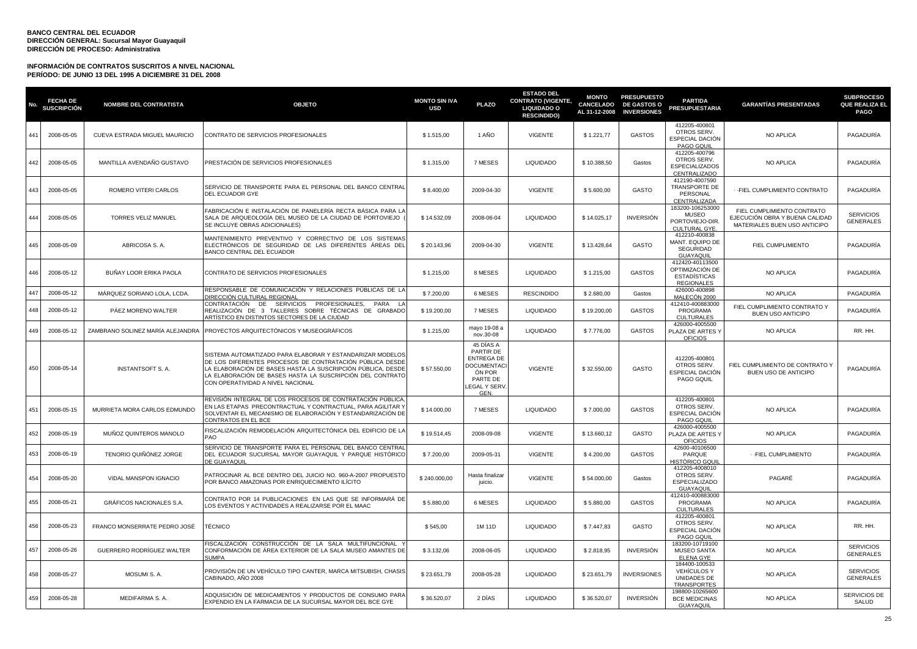| No. | <b>FECHA DE</b><br>SUSCRIPCIÓN | <b>NOMBRE DEL CONTRATISTA</b>    | <b>OBJETO</b>                                                                                                                                                                                                                                                                          | <b>MONTO SIN IVA</b><br><b>USD</b> | <b>PLAZO</b>                                                                                           | <b>ESTADO DEL</b><br><b>CONTRATO (VIGENTE,</b><br><b>LIQUIDADO O</b><br><b>RESCINDIDO)</b> | <b>MONTO</b><br><b>CANCELADO</b><br>AL 31-12-2008 | <b>PRESUPUESTO</b><br><b>DE GASTOS O</b><br><b>INVERSIONES</b> | <b>PARTIDA</b><br><b>PRESUPUESTARIA</b>                                        | <b>GARANTIAS PRESENTADAS</b>                                                                 | <b>SUBPROCESO</b><br><b>QUE REALIZA EL</b><br><b>PAGO</b> |
|-----|--------------------------------|----------------------------------|----------------------------------------------------------------------------------------------------------------------------------------------------------------------------------------------------------------------------------------------------------------------------------------|------------------------------------|--------------------------------------------------------------------------------------------------------|--------------------------------------------------------------------------------------------|---------------------------------------------------|----------------------------------------------------------------|--------------------------------------------------------------------------------|----------------------------------------------------------------------------------------------|-----------------------------------------------------------|
| 441 | 2008-05-05                     | CUEVA ESTRADA MIGUEL MAURICIO    | CONTRATO DE SERVICIOS PROFESIONALES                                                                                                                                                                                                                                                    | \$1.515,00                         | 1 AÑO                                                                                                  | <b>VIGENTE</b>                                                                             | \$1.221,77                                        | <b>GASTOS</b>                                                  | 412205-400801<br>OTROS SERV.<br>ESPECIAL DACIÓN<br>PAGO GQUIL                  | <b>NO APLICA</b>                                                                             | PAGADURÍA                                                 |
| 442 | 2008-05-05                     | MANTILLA AVENDAÑO GUSTAVO        | PRESTACIÓN DE SERVICIOS PROFESIONALES                                                                                                                                                                                                                                                  | \$1.315,00                         | 7 MESES                                                                                                | <b>LIQUIDADO</b>                                                                           | \$10.388,50                                       | Gastos                                                         | 412205-400796<br>OTROS SERV.<br><b>ESPECIALIZADOS</b><br>CENTRALIZADO          | NO APLICA                                                                                    | PAGADURÍA                                                 |
| 443 | 2008-05-05                     | ROMERO VITERI CARLOS             | SERVICIO DE TRANSPORTE PARA EL PERSONAL DEL BANCO CENTRAL<br>DEL ECUADOR GYE                                                                                                                                                                                                           | \$8,400.00                         | 2009-04-30                                                                                             | <b>VIGENTE</b>                                                                             | \$5,600.00                                        | GASTO                                                          | 412190-4007590<br><b>TRANSPORTE DE</b><br>PERSONAL<br>CENTRALIZADA             | - - FIEL CUMPLIMIENTO CONTRATO                                                               | PAGADURÍA                                                 |
| 444 | 2008-05-05                     | TORRES VELIZ MANUEL              | FABRICACIÓN E INSTALACIÓN DE PANELERÍA RECTA BÁSICA PARA LA<br>SALA DE ARQUEOLOGÍA DEL MUSEO DE LA CIUDAD DE PORTOVIEJO<br>SE INCLUYE OBRAS ADICIONALES)                                                                                                                               | \$14.532,09                        | 2008-06-04                                                                                             | <b>LIQUIDADO</b>                                                                           | \$14.025,17                                       | <b>INVERSIÓN</b>                                               | 183200-106253000<br><b>MUSEO</b><br>PORTOVIEJO-DIR<br><b>CULTURAL GYE</b>      | FIEL CUMPLIMIENTO CONTRATO<br>EJECUCIÓN OBRA Y BUENA CALIDAD<br>MATERIALES BUEN USO ANTICIPO | <b>SERVICIOS</b><br><b>GENERALES</b>                      |
| 445 | 2008-05-09                     | ABRICOSA S. A.                   | MANTENIMIENTO PREVENTIVO Y CORRECTIVO DE LOS SISTEMAS<br>ELECTRÓNICOS DE SEGURIDAD DE LAS DIFERENTES ÁREAS DEL<br>BANCO CENTRAL DEL ECUADOR                                                                                                                                            | \$20.143,96                        | 2009-04-30                                                                                             | <b>VIGENTE</b>                                                                             | \$13.428,64                                       | GASTO                                                          | 412210-400838<br>MANT. EQUIPO DE<br>SEGURIDAD<br><b>GUAYAQUIL</b>              | FIEL CUMPLIMIENTO                                                                            | PAGADURÍA                                                 |
| 446 | 2008-05-12                     | BUÑAY LOOR ERIKA PAOLA           | CONTRATO DE SERVICIOS PROFESIONALES                                                                                                                                                                                                                                                    | \$1.215,00                         | 8 MESES                                                                                                | <b>LIQUIDADO</b>                                                                           | \$1.215,00                                        | <b>GASTOS</b>                                                  | 412420-40113500<br>OPTIMIZACIÓN DE<br><b>ESTADISTICAS</b><br><b>REGIONALES</b> | NO APLICA                                                                                    | PAGADURÍA                                                 |
| 447 | 2008-05-12                     | MÁRQUEZ SORIANO LOLA, LCDA       | RESPONSABLE DE COMUNICACIÓN Y RELACIONES PÚBLICAS DE LA<br>)IRECCIÓN CULTURAL REGIONAL                                                                                                                                                                                                 | \$7.200,00                         | 6 MESES                                                                                                | <b>RESCINDIDO</b>                                                                          | \$2.680,00                                        | Gastos                                                         | 426000-400898<br>MALECÓN 2000                                                  | NO APLICA                                                                                    | PAGADURÍA                                                 |
| 448 | 2008-05-12                     | PÁEZ MORENO WALTER               | CONTRATACIÓN DE SERVICIOS PROFESIONALES,<br>PARA<br>REALIZACIÓN DE 3 TALLERES SOBRE TÉCNICAS DE GRABADO<br>ARTÍSTICO EN DISTINTOS SECTORES DE LA CIUDAD                                                                                                                                | \$19.200,00                        | 7 MESES                                                                                                | <b>LIQUIDADO</b>                                                                           | \$19.200,00                                       | <b>GASTOS</b>                                                  | 412410-400883000<br>PROGRAMA<br><b>CULTURALES</b>                              | FIEL CUMPLIMIENTO CONTRATO Y<br>BUEN USO ANTICIPO                                            | PAGADURÍA                                                 |
| 449 | 2008-05-12                     | ZAMBRANO SOLINEZ MARÍA ALEJANDRA | PROYECTOS ARQUITECTÓNICOS Y MUSEOGRÁFICOS                                                                                                                                                                                                                                              | \$1.215,00                         | mayo 19-08 a<br>nov.30-08                                                                              | <b>LIQUIDADO</b>                                                                           | \$7.776,00                                        | <b>GASTOS</b>                                                  | 426000-4005500<br>PLAZA DE ARTES Y<br><b>OFICIOS</b>                           | <b>NO APLICA</b>                                                                             | RR. HH.                                                   |
| 450 | 2008-05-14                     | INSTANTSOFT S. A.                | SISTEMA AUTOMATIZADO PARA ELABORAR Y ESTANDARIZAR MODELOS<br>DE LOS DIFERENTES PROCESOS DE CONTRATACIÓN PÚBLICA DESDE<br>LA ELABORACIÓN DE BASES HASTA LA SUSCRIPCIÓN PÚBLICA, DESDE<br>LA ELABORACIÓN DE BASES HASTA LA SUSCRIPCIÓN DEL CONTRATO<br>CON OPERATIVIDAD A NIVEL NACIONAL | \$57.550,00                        | 45 DÍAS A<br>PARTIR DE<br>ENTREGA DE<br><b>DOCUMENTAC</b><br>ÓN POR<br>PARTE DE<br>EGAL Y SER\<br>GEN. | <b>VIGENTE</b>                                                                             | \$32.550,00                                       | GASTO                                                          | 412205-400801<br>OTROS SERV.<br>ESPECIAL DACIÓN<br>PAGO GQUIL                  | FIEL CUMPLIMIENTO DE CONTRATO Y<br>BUEN USO DE ANTICIPO                                      | PAGADURÍA                                                 |
| 451 | 2008-05-15                     | MURRIETA MORA CARLOS EDMUNDO     | REVISIÓN INTEGRAL DE LOS PROCESOS DE CONTRATACIÓN PÚBLICA<br>EN LAS ETAPAS PRECONTRACTUAL Y CONTRACTUAL, PARA AGILITAR Y<br>SOLVENTAR EL MECANISMO DE ELABORACIÓN Y ESTANDARIZACIÓN DE<br>CONTRATOS EN EL BCE                                                                          | \$14.000,00                        | 7 MESES                                                                                                | <b>LIQUIDADO</b>                                                                           | \$7.000,00                                        | <b>GASTOS</b>                                                  | 412205-400801<br>OTROS SERV.<br>ESPECIAL DACIÓN<br>PAGO GOUIL                  | <b>NO APLICA</b>                                                                             | PAGADURÍA                                                 |
| 452 | 2008-05-19                     | MUÑOZ QUINTEROS MANOLO           | FISCALIZACIÓN REMODELACIÓN ARQUITECTÓNICA DEL EDIFICIO DE LA<br>PAO                                                                                                                                                                                                                    | \$19.514,45                        | 2008-09-08                                                                                             | <b>VIGENTE</b>                                                                             | \$13.660,12                                       | <b>GASTO</b>                                                   | 426000-4005500<br>PLAZA DE ARTES Y<br><b>OFICIOS</b>                           | <b>NO APLICA</b>                                                                             | PAGADURÍA                                                 |
| 453 | 2008-05-19                     | TENORIO QUIÑÓNEZ JORGE           | SERVICIO DE TRANSPORTE PARA EL PERSONAL DEL BANCO CENTRAL<br>DEL ECUADOR SUCURSAL MAYOR GUAYAQUIL Y PARQUE HISTÓRICO<br>DE GUAYAQUIL                                                                                                                                                   | \$7.200,00                         | 2009-05-31                                                                                             | <b>VIGENTE</b>                                                                             | \$4.200,00                                        | <b>GASTOS</b>                                                  | 42600-40106500<br>PARQUE<br>HISTÓRICO GQUI                                     | - - FIEL CUMPLIMIENTO                                                                        | PAGADURÍA                                                 |
| 454 | 2008-05-20                     | VIDAL MANSPON IGNACIO            | PATROCINAR AL BCE DENTRO DEL JUICIO NO. 960-A-2007 PROPUESTO<br>POR BANCO AMAZONAS POR ENRIQUECIMIENTO ILÍCITO                                                                                                                                                                         | \$240.000,00                       | Hasta finalizar<br>juicio.                                                                             | <b>VIGENTE</b>                                                                             | \$54.000,00                                       | Gastos                                                         | 412205-4008010<br>OTROS SERV.<br><b>ESPECIALIZADO</b><br><b>GUAYAQUIL</b>      | PAGARÉ                                                                                       | PAGADURÍA                                                 |
| 455 | 2008-05-21                     | GRÁFICOS NACIONALES S.A.         | CONTRATO POR 14 PUBLICACIONES EN LAS QUE SE INFORMARÁ DE<br>LOS EVENTOS Y ACTIVIDADES A REALIZARSE POR EL MAAC                                                                                                                                                                         | \$5.880,00                         | 6 MESES                                                                                                | LIQUIDADO                                                                                  | \$5.880,00                                        | <b>GASTOS</b>                                                  | 412410-400883000<br>PROGRAMA<br><b>CULTURALES</b>                              | NO APLICA                                                                                    | PAGADURÍA                                                 |
| 456 | 2008-05-23                     | FRANCO MONSERRATE PEDRO JOSÉ     | <b>TÉCNICO</b>                                                                                                                                                                                                                                                                         | \$545,00                           | 1M 11D                                                                                                 | <b>LIQUIDADO</b>                                                                           | \$7.447,83                                        | GASTO                                                          | 412205-400801<br>OTROS SERV.<br>ESPECIAL DACIÓN<br><b>PAGO GQUIL</b>           | <b>NO APLICA</b>                                                                             | RR. HH.                                                   |
| 457 | 2008-05-26                     | GUERRERO RODRÍGUEZ WALTER        | FISCALIZACIÓN CONSTRUCCIÓN DE LA SALA MULTIFUNCIONAL<br>CONFORMACIÓN DE ÁREA EXTERIOR DE LA SALA MUSEO AMANTES DE<br><b>SUMPA</b>                                                                                                                                                      | \$3.132,06                         | 2008-06-05                                                                                             | <b>LIQUIDADO</b>                                                                           | \$2.818,95                                        | INVERSIÓN                                                      | 183200-10719100<br><b>MUSEO SANTA</b><br><b>ELENA GYE</b>                      | NO APLICA                                                                                    | <b>SERVICIOS</b><br><b>GENERALES</b>                      |
| 458 | 2008-05-27                     | MOSUMI S.A.                      | PROVISIÓN DE UN VEHÍCULO TIPO CANTER, MARCA MITSUBISH, CHASIS<br>CABINADO, AÑO 2008                                                                                                                                                                                                    | \$23.651,79                        | 2008-05-28                                                                                             | <b>LIQUIDADO</b>                                                                           | \$23.651,79                                       | <b>INVERSIONES</b>                                             | 184400-100533<br><b>VEHÍCULOS Y</b><br>UNIDADES DE<br><b>TRANSPORTES</b>       | <b>NO APLICA</b>                                                                             | <b>SERVICIOS</b><br><b>GENERALES</b>                      |
| 459 | 2008-05-28                     | MEDIFARMA S.A.                   | ADQUISICIÓN DE MEDICAMENTOS Y PRODUCTOS DE CONSUMO PARA<br>EXPENDIO EN LA FARMACIA DE LA SUCURSAL MAYOR DEL BCE GYE                                                                                                                                                                    | \$36.520,07                        | 2 DÍAS                                                                                                 | <b>LIQUIDADO</b>                                                                           | \$36.520,07                                       | <b>INVERSIÓN</b>                                               | 198800-10265600<br><b>BCE MEDICINAS</b><br>GUAYAQUIL                           | NO APLICA                                                                                    | SERVICIOS DE<br>SALUD                                     |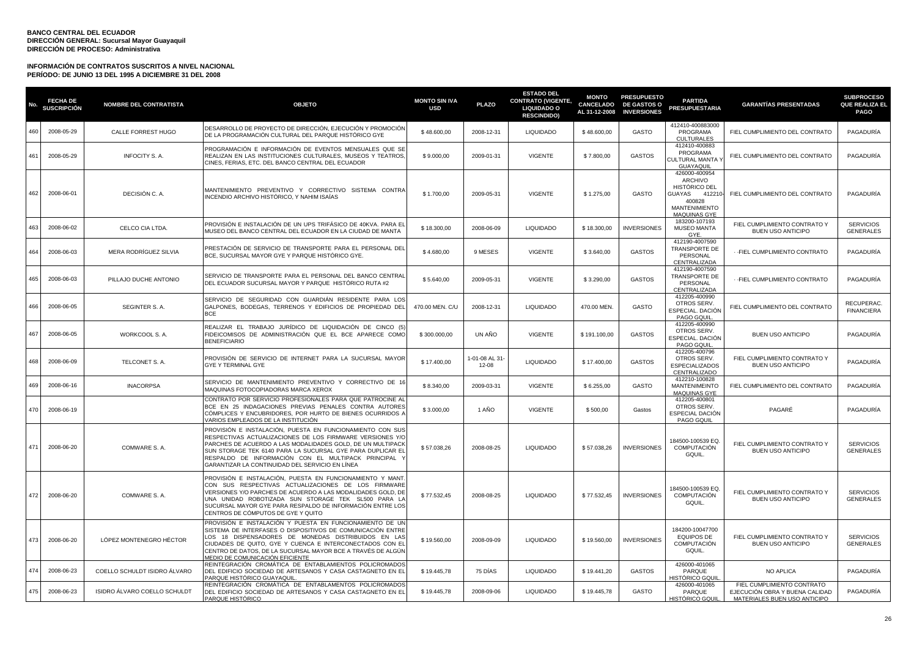| No. | <b>FECHA DE</b><br><b>SUSCRIPCIÓN</b> | <b>NOMBRE DEL CONTRATISTA</b> | <b>OBJETO</b>                                                                                                                                                                                                                                                                                                                                               | <b>MONTO SIN IVA</b><br><b>USD</b> | <b>PLAZO</b>            | <b>ESTADO DEL</b><br><b>CONTRATO (VIGENTE,</b><br><b>LIQUIDADO O</b><br><b>RESCINDIDO)</b> | <b>MONTO</b><br><b>CANCELADO</b><br>AL 31-12-2008 | <b>PRESUPUESTO</b><br><b>DE GASTOS O</b><br><b>INVERSIONES</b> | <b>PARTIDA</b><br><b>PRESUPUESTARIA</b>                                                                                | <b>GARANTÍAS PRESENTADAS</b>                                                                 | <b>SUBPROCESO</b><br>QUE REALIZA EL<br><b>PAGO</b> |
|-----|---------------------------------------|-------------------------------|-------------------------------------------------------------------------------------------------------------------------------------------------------------------------------------------------------------------------------------------------------------------------------------------------------------------------------------------------------------|------------------------------------|-------------------------|--------------------------------------------------------------------------------------------|---------------------------------------------------|----------------------------------------------------------------|------------------------------------------------------------------------------------------------------------------------|----------------------------------------------------------------------------------------------|----------------------------------------------------|
| 460 | 2008-05-29                            | CALLE FORREST HUGO            | DESARROLLO DE PROYECTO DE DIRECCIÓN, EJECUCIÓN Y PROMOCIÓN<br>DE LA PROGRAMACIÓN CULTURAL DEL PARQUE HISTÓRICO GYE                                                                                                                                                                                                                                          | \$48.600,00                        | 2008-12-31              | <b>LIQUIDADO</b>                                                                           | \$48.600,00                                       | GASTO                                                          | 412410-400883000<br>PROGRAMA<br><b>CULTURALES</b>                                                                      | FIEL CUMPLIMIENTO DEL CONTRATO                                                               | PAGADURÍA                                          |
| 461 | 2008-05-29                            | INFOCITY S. A.                | PROGRAMACIÓN E INFORMACIÓN DE EVENTOS MENSUALES QUE SE<br>REALIZAN EN LAS INSTITUCIONES CULTURALES, MUSEOS Y TEATROS.<br>CINES, FERIAS, ETC. DEL BANCO CENTRAL DEL ECUADOR                                                                                                                                                                                  | \$9.000,00                         | 2009-01-31              | <b>VIGENTE</b>                                                                             | \$7.800,00                                        | <b>GASTOS</b>                                                  | 412410-400883<br>PROGRAMA<br><b>CULTURAL MANTA</b><br><b>GUAYAQUIL</b>                                                 | FIEL CUMPLIMIENTO DEL CONTRATO                                                               | PAGADURÍA                                          |
| 462 | 2008-06-01                            | DECISIÓN C. A.                | MANTENIMIENTO PREVENTIVO Y CORRECTIVO<br>SISTEMA CONTRA<br>INCENDIO ARCHIVO HISTÓRICO, Y NAHIM ISAÍAS                                                                                                                                                                                                                                                       | \$1.700,00                         | 2009-05-31              | <b>VIGENTE</b>                                                                             | \$1.275,00                                        | GASTO                                                          | 426000-400954<br>ARCHIVO<br>HISTÓRICO DEL<br>GUAYAS<br>412210<br>400828<br><b>MANTENIMIENTO</b><br><b>MAQUINAS GYE</b> | FIEL CUMPLIMIENTO DEL CONTRATO                                                               | PAGADURÍA                                          |
| 463 | 2008-06-02                            | CELCO CIA LTDA.               | PROVISIÓN E INSTALACIÓN DE UN UPS TRIFÁSICO DE 40KVA. PARA EI<br>MUSEO DEL BANCO CENTRAL DEL ECUADOR EN LA CIUDAD DE MANTA                                                                                                                                                                                                                                  | \$18.300,00                        | 2008-06-09              | <b>LIQUIDADO</b>                                                                           | \$18.300,00                                       | <b>INVERSIONES</b>                                             | 183200-107193<br><b>MUSEO MANTA</b><br>GYE.                                                                            | FIEL CUMPLIMIENTO CONTRATO Y<br><b>BUEN USO ANTICIPO</b>                                     | <b>SERVICIOS</b><br><b>GENERALES</b>               |
| 464 | 2008-06-03                            | MERA RODRÍGUEZ SILVIA         | PRESTACIÓN DE SERVICIO DE TRANSPORTE PARA EL PERSONAL DEL<br>BCE, SUCURSAL MAYOR GYE Y PARQUE HISTÓRICO GYE.                                                                                                                                                                                                                                                | \$4.680,00                         | 9 MESES                 | VIGENTE                                                                                    | \$3.640,00                                        | <b>GASTOS</b>                                                  | 412190-4007590<br>TRANSPORTE DE<br>PERSONAL<br>CENTRALIZADA                                                            | -FIEL CUMPLIMIENTO CONTRATO                                                                  | PAGADURÍA                                          |
| 465 | 2008-06-03                            | PILLAJO DUCHE ANTONIO         | SERVICIO DE TRANSPORTE PARA EL PERSONAL DEL BANCO CENTRAL<br>DEL ECUADOR SUCURSAL MAYOR Y PARQUE HISTÓRICO RUTA #2                                                                                                                                                                                                                                          | \$5.640,00                         | 2009-05-31              | <b>VIGENTE</b>                                                                             | \$3.290,00                                        | <b>GASTOS</b>                                                  | 412190-4007590<br>TRANSPORTE DE<br>PERSONAL<br>CENTRALIZADA                                                            | -FIEL CUMPLIMIENTO CONTRATO                                                                  | PAGADURÍA                                          |
| 466 | 2008-06-05                            | SEGINTER S. A.                | SERVICIO DE SEGURIDAD CON GUARDIÁN RESIDENTE PARA LOS<br>GALPONES, BODEGAS, TERRENOS Y EDIFICIOS DE PROPIEDAD DEL<br>BCE                                                                                                                                                                                                                                    | 470.00 MEN. C/U                    | 2008-12-31              | <b>LIQUIDADO</b>                                                                           | 470.00 MEN.                                       | GASTO                                                          | 412205-400990<br>OTROS SERV.<br>ESPECIAL. DACIÓN<br>PAGO GQUIL                                                         | FIEL CUMPLIMIENTO DEL CONTRATO                                                               | <b>RECUPERAC</b><br><b>FINANCIERA</b>              |
| 467 | 2008-06-05                            | WORKCOOL S. A.                | REALIZAR EL TRABAJO JURÍDICO DE LIQUIDACIÓN DE CINCO (5<br>FIDEICOMISOS DE ADMINISTRACIÓN QUE EL BCE APARECE COMO<br><b>BENEFICIARIO</b>                                                                                                                                                                                                                    | \$300.000,00                       | UN AÑO                  | VIGENTE                                                                                    | \$191.100,00                                      | <b>GASTOS</b>                                                  | 412205-400990<br>OTROS SERV.<br>ESPECIAL. DACIÓN<br>PAGO GQUIL                                                         | BUEN USO ANTICIPO                                                                            | PAGADURÍA                                          |
| 468 | 2008-06-09                            | TELCONET S. A.                | PROVISIÓN DE SERVICIO DE INTERNET PARA LA SUCURSAL MAYOR<br>GYE Y TERMINAL GYE                                                                                                                                                                                                                                                                              | \$17.400,00                        | 1-01-08 AL 31-<br>12-08 | <b>LIQUIDADO</b>                                                                           | \$17.400,00                                       | <b>GASTOS</b>                                                  | 412205-400796<br>OTROS SERV.<br><b>ESPECIALIZADOS</b><br>CENTRALIZADO                                                  | FIEL CUMPLIMIENTO CONTRATO Y<br><b>BUEN USO ANTICIPO</b>                                     | PAGADURÍA                                          |
| 469 | 2008-06-16                            | <b>INACORPSA</b>              | SERVICIO DE MANTENIMIENTO PREVENTIVO Y CORRECTIVO DE 16<br>MAQUINAS FOTOCOPIADORAS MARCA XEROX                                                                                                                                                                                                                                                              | \$8.340,00                         | 2009-03-31              | <b>VIGENTE</b>                                                                             | \$6.255,00                                        | GASTO                                                          | 412210-100828<br><b>MANTENIMEINTO</b><br>MAQUINAS GYE                                                                  | FIEL CUMPLIMIENTO DEL CONTRATO                                                               | PAGADURÍA                                          |
| 470 | 2008-06-19                            |                               | CONTRATO POR SERVICIO PROFESIONALES PARA QUE PATROCINE AI<br>BCE EN 25 INDAGACIONES PREVIAS PENALES CONTRA AUTORES<br>CÓMPLICES Y ENCUBRIDORES, POR HURTO DE BIENES OCURRIDOS /<br>VARIOS EMPLEADOS DE LA INSTITUCIÓN                                                                                                                                       | \$3.000,00                         | 1 AÑO                   | VIGENTE                                                                                    | \$500,00                                          | Gastos                                                         | 412205-400801<br>OTROS SERV.<br><b>ESPECIAL DACION</b><br>PAGO GQUIL                                                   | PAGARÉ                                                                                       | PAGADURÍA                                          |
| 471 | 2008-06-20                            | COMWARE S.A.                  | PROVISIÓN E INSTALACIÓN, PUESTA EN FUNCIONAMIENTO CON SUS<br>RESPECTIVAS ACTUALIZACIONES DE LOS FIRMWARE VERSIONES Y/O<br>PARCHES DE ACUERDO A LAS MODALIDADES GOLD, DE UN MULTIPACK<br>SUN STORAGE TEK 6140 PARA LA SUCURSAL GYE PARA DUPLICAR EL<br>RESPALDO DE INFORMACIÓN CON EL MULTIPACK PRINCIPAL<br>GARANTIZAR LA CONTINUIDAD DEL SERVICIO EN LÍNEA | \$57.038,26                        | 2008-08-25              | <b>LIQUIDADO</b>                                                                           | \$57.038,26                                       | <b>INVERSIONES</b>                                             | 184500-100539 EQ.<br><b>COMPUTACIÓN</b><br>GQUIL.                                                                      | FIEL CUMPLIMIENTO CONTRATO Y<br>BUEN USO ANTICIPO                                            | <b>SERVICIOS</b><br><b>GENERALES</b>               |
| 472 | 2008-06-20                            | COMWARE S.A.                  | PROVISIÓN E INSTALACIÓN, PUESTA EN FUNCIONAMIENTO Y MANT<br>CON SUS RESPECTIVAS ACTUALIZACIONES DE LOS FIRMWARE<br>VERSIONES Y/O PARCHES DE ACUERDO A LAS MODALIDADES GOLD, DE<br>UNA UNIDAD ROBOTIZADA SUN STORAGE TEK SL500 PARA LA<br>SUCURSAL MAYOR GYE PARA RESPALDO DE INFORMACIÓN ENTRE LOS<br>CENTROS DE CÓMPUTOS DE GYE Y QUITO                    | \$77.532,45                        | 2008-08-25              | <b>LIQUIDADO</b>                                                                           | \$77.532,45                                       | <b>INVERSIONES</b>                                             | 184500-100539 EQ.<br>COMPUTACIÓN<br>GQUIL.                                                                             | FIEL CUMPLIMIENTO CONTRATO Y<br><b>BUEN USO ANTICIPO</b>                                     | <b>SERVICIOS</b><br><b>GENERALES</b>               |
| 473 | 2008-06-20                            | LÓPEZ MONTENEGRO HÉCTOR       | PROVISIÓN E INSTALACIÓN Y PUESTA EN FUNCIONAMIENTO DE UN<br>SISTEMA DE INTERFASES O DISPOSITIVOS DE COMUNICACIÓN ENTRE<br>LOS 18 DISPENSADORES DE MONEDAS DISTRIBUIDOS EN LAS<br>CIUDADES DE QUITO, GYE Y CUENCA E INTERCONECTADOS CON EL<br>CENTRO DE DATOS, DE LA SUCURSAL MAYOR BCE A TRAVÉS DE ALGÚN<br>MEDIO DE COMUNICACIÓN EFICIENTE                 | \$19.560,00                        | 2008-09-09              | <b>LIQUIDADO</b>                                                                           | \$19.560,00                                       | <b>INVERSIONES</b>                                             | 184200-10047700<br><b>EQUIPOS DE</b><br>COMPUTACIÓN<br>GQUIL.                                                          | FIEL CUMPLIMIENTO CONTRATO Y<br>BUEN USO ANTICIPO                                            | <b>SERVICIOS</b><br><b>GENERALES</b>               |
| 474 | 2008-06-23                            | COELLO SCHULDT ISIDRO ÁLVARO  | REINTEGRACIÓN CROMÁTICA DE ENTABLAMIENTOS POLICROMADOS<br>DEL EDIFICIO SOCIEDAD DE ARTESANOS Y CASA CASTAGNETO EN EL<br>PARQUE HISTÓRICO GUAYAQUIL                                                                                                                                                                                                          | \$19.445,78                        | 75 DIAS                 | <b>LIQUIDADO</b>                                                                           | \$19.441,20                                       | <b>GASTOS</b>                                                  | 426000-401065<br>PARQUE<br>HISTÓRICO GQU                                                                               | NO APLICA                                                                                    | PAGADURÍA                                          |
| 475 | 2008-06-23                            | ISIDRO ÁLVARO COELLO SCHULDT  | REINTEGRACIÓN CROMÁTICA DE ENTABLAMENTOS POLICROMADOS<br>DEL EDIFICIO SOCIEDAD DE ARTESANOS Y CASA CASTAGNETO EN EL<br>PARQUE HISTÓRICO                                                                                                                                                                                                                     | \$19.445,78                        | 2008-09-06              | <b>LIQUIDADO</b>                                                                           | \$19.445,78                                       | GASTO                                                          | 426000-401065<br>PARQUE<br><u>HISTÓRICO GQUIL</u>                                                                      | FIEL CUMPLIMIENTO CONTRATO<br>EJECUCIÓN OBRA Y BUENA CALIDAD<br>MATERIALES BUEN USO ANTICIPO | PAGADURÍA                                          |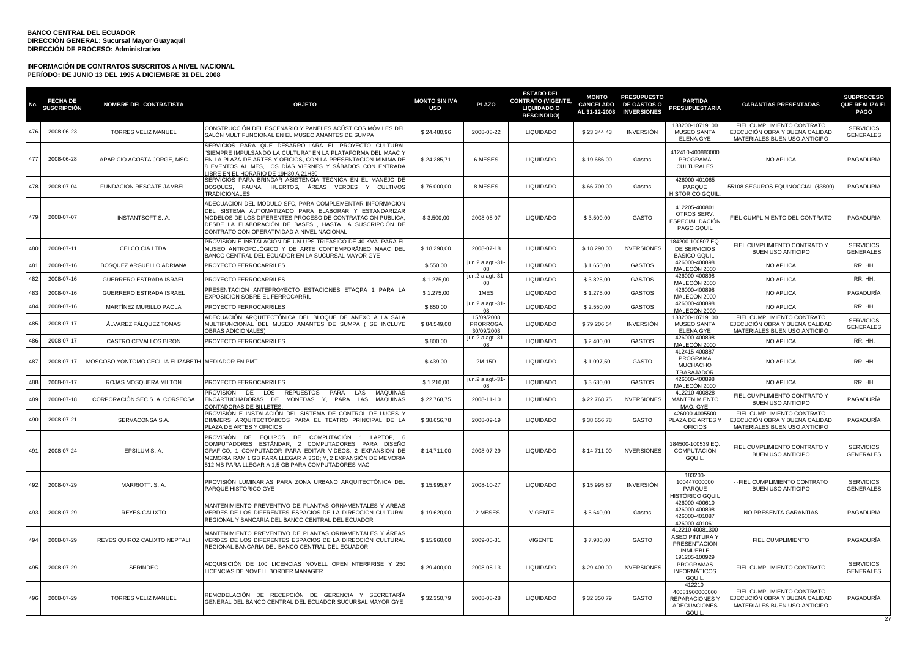| No. | <b>FECHA DE</b><br><b>SUSCRIPCIÓN</b> | <b>NOMBRE DEL CONTRATISTA</b>                     | <b>OBJETO</b>                                                                                                                                                                                                                                                                           | <b>MONTO SIN IVA</b><br><b>USD</b> | <b>PLAZO</b>                         | <b>ESTADO DEL</b><br><b>CONTRATO (VIGENTE,</b><br><b>LIQUIDADO O</b><br><b>RESCINDIDO)</b> | <b>MONTO</b><br><b>CANCELADO</b><br>AL 31-12-2008 | <b>PRESUPUESTO</b><br><b>DE GASTOS O</b><br><b>INVERSIONES</b> | <b>PARTIDA</b><br><b>PRESUPUESTARIA</b>                                           | <b>GARANTÍAS PRESENTADAS</b>                                                                 | <b>SUBPROCESO</b><br>QUE REALIZA EL<br><b>PAGO</b> |
|-----|---------------------------------------|---------------------------------------------------|-----------------------------------------------------------------------------------------------------------------------------------------------------------------------------------------------------------------------------------------------------------------------------------------|------------------------------------|--------------------------------------|--------------------------------------------------------------------------------------------|---------------------------------------------------|----------------------------------------------------------------|-----------------------------------------------------------------------------------|----------------------------------------------------------------------------------------------|----------------------------------------------------|
| 476 | 2008-06-23                            | <b>TORRES VELIZ MANUEL</b>                        | CONSTRUCCIÓN DEL ESCENARIO Y PANELES ACÚSTICOS MÓVILES DEL<br>SALÓN MULTIFUNCIONAL EN EL MUSEO AMANTES DE SUMPA                                                                                                                                                                         | \$24.480,96                        | 2008-08-22                           | <b>LIQUIDADO</b>                                                                           | \$23.344,43                                       | <b>INVERSIÓN</b>                                               | 183200-10719100<br><b>MUSEO SANTA</b><br><b>ELENA GYE</b>                         | FIEL CUMPLIMIENTO CONTRATO<br>EJECUCIÓN OBRA Y BUENA CALIDAD<br>MATERIALES BUEN USO ANTICIPO | <b>SERVICIOS</b><br><b>GENERALES</b>               |
| 477 | 2008-06-28                            | APARICIO ACOSTA JORGE, MSC                        | SERVICIOS PARA QUE DESARROLLARA EL PROYECTO CULTURAL<br>'SIEMPRE IMPULSANDO LA CULTURA" EN LA PLATAFORMA DEL MAAC Y<br>EN LA PLAZA DE ARTES Y OFICIOS. CON LA PRESENTACIÓN MÍNIMA DE<br>B EVENTOS AL MES, LOS DÍAS VIERNES Y SÁBADOS CON ENTRADA<br>IBRE EN EL HORARIO DE 19H30 A 21H30 | \$24.285,71                        | 6 MESES                              | <b>LIQUIDADO</b>                                                                           | \$19.686,00                                       | Gastos                                                         | 412410-400883000<br>PROGRAMA<br><b>CULTURALES</b>                                 | NO APLICA                                                                                    | PAGADURÍA                                          |
| 478 | 2008-07-04                            | FUNDACIÓN RESCATE JAMBELÍ                         | SERVICIOS PARA BRINDAR ASISTENCIA TÉCNICA EN EL MANEJO DE<br>ÁREAS VERDES Y CULTIVOS<br>BOSQUES, FAUNA, HUERTOS,<br><b>TRADICIONALES</b>                                                                                                                                                | \$76.000,00                        | 8 MESES                              | <b>LIQUIDADO</b>                                                                           | \$66.700,00                                       | Gastos                                                         | 426000-401065<br>PARQUE<br>HISTÓRICO GOUII                                        | 55108 SEGUROS EQUINOCCIAL (\$3800)                                                           | PAGADURÍA                                          |
| 479 | 2008-07-07                            | <b>INSTANTSOFT S. A.</b>                          | ADECUACIÓN DEL MODULO SFC, PARA COMPLEMENTAR INFORMACIÓN<br>DEL SISTEMA AUTOMATIZADO PARA ELABORAR Y ESTANDARIZAR<br>MODELOS DE LOS DIFERENTES PROCESO DE CONTRATACIÓN PUBLICA<br>DESDE LA ELABORACIÓN DE BASES, HASTA LA SUSCRIPCIÓN DE<br>CONTRATO CON OPERATIVIDAD A NIVEL NACIONAL  | \$3.500,00                         | 2008-08-07                           | <b>LIQUIDADO</b>                                                                           | \$3.500,00                                        | GASTO                                                          | 412205-400801<br>OTROS SERV.<br>ESPECIAL DACIÓN<br>PAGO GQUIL                     | FIEL CUMPLIMIENTO DEL CONTRATO                                                               | PAGADURÍA                                          |
| 480 | 2008-07-11                            | CELCO CIA LTDA.                                   | PROVISIÓN E INSTALACIÓN DE UN UPS TRIFÁSICO DE 40 KVA. PARA EL<br>MUSEO ANTROPOLÓGICO Y DE ARTE CONTEMPORÁNEO MAAC DEL<br>BANCO CENTRAL DEL ECUADOR EN LA SUCURSAL MAYOR GYE                                                                                                            | \$18,290.00                        | 2008-07-18                           | <b>LIQUIDADO</b>                                                                           | \$18,290.00                                       | <b>INVERSIONES</b>                                             | 184200-100507 EQ.<br>DE SERVICIOS<br><b>BÁSICO GQUIL</b>                          | FIEL CUMPLIMIENTO CONTRATO Y<br><b>BUEN USO ANTICIPO</b>                                     | <b>SERVICIOS</b><br><b>GENERALES</b>               |
| 481 | 2008-07-16                            | BOSQUEZ ARGUELLO ADRIANA                          | PROYECTO FERROCARRILES                                                                                                                                                                                                                                                                  | \$550,00                           | jun.2 a agt.-31<br>0 <sub>8</sub>    | <b>LIQUIDADO</b>                                                                           | \$1.650,00                                        | <b>GASTOS</b>                                                  | 426000-400898<br>MALECÓN 2000                                                     | <b>NO APLICA</b>                                                                             | RR. HH.                                            |
| 482 | 2008-07-16                            | <b>GUERRERO ESTRADA ISRAEL</b>                    | PROYECTO FERROCARRILES                                                                                                                                                                                                                                                                  | \$1.275,00                         | jun.2 a agt.-31<br>0 <sub>8</sub>    | <b>LIQUIDADO</b>                                                                           | \$3.825,00                                        | <b>GASTOS</b>                                                  | 426000-400898<br>MALECÓN 2000                                                     | NO APLICA                                                                                    | RR. HH.                                            |
| 483 | 2008-07-16                            | <b>GUERRERO ESTRADA ISRAEL</b>                    | PRESENTACIÓN ANTEPROYECTO ESTACIONES ETAQPA 1 PARA LA<br>EXPOSICIÓN SOBRE EL FERROCARRII                                                                                                                                                                                                | \$1.275.00                         | 1MES                                 | <b>LIQUIDADO</b>                                                                           | \$1.275,00                                        | <b>GASTOS</b>                                                  | 426000-400898<br>MALECÓN 2000                                                     | <b>NO APLICA</b>                                                                             | PAGADURÍA                                          |
| 484 | 2008-07-16                            | MARTÍNEZ MURILLO PAOLA                            | PROYECTO FERROCARRILES                                                                                                                                                                                                                                                                  | \$850,00                           | jun.2 a agt.-31<br>08                | <b>LIQUIDADO</b>                                                                           | \$2.550,00                                        | <b>GASTOS</b>                                                  | 426000-400898<br>MALECON 2000                                                     | NO APLICA                                                                                    | RR. HH.                                            |
| 485 | 2008-07-17                            | ÁLVAREZ FÁLQUEZ TOMAS                             | ADECUACIÓN ARQUITECTÓNICA DEL BLOQUE DE ANEXO A LA SALA<br>MULTIFUNCIONAL DEL MUSEO AMANTES DE SUMPA (SE INCLUYE<br>OBRAS ADICIONALES)                                                                                                                                                  | \$84.549,00                        | 15/09/2008<br>PRORROGA<br>30/09/2008 | <b>LIQUIDADO</b>                                                                           | \$79.206,54                                       | INVERSIÓN                                                      | 183200-10719100<br>MUSEO SANTA<br><b>ELENA GYE</b>                                | FIEL CUMPLIMIENTO CONTRATO<br>EJECUCIÓN OBRA Y BUENA CALIDAD<br>MATERIALES BUEN USO ANTICIPO | <b>SERVICIOS</b><br><b>GENERALES</b>               |
| 486 | 2008-07-17                            | CASTRO CEVALLOS BIRON                             | PROYECTO FERROCARRILES                                                                                                                                                                                                                                                                  | \$800,00                           | jun.2 a agt.-31<br>08                | <b>LIQUIDADO</b>                                                                           | \$2.400,00                                        | <b>GASTOS</b>                                                  | 426000-400898<br>MALECÓN 2000                                                     | NO APLICA                                                                                    | RR. HH.                                            |
| 487 | 2008-07-17                            | MOSCOSO YONTOMO CECILIA ELIZABETH MEDIADOR EN PMT |                                                                                                                                                                                                                                                                                         | \$439,00                           | 2M 15D                               | <b>LIQUIDADO</b>                                                                           | \$1.097,50                                        | GASTO                                                          | 412415-400887<br>PROGRAMA<br><b>MUCHACHO</b><br><b>TRABAJADOR</b>                 | <b>NO APLICA</b>                                                                             | RR. HH.                                            |
| 488 | 2008-07-17                            | ROJAS MOSQUERA MILTON                             | PROYECTO FERROCARRILES                                                                                                                                                                                                                                                                  | \$1,210.00                         | jun.2 a agt.-31<br>08                | <b>LIQUIDADO</b>                                                                           | \$3,630.00                                        | <b>GASTOS</b>                                                  | 426000-400898<br>MALECÓN 2000                                                     | <b>NO APLICA</b>                                                                             | RR. HH.                                            |
| 489 | 2008-07-18                            | CORPORACIÓN SEC S. A. CORSECSA                    | PROVISIÓN DE<br>PARA<br><b>MAQUINAS</b><br>LOS<br><b>REPUESTOS</b><br>LAS<br>ENCARTUCHADORAS DE MONEDAS Y, PARA LAS<br><b>MAQUINAS</b><br>CONTADORAS DE BILLETES                                                                                                                        | \$22.768,75                        | 2008-11-10                           | <b>LIQUIDADO</b>                                                                           | \$22.768,75                                       | <b>INVERSIONES</b>                                             | 412210-400828<br><b>MANTENIMIENTO</b><br>MAQ. GYE.                                | FIEL CUMPLIMIENTO CONTRATO Y<br><b>BUEN USO ANTICIPO</b>                                     | PAGADURÍA                                          |
| 490 | 2008-07-21                            | SERVACONSA S.A.                                   | PROVISION E INSTALACIÓN DEL SISTEMA DE CONTROL DE LUCES<br>DIMMERS ARQUITECTÓNICOS PARA EL TEATRO PRINCIPAL DE LA<br>PLAZA DE ARTES Y OFICIOS                                                                                                                                           | \$38.656,78                        | 2008-09-19                           | <b>LIQUIDADO</b>                                                                           | \$38.656,78                                       | GASTO                                                          | 426000-4005500<br>PLAZA DE ARTES Y<br><b>OFICIOS</b>                              | FIEL CUMPLIMIENTO CONTRATO<br>EJECUCIÓN OBRA Y BUENA CALIDAD<br>MATERIALES BUEN USO ANTICIPO | PAGADURÍA                                          |
| 491 | 2008-07-24                            | EPSILUM S. A.                                     | PROVISIÓN DE EQUIPOS DE COMPUTACIÓN 1 LAPTOP,<br>COMPUTADORES ESTÁNDAR, 2 COMPUTADORES PARA DISEÑO<br>GRÁFICO, 1 COMPUTADOR PARA EDITAR VIDEOS, 2 EXPANSIÓN DE<br>MEMORIA RAM 1 GB PARA LLEGAR A 3GB; Y, 2 EXPANSIÓN DE MEMORIA<br>512 MB PARA LLEGAR A 1,5 GB PARA COMPUTADORES MAC    | \$14.711,00                        | 2008-07-29                           | <b>LIQUIDADO</b>                                                                           | \$14.711,00                                       | <b>INVERSIONES</b>                                             | 184500-100539 EQ.<br>COMPUTACIÓN<br>GQUIL.                                        | FIEL CUMPLIMIENTO CONTRATO Y<br>BUEN USO ANTICIPO                                            | <b>SERVICIOS</b><br><b>GENERALES</b>               |
| 492 | 2008-07-29                            | MARRIOTT. S.A.                                    | PROVISIÓN LUMINARIAS PARA ZONA URBANO ARQUITECTÓNICA DEL<br>PARQUE HISTÓRICO GYE                                                                                                                                                                                                        | \$15.995,87                        | 2008-10-27                           | <b>LIQUIDADO</b>                                                                           | \$15.995,87                                       | <b>INVERSIÓN</b>                                               | 183200-<br>100447000000<br>PARQUE<br>HISTÓRICO GQUII                              | - - FIEL CUMPLIMIENTO CONTRATO<br><b>BUEN USO ANTICIPO</b>                                   | <b>SERVICIOS</b><br><b>GENERALES</b>               |
| 493 | 2008-07-29                            | REYES CALIXTO                                     | MANTENIMIENTO PREVENTIVO DE PLANTAS ORNAMENTALES Y ÁREAS<br>VERDES DE LOS DIFERENTES ESPACIOS DE LA DIRECCIÓN CULTURAL<br>REGIONAL Y BANCARIA DEL BANCO CENTRAL DEL ECUADOR                                                                                                             | \$19.620,00                        | 12 MESES                             | <b>VIGENTE</b>                                                                             | \$5.640,00                                        | Gastos                                                         | 426000-400610<br>426000-400898<br>426000-401087<br>426000-401061                  | NO PRESENTA GARANTÍAS                                                                        | PAGADURÍA                                          |
| 494 | 2008-07-29                            | REYES QUIROZ CALIXTO NEPTALI                      | MANTENIMIENTO PREVENTIVO DE PLANTAS ORNAMENTALES Y ÁREAS<br>VERDES DE LOS DIFERENTES ESPACIOS DE LA DIRECCIÓN CULTURAL<br>REGIONAL BANCARIA DEL BANCO CENTRAL DEL ECUADOR                                                                                                               | \$15.960,00                        | 2009-05-31                           | <b>VIGENTE</b>                                                                             | \$7.980,00                                        | <b>GASTO</b>                                                   | 412210-40081300<br><b>ASEO PINTURA Y</b><br>PRESENTACIÓN<br><b>INMUEBLE</b>       | FIEL CUMPLIMIENTO                                                                            | PAGADURÍA                                          |
| 495 | 2008-07-29                            | <b>SERINDEC</b>                                   | ADQUISICIÓN DE 100 LICENCIAS NOVELL OPEN NTERPRISE Y 250<br>LICENCIAS DE NOVELL BORDER MANAGER                                                                                                                                                                                          | \$29.400,00                        | 2008-08-13                           | <b>LIQUIDADO</b>                                                                           | \$29.400,00                                       | <b>INVERSIONES</b>                                             | 191205-100929<br>PROGRAMAS<br><b>INFORMÁTICOS</b><br>GQUIL                        | FIEL CUMPLIMIENTO CONTRATO                                                                   | <b>SERVICIOS</b><br><b>GENERALES</b>               |
| 496 | 2008-07-29                            | <b>TORRES VELIZ MANUEL</b>                        | REMODELACIÓN DE RECEPCIÓN DE GERENCIA Y SECRETARÍA<br>GENERAL DEL BANCO CENTRAL DEL ECUADOR SUCURSAL MAYOR GYE                                                                                                                                                                          | \$32.350,79                        | 2008-08-28                           | <b>LIQUIDADO</b>                                                                           | \$32.350,79                                       | GASTO                                                          | 412210<br>40081900000000<br><b>REPARACIONES Y</b><br><b>ADECUACIONES</b><br>GQUIL | FIEL CUMPLIMIENTO CONTRATO<br>EJECUCIÓN OBRA Y BUENA CALIDAD<br>MATERIALES BUEN USO ANTICIPO | PAGADURÍA                                          |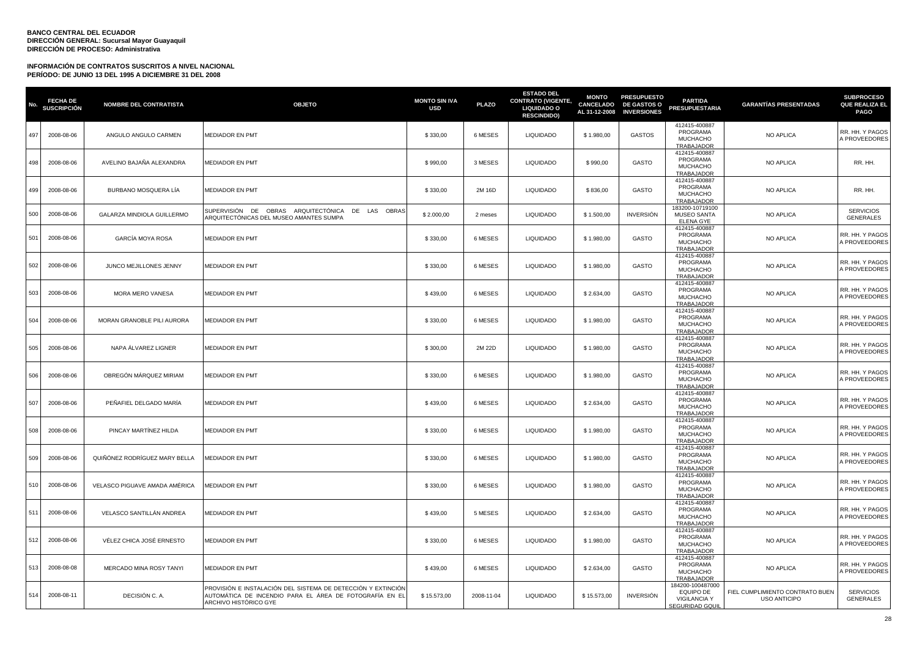| No. | <b>FECHA DE</b><br><b>SUSCRIPCIÓN</b> | <b>NOMBRE DEL CONTRATISTA</b> | <b>OBJETO</b>                                                                                                                                    | <b>MONTO SIN IVA</b><br><b>USD</b> | <b>PLAZO</b> | <b>ESTADO DEL</b><br><b>CONTRATO (VIGENTE,</b><br><b>LIQUIDADO O</b><br><b>RESCINDIDO)</b> | <b>MONTO</b><br><b>CANCELADO</b><br>AL 31-12-2008 | <b>PRESUPUESTO</b><br><b>DE GASTOS O</b><br><b>INVERSIONES</b> | <b>PARTIDA</b><br><b>PRESUPUESTARIA</b>                                        | <b>GARANTÍAS PRESENTADAS</b>                           | <b>SUBPROCESO</b><br><b>QUE REALIZA EL</b><br><b>PAGO</b> |
|-----|---------------------------------------|-------------------------------|--------------------------------------------------------------------------------------------------------------------------------------------------|------------------------------------|--------------|--------------------------------------------------------------------------------------------|---------------------------------------------------|----------------------------------------------------------------|--------------------------------------------------------------------------------|--------------------------------------------------------|-----------------------------------------------------------|
| 497 | 2008-08-06                            | ANGULO ANGULO CARMEN          | MEDIADOR EN PMT                                                                                                                                  | \$330,00                           | 6 MESES      | <b>LIQUIDADO</b>                                                                           | \$1.980,00                                        | <b>GASTOS</b>                                                  | 412415-400887<br>PROGRAMA<br><b>MUCHACHO</b><br>TRABAJADOR                     | <b>NO APLICA</b>                                       | RR. HH. Y PAGOS<br>A PROVEEDORES                          |
| 498 | 2008-08-06                            | AVELINO BAJAÑA ALEXANDRA      | MEDIADOR EN PMT                                                                                                                                  | \$990,00                           | 3 MESES      | <b>LIQUIDADO</b>                                                                           | \$990,00                                          | GASTO                                                          | 412415-400887<br>PROGRAMA<br><b>MUCHACHO</b><br>TRABAJADOR                     | NO APLICA                                              | RR. HH.                                                   |
| 499 | 2008-08-06                            | BURBANO MOSQUERA LÍA          | <b>MEDIADOR EN PMT</b>                                                                                                                           | \$330.00                           | 2M 16D       | <b>LIQUIDADO</b>                                                                           | \$836,00                                          | <b>GASTO</b>                                                   | 412415-400887<br>PROGRAMA<br><b>MUCHACHO</b><br>TRABAJADOR                     | NO APLICA                                              | RR. HH.                                                   |
| 500 | 2008-08-06                            | GALARZA MINDIOLA GUILLERMO    | SUPERVISIÓN DE OBRAS ARQUITECTÓNICA DE LAS OBRAS<br>ARQUITECTÓNICAS DEL MUSEO AMANTES SUMPA                                                      | \$2.000,00                         | 2 meses      | <b>LIQUIDADO</b>                                                                           | \$1.500,00                                        | <b>INVERSIÓN</b>                                               | 183200-10719100<br><b>MUSEO SANTA</b><br><b>ELENA GYE</b>                      | NO APLICA                                              | <b>SERVICIOS</b><br><b>GENERALES</b>                      |
| 501 | 2008-08-06                            | <b>GARCÍA MOYA ROSA</b>       | MEDIADOR EN PMT                                                                                                                                  | \$330,00                           | 6 MESES      | <b>LIQUIDADO</b>                                                                           | \$1.980,00                                        | GASTO                                                          | 412415-400887<br>PROGRAMA<br><b>MUCHACHO</b><br>TRABAJADOR                     | <b>NO APLICA</b>                                       | RR. HH. Y PAGOS<br>A PROVEEDORES                          |
| 502 | 2008-08-06                            | JUNCO MEJILLONES JENNY        | MEDIADOR EN PMT                                                                                                                                  | \$330,00                           | 6 MESES      | <b>LIQUIDADO</b>                                                                           | \$1.980,00                                        | GASTO                                                          | 412415-400887<br>PROGRAMA<br><b>MUCHACHO</b><br>TRABAJADOR                     | NO APLICA                                              | RR. HH. Y PAGOS<br>A PROVEEDORES                          |
| 503 | 2008-08-06                            | MORA MERO VANESA              | MEDIADOR EN PMT                                                                                                                                  | \$439,00                           | 6 MESES      | <b>LIQUIDADO</b>                                                                           | \$2.634,00                                        | GASTO                                                          | 412415-400887<br>PROGRAMA<br><b>MUCHACHO</b><br>TRABAJADOR                     | NO APLICA                                              | RR. HH. Y PAGOS<br>A PROVEEDORES                          |
| 504 | 2008-08-06                            | MORAN GRANOBLE PILI AURORA    | MEDIADOR EN PMT                                                                                                                                  | \$330,00                           | 6 MESES      | <b>LIQUIDADO</b>                                                                           | \$1.980,00                                        | GASTO                                                          | 412415-400887<br>PROGRAMA<br>MUCHACHO<br>TRABAJADOR                            | <b>NO APLICA</b>                                       | RR. HH. Y PAGOS<br>A PROVEEDORES                          |
| 505 | 2008-08-06                            | NAPA ALVAREZ LIGNER           | MEDIADOR EN PMT                                                                                                                                  | \$300,00                           | 2M 22D       | <b>LIQUIDADO</b>                                                                           | \$1.980,00                                        | GASTO                                                          | 412415-400887<br>PROGRAMA<br><b>MUCHACHO</b><br>TRABAJADOR                     | <b>NO APLICA</b>                                       | RR. HH. Y PAGOS<br>A PROVEEDORES                          |
| 506 | 2008-08-06                            | OBREGÓN MÁRQUEZ MIRIAM        | MEDIADOR EN PMT                                                                                                                                  | \$330,00                           | 6 MESES      | <b>LIQUIDADO</b>                                                                           | \$1.980,00                                        | GASTO                                                          | 412415-400887<br>PROGRAMA<br><b>MUCHACHO</b><br>TRABAJADOR                     | NO APLICA                                              | RR. HH. Y PAGOS<br>A PROVEEDORES                          |
| 507 | 2008-08-06                            | PEÑAFIEL DELGADO MARÍA        | MEDIADOR EN PMT                                                                                                                                  | \$439,00                           | 6 MESES      | <b>LIQUIDADO</b>                                                                           | \$2.634,00                                        | GASTO                                                          | 412415-400887<br>PROGRAMA<br><b>MUCHACHO</b><br>TRABAJADOR                     | NO APLICA                                              | RR. HH. Y PAGOS<br>A PROVEEDORES                          |
| 508 | 2008-08-06                            | PINCAY MARTINEZ HILDA         | <b>MEDIADOR EN PMT</b>                                                                                                                           | \$330,00                           | 6 MESES      | <b>LIQUIDADO</b>                                                                           | \$1.980,00                                        | GASTO                                                          | 412415-400887<br>PROGRAMA<br><b>MUCHACHO</b><br>TRABAJADOR                     | <b>NO APLICA</b>                                       | RR. HH. Y PAGOS<br>A PROVEEDORES                          |
| 509 | 2008-08-06                            | QUIÑÓNEZ RODRÍGUEZ MARY BELLA | <b>MEDIADOR EN PMT</b>                                                                                                                           | \$330,00                           | 6 MESES      | LIQUIDADO                                                                                  | \$1.980,00                                        | GASTO                                                          | 412415-400887<br>PROGRAMA<br><b>MUCHACHO</b><br>TRABAJADOR                     | NO APLICA                                              | RR. HH. Y PAGOS<br>A PROVEEDORES                          |
| 510 | 2008-08-06                            | VELASCO PIGUAVE AMADA AMÉRICA | <b>MEDIADOR EN PMT</b>                                                                                                                           | \$330,00                           | 6 MESES      | <b>LIQUIDADO</b>                                                                           | \$1.980,00                                        | <b>GASTO</b>                                                   | 412415-400887<br>PROGRAMA<br><b>MUCHACHO</b><br>TRABAJADOR                     | <b>NO APLICA</b>                                       | RR. HH. Y PAGOS<br>A PROVEEDORES                          |
| 511 | 2008-08-06                            | VELASCO SANTILLÁN ANDREA      | MEDIADOR EN PMT                                                                                                                                  | \$439,00                           | 5 MESES      | <b>LIQUIDADO</b>                                                                           | \$2.634,00                                        | GASTO                                                          | 412415-400887<br>PROGRAMA<br><b>MUCHACHO</b><br>TRABAJADOR                     | <b>NO APLICA</b>                                       | RR. HH. Y PAGOS<br>A PROVEEDORES                          |
| 512 | 2008-08-06                            | VÉLEZ CHICA JOSÉ ERNESTO      | MEDIADOR EN PMT                                                                                                                                  | \$330,00                           | 6 MESES      | LIQUIDADO                                                                                  | \$1.980,00                                        | GASTO                                                          | 412415-400887<br>PROGRAMA<br><b>MUCHACHO</b><br>TRABAJADOR                     | <b>NO APLICA</b>                                       | RR. HH. Y PAGOS<br>A PROVEEDORES                          |
| 513 | 2008-08-08                            | MERCADO MINA ROSY TANYI       | MEDIADOR EN PMT                                                                                                                                  | \$439,00                           | 6 MESES      | LIQUIDADO                                                                                  | \$2.634,00                                        | GASTO                                                          | 412415-400887<br>PROGRAMA<br><b>MUCHACHO</b><br>TRABAJADOR                     | NO APLICA                                              | RR. HH. Y PAGOS<br>A PROVEEDORES                          |
| 514 | 2008-08-11                            | DECISIÓN C. A.                | PROVISIÓN E INSTALACIÓN DEL SISTEMA DE DETECCIÓN Y EXTINCIÓN<br>AUTOMÁTICA DE INCENDIO PARA EL ÁREA DE FOTOGRAFÍA EN EL<br>ARCHIVO HISTÓRICO GYE | \$15.573,00                        | 2008-11-04   | <b>LIQUIDADO</b>                                                                           | \$15.573,00                                       | <b>INVERSIÓN</b>                                               | 184200-100487000<br><b>EQUIPO DE</b><br><b>VIGILANCIA Y</b><br>SEGURIDAD GQUIL | FIEL CUMPLIMIENTO CONTRATO BUEN<br><b>USO ANTICIPO</b> | <b>SERVICIOS</b><br><b>GENERALES</b>                      |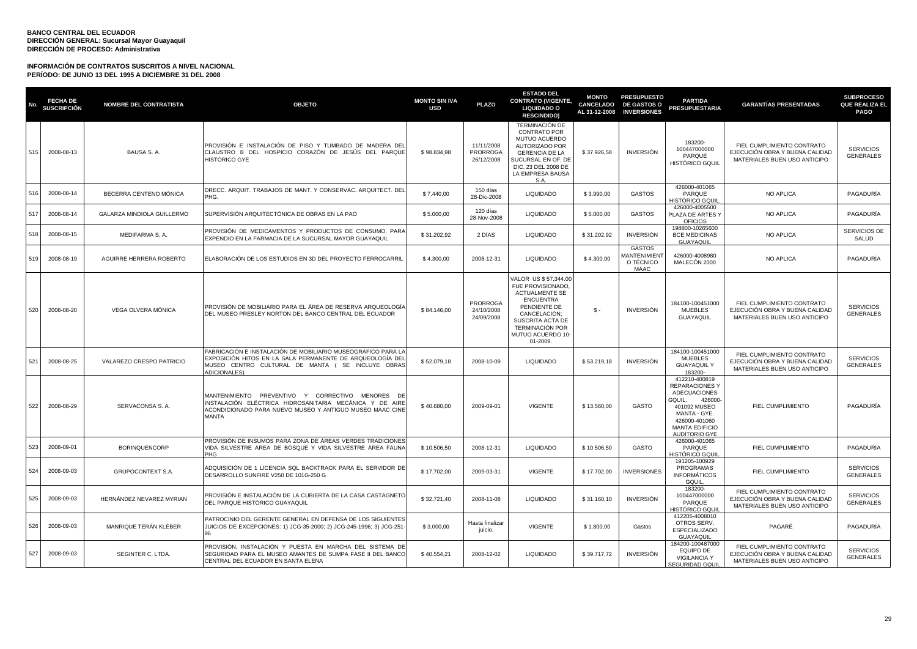| No. | <b>FECHA DE</b><br>SUSCRIPCIÓN | <b>NOMBRE DEL CONTRATISTA</b> | <b>OBJETO</b>                                                                                                                                                                                         | <b>MONTO SIN IVA</b><br><b>USD</b> | <b>PLAZO</b>                         | <b>ESTADO DEL</b><br><b>CONTRATO (VIGENTE,</b><br><b>LIQUIDADO O</b><br><b>RESCINDIDO)</b>                                                                                                            | <b>MONTO</b><br><b>CANCELADO</b><br>AL 31-12-2008 | <b>PRESUPUESTO</b><br><b>DE GASTOS O</b><br><b>INVERSIONES</b>   | <b>PARTIDA</b><br><b>PRESUPUESTARIA</b>                                                                                                                                             | <b>GARANTÍAS PRESENTADAS</b>                                                                 | <b>SUBPROCESO</b><br>QUE REALIZA EL<br><b>PAGO</b> |
|-----|--------------------------------|-------------------------------|-------------------------------------------------------------------------------------------------------------------------------------------------------------------------------------------------------|------------------------------------|--------------------------------------|-------------------------------------------------------------------------------------------------------------------------------------------------------------------------------------------------------|---------------------------------------------------|------------------------------------------------------------------|-------------------------------------------------------------------------------------------------------------------------------------------------------------------------------------|----------------------------------------------------------------------------------------------|----------------------------------------------------|
| 515 | 2008-08-13                     | BAUSA S. A.                   | PROVISIÓN E INSTALACIÓN DE PISO Y TUMBADO DE MADERA DEL<br>CLAUSTRO B DEL HOSPICIO CORAZÓN DE JESÚS DEL PARQUE<br>HISTÓRICO GYE                                                                       | \$98.834,98                        | 11/11/2008<br>PRORROGA<br>26/12/2008 | TERMINACIÓN DE<br><b>CONTRATO POR</b><br>MUTUO ACUERDO<br>AUTORIZADO POR<br><b>GERENCIA DE LA</b><br>SUCURSAL EN OF, DE<br>DIC. 23 DEL 2008 DE<br>LA EMPRESA BAUSA<br>S.A.                            | \$37.926,58                                       | <b>INVERSIÓN</b>                                                 | 183200-<br>100447000000<br>PARQUE<br><b>HISTÓRICO GQUIL</b>                                                                                                                         | FIEL CUMPLIMIENTO CONTRATO<br>EJECUCIÓN OBRA Y BUENA CALIDAD<br>MATERIALES BUEN USO ANTICIPO | <b>SERVICIOS</b><br><b>GENERALES</b>               |
| 516 | 2008-08-14                     | BECERRA CENTENO MÓNICA        | DRECC. ARQUIT. TRABAJOS DE MANT. Y CONSERVAC. ARQUITECT. DEL<br>PHG.                                                                                                                                  | \$7,440.00                         | 150 días<br>28-Dic-2008              | <b>LIQUIDADO</b>                                                                                                                                                                                      | \$3.990,00                                        | <b>GASTOS</b>                                                    | 426000-401065<br>PARQUE<br>HISTÓRICO GQUI                                                                                                                                           | NO APLICA                                                                                    | PAGADURÍA                                          |
| 517 | 2008-08-14                     | GALARZA MINDIOLA GUILLERMO    | SUPERVISIÓN ARQUITECTÓNICA DE OBRAS EN LA PAO                                                                                                                                                         | \$5.000,00                         | 120 días<br>28-Nov-2008              | <b>LIQUIDADO</b>                                                                                                                                                                                      | \$5.000,00                                        | <b>GASTOS</b>                                                    | 426000-4005500<br>PLAZA DE ARTES Y<br><b>OFICIOS</b>                                                                                                                                | <b>NO APLICA</b>                                                                             | PAGADURÍA                                          |
| 518 | 2008-08-15                     | MEDIFARMA S.A.                | PROVISIÓN DE MEDICAMENTOS Y PRODUCTOS DE CONSUMO, PARA<br>EXPENDIO EN LA FARMACIA DE LA SUCURSAL MAYOR GUAYAQUIL                                                                                      | \$31.202,92                        | 2 DÍAS                               | <b>LIQUIDADO</b>                                                                                                                                                                                      | \$31.202,92                                       | <b>INVERSIÓN</b>                                                 | 198800-10265600<br><b>BCE MEDICINAS</b><br>GUAYAQUIL                                                                                                                                | NO APLICA                                                                                    | SERVICIOS DE<br>SALUD                              |
| 519 | 2008-08-19                     | AGUIRRE HERRERA ROBERTO       | ELABORACIÓN DE LOS ESTUDIOS EN 3D DEL PROYECTO FERROCARRIL                                                                                                                                            | \$4.300,00                         | 2008-12-31                           | <b>LIQUIDADO</b>                                                                                                                                                                                      | \$4.300,00                                        | <b>GASTOS</b><br><b>MANTENIMIENT</b><br>O TÉCNICO<br><b>MAAC</b> | 426000-4008980<br>MALECÓN 2000                                                                                                                                                      | NO APLICA                                                                                    | PAGADURÍA                                          |
| 520 | 2008-08-20                     | VEGA OLVERA MÓNICA            | PROVISIÓN DE MOBILIARIO PARA EL ÁREA DE RESERVA ARQUEOLOGÍA<br>DEL MUSEO PRESLEY NORTON DEL BANCO CENTRAL DEL ECUADOR                                                                                 | \$84.146,00                        | PRORROGA<br>24/10/2008<br>24/09/2008 | VALOR US \$57.344.00<br>FUE PROVISIONADO.<br><b>ACTUALMENTE SE</b><br><b>ENCUENTRA</b><br>PENDIENTE DE<br>CANCELACIÓN;<br>SUSCRITA ACTA DE<br><b>TERMINACIÓN POR</b><br>MUTUO ACUERDO 10-<br>01-2009. | \$-                                               | <b>INVERSIÓN</b>                                                 | 184100-100451000<br><b>MUEBLES</b><br><b>GUAYAQUIL</b>                                                                                                                              | FIEL CUMPLIMIENTO CONTRATO<br>EJECUCIÓN OBRA Y BUENA CALIDAD<br>MATERIALES BUEN USO ANTICIPO | <b>SERVICIOS</b><br><b>GENERALES</b>               |
| 521 | 2008-08-25                     | VALAREZO CRESPO PATRICIO      | FABRICACIÓN E INSTALACIÓN DE MOBILIARIO MUSEOGRÁFICO PARA LA<br>EXPOSICIÓN HITOS EN LA SALA PERMANENTE DE ARQUEOLOGÍA DEL<br>MUSEO CENTRO CULTURAL DE MANTA ( SE INCLUYE OBRAS<br><b>ADICIONALES)</b> | \$52.079,18                        | 2008-10-09                           | <b>LIQUIDADO</b>                                                                                                                                                                                      | \$53.219,18                                       | <b>INVERSIÓN</b>                                                 | 184100-100451000<br><b>MUEBLES</b><br><b>GUAYAQUILY</b><br>183200-                                                                                                                  | FIEL CUMPLIMIENTO CONTRATO<br>EJECUCIÓN OBRA Y BUENA CALIDAD<br>MATERIALES BUEN USO ANTICIPO | <b>SERVICIOS</b><br><b>GENERALES</b>               |
| 522 | 2008-08-29                     | SERVACONSA S.A.               | MANTENIMIENTO PREVENTIVO Y CORRECTIVO MENORES DE<br>INSTALACIÓN ELÉCTRICA HIDROSANITARIA MECÁNICA Y DE AIRE<br>ACONDICIONADO PARA NUEVO MUSEO Y ANTIGUO MUSEO MAAC CINE<br>MANTA                      | \$40.680,00                        | 2009-09-01                           | <b>VIGENTE</b>                                                                                                                                                                                        | \$13.560,00                                       | GASTO                                                            | 412210-400819<br><b>REPARACIONES Y</b><br><b>ADECUACIONES</b><br>GQUIL.<br>426000<br>401092 MUSEO<br>MANTA - GYE.<br>426000-401060<br><b>MANTA EDIFICIO</b><br><b>AUDITORIO GYE</b> | FIEL CUMPLIMIENTO                                                                            | PAGADURÍA                                          |
| 523 | 2008-09-01                     | <b>BORINQUENCORP</b>          | PROVISIÓN DE INSUMOS PARA ZONA DE ÁREAS VERDES TRADICIONES<br>VIDA SILVESTRE ÅREA DE BOSQUE Y VIDA SILVESTRE ÅREA FAUNA<br>PHG.                                                                       | \$10,506.50                        | 2008-12-31                           | <b>LIQUIDADO</b>                                                                                                                                                                                      | \$10,506.50                                       | <b>GASTO</b>                                                     | 426000-401065<br>PARQUE<br>HISTÓRICO GQUII                                                                                                                                          | <b>FIEL CUMPLIMIENTO</b>                                                                     | PAGADURÍA                                          |
| 524 | 2008-09-03                     | GRUPOCONTEXT S.A.             | ADQUISICIÓN DE 1 LICENCIA SQL BACKTRACK PARA EL SERVIDOR DE<br>DESARROLLO SUNFIRE V250 DE 101G-250 G                                                                                                  | \$17.702,00                        | 2009-03-31                           | <b>VIGENTE</b>                                                                                                                                                                                        | \$17.702,00                                       | <b>INVERSIONES</b>                                               | 191205-100929<br>PROGRAMAS<br><b>INFORMÁTICOS</b><br>GQUIL                                                                                                                          | FIEL CUMPLIMIENTO                                                                            | <b>SERVICIOS</b><br><b>GENERALES</b>               |
| 525 | 2008-09-03                     | HERNÁNDEZ NEVAREZ MYRIAN      | PROVISIÓN E INSTALACIÓN DE LA CUBIERTA DE LA CASA CASTAGNETO<br>DEL PARQUE HISTÓRICO GUAYAQUIL                                                                                                        | \$32,721.40                        | 2008-11-08                           | <b>LIQUIDADO</b>                                                                                                                                                                                      | \$31.160.10                                       | <b>INVERSIÓN</b>                                                 | 183200-<br>100447000000<br>PARQUE<br>HISTÓRICO GQUII                                                                                                                                | FIEL CUMPLIMIENTO CONTRATO<br>EJECUCIÓN OBRA Y BUENA CALIDAD<br>MATERIALES BUEN USO ANTICIPO | <b>SERVICIOS</b><br><b>GENERALES</b>               |
| 526 | 2008-09-03                     | MANRIQUE TERÁN KLÉBER         | PATROCINIO DEL GERENTE GENERAL EN DEFENSA DE LOS SIGUIENTES<br>JUICIOS DE EXCEPCIONES: 1) JCG-35-2000; 2) JCG-245-1996; 3) JCG-251-                                                                   | \$3.000,00                         | Hasta finalizar<br>juicio.           | <b>VIGENTE</b>                                                                                                                                                                                        | \$1.800,00                                        | Gastos                                                           | 412205-4008010<br>OTROS SERV.<br><b>ESPECIALIZADO</b><br>GUAYAQUIL                                                                                                                  | PAGARÉ                                                                                       | PAGADURÍA                                          |
| 527 | 2008-09-03                     | SEGINTER C. LTDA.             | PROVISIÓN, INSTALACIÓN Y PUESTA EN MARCHA DEL SISTEMA DE<br>SEGURIDAD PARA EL MUSEO AMANTES DE SUMPA FASE II DEL BANCO<br>CENTRAL DEL ECUADOR EN SANTA ELENA                                          | \$40.554,21                        | 2008-12-02                           | <b>LIQUIDADO</b>                                                                                                                                                                                      | \$39.717.72                                       | <b>INVERSIÓN</b>                                                 | 184200-100487000<br><b>EQUIPO DE</b><br><b>VIGILANCIA Y</b><br>SEGURIDAD GQUIL                                                                                                      | FIEL CUMPLIMIENTO CONTRATO<br>EJECUCIÓN OBRA Y BUENA CALIDAD<br>MATERIALES BUEN USO ANTICIPO | <b>SERVICIOS</b><br><b>GENERALES</b>               |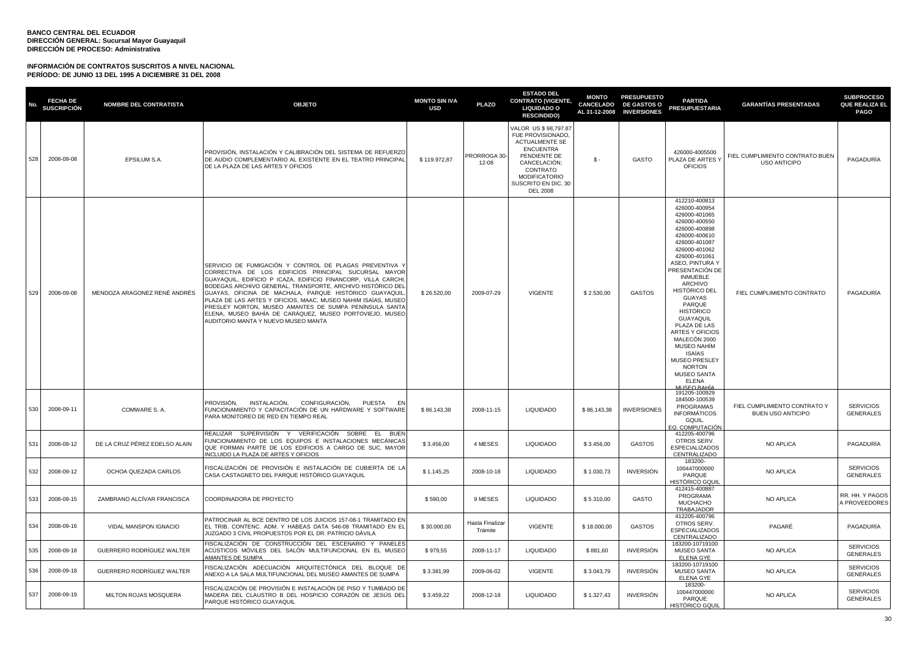| No. | <b>FECHA DE</b><br>SUSCRIPCIÓN | <b>NOMBRE DEL CONTRATISTA</b> | <b>OBJETO</b>                                                                                                                                                                                                                                                                                                                                                                                                                                                                                                                          | <b>MONTO SIN IVA</b><br><b>USD</b> | <b>PLAZO</b>               | <b>ESTADO DEL</b><br><b>CONTRATO (VIGENTE,</b><br><b>LIQUIDADO O</b><br><b>RESCINDIDO)</b>                                                                                                    | <b>MONTO</b> | <b>PRESUPUESTO</b><br>CANCELADO DE GASTOS O<br>AL 31-12-2008 INVERSIONES | <b>PARTIDA</b><br><b>PRESUPUESTARIA</b>                                                                                                                                                                                                                                                                                                                                                                                                                                                                            | <b>GARANTIAS PRESENTADAS</b>                           | <b>SUBPROCESO</b><br><b>QUE REALIZA EL</b><br><b>PAGO</b> |
|-----|--------------------------------|-------------------------------|----------------------------------------------------------------------------------------------------------------------------------------------------------------------------------------------------------------------------------------------------------------------------------------------------------------------------------------------------------------------------------------------------------------------------------------------------------------------------------------------------------------------------------------|------------------------------------|----------------------------|-----------------------------------------------------------------------------------------------------------------------------------------------------------------------------------------------|--------------|--------------------------------------------------------------------------|--------------------------------------------------------------------------------------------------------------------------------------------------------------------------------------------------------------------------------------------------------------------------------------------------------------------------------------------------------------------------------------------------------------------------------------------------------------------------------------------------------------------|--------------------------------------------------------|-----------------------------------------------------------|
| 528 | 2008-09-08                     | EPSILUM S.A.                  | PROVISIÓN, INSTALACIÓN Y CALIBRACIÓN DEL SISTEMA DE REFUERZO<br>DE AUDIO COMPLEMENTARIO AL EXISTENTE EN EL TEATRO PRINCIPAL<br>DE LA PLAZA DE LAS ARTES Y OFICIOS                                                                                                                                                                                                                                                                                                                                                                      | \$119.972,87                       | PRORROGA 30-<br>$12 - 08$  | VALOR US \$98,797.87<br>FUE PROVISIONADO,<br><b>ACTUALMENTE SE</b><br>ENCUENTRA<br>PENDIENTE DE<br>CANCELACIÓN;<br>CONTRATO<br><b>MODIFICATORIO</b><br>SUSCRITO EN DIC. 30<br><b>DEL 2008</b> | \$ -         | GASTO                                                                    | 426000-4005500<br>PLAZA DE ARTES Y<br><b>OFICIOS</b>                                                                                                                                                                                                                                                                                                                                                                                                                                                               | FIEL CUMPLIMIENTO CONTRATO BUEN<br><b>USO ANTICIPO</b> | PAGADURÍA                                                 |
| 529 | 2008-09-08                     | MENDOZA ARAGONEZ RENÉ ANDRÉS  | SERVICIO DE FUMIGACIÓN Y CONTROL DE PLAGAS PREVENTIVA Y<br>CORRECTIVA DE LOS EDIFICIOS PRINCIPAL SUCURSAL MAYOR<br>GUAYAQUIL, EDIFICIO P ICAZA, EDIFICIO FINANCORP, VILLA CARCHI<br>BODEGAS ARCHIVO GENERAL, TRANSPORTE, ARCHIVO HISTÓRICO DEL<br>GUAYAS, OFICINA DE MACHALA, PARQUE HISTÓRICO GUAYAQUIL,<br>PLAZA DE LAS ARTES Y OFICIOS, MAAC, MUSEO NAHIM ISAÍAS, MUSEO<br>PRESLEY NORTON, MUSEO AMANTES DE SUMPA PENÍNSULA SANTA<br>ELENA, MUSEO BAHÍA DE CARÁQUEZ, MUSEO PORTOVIEJO, MUSEO<br>AUDITORIO MANTA Y NUEVO MUSEO MANTA | \$26.520,00                        | 2009-07-29                 | <b>VIGENTE</b>                                                                                                                                                                                | \$2.530,00   | <b>GASTOS</b>                                                            | 412210-400813<br>426000-400954<br>426000-401065<br>426000-400550<br>426000-400898<br>426000-400610<br>426000-401087<br>426000-401062<br>426000-401061<br>ASEO, PINTURA Y<br>PRESENTACIÓN DE<br><b>INMUEBLE</b><br><b>ARCHIVO</b><br><b>HISTÓRICO DEL</b><br><b>GUAYAS</b><br>PARQUE<br><b>HISTÓRICO</b><br><b>GUAYAQUIL</b><br>PLAZA DE LAS<br><b>ARTES Y OFICIOS</b><br>MALECÓN 2000<br><b>MUSEO NAHÍM</b><br>ISAÍAS<br><b>MUSEO PRESLEY</b><br><b>NORTON</b><br><b>MUSEO SANTA</b><br>ELENA<br><b>ILICEO RAH</b> | FIEL CUMPLIMIENTO CONTRATO                             | PAGADURÍA                                                 |
| 530 | 2008-09-11                     | COMWARE S.A.                  | PROVISIÓN, INSTALACIÓN, CONFIGURACIÓN, PUESTA EN<br>FUNCIONAMIENTO Y CAPACITACIÓN DE UN HARDWARE Y SOFTWARE<br>PARA MONITOREO DE RED EN TIEMPO REAL                                                                                                                                                                                                                                                                                                                                                                                    | \$86,143.38                        | 2008-11-15                 | <b>LIQUIDADO</b>                                                                                                                                                                              | \$86,143.38  | <b>INVERSIONES</b>                                                       | 191205-100929<br>184500-100539<br>PROGRAMAS<br>INFORMÁTICOS<br>GQUIL.<br>EQ. COMPUTACIÓN                                                                                                                                                                                                                                                                                                                                                                                                                           | FIEL CUMPLIMIENTO CONTRATO Y<br>BUEN USO ANTICIPO      | <b>SERVICIOS</b><br><b>GENERALES</b>                      |
| 531 | 2008-09-12                     | DE LA CRUZ PÉREZ EDELSO ALAIN | REALIZAR SUPERVISIÓN Y VERIFICACIÓN SOBRE EL BUEN<br>FUNCIONAMIENTO DE LOS EQUIPOS E INSTALACIONES MECÁNICAS<br>QUE FORMAN PARTE DE LOS EDIFICIOS A CARGO DE SUC. MAYOR<br>INCLUIDO LA PLAZA DE ARTES Y OFICIOS                                                                                                                                                                                                                                                                                                                        | \$3.456,00                         | 4 MESES                    | <b>LIQUIDADO</b>                                                                                                                                                                              | \$3.456,00   | <b>GASTOS</b>                                                            | 412205-400796<br>OTROS SERV.<br><b>ESPECIALIZADOS</b><br>CENTRALIZADO                                                                                                                                                                                                                                                                                                                                                                                                                                              | NO APLICA                                              | PAGADURÍA                                                 |
| 532 | 2008-09-12                     | OCHOA QUEZADA CARLOS          | FISCALIZACIÓN DE PROVISIÓN E INSTALACIÓN DE CUBIERTA DE LA<br>CASA CASTAGNETO DEL PARQUE HISTÓRICO GUAYAQUIL                                                                                                                                                                                                                                                                                                                                                                                                                           | \$1.145,25                         | 2008-10-18                 | <b>LIQUIDADO</b>                                                                                                                                                                              | \$1.030,73   | <b>INVERSIÓN</b>                                                         | 183200-<br>100447000000<br>PARQUE<br>HISTÓRICO GQUII                                                                                                                                                                                                                                                                                                                                                                                                                                                               | <b>NO APLICA</b>                                       | <b>SERVICIOS</b><br>GENERALES                             |
| 533 | 2008-09-15                     | ZAMBRANO ALCÍVAR FRANCISCA    | COORDINADORA DE PROYECTO                                                                                                                                                                                                                                                                                                                                                                                                                                                                                                               | \$590,00                           | 9 MESES                    | <b>LIQUIDADO</b>                                                                                                                                                                              | \$5.310,00   | GASTO                                                                    | 412415-400887<br>PROGRAMA<br><b>MUCHACHO</b><br>TRABAJADOR                                                                                                                                                                                                                                                                                                                                                                                                                                                         | <b>NO APLICA</b>                                       | RR. HH. Y PAGOS<br>A PROVEEDORES                          |
| 534 | 2008-09-16                     | VIDAL MANSPON IGNACIO         | PATROCINAR AL BCE DENTRO DE LOS JUICIOS 157-08-1 TRAMITADO EN<br>EL TRIB. CONTENC. ADM. Y HABEAS DATA 546-08 TRAMITADO EN EL<br>JUZGADO 3 CIVIL PROPUESTOS POR EL DR. PATRICIO DÁVILA                                                                                                                                                                                                                                                                                                                                                  | \$30.000,00                        | Hasta Finalizar<br>Trámite | <b>VIGENTE</b>                                                                                                                                                                                | \$18.000,00  | <b>GASTOS</b>                                                            | 412205-400796<br>OTROS SERV.<br><b>ESPECIALIZADOS</b><br>CENTRALIZADO                                                                                                                                                                                                                                                                                                                                                                                                                                              | PAGARÉ                                                 | PAGADURÍA                                                 |
| 535 | 2008-09-18                     | GUERRERO RODRÍGUEZ WALTER     | FISCALIZACIÓN DE CONSTRUCCIÓN DEL ESCENARIO Y PANELES<br>ACÚSTICOS MÓVILES DEL SALÓN MULTIFUNCIONAL EN EL MUSEO<br>AMANTES DE SUMPA                                                                                                                                                                                                                                                                                                                                                                                                    | \$979,55                           | 2008-11-17                 | <b>LIQUIDADO</b>                                                                                                                                                                              | \$881,60     | <b>INVERSIÓN</b>                                                         | 183200-10719100<br><b>MUSEO SANTA</b><br><b>ELENA GYE</b><br>183200-10719100                                                                                                                                                                                                                                                                                                                                                                                                                                       | NO APLICA                                              | <b>SERVICIOS</b><br><b>GENERALES</b>                      |
| 536 | 2008-09-18                     | GUERRERO RODRÍGUEZ WALTER     | FISCALIZACIÓN ADECUACIÓN ARQUITECTÓNICA DEL BLOQUE DE<br>ANEXO A LA SALA MULTIFUNCIONAL DEL MUSEO AMANTES DE SUMPA                                                                                                                                                                                                                                                                                                                                                                                                                     | \$3.381,99                         | 2009-06-02                 | <b>VIGENTE</b>                                                                                                                                                                                | \$3.043,79   | <b>INVERSIÓN</b>                                                         | <b>MUSEO SANTA</b><br><b>ELENA GYE</b><br>183200-                                                                                                                                                                                                                                                                                                                                                                                                                                                                  | NO APLICA                                              | <b>SERVICIOS</b><br><b>GENERALES</b>                      |
| 537 | 2008-09-19                     | MILTON ROJAS MOSQUERA         | FISCALIZACIÓN DE PROVISIÓN E INSTALACIÓN DE PISO Y TUMBADO DE<br>MADERA DEL CLAUSTRO B DEL HOSPICIO CORAZÓN DE JESÚS DEL<br>PARQUE HISTÓRICO GUAYAQUIL                                                                                                                                                                                                                                                                                                                                                                                 | \$3.459,22                         | 2008-12-18                 | <b>LIQUIDADO</b>                                                                                                                                                                              | \$1.327,43   | INVERSIÓN                                                                | 100447000000<br>PARQUE<br><b>HISTÓRICO GQUIL</b>                                                                                                                                                                                                                                                                                                                                                                                                                                                                   | <b>NO APLICA</b>                                       | <b>SERVICIOS</b><br><b>GENERALES</b>                      |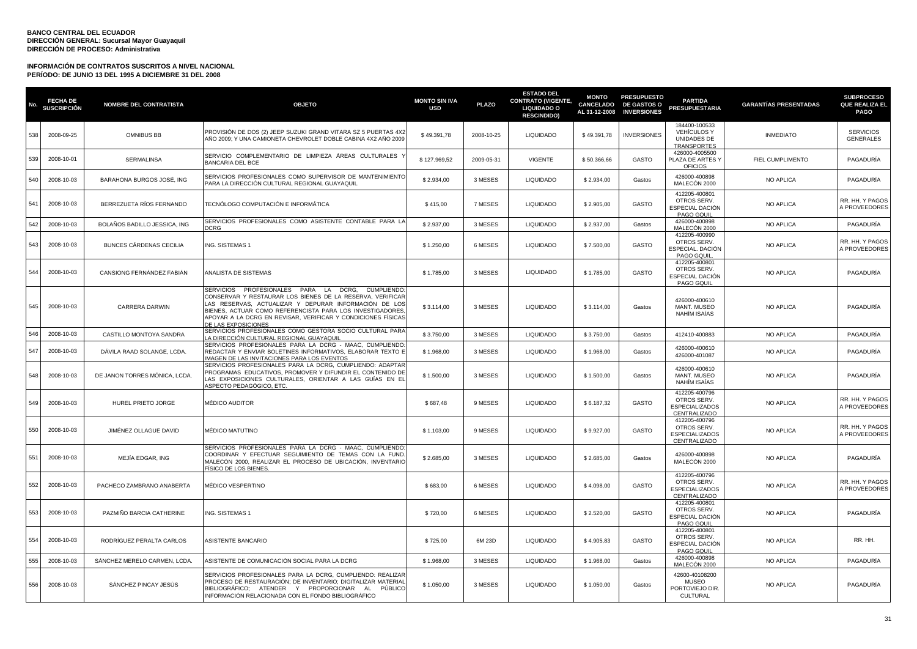| No. | <b>FECHA DE</b><br>SUSCRIPCIÓN | <b>NOMBRE DEL CONTRATISTA</b> | <b>OBJETO</b>                                                                                                                                                                                                                                                                                                              | <b>MONTO SIN IVA</b><br><b>USD</b> | <b>PLAZO</b> | <b>ESTADO DEL</b><br><b>CONTRATO (VIGENTE,</b><br><b>LIQUIDADO O</b><br><b>RESCINDIDO)</b> | <b>MONTO</b><br>CANCELADO<br>AL 31-12-2008 | <b>PRESUPUESTO</b><br><b>DE GASTOS O</b><br><b>INVERSIONES</b> | <b>PARTIDA</b><br><b>PRESUPUESTARIA</b>                                  | <b>GARANTÍAS PRESENTADAS</b> | <b>SUBPROCESO</b><br><b>QUE REALIZA EL</b><br><b>PAGO</b> |
|-----|--------------------------------|-------------------------------|----------------------------------------------------------------------------------------------------------------------------------------------------------------------------------------------------------------------------------------------------------------------------------------------------------------------------|------------------------------------|--------------|--------------------------------------------------------------------------------------------|--------------------------------------------|----------------------------------------------------------------|--------------------------------------------------------------------------|------------------------------|-----------------------------------------------------------|
| 538 | 2008-09-25                     | <b>OMNIBUS BB</b>             | PROVISIÓN DE DOS (2) JEEP SUZUKI GRAND VITARA SZ 5 PUERTAS 4X2<br>AÑO 2009; Y UNA CAMIONETA CHEVROLET DOBLE CABINA 4X2 AÑO 2009                                                                                                                                                                                            | \$49.391,78                        | 2008-10-25   | <b>LIQUIDADO</b>                                                                           | \$49.391,78                                | <b>INVERSIONES</b>                                             | 184400-100533<br><b>VEHÍCULOS Y</b><br>UNIDADES DE<br><b>TRANSPORTES</b> | <b>INMEDIATO</b>             | <b>SERVICIOS</b><br><b>GENERALES</b>                      |
| 539 | 2008-10-01                     | <b>SERMALINSA</b>             | SERVICIO COMPLEMENTARIO DE LIMPIEZA ÁREAS CULTURALES Y<br><b>BANCARIA DEL BCE</b>                                                                                                                                                                                                                                          | \$127.969,52                       | 2009-05-31   | <b>VIGENTE</b>                                                                             | \$50.366,66                                | GASTO                                                          | 426000-4005500<br>PLAZA DE ARTES Y<br><b>OFICIOS</b>                     | FIEL CUMPLIMENTO             | PAGADURÍA                                                 |
| 540 | 2008-10-03                     | BARAHONA BURGOS JOSÉ, ING     | SERVICIOS PROFESIONALES COMO SUPERVISOR DE MANTENIMIENTO<br>PARA LA DIRECCIÓN CULTURAL REGIONAL GUAYAQUIL                                                                                                                                                                                                                  | \$2.934,00                         | 3 MESES      | <b>LIQUIDADO</b>                                                                           | \$2.934,00                                 | Gastos                                                         | 426000-400898<br>MALECÓN 2000                                            | NO APLICA                    | PAGADURÍA                                                 |
| 541 | 2008-10-03                     | BERREZUETA RÍOS FERNANDO      | TECNÓLOGO COMPUTACIÓN E INFORMÁTICA                                                                                                                                                                                                                                                                                        | \$415,00                           | 7 MESES      | <b>LIQUIDADO</b>                                                                           | \$2.905,00                                 | GASTO                                                          | 412205-400801<br>OTROS SERV.<br>ESPECIAL DACIÓN<br>PAGO GQUIL            | <b>NO APLICA</b>             | RR. HH. Y PAGOS<br><b>I PROVEEDORES</b>                   |
| 542 | 2008-10-03                     | BOLAÑOS BADILLO JESSICA, ING  | SERVICIOS PROFESIONALES COMO ASISTENTE CONTABLE PARA LA<br>)CRG                                                                                                                                                                                                                                                            | \$2.937,00                         | 3 MESES      | LIQUIDADO                                                                                  | \$2.937,00                                 | Gastos                                                         | 426000-400898<br>MALECÓN 2000                                            | NO APLICA                    | PAGADURÍA                                                 |
| 543 | 2008-10-03                     | BUNCES CÁRDENAS CECILIA       | ING. SISTEMAS 1                                                                                                                                                                                                                                                                                                            | \$1.250,00                         | 6 MESES      | <b>LIQUIDADO</b>                                                                           | \$7.500,00                                 | <b>GASTO</b>                                                   | 412205-400990<br>OTROS SERV.<br>ESPECIAL. DACIÓN<br>PAGO GQUIL           | <b>NO APLICA</b>             | RR. HH. Y PAGOS<br>A PROVEEDORES                          |
| 544 | 2008-10-03                     | CANSIONG FERNÁNDEZ FABIÁN     | ANALISTA DE SISTEMAS                                                                                                                                                                                                                                                                                                       | \$1.785,00                         | 3 MESES      | <b>LIQUIDADO</b>                                                                           | \$1.785,00                                 | <b>GASTO</b>                                                   | 412205-400801<br>OTROS SERV.<br>ESPECIAL DACIÓN<br>PAGO GQUIL            | <b>NO APLICA</b>             | PAGADURÍA                                                 |
| 545 | 2008-10-03                     | CARRERA DARWIN                | SERVICIOS PROFESIONALES PARA LA DCRG, CUMPLIENDO<br>CONSERVAR Y RESTAURAR LOS BIENES DE LA RESERVA, VERIFICAR<br>LAS RESERVAS, ACTUALIZAR Y DEPURAR INFORMACIÓN DE LOS<br>BIENES, ACTUAR COMO REFERENCISTA PARA LOS INVESTIGADORES,<br>APOYAR A LA DCRG EN REVISAR, VERIFICAR Y CONDICIONES FÍSICAS<br>DE LAS EXPOSICIONES | \$3.114,00                         | 3 MESES      | <b>LIQUIDADO</b>                                                                           | \$3.114,00                                 | Gastos                                                         | 426000-400610<br><b>MANT. MUSEO</b><br>NAHÍM ISAÍAS                      | <b>NO APLICA</b>             | PAGADURÍA                                                 |
| 546 | 2008-10-03                     | CASTILLO MONTOYA SANDRA       | SERVICIOS PROFESIONALES COMO GESTORA SOCIO CULTURAL PARA<br>A DIRECCIÓN CULTURAL REGIONAL GUAYAQUII                                                                                                                                                                                                                        | \$3.750,00                         | 3 MESES      | <b>LIQUIDADO</b>                                                                           | \$3.750,00                                 | Gastos                                                         | 412410-400883                                                            | NO APLICA                    | PAGADURÍA                                                 |
| 547 | 2008-10-03                     | DÁVILA RAAD SOLANGE, LCDA.    | SERVICIOS PROFESIONALES PARA LA DCRG - MAAC, CUMPLIENDO<br>REDACTAR Y ENVIAR BOLETINES INFORMATIVOS, ELABORAR TEXTO E<br>IMAGEN DE LAS INVITACIONES PARA LOS EVENTOS                                                                                                                                                       | \$1.968,00                         | 3 MESES      | <b>LIQUIDADO</b>                                                                           | \$1.968,00                                 | Gastos                                                         | 426000-400610<br>426000-401087                                           | <b>NO APLICA</b>             | PAGADURÍA                                                 |
| 548 | 2008-10-03                     | DE JANON TORRES MÓNICA, LCDA  | SERVICIOS PROFESIONALES PARA LA DCRG, CUMPLIENDO: ADAPTAF<br>PROGRAMAS EDUCATIVOS, PROMOVER Y DIFUNDIR EL CONTENIDO DE<br>LAS EXPOSICIONES CULTURALES, ORIENTAR A LAS GUÍAS EN EL<br>ASPECTO PEDAGÓGICO, ETC.                                                                                                              | \$1.500,00                         | 3 MESES      | <b>LIQUIDADO</b>                                                                           | \$1.500,00                                 | Gastos                                                         | 426000-400610<br>MANT. MUSEO<br>NAHÍM ISAÍAS                             | NO APLICA                    | PAGADURÍA                                                 |
| 549 | 2008-10-03                     | HUREL PRIETO JORGE            | MÉDICO AUDITOR                                                                                                                                                                                                                                                                                                             | \$687,48                           | 9 MESES      | <b>LIQUIDADO</b>                                                                           | \$6.187,32                                 | <b>GASTO</b>                                                   | 412205-400796<br>OTROS SERV.<br><b>ESPECIALIZADOS</b><br>CENTRALIZADO    | NO APLICA                    | RR. HH. Y PAGOS<br>A PROVEEDORES                          |
| 550 | 2008-10-03                     | JIMÉNEZ OLLAGUE DAVID         | <b>MÉDICO MATUTINO</b>                                                                                                                                                                                                                                                                                                     | \$1.103,00                         | 9 MESES      | <b>LIQUIDADO</b>                                                                           | \$9.927,00                                 | GASTO                                                          | 412205-400796<br>OTROS SERV.<br><b>ESPECIALIZADOS</b><br>CENTRALIZADO    | NO APLICA                    | RR. HH. Y PAGOS<br>A PROVEEDORES                          |
| 551 | 2008-10-03                     | MEJÍA EDGAR, ING              | SERVICIOS PROFESIONALES PARA LA DCRG - MAAC. CUMPLIENDC<br>COORDINAR Y EFECTUAR SEGUIMIENTO DE TEMAS CON LA FUND.<br>MALECÓN 2000, REALIZAR EL PROCESO DE UBICACIÓN, INVENTARIO<br>FÍSICO DE LOS BIENES                                                                                                                    | \$2.685,00                         | 3 MESES      | <b>LIQUIDADO</b>                                                                           | \$2.685,00                                 | Gastos                                                         | 426000-400898<br>MALECÓN 2000                                            | NO APLICA                    | PAGADURÍA                                                 |
| 552 | 2008-10-03                     | PACHECO ZAMBRANO ANABERTA     | MÉDICO VESPERTINO                                                                                                                                                                                                                                                                                                          | \$683,00                           | 6 MESES      | <b>LIQUIDADO</b>                                                                           | \$4.098,00                                 | GASTO                                                          | 412205-400796<br>OTROS SERV.<br><b>ESPECIALIZADOS</b><br>CENTRALIZADO    | NO APLICA                    | RR. HH. Y PAGOS<br>A PROVEEDORES                          |
| 553 | 2008-10-03                     | PAZMIÑO BARCIA CATHERINE      | ING. SISTEMAS 1                                                                                                                                                                                                                                                                                                            | \$720,00                           | 6 MESES      | <b>LIQUIDADO</b>                                                                           | \$2.520,00                                 | GASTO                                                          | 412205-400801<br>OTROS SERV.<br>ESPECIAL DACIÓN<br>PAGO GQUIL            | NO APLICA                    | PAGADURÍA                                                 |
| 554 | 2008-10-03                     | RODRÍGUEZ PERALTA CARLOS      | ASISTENTE BANCARIO                                                                                                                                                                                                                                                                                                         | \$725,00                           | 6M 23D       | <b>LIQUIDADO</b>                                                                           | \$4.905,83                                 | <b>GASTO</b>                                                   | 412205-400801<br>OTROS SERV.<br>ESPECIAL DACIÓN<br>PAGO GQUIL            | NO APLICA                    | RR. HH.                                                   |
| 555 | 2008-10-03                     | SÁNCHEZ MERELO CARMEN, LCDA   | ASISTENTE DE COMUNICACIÓN SOCIAL PARA LA DCRG                                                                                                                                                                                                                                                                              | \$1.968,00                         | 3 MESES      | LIQUIDADO                                                                                  | \$1.968,00                                 | Gastos                                                         | 426000-400898<br>MALECÓN 2000                                            | NO APLICA                    | PAGADURÍA                                                 |
| 556 | 2008-10-03                     | SÁNCHEZ PINCAY JESÚS          | SERVICIOS PROFESIONALES PARA LA DCRG. CUMPLIENDO: REALIZAR<br>PROCESO DE RESTAURACIÓN; DE INVENTARIO; DIGITALIZAR MATERIAL<br>BIBLIOGRÁFICO; ATENDER Y PROPORCIONAR AL<br>PÚBLICO<br>INFORMACIÓN RELACIONADA CON EL FONDO BIBLIOGRÁFICO                                                                                    | \$1,050,00                         | 3 MESES      | <b>LIQUIDADO</b>                                                                           | \$1.050.00                                 | Gastos                                                         | 42600-40108200<br><b>MUSEO</b><br>PORTOVIEJO DIR.<br><b>CULTURAL</b>     | <b>NO APLICA</b>             | PAGADURÍA                                                 |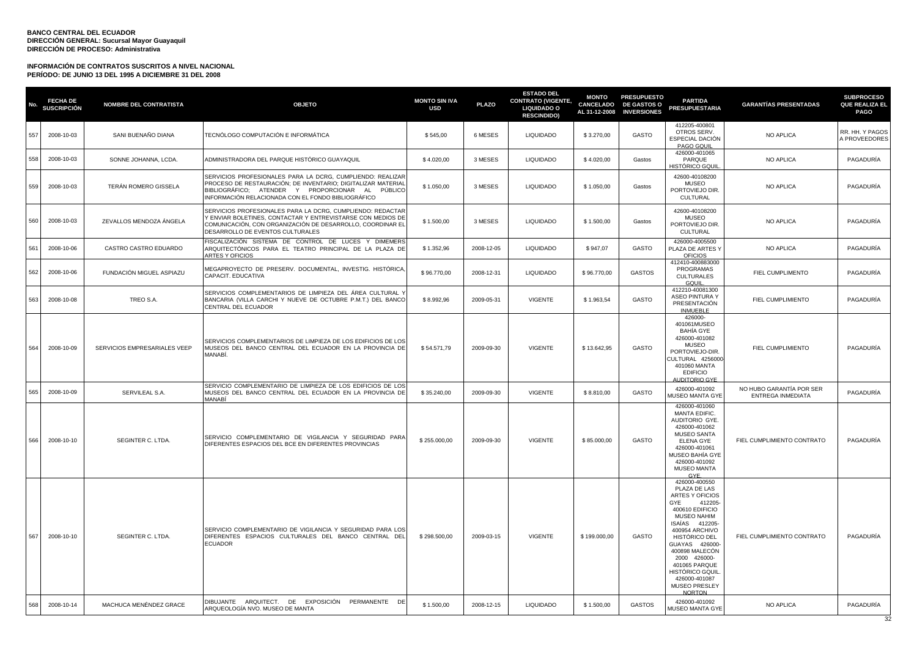| No. | <b>FECHA DE</b><br>SUSCRIPCIÓN | NOMBRE DEL CONTRATISTA       | <b>OBJETO</b>                                                                                                                                                                                                                        | <b>MONTO SIN IVA</b><br><b>USD</b> | <b>PLAZO</b> | <b>ESTADO DEL</b><br><b>CONTRATO (VIGENTE,</b><br><b>LIQUIDADO O</b><br><b>RESCINDIDO)</b> | <b>MONTO</b><br><b>CANCELADO</b><br>AL 31-12-2008 | <b>PRESUPUESTO</b><br><b>DE GASTOS O</b><br><b>INVERSIONES</b> | <b>PARTIDA</b><br><b>PRESUPUESTARIA</b>                                                                                                                                                                                                                                                                            | <b>GARANTÍAS PRESENTADAS</b>                         | <b>SUBPROCESO</b><br>QUE REALIZA EL<br><b>PAGO</b> |
|-----|--------------------------------|------------------------------|--------------------------------------------------------------------------------------------------------------------------------------------------------------------------------------------------------------------------------------|------------------------------------|--------------|--------------------------------------------------------------------------------------------|---------------------------------------------------|----------------------------------------------------------------|--------------------------------------------------------------------------------------------------------------------------------------------------------------------------------------------------------------------------------------------------------------------------------------------------------------------|------------------------------------------------------|----------------------------------------------------|
| 557 | 2008-10-03                     | SANI BUENAÑO DIANA           | TECNÓLOGO COMPUTACIÓN E INFORMÁTICA                                                                                                                                                                                                  | \$545,00                           | 6 MESES      | <b>LIQUIDADO</b>                                                                           | \$3.270,00                                        | GASTO                                                          | 412205-400801<br>OTROS SERV.<br>ESPECIAL DACIÓN<br>PAGO GQUIL                                                                                                                                                                                                                                                      | NO APLICA                                            | RR. HH. Y PAGOS<br>A PROVEEDORES                   |
| 558 | 2008-10-03                     | SONNE JOHANNA, LCDA.         | ADMINISTRADORA DEL PARQUE HISTÓRICO GUAYAQUIL                                                                                                                                                                                        | \$4.020,00                         | 3 MESES      | <b>LIQUIDADO</b>                                                                           | \$4.020,00                                        | Gastos                                                         | 426000-401065<br>PARQUE<br>HISTÓRICO GQUII                                                                                                                                                                                                                                                                         | <b>NO APLICA</b>                                     | PAGADURÍA                                          |
| 559 | 2008-10-03                     | <b>TERÁN ROMERO GISSELA</b>  | SERVICIOS PROFESIONALES PARA LA DCRG. CUMPLIENDO: REALIZAR<br>PROCESO DE RESTAURACIÓN; DE INVENTARIO; DIGITALIZAR MATERIAI<br>BIBLIOGRÁFICO; ATENDER Y PROPORCIONAR AL PÚBLICO<br>INFORMACIÓN RELACIONADA CON EL FONDO BIBLIOGRÁFICO | \$1.050.00                         | 3 MESES      | <b>LIQUIDADO</b>                                                                           | \$1.050.00                                        | Gastos                                                         | 42600-40108200<br><b>MUSEO</b><br>PORTOVIEJO DIR.<br>CULTURAL                                                                                                                                                                                                                                                      | NO APLICA                                            | PAGADURÍA                                          |
| 560 | 2008-10-03                     | ZEVALLOS MENDOZA ÁNGELA      | SERVICIOS PROFESIONALES PARA LA DCRG, CUMPLIENDO: REDACTAR<br>Y ENVIAR BOLETINES, CONTACTAR Y ENTREVISTARSE CON MEDIOS DE<br>COMUNICACIÓN, CON ORGANIZACIÓN DE DESARROLLO, COORDINAR EL<br>DESARROLLO DE EVENTOS CULTURALES          | \$1,500.00                         | 3 MESES      | <b>LIQUIDADO</b>                                                                           | \$1.500,00                                        | Gastos                                                         | 42600-40108200<br><b>MUSEO</b><br>PORTOVIEJO DIR.<br>CULTURAL                                                                                                                                                                                                                                                      | NO APLICA                                            | PAGADURÍA                                          |
| 561 | 2008-10-06                     | CASTRO CASTRO EDUARDO        | FISCALIZACIÓN SISTEMA DE CONTROL DE LUCES Y DIMEMERS<br>ARQUITECTÓNICOS PARA EL TEATRO PRINCIPAL DE LA PLAZA DE<br>ARTES Y OFICIOS                                                                                                   | \$1.352,96                         | 2008-12-05   | <b>LIQUIDADO</b>                                                                           | \$947,07                                          | GASTO                                                          | 426000-4005500<br>PLAZA DE ARTES Y<br><b>OFICIOS</b>                                                                                                                                                                                                                                                               | NO APLICA                                            | PAGADURÍA                                          |
| 562 | 2008-10-06                     | FUNDACIÓN MIGUEL ASPIAZU     | MEGAPROYECTO DE PRESERV. DOCUMENTAL, INVESTIG. HISTÓRICA<br>CAPACIT. EDUCATIVA                                                                                                                                                       | \$96.770,00                        | 2008-12-31   | <b>LIQUIDADO</b>                                                                           | \$96.770,00                                       | <b>GASTOS</b>                                                  | 412410-400883000<br>PROGRAMAS<br><b>CULTURALES</b><br>GQUIL                                                                                                                                                                                                                                                        | FIEL CUMPLIMENTO                                     | PAGADURÍA                                          |
| 563 | 2008-10-08                     | TREO S.A.                    | SERVICIOS COMPLEMENTARIOS DE LIMPIEZA DEL ÁREA CULTURAL Y<br>BANCARIA (VILLA CARCHI Y NUEVE DE OCTUBRE P.M.T.) DEL BANCO<br>CENTRAL DEL ECUADOR                                                                                      | \$8.992,96                         | 2009-05-31   | VIGENTE                                                                                    | \$1.963,54                                        | GASTO                                                          | 412210-40081300<br><b>ASEO PINTURA Y</b><br>PRESENTACIÓN<br><b>INMUEBLE</b>                                                                                                                                                                                                                                        | FIEL CUMPLIMIENTO                                    | PAGADURÍA                                          |
| 564 | 2008-10-09                     | SERVICIOS EMPRESARIALES VEEP | SERVICIOS COMPLEMENTARIOS DE LIMPIEZA DE LOS EDIFICIOS DE LOS<br>MUSEOS DEL BANCO CENTRAL DEL ECUADOR EN LA PROVINCIA DE<br>MANABÍ.                                                                                                  | \$54.571,79                        | 2009-09-30   | <b>VIGENTE</b>                                                                             | \$13.642,95                                       | GASTO                                                          | 426000-<br>401061MUSEO<br>BAHÍA GYE<br>426000-401082<br><b>MUSEO</b><br>PORTOVIEJO-DIR<br>CULTURAL 4256000<br>401060 MANTA<br><b>EDIFICIO</b><br><b>AUDITORIO GYE</b>                                                                                                                                              | FIEL CUMPLIMIENTO                                    | PAGADURÍA                                          |
| 565 | 2008-10-09                     | SERVILEAL S.A.               | SERVICIO COMPLEMENTARIO DE LIMPIEZA DE LOS EDIFICIOS DE LOS<br>MUSEOS DEL BANCO CENTRAL DEL ECUADOR EN LA PROVINCIA DE<br>MANARÍ                                                                                                     | \$35.240,00                        | 2009-09-30   | <b>VIGENTE</b>                                                                             | \$8.810,00                                        | GASTO                                                          | 426000-401092<br>MUSEO MANTA GYE                                                                                                                                                                                                                                                                                   | NO HUBO GARANTÍA POR SER<br><b>ENTREGA INMEDIATA</b> | PAGADURÍA                                          |
| 566 | 2008-10-10                     | SEGINTER C. LTDA.            | SERVICIO COMPLEMENTARIO DE VIGILANCIA Y SEGURIDAD PARA<br>DIFERENTES ESPACIOS DEL BCE EN DIFERENTES PROVINCIAS                                                                                                                       | \$255.000,00                       | 2009-09-30   | <b>VIGENTE</b>                                                                             | \$85.000,00                                       | GASTO                                                          | 426000-401060<br>MANTA EDIFIC.<br>AUDITORIO GYE.<br>426000-401062<br><b>MUSEO SANTA</b><br>ELENA GYE<br>426000-401061<br>MUSEO BAHÍA GYE<br>426000-401092<br><b>MUSEO MANTA</b><br>GYE.                                                                                                                            | FIEL CUMPLIMIENTO CONTRATO                           | PAGADURÍA                                          |
| 567 | 2008-10-10                     | SEGINTER C. LTDA.            | SERVICIO COMPLEMENTARIO DE VIGILANCIA Y SEGURIDAD PARA LOS<br>DIFERENTES ESPACIOS CULTURALES DEL BANCO CENTRAL DEL<br>ECUADOR                                                                                                        | \$298.500,00                       | 2009-03-15   | <b>VIGENTE</b>                                                                             | \$199.000,00                                      | GASTO                                                          | 426000-400550<br>PLAZA DE LAS<br><b>ARTES Y OFICIOS</b><br>412205-<br>GYE<br>400610 EDIFICIO<br><b>MUSEO NAHIM</b><br>ISAÍAS 412205-<br>400954 ARCHIVO<br>HISTÓRICO DEL<br>GUAYAS 426000-<br>400898 MALECÓN<br>2000 426000-<br>401065 PARQUE<br>HISTÓRICO GQUIL<br>426000-401087<br>MUSEO PRESLEY<br><b>NORTON</b> | FIEL CUMPLIMIENTO CONTRATO                           | PAGADURÍA                                          |
| 568 | 2008-10-14                     | MACHUCA MENÉNDEZ GRACE       | DIBUJANTE ARQUITECT. DE EXPOSICIÓN<br>PERMANENTE DE<br>ARQUEOLOGÍA NVO. MUSEO DE MANTA                                                                                                                                               | \$1.500,00                         | 2008-12-15   | <b>LIQUIDADO</b>                                                                           | \$1.500,00                                        | <b>GASTOS</b>                                                  | 426000-401092<br>MUSEO MANTA GYE                                                                                                                                                                                                                                                                                   | NO APLICA                                            | PAGADURÍA<br>32                                    |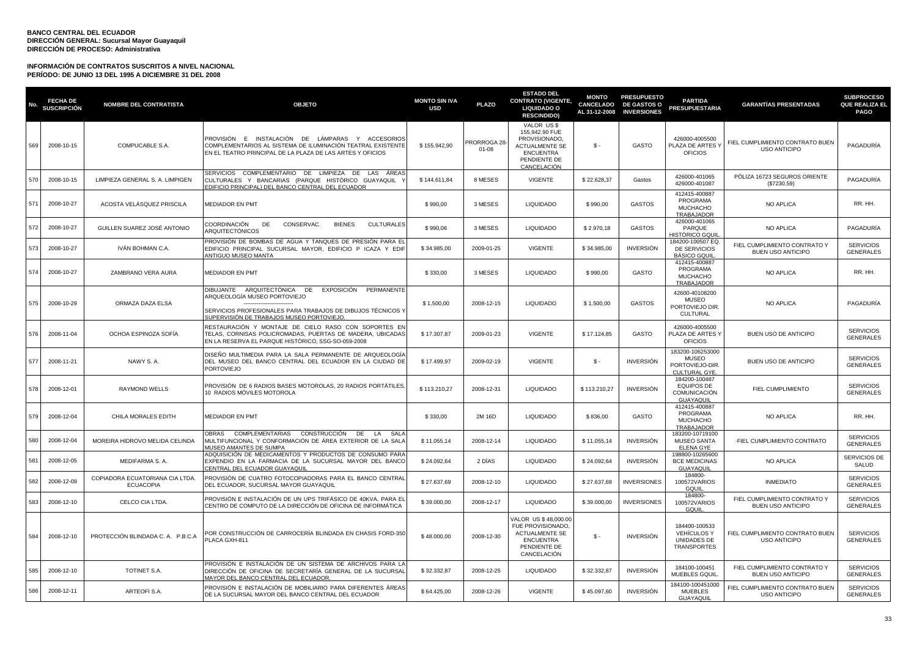| No. | <b>FECHA DE</b><br><b>SUSCRIPCIÓN</b> | <b>NOMBRE DEL CONTRATISTA</b>                       | <b>OBJETO</b>                                                                                                                                                                                | <b>MONTO SIN IVA</b><br><b>USD</b> | <b>PLAZO</b>                    | <b>ESTADO DEL</b><br><b>CONTRATO (VIGENTE,</b><br><b>LIQUIDADO O</b><br><b>RESCINDIDO)</b>                                | <b>MONTO</b><br><b>CANCELADO</b><br>AL 31-12-2008 | <b>PRESUPUESTO</b><br><b>DE GASTOS O</b><br><b>INVERSIONES</b> | <b>PARTIDA</b><br><b>PRESUPUESTARIA</b>                                       | <b>GARANTÍAS PRESENTADAS</b>                             | <b>SUBPROCESO</b><br>QUE REALIZA EL<br><b>PAGO</b> |
|-----|---------------------------------------|-----------------------------------------------------|----------------------------------------------------------------------------------------------------------------------------------------------------------------------------------------------|------------------------------------|---------------------------------|---------------------------------------------------------------------------------------------------------------------------|---------------------------------------------------|----------------------------------------------------------------|-------------------------------------------------------------------------------|----------------------------------------------------------|----------------------------------------------------|
| 569 | 2008-10-15                            | COMPUCABLE S.A.                                     | PROVISIÓN E INSTALACIÓN DE LÁMPARAS Y ACCESORIOS<br>COMPLEMENTARIOS AL SISTEMA DE ILUMINACIÓN TEATRAL EXISTENTE<br>EN EL TEATRO PRINCIPAL DE LA PLAZA DE LAS ARTES Y OFICIOS                 | \$155.942,90                       | <b>PRORROGA 28</b><br>$01 - 08$ | VALOR US\$<br>155.942.90 FUE<br>PROVISIONADO,<br><b>ACTUALMENTE SE</b><br><b>ENCUENTRA</b><br>PENDIENTE DE<br>CANCELACIÓN | \$-                                               | GASTO                                                          | 426000-4005500<br>PLAZA DE ARTES'<br><b>OFICIOS</b>                           | FIEL CUMPLIMIENTO CONTRATO BUEN<br><b>USO ANTICIPO</b>   | PAGADURÍA                                          |
| 570 | 2008-10-15                            | LIMPIEZA GENERAL S. A. LIMPIGEN                     | SERVICIOS COMPLEMENTARIO DE LIMPIEZA DE LAS<br>AREAS<br>CULTURALES Y BANCARIAS (PARQUE HISTÓRICO GUAYAQUIL<br>EDIFICIO PRINCIPAL) DEL BANCO CENTRAL DEL ECUADOR                              | \$144.611,84                       | 8 MESES                         | <b>VIGENTE</b>                                                                                                            | \$22.628,37                                       | Gastos                                                         | 426000-401065<br>426000-401087                                                | PÓLIZA 16723 SEGUROS ORIENTE<br>(\$7230,59)              | PAGADURÍA                                          |
| 571 | 2008-10-27                            | ACOSTA VELÁSQUEZ PRISCILA                           | <b>MEDIADOR EN PMT</b>                                                                                                                                                                       | \$990,00                           | 3 MESES                         | <b>LIQUIDADO</b>                                                                                                          | \$990,00                                          | <b>GASTOS</b>                                                  | 412415-400887<br>PROGRAMA<br><b>MUCHACHO</b><br>TRABAJADOR                    | <b>NO APLICA</b>                                         | RR. HH.                                            |
| 572 | 2008-10-27                            | GUILLEN SUAREZ JOSÉ ANTONIO                         | COORDINACIÓN<br>DE<br>CONSERVAC.<br><b>BIENES</b><br><b>CULTURALES</b><br><b>ARQUITECTÓNICOS</b>                                                                                             | \$990,06                           | 3 MESES                         | <b>LIQUIDADO</b>                                                                                                          | \$2.970,18                                        | <b>GASTOS</b>                                                  | 426000-401065<br>PARQUE<br>HIST <u>ÓRICO GQUI</u>                             | NO APLICA                                                | PAGADURÍA                                          |
| 573 | 2008-10-27                            | IVÂN BOHMAN C.A.                                    | PROVISIÓN DE BOMBAS DE AGUA Y TANQUES DE PRESIÓN PARA EL<br>EDIFICIO PRINCIPAL SUCURSAL MAYOR, EDIFICIO P ICAZA Y EDIF<br>ANTIGUO MUSEO MANTA                                                | \$34.985,00                        | 2009-01-25                      | <b>VIGENTE</b>                                                                                                            | \$34.985,00                                       | <b>INVERSIÓN</b>                                               | 184200-100507 EQ.<br>DE SERVICIOS<br><b>BÁSICO GQUIL</b>                      | FIEL CUMPLIMIENTO CONTRATO Y<br><b>BUEN USO ANTICIPO</b> | <b>SERVICIOS</b><br><b>GENERALES</b>               |
| 574 | 2008-10-27                            | ZAMBRANO VERA AURA                                  | <b>MEDIADOR EN PMT</b>                                                                                                                                                                       | \$330,00                           | 3 MESES                         | <b>LIQUIDADO</b>                                                                                                          | \$990,00                                          | GASTO                                                          | 412415-400887<br>PROGRAMA<br><b>MUCHACHO</b><br>TRABAJADOR                    | <b>NO APLICA</b>                                         | RR. HH.                                            |
| 575 | 2008-10-29                            | ORMAZA DAZA ELSA                                    | DIBUJANTE ARQUITECTÓNICA DE EXPOSICIÓN PERMANENTE<br>ARQUEOLOGÍA MUSEO PORTOVIEJO<br>SERVICIOS PROFESIONALES PARA TRABAJOS DE DIBUJOS TÉCNICOS Y<br>SUPERVISIÓN DE TRABAJOS MUSEO PORTOVIEJO | \$1.500,00                         | 2008-12-15                      | <b>LIQUIDADO</b>                                                                                                          | \$1.500,00                                        | <b>GASTOS</b>                                                  | 42600-40108200<br><b>MUSEO</b><br>PORTOVIEJO DIR.<br>CULTURAL                 | NO APLICA                                                | PAGADURÍA                                          |
| 576 | 2008-11-04                            | OCHOA ESPINOZA SOFÍA                                | RESTAURACIÓN Y MONTAJE DE CIELO RASO CON SOPORTES EN<br>TELAS, CORNISAS POLICROMADAS, PUERTAS DE MADERA, UBICADAS<br>EN LA RESERVA EL PARQUE HISTÓRICO, SSG-SO-059-2008                      | \$17.307,87                        | 2009-01-23                      | VIGENTE                                                                                                                   | \$17.124,85                                       | GASTO                                                          | 426000-4005500<br>PLAZA DE ARTES Y<br><b>OFICIOS</b>                          | BUEN USO DE ANTICIPO                                     | <b>SERVICIOS</b><br><b>GENERALES</b>               |
| 577 | 2008-11-21                            | NAWY S.A.                                           | DISEÑO MULTIMEDIA PARA LA SALA PERMANENTE DE ARQUEOLOGÍA<br>DEL MUSEO DEL BANCO CENTRAL DEL ECUADOR EN LA CIUDAD DE<br><b>PORTOVIEJO</b>                                                     | \$17.499,97                        | 2009-02-19                      | <b>VIGENTE</b>                                                                                                            | \$-                                               | <b>INVERSIÓN</b>                                               | 183200-106253000<br><b>MUSEO</b><br>PORTOVIEJO-DIR<br><b>CULTURAL GYE</b>     | BUEN USO DE ANTICIPO                                     | <b>SERVICIOS</b><br><b>GENERALES</b>               |
| 578 | 2008-12-01                            | <b>RAYMOND WELLS</b>                                | PROVISIÓN DE 6 RADIOS BASES MOTOROLAS, 20 RADIOS PORTÁTILES,<br>10 RADIOS MÓVILES MOTOROLA                                                                                                   | \$113.210,27                       | 2008-12-31                      | <b>LIQUIDADO</b>                                                                                                          | \$113.210,27                                      | INVERSIÓN                                                      | 184200-100487<br><b>EQUIPOS DE</b><br><b>COMUNICACIÓN</b><br><b>GUAYAQUIL</b> | FIEL CUMPLIMIENTO                                        | <b>SERVICIOS</b><br><b>GENERALES</b>               |
| 579 | 2008-12-04                            | CHILA MORALES EDITH                                 | <b>MEDIADOR EN PMT</b>                                                                                                                                                                       | \$330,00                           | 2M 16D                          | <b>LIQUIDADO</b>                                                                                                          | \$836,00                                          | GASTO                                                          | 412415-400887<br>PROGRAMA<br><b>MUCHACHO</b><br>TRABAJADOR                    | NO APLICA                                                | RR. HH.                                            |
| 580 | 2008-12-04                            | MOREIRA HIDROVO MELIDA CELINDA                      | OBRAS COMPLEMENTARIAS CONSTRUCCIÓN DE<br>SAL<br>LA<br>MULTIFUNCIONAL Y CONFORMACIÓN DE ÁREA EXTERIOR DE LA SALA<br>MUSEO AMANTES DE SUMPA                                                    | \$11.055,14                        | 2008-12-14                      | <b>LIQUIDADO</b>                                                                                                          | \$11.055,14                                       | <b>INVERSIÓN</b>                                               | 183200-10719100<br><b>MUSEO SANTA</b><br><b>ELENA GYE</b>                     | -FIEL CUMPLIMIENTO CONTRATO                              | <b>SERVICIOS</b><br><b>GENERALES</b>               |
| 581 | 2008-12-05                            | MEDIFARMA S. A.                                     | ADQUISICIÓN DE MEDICAMENTOS Y PRODUCTOS DE CONSUMO PARA<br>EXPENDIO EN LA FARMACIA DE LA SUCURSAL MAYOR DEL BANCO<br>CENTRAL DEL ECUADOR GUAYAQUIL                                           | \$24.092,64                        | 2 DIAS                          | <b>LIQUIDADO</b>                                                                                                          | \$24.092,64                                       | INVERSIÓN                                                      | 198800-10265600<br><b>BCE MEDICINAS</b><br>GUAYAQUIL                          | NO APLICA                                                | SERVICIOS DE<br>SALUD                              |
| 582 | 2008-12-09                            | COPIADORA ECUATORIANA CIA LTDA.<br><b>ECUACOPIA</b> | PROVISIÓN DE CUATRO FOTOCOPIADORAS PARA EL BANCO CENTRAL<br>DEL ECUADOR, SUCURSAL MAYOR GUAYAQUIL                                                                                            | \$27.637,69                        | 2008-12-10                      | <b>LIQUIDADO</b>                                                                                                          | \$27.637,69                                       | <b>INVERSIONES</b>                                             | 184800-<br>100572VARIOS<br>GQUIL                                              | <b>INMEDIATO</b>                                         | <b>SERVICIOS</b><br><b>GENERALES</b>               |
| 583 | 2008-12-10                            | CELCO CIA LTDA.                                     | PROVISIÓN E INSTALACIÓN DE UN UPS TRIFÁSICO DE 40KVA. PARA EL<br>CENTRO DE COMPUTO DE LA DIRECCIÓN DE OFICINA DE INFORMÁTICA                                                                 | \$39.000,00                        | 2008-12-17                      | <b>LIQUIDADO</b>                                                                                                          | \$39.000,00                                       | <b>INVERSIONES</b>                                             | 184800-<br>100572VARIOS<br>GQUIL                                              | FIEL CUMPLIMIENTO CONTRATO Y<br><b>BUEN USO ANTICIPO</b> | <b>SERVICIOS</b><br><b>GENERALES</b>               |
| 584 | 2008-12-10                            | PROTECCIÓN BLINDADA C. A. P.B.C.A                   | POR CONSTRUCCIÓN DE CARROCERÍA BLINDADA EN CHASIS FORD-350<br>PLACA GXH-811                                                                                                                  | \$48.000,00                        | 2008-12-30                      | VALOR US \$48,000.00<br>FUE PROVISIONADO,<br><b>ACTUALMENTE SE</b><br><b>ENCUENTRA</b><br>PENDIENTE DE<br>CANCELACIÓN     | $\mathsf{s}$ -                                    | <b>INVERSIÓN</b>                                               | 184400-100533<br><b>VEHÍCULOS Y</b><br>UNIDADES DE<br><b>TRANSPORTES</b>      | FIEL CUMPLIMIENTO CONTRATO BUEN<br><b>USO ANTICIPO</b>   | <b>SERVICIOS</b><br><b>GENERALES</b>               |
| 585 | 2008-12-10                            | TOTINET S.A.                                        | PROVISIÓN E INSTALACIÓN DE UN SISTEMA DE ARCHIVOS PARA LA<br>DIRECCIÓN DE OFICINA DE SECRETARÍA GENERAL DE LA SUCURSAL<br>MAYOR DEL BANCO CENTRAL DEL ECUADOR                                | \$32.332,87                        | 2008-12-25                      | <b>LIQUIDADO</b>                                                                                                          | \$32.332,87                                       | INVERSIÓN                                                      | 184100-100451<br>MUEBLES GQUIL                                                | FIEL CUMPLIMIENTO CONTRATO Y<br><b>BUEN USO ANTICIPO</b> | <b>SERVICIOS</b><br><b>GENERALES</b>               |
| 586 | 2008-12-11                            | ARTEOFI S.A.                                        | PROVISIÓN E INSTALACIÓN DE MOBILIARIO PARA DIFERENTES ÁREAS<br>DE LA SUCURSAL MAYOR DEL BANCO CENTRAL DEL ECUADOR                                                                            | \$64.425,00                        | 2008-12-26                      | <b>VIGENTE</b>                                                                                                            | \$45,097.60                                       | INVERSIÓN                                                      | 184100-100451000<br><b>MUEBLES</b><br>GUAYAQUII                               | FIEL CUMPLIMIENTO CONTRATO BUEN<br><b>USO ANTICIPO</b>   | <b>SERVICIOS</b><br><b>GENERALES</b>               |